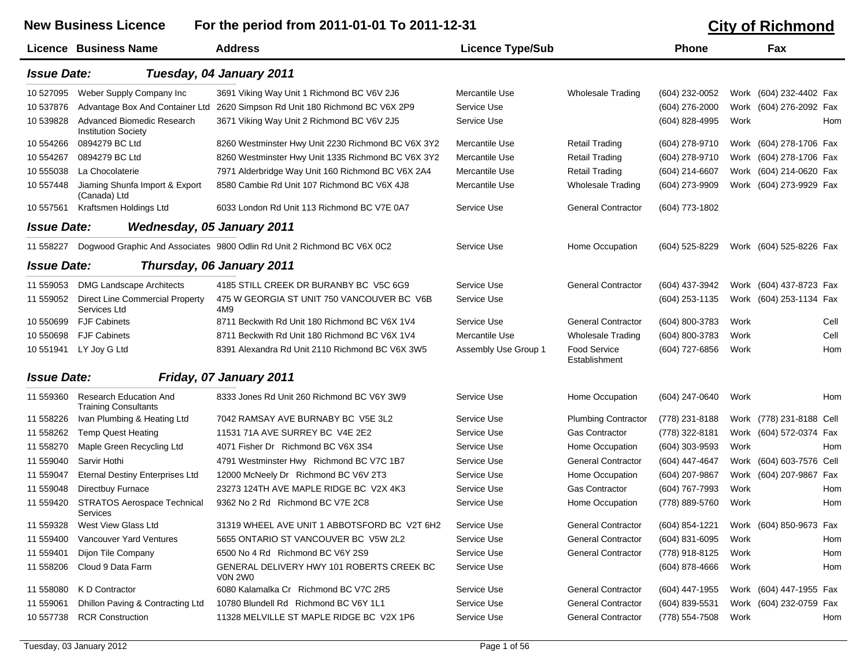## New Business Licence For the period from 2011-01-01 To 2011-12-31 City of Richmond **Licence Business Name Address Licence Type/Sub Phone Fax** *Issue Date: Tuesday, 04 January 2011* 10 527095 Weber Supply Company Inc 3691 Viking Way Unit 1 Richmond BC V6V 2J6 Mercantile Use Wholesale Trading (604) 232-0052 Work (604) 232-4402 Fax 10 537876 Advantage Box And Container Ltd 2620 Simpson Rd Unit 180 Richmond BC V6X 2P9 Service Use Commercial States (604) 276-2000 Work (604) 276-2092 Fax 10 539828 Advanced Biomedic Research Institution Society 3671 Viking Way Unit 2 Richmond BC V6V 2J5 Service Use (604) 828-4995 Work Hom 10 554266 0894279 BC Ltd8260 Westminster Hwy Unit 2230 Richmond BC V6X 3Y2 Mercantile Use Retail Trading (604) 278-9710 Work (604) 278-1706 Fax 10 554267 0894279 BC Ltd8260 Westminster Hwy Unit 1335 Richmond BC V6X 3Y2 Mercantile Use Retail Trading (604) 278-9710 Work (604) 278-1706 Fax 10 555038 La Chocolaterie 7971 Alderbridge Way Unit 160 Richmond BC V6X 2A4 Mercantile Use Retail Trading (604) 214-6607 Work (604) 214-0620 Fax 10 557448 Jiaming Shunfa Import & Export (Canada) Ltd 8580 Cambie Rd Unit 107 Richmond BC V6X 4J8 Mercantile Use Wholesale Trading (604) 273-9909 Work (604) 273-9929 Fax 10 557561 Kraftsmen Holdings Ltd 6033 London Rd Unit 113 Richmond BC V7E 0A7 Service Use General Contractor (604) 773-1802 *Issue Date: Wednesday, 05 January 2011* 11 558227 Dogwood Graphic And Associates 9800 Odlin Rd Unit 2 Richmond BC V6X 0C2 Service Use Home Occupation (604) 525-8229 Work (604) 525-8226 Fax *Issue Date: Thursday, 06 January 2011* 11 559053 DMG Landscape Architects 4185 STILL CREEK DR BURANBY BC V5C 6G9 Service Use General Contractor (604) 437-3942 Work (604) 437-8723 Fax 11 559052 Direct Line Commercial Property Services Ltd475 W GEORGIA ST UNIT 750 VANCOUVER BC V6B Service Use (604) 253-1135 Work (604) 253-1134 Fax 4M9 10 550699 FJF Cabinets 8711 Beckwith Rd Unit 180 Richmond BC V6X 1V4Service Use Ceneral Contractor (604) 800-3783 Work Cell 10 550698 FJF Cabinets 8711 Beckwith Rd Unit 180 Richmond BC V6X 1V4 Mercantile Use Wholesale Trading (604) 800-3783 Work Cell 10 551941 LY Joy G Ltd 8391 Alexandra Rd Unit 2110 Richmond BC V6X 3W5 Assembly Use Group 1 Food Service EstablishmentAssembly Use Group 1 Food Service (604) 727-6856 Work Hom *Issue Date: Friday, 07 January 2011* 11 559360 Research Education And Training Consultants 8333 Jones Rd Unit 260 Richmond BC V6Y 3W9Service Use **Home Occupation** (604) 247-0640 Work **Home** 11 558226 Ivan Plumbing & Heating Ltd 7042 RAMSAY AVE BURNABY BC V5E 3L2 Service Use Plumbing Contractor (778) 231-8188 Work (778) 231-8188 Cell 11 558262 Temp Quest Heating 11531 71A AVE SURREY BC V4E 2E2 Gas Contractor (778) 322-8181 Work (604) 572-0374 Fax

| 11 558262 | Temp Quest Heating                                    | 11531 71A AVE SURREY BUI V4E ZEZI                    | Service Use | Gas Contractor            | (778) 322-8181 |      | $VV$ Ork (604) 5/2-03/4 Fax |     |
|-----------|-------------------------------------------------------|------------------------------------------------------|-------------|---------------------------|----------------|------|-----------------------------|-----|
| 11 558270 | Maple Green Recycling Ltd                             | 4071 Fisher Dr Richmond BC V6X 3S4                   | Service Use | Home Occupation           | (604) 303-9593 | Work |                             | Hom |
| 11 559040 | Sarvir Hothi                                          | 4791 Westminster Hwy Richmond BC V7C 1B7             | Service Use | <b>General Contractor</b> | (604) 447-4647 |      | Work (604) 603-7576 Cell    |     |
| 11 559047 | Eternal Destiny Enterprises Ltd                       | 12000 McNeely Dr Richmond BC V6V 2T3                 | Service Use | Home Occupation           | (604) 207-9867 |      | Work (604) 207-9867 Fax     |     |
| 11 559048 | Directbuy Furnace                                     | 23273 124TH AVE MAPLE RIDGE BC V2X 4K3               | Service Use | <b>Gas Contractor</b>     | (604) 767-7993 | Work |                             | Hom |
| 11 559420 | <b>STRATOS Aerospace Technical</b><br><b>Services</b> | 9362 No 2 Rd Richmond BC V7E 2C8                     | Service Use | Home Occupation           | (778) 889-5760 | Work |                             | Hom |
| 11 559328 | West View Glass Ltd                                   | 31319 WHEEL AVE UNIT 1 ABBOTSFORD BC V2T 6H2         | Service Use | <b>General Contractor</b> | (604) 854-1221 |      | Work (604) 850-9673 Fax     |     |
| 11 559400 | Vancouver Yard Ventures                               | 5655 ONTARIO ST VANCOUVER BC V5W 2L2                 | Service Use | <b>General Contractor</b> | (604) 831-6095 | Work |                             | Hom |
| 11 559401 | Dijon Tile Company                                    | 6500 No 4 Rd Richmond BC V6Y 2S9                     | Service Use | <b>General Contractor</b> | (778) 918-8125 | Work |                             | Hom |
| 11 558206 | Cloud 9 Data Farm                                     | GENERAL DELIVERY HWY 101 ROBERTS CREEK BC<br>VON 2WO | Service Use |                           | (604) 878-4666 | Work |                             | Hom |
| 11 558080 | K D Contractor                                        | 6080 Kalamalka Cr Richmond BC V7C 2R5                | Service Use | <b>General Contractor</b> | (604) 447-1955 |      | Work (604) 447-1955 Fax     |     |
| 11 559061 | Dhillon Paving & Contracting Ltd                      | 10780 Blundell Rd Richmond BC V6Y 1L1                | Service Use | <b>General Contractor</b> | (604) 839-5531 |      | Work (604) 232-0759 Fax     |     |
| 10 557738 | <b>RCR Construction</b>                               | 11328 MELVILLE ST MAPLE RIDGE BC V2X 1P6             | Service Use | <b>General Contractor</b> | (778) 554-7508 | Work |                             | Hom |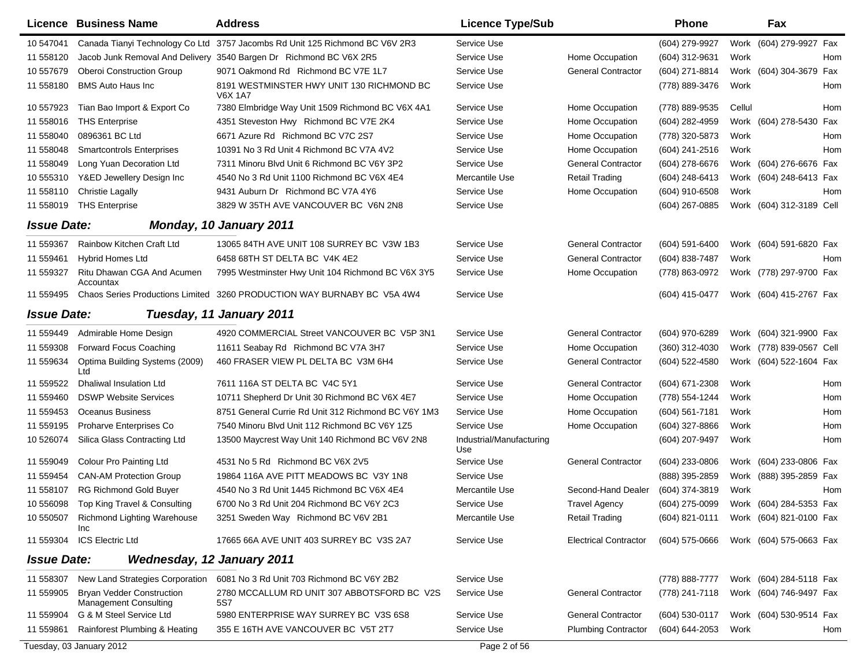|                    | Licence Business Name                                            | <b>Address</b>                                                               | <b>Licence Type/Sub</b>         |                              | Phone            |        | Fax                                    |     |
|--------------------|------------------------------------------------------------------|------------------------------------------------------------------------------|---------------------------------|------------------------------|------------------|--------|----------------------------------------|-----|
| 10 547041          |                                                                  | Canada Tianyi Technology Co Ltd 3757 Jacombs Rd Unit 125 Richmond BC V6V 2R3 | Service Use                     |                              | (604) 279-9927   |        | Work (604) 279-9927 Fax                |     |
| 11 558120          |                                                                  | Jacob Junk Removal And Delivery 3540 Bargen Dr Richmond BC V6X 2R5           | Service Use                     | Home Occupation              | (604) 312-9631   | Work   |                                        | Hom |
| 10 557679          | <b>Oberoi Construction Group</b>                                 | 9071 Oakmond Rd Richmond BC V7E 1L7                                          | Service Use                     | <b>General Contractor</b>    | (604) 271-8814   |        | Work (604) 304-3679                    | Fax |
| 11 558180          | <b>BMS Auto Haus Inc</b>                                         | 8191 WESTMINSTER HWY UNIT 130 RICHMOND BC<br><b>V6X 1A7</b>                  | Service Use                     |                              | (778) 889-3476   | Work   |                                        | Hom |
| 10 557923          | Tian Bao Import & Export Co                                      | 7380 Elmbridge Way Unit 1509 Richmond BC V6X 4A1                             | Service Use                     | Home Occupation              | (778) 889-9535   | Cellul |                                        | Hom |
| 11 558016          | <b>THS Enterprise</b>                                            | 4351 Steveston Hwy Richmond BC V7E 2K4                                       | Service Use                     | Home Occupation              | (604) 282-4959   |        | Work (604) 278-5430                    | Fax |
| 11 558040          | 0896361 BC Ltd                                                   | 6671 Azure Rd Richmond BC V7C 2S7                                            | Service Use                     | Home Occupation              | (778) 320-5873   | Work   |                                        | Hom |
| 11 558048          | <b>Smartcontrols Enterprises</b>                                 | 10391 No 3 Rd Unit 4 Richmond BC V7A 4V2                                     | Service Use                     | Home Occupation              | (604) 241-2516   | Work   |                                        | Hom |
| 11 558049          | Long Yuan Decoration Ltd                                         | 7311 Minoru Blvd Unit 6 Richmond BC V6Y 3P2                                  | Service Use                     | <b>General Contractor</b>    | (604) 278-6676   |        | Work (604) 276-6676 Fax                |     |
| 10 555310          | Y&ED Jewellery Design Inc                                        | 4540 No 3 Rd Unit 1100 Richmond BC V6X 4E4                                   | Mercantile Use                  | <b>Retail Trading</b>        | (604) 248-6413   |        | Work (604) 248-6413 Fax                |     |
| 11 558110          | <b>Christie Lagally</b>                                          | 9431 Auburn Dr Richmond BC V7A 4Y6                                           | Service Use                     | Home Occupation              | (604) 910-6508   | Work   |                                        | Hom |
| 11 558019          | <b>THS Enterprise</b>                                            | 3829 W 35TH AVE VANCOUVER BC V6N 2N8                                         | Service Use                     |                              | (604) 267-0885   |        | Work (604) 312-3189 Cell               |     |
| <b>Issue Date:</b> |                                                                  | <b>Monday, 10 January 2011</b>                                               |                                 |                              |                  |        |                                        |     |
| 11 559367          | Rainbow Kitchen Craft Ltd                                        | 13065 84TH AVE UNIT 108 SURREY BC V3W 1B3                                    | Service Use                     | <b>General Contractor</b>    | $(604)$ 591-6400 |        | Work (604) 591-6820 Fax                |     |
| 11 559461          | <b>Hybrid Homes Ltd</b>                                          | 6458 68TH ST DELTA BC V4K 4E2                                                | Service Use                     | <b>General Contractor</b>    | (604) 838-7487   | Work   |                                        | Hom |
| 11 559327          | Ritu Dhawan CGA And Acumen<br>Accountax                          | 7995 Westminster Hwy Unit 104 Richmond BC V6X 3Y5                            | Service Use                     | Home Occupation              | (778) 863-0972   |        | Work (778) 297-9700 Fax                |     |
| 11 559495          |                                                                  | Chaos Series Productions Limited 3260 PRODUCTION WAY BURNABY BC V5A 4W4      | Service Use                     |                              | (604) 415-0477   |        | Work (604) 415-2767 Fax                |     |
| <b>Issue Date:</b> |                                                                  | Tuesday, 11 January 2011                                                     |                                 |                              |                  |        |                                        |     |
| 11 559449          | Admirable Home Design                                            | 4920 COMMERCIAL Street VANCOUVER BC V5P 3N1                                  | Service Use                     | <b>General Contractor</b>    | (604) 970-6289   |        | Work (604) 321-9900 Fax                |     |
| 11 559308          | <b>Forward Focus Coaching</b>                                    | 11611 Seabay Rd Richmond BC V7A 3H7                                          | Service Use                     | Home Occupation              | (360) 312-4030   |        | Work (778) 839-0567 Cell               |     |
| 11 559634          | Optima Building Systems (2009)<br>Ltd                            | 460 FRASER VIEW PL DELTA BC V3M 6H4                                          | Service Use                     | <b>General Contractor</b>    | (604) 522-4580   |        | Work (604) 522-1604 Fax                |     |
| 11 559522          | Dhaliwal Insulation Ltd                                          | 7611 116A ST DELTA BC V4C 5Y1                                                | Service Use                     | <b>General Contractor</b>    | $(604)$ 671-2308 | Work   |                                        | Hom |
| 11 559460          | <b>DSWP Website Services</b>                                     | 10711 Shepherd Dr Unit 30 Richmond BC V6X 4E7                                | Service Use                     | Home Occupation              | (778) 554-1244   | Work   |                                        | Hom |
| 11 559453          | Oceanus Business                                                 | 8751 General Currie Rd Unit 312 Richmond BC V6Y 1M3                          | Service Use                     | Home Occupation              | (604) 561-7181   | Work   |                                        | Hom |
| 11 559195          | Proharve Enterprises Co                                          | 7540 Minoru Blvd Unit 112 Richmond BC V6Y 1Z5                                | Service Use                     | Home Occupation              | (604) 327-8866   | Work   |                                        | Hom |
| 10 526074          | Silica Glass Contracting Ltd                                     | 13500 Maycrest Way Unit 140 Richmond BC V6V 2N8                              | Industrial/Manufacturing<br>Use |                              | (604) 207-9497   | Work   |                                        | Hom |
| 11 559049          | Colour Pro Painting Ltd                                          | 4531 No 5 Rd Richmond BC V6X 2V5                                             | Service Use                     | <b>General Contractor</b>    | (604) 233-0806   |        | Work (604) 233-0806 Fax                |     |
| 11 559454          | <b>CAN-AM Protection Group</b>                                   | 19864 116A AVE PITT MEADOWS BC V3Y 1N8                                       | Service Use                     |                              | (888) 395-2859   |        | Work (888) 395-2859 Fax                |     |
| 11 558107          | <b>RG Richmond Gold Buyer</b>                                    | 4540 No 3 Rd Unit 1445 Richmond BC V6X 4E4                                   | Mercantile Use                  | Second-Hand Dealer           | (604) 374-3819   | Work   |                                        | Hom |
| 10 556098          | Top King Travel & Consulting                                     | 6700 No 3 Rd Unit 204 Richmond BC V6Y 2C3                                    | Service Use                     | <b>Travel Agency</b>         | (604) 275-0099   |        | Work (604) 284-5353 Fax                |     |
|                    | 10 550507 Richmond Lighting Warehouse<br><b>Inc</b>              | 3251 Sweden Way Richmond BC V6V 2B1                                          | Mercantile Use                  | <b>Retail Trading</b>        |                  |        | (604) 821-0111 Work (604) 821-0100 Fax |     |
| 11 559304          | <b>ICS Electric Ltd</b>                                          | 17665 66A AVE UNIT 403 SURREY BC V3S 2A7                                     | Service Use                     | <b>Electrical Contractor</b> | (604) 575-0666   |        | Work (604) 575-0663 Fax                |     |
| <b>Issue Date:</b> | <b>Wednesday, 12 January 2011</b>                                |                                                                              |                                 |                              |                  |        |                                        |     |
| 11 558307          | New Land Strategies Corporation                                  | 6081 No 3 Rd Unit 703 Richmond BC V6Y 2B2                                    | Service Use                     |                              | (778) 888-7777   |        | Work (604) 284-5118 Fax                |     |
| 11 559905          | <b>Bryan Vedder Construction</b><br><b>Management Consulting</b> | 2780 MCCALLUM RD UNIT 307 ABBOTSFORD BC V2S<br>5S7                           | Service Use                     | <b>General Contractor</b>    | (778) 241-7118   |        | Work (604) 746-9497 Fax                |     |
|                    | 11 559904 G & M Steel Service Ltd                                | 5980 ENTERPRISE WAY SURREY BC V3S 6S8                                        | Service Use                     | <b>General Contractor</b>    | (604) 530-0117   |        | Work (604) 530-9514 Fax                |     |
| 11 559861          | Rainforest Plumbing & Heating                                    | 355 E 16TH AVE VANCOUVER BC V5T 2T7                                          | Service Use                     | <b>Plumbing Contractor</b>   | (604) 644-2053   | Work   |                                        | Hom |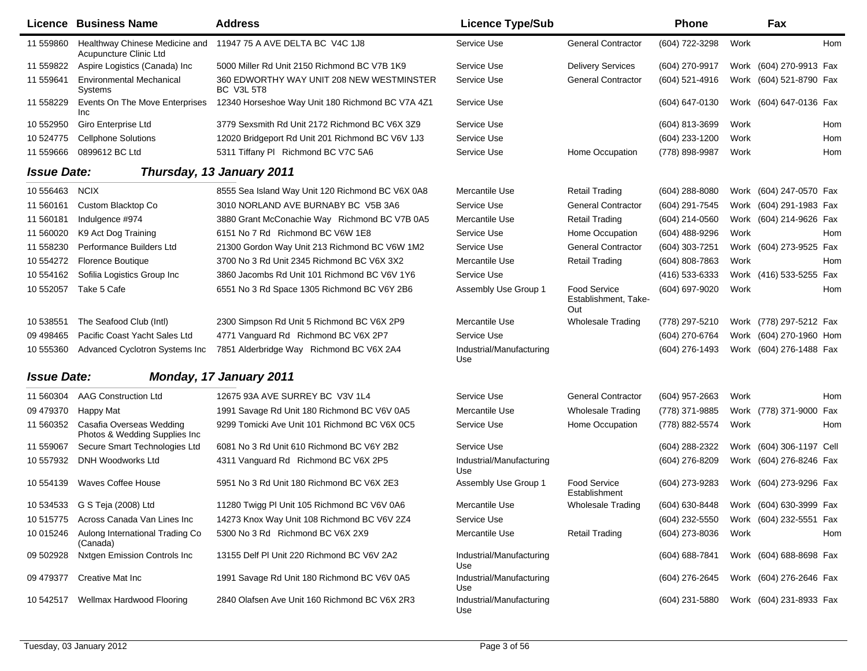|                    | Licence Business Name                                               | <b>Address</b>                                                 | <b>Licence Type/Sub</b>         |                                             | <b>Phone</b>   |      | Fax                      |            |
|--------------------|---------------------------------------------------------------------|----------------------------------------------------------------|---------------------------------|---------------------------------------------|----------------|------|--------------------------|------------|
| 11 559860          | Acupuncture Clinic Ltd                                              | Healthway Chinese Medicine and 11947 75 A AVE DELTA BC V4C 1J8 | Service Use                     | <b>General Contractor</b>                   | (604) 722-3298 | Work |                          | Hom        |
| 11 559822          | Aspire Logistics (Canada) Inc                                       | 5000 Miller Rd Unit 2150 Richmond BC V7B 1K9                   | Service Use                     | <b>Delivery Services</b>                    | (604) 270-9917 |      | Work (604) 270-9913 Fax  |            |
| 11 559641          | <b>Environmental Mechanical</b><br>Systems                          | 360 EDWORTHY WAY UNIT 208 NEW WESTMINSTER<br><b>BC V3L 5T8</b> | Service Use                     | <b>General Contractor</b>                   | (604) 521-4916 |      | Work (604) 521-8790 Fax  |            |
| 11 558229          | Events On The Move Enterprises<br><b>Inc</b>                        | 12340 Horseshoe Way Unit 180 Richmond BC V7A 4Z1               | Service Use                     |                                             | (604) 647-0130 |      | Work (604) 647-0136 Fax  |            |
| 10 552950          | Giro Enterprise Ltd                                                 | 3779 Sexsmith Rd Unit 2172 Richmond BC V6X 3Z9                 | Service Use                     |                                             | (604) 813-3699 | Work |                          | Hom        |
| 10 524775          | <b>Cellphone Solutions</b>                                          | 12020 Bridgeport Rd Unit 201 Richmond BC V6V 1J3               | Service Use                     |                                             | (604) 233-1200 | Work |                          | <b>Hom</b> |
| 11 559666          | 0899612 BC Ltd                                                      | 5311 Tiffany PI Richmond BC V7C 5A6                            | Service Use                     | Home Occupation                             | (778) 898-9987 | Work |                          | Hom        |
| <b>Issue Date:</b> |                                                                     | Thursday, 13 January 2011                                      |                                 |                                             |                |      |                          |            |
| 10 55 64 63        | <b>NCIX</b>                                                         | 8555 Sea Island Way Unit 120 Richmond BC V6X 0A8               | Mercantile Use                  | <b>Retail Trading</b>                       | (604) 288-8080 |      | Work (604) 247-0570 Fax  |            |
| 11 560161          | Custom Blacktop Co                                                  | 3010 NORLAND AVE BURNABY BC V5B 3A6                            | Service Use                     | <b>General Contractor</b>                   | (604) 291-7545 |      | Work (604) 291-1983 Fax  |            |
| 11 560181          | Indulgence #974                                                     | 3880 Grant McConachie Way Richmond BC V7B 0A5                  | Mercantile Use                  | <b>Retail Trading</b>                       | (604) 214-0560 |      | Work (604) 214-9626 Fax  |            |
| 11 560020          | K9 Act Dog Training                                                 | 6151 No 7 Rd Richmond BC V6W 1E8                               | Service Use                     | Home Occupation                             | (604) 488-9296 | Work |                          | Hom        |
| 11 558230          | Performance Builders Ltd                                            | 21300 Gordon Way Unit 213 Richmond BC V6W 1M2                  | Service Use                     | <b>General Contractor</b>                   | (604) 303-7251 |      | Work (604) 273-9525 Fax  |            |
| 10 554272          | <b>Florence Boutique</b>                                            | 3700 No 3 Rd Unit 2345 Richmond BC V6X 3X2                     | Mercantile Use                  | <b>Retail Trading</b>                       | (604) 808-7863 | Work |                          | Hom        |
| 10 554162          | Sofilia Logistics Group Inc                                         | 3860 Jacombs Rd Unit 101 Richmond BC V6V 1Y6                   | Service Use                     |                                             | (416) 533-6333 |      | Work (416) 533-5255 Fax  |            |
| 10 552057          | Take 5 Cafe                                                         | 6551 No 3 Rd Space 1305 Richmond BC V6Y 2B6                    | Assembly Use Group 1            | Food Service<br>Establishment, Take-<br>Out | (604) 697-9020 | Work |                          | Hom        |
| 10 538551          | The Seafood Club (Intl)                                             | 2300 Simpson Rd Unit 5 Richmond BC V6X 2P9                     | Mercantile Use                  | <b>Wholesale Trading</b>                    | (778) 297-5210 |      | Work (778) 297-5212 Fax  |            |
| 09 49 8465         | Pacific Coast Yacht Sales Ltd                                       | 4771 Vanguard Rd Richmond BC V6X 2P7                           | Service Use                     |                                             | (604) 270-6764 |      | Work (604) 270-1960 Hom  |            |
| 10 555360          | Advanced Cyclotron Systems Inc                                      | 7851 Alderbridge Way Richmond BC V6X 2A4                       | Industrial/Manufacturing<br>Use |                                             | (604) 276-1493 |      | Work (604) 276-1488 Fax  |            |
| <b>Issue Date:</b> |                                                                     | Monday, 17 January 2011                                        |                                 |                                             |                |      |                          |            |
| 11 560304          | AAG Construction Ltd                                                | 12675 93A AVE SURREY BC V3V 1L4                                | Service Use                     | <b>General Contractor</b>                   | (604) 957-2663 | Work |                          | <b>Hom</b> |
| 09 479370          | <b>Happy Mat</b>                                                    | 1991 Savage Rd Unit 180 Richmond BC V6V 0A5                    | Mercantile Use                  | <b>Wholesale Trading</b>                    | (778) 371-9885 |      | Work (778) 371-9000      | Fax        |
|                    | 11 560352 Casafia Overseas Wedding<br>Photos & Wedding Supplies Inc | 9299 Tomicki Ave Unit 101 Richmond BC V6X 0C5                  | Service Use                     | Home Occupation                             | (778) 882-5574 | Work |                          | Hom        |
| 11 559067          | Secure Smart Technologies Ltd                                       | 6081 No 3 Rd Unit 610 Richmond BC V6Y 2B2                      | Service Use                     |                                             | (604) 288-2322 |      | Work (604) 306-1197 Cell |            |
| 10 557932          | DNH Woodworks Ltd                                                   | 4311 Vanguard Rd Richmond BC V6X 2P5                           | Industrial/Manufacturing<br>Use |                                             | (604) 276-8209 |      | Work (604) 276-8246 Fax  |            |
| 10 554139          | Waves Coffee House                                                  | 5951 No 3 Rd Unit 180 Richmond BC V6X 2E3                      | Assembly Use Group 1            | <b>Food Service</b><br>Establishment        | (604) 273-9283 |      | Work (604) 273-9296 Fax  |            |
|                    | 10 534533 G S Teja (2008) Ltd                                       | 11280 Twigg PI Unit 105 Richmond BC V6V 0A6                    | Mercantile Use                  | Wholesale Trading                           | (604) 630-8448 |      | Work (604) 630-3999 Fax  |            |
|                    | 10 515775 Across Canada Van Lines Inc                               | 14273 Knox Way Unit 108 Richmond BC V6V 2Z4                    | Service Use                     |                                             | (604) 232-5550 |      | Work (604) 232-5551 Fax  |            |
| 10 015246          | Aulong International Trading Co<br>(Canada)                         | 5300 No 3 Rd Richmond BC V6X 2X9                               | Mercantile Use                  | <b>Retail Trading</b>                       | (604) 273-8036 | Work |                          | Hom        |
| 09 502928          | <b>Nxtgen Emission Controls Inc</b>                                 | 13155 Delf PI Unit 220 Richmond BC V6V 2A2                     | Industrial/Manufacturing<br>Use |                                             | (604) 688-7841 |      | Work (604) 688-8698 Fax  |            |
| 09 479377          | Creative Mat Inc                                                    | 1991 Savage Rd Unit 180 Richmond BC V6V 0A5                    | Industrial/Manufacturing<br>Use |                                             | (604) 276-2645 |      | Work (604) 276-2646 Fax  |            |
| 10 542517          | Wellmax Hardwood Flooring                                           | 2840 Olafsen Ave Unit 160 Richmond BC V6X 2R3                  | Industrial/Manufacturing<br>Use |                                             | (604) 231-5880 |      | Work (604) 231-8933 Fax  |            |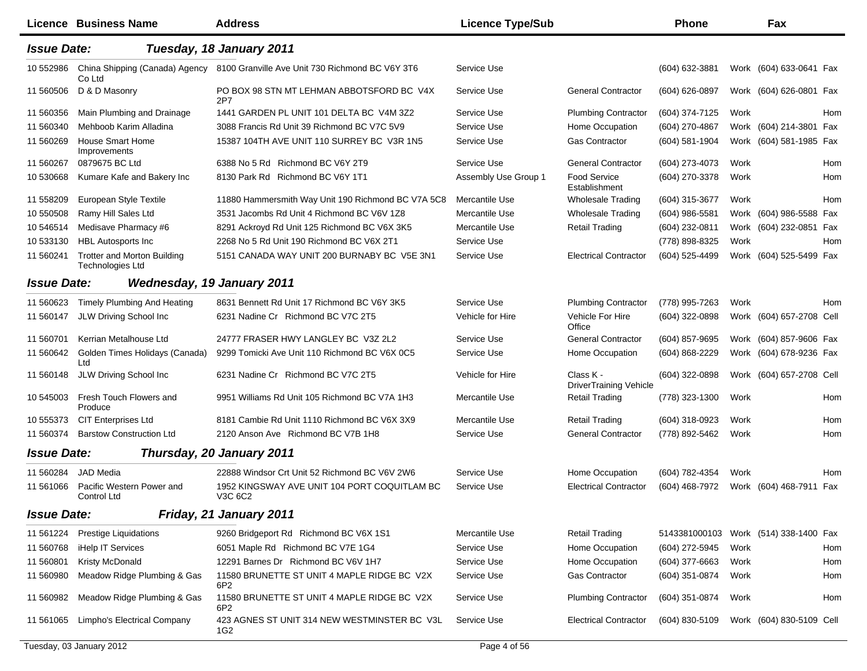|                    | <b>Licence Business Name</b>                                  | <b>Address</b>                                          | <b>Licence Type/Sub</b> |                                            | <b>Phone</b>                          |      | Fax                      |     |
|--------------------|---------------------------------------------------------------|---------------------------------------------------------|-------------------------|--------------------------------------------|---------------------------------------|------|--------------------------|-----|
| <b>Issue Date:</b> |                                                               | Tuesday, 18 January 2011                                |                         |                                            |                                       |      |                          |     |
| 10 552986          | China Shipping (Canada) Agency<br>Co Ltd                      | 8100 Granville Ave Unit 730 Richmond BC V6Y 3T6         | Service Use             |                                            | (604) 632-3881                        |      | Work (604) 633-0641 Fax  |     |
| 11 560506          | D & D Masonry                                                 | PO BOX 98 STN MT LEHMAN ABBOTSFORD BC V4X<br>2P7        | Service Use             | <b>General Contractor</b>                  | (604) 626-0897                        |      | Work (604) 626-0801 Fax  |     |
| 11 560356          | Main Plumbing and Drainage                                    | 1441 GARDEN PL UNIT 101 DELTA BC V4M 3Z2                | Service Use             | <b>Plumbing Contractor</b>                 | (604) 374-7125                        | Work |                          | Hom |
| 11 560340          | Mehboob Karim Alladina                                        | 3088 Francis Rd Unit 39 Richmond BC V7C 5V9             | Service Use             | Home Occupation                            | (604) 270-4867                        |      | Work (604) 214-3801 Fax  |     |
| 11 560269          | <b>House Smart Home</b><br>Improvements                       | 15387 104TH AVE UNIT 110 SURREY BC V3R 1N5              | Service Use             | <b>Gas Contractor</b>                      | (604) 581-1904                        |      | Work (604) 581-1985 Fax  |     |
| 11 560267          | 0879675 BC Ltd                                                | 6388 No 5 Rd Richmond BC V6Y 2T9                        | Service Use             | <b>General Contractor</b>                  | (604) 273-4073                        | Work |                          | Hom |
| 10 530668          | Kumare Kafe and Bakery Inc                                    | 8130 Park Rd Richmond BC V6Y 1T1                        | Assembly Use Group 1    | Food Service<br>Establishment              | (604) 270-3378                        | Work |                          | Hom |
| 11 558209          | European Style Textile                                        | 11880 Hammersmith Way Unit 190 Richmond BC V7A 5C8      | Mercantile Use          | <b>Wholesale Trading</b>                   | (604) 315-3677                        | Work |                          | Hom |
| 10 550508          | Ramy Hill Sales Ltd                                           | 3531 Jacombs Rd Unit 4 Richmond BC V6V 1Z8              | Mercantile Use          | <b>Wholesale Trading</b>                   | (604) 986-5581                        |      | Work (604) 986-5588 Fax  |     |
| 10 54 6514         | Medisave Pharmacy #6                                          | 8291 Ackroyd Rd Unit 125 Richmond BC V6X 3K5            | Mercantile Use          | <b>Retail Trading</b>                      | (604) 232-0811                        |      | Work (604) 232-0851 Fax  |     |
| 10 533130          | <b>HBL Autosports Inc</b>                                     | 2268 No 5 Rd Unit 190 Richmond BC V6X 2T1               | Service Use             |                                            | (778) 898-8325                        | Work |                          | Hom |
| 11 560241          | <b>Trotter and Morton Building</b><br><b>Technologies Ltd</b> | 5151 CANADA WAY UNIT 200 BURNABY BC V5E 3N1             | Service Use             | <b>Electrical Contractor</b>               | (604) 525-4499                        |      | Work (604) 525-5499 Fax  |     |
| <b>Issue Date:</b> |                                                               | <b>Wednesday, 19 January 2011</b>                       |                         |                                            |                                       |      |                          |     |
| 11 560623          | <b>Timely Plumbing And Heating</b>                            | 8631 Bennett Rd Unit 17 Richmond BC V6Y 3K5             | Service Use             | <b>Plumbing Contractor</b>                 | (778) 995-7263                        | Work |                          | Hom |
| 11 560147          | JLW Driving School Inc                                        | 6231 Nadine Cr Richmond BC V7C 2T5                      | Vehicle for Hire        | Vehicle For Hire<br>Office                 | (604) 322-0898                        |      | Work (604) 657-2708 Cell |     |
| 11 560701          | Kerrian Metalhouse Ltd                                        | 24777 FRASER HWY LANGLEY BC V3Z 2L2                     | Service Use             | <b>General Contractor</b>                  | (604) 857-9695                        |      | Work (604) 857-9606 Fax  |     |
| 11 560642          | Golden Times Holidays (Canada)<br>Ltd                         | 9299 Tomicki Ave Unit 110 Richmond BC V6X 0C5           | Service Use             | Home Occupation                            | $(604) 868 - 2229$                    |      | Work (604) 678-9236 Fax  |     |
| 11 560148          | JLW Driving School Inc                                        | 6231 Nadine Cr Richmond BC V7C 2T5                      | Vehicle for Hire        | Class K -<br><b>DriverTraining Vehicle</b> | (604) 322-0898                        |      | Work (604) 657-2708 Cell |     |
| 10 545003          | Fresh Touch Flowers and<br>Produce                            | 9951 Williams Rd Unit 105 Richmond BC V7A 1H3           | Mercantile Use          | <b>Retail Trading</b>                      | (778) 323-1300                        | Work |                          | Hom |
| 10 555373          | <b>CIT Enterprises Ltd</b>                                    | 8181 Cambie Rd Unit 1110 Richmond BC V6X 3X9            | Mercantile Use          | <b>Retail Trading</b>                      | (604) 318-0923                        | Work |                          | Hom |
| 11 560374          | <b>Barstow Construction Ltd</b>                               | 2120 Anson Ave Richmond BC V7B 1H8                      | Service Use             | <b>General Contractor</b>                  | (778) 892-5462                        | Work |                          | Hom |
| <b>Issue Date:</b> |                                                               | Thursday, 20 January 2011                               |                         |                                            |                                       |      |                          |     |
| 11 560284          | JAD Media                                                     | 22888 Windsor Crt Unit 52 Richmond BC V6V 2W6           | Service Use             | Home Occupation                            | (604) 782-4354                        | Work |                          | Hom |
| 11 561066          | Pacific Western Power and<br>Control Ltd                      | 1952 KINGSWAY AVE UNIT 104 PORT COQUITLAM BC<br>V3C 6C2 | Service Use             | <b>Electrical Contractor</b>               | (604) 468-7972                        |      | Work (604) 468-7911 Fax  |     |
| <b>Issue Date:</b> |                                                               | Friday, 21 January 2011                                 |                         |                                            |                                       |      |                          |     |
| 11 561224          | <b>Prestige Liquidations</b>                                  | 9260 Bridgeport Rd Richmond BC V6X 1S1                  | Mercantile Use          | <b>Retail Trading</b>                      | 5143381000103 Work (514) 338-1400 Fax |      |                          |     |
| 11 560768          | iHelp IT Services                                             | 6051 Maple Rd Richmond BC V7E 1G4                       | Service Use             | Home Occupation                            | (604) 272-5945                        | Work |                          | Hom |
| 11 560801          | Kristy McDonald                                               | 12291 Barnes Dr Richmond BC V6V 1H7                     | Service Use             | Home Occupation                            | $(604)$ 377-6663                      | Work |                          | Hom |
| 11 560980          | Meadow Ridge Plumbing & Gas                                   | 11580 BRUNETTE ST UNIT 4 MAPLE RIDGE BC V2X<br>6P2      | Service Use             | Gas Contractor                             | (604) 351-0874                        | Work |                          | Hom |
| 11 560982          | Meadow Ridge Plumbing & Gas                                   | 11580 BRUNETTE ST UNIT 4 MAPLE RIDGE BC V2X<br>6P2      | Service Use             | <b>Plumbing Contractor</b>                 | (604) 351-0874                        | Work |                          | Hom |
| 11 561065          | Limpho's Electrical Company                                   | 423 AGNES ST UNIT 314 NEW WESTMINSTER BC V3L<br>1G2     | Service Use             | <b>Electrical Contractor</b>               | (604) 830-5109                        |      | Work (604) 830-5109 Cell |     |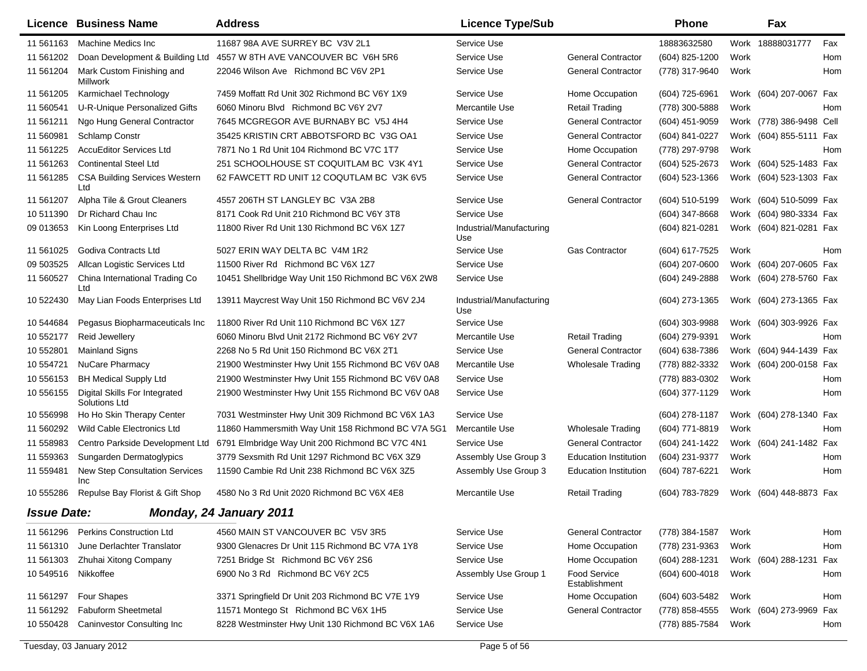|                    | <b>Licence Business Name</b>                   | <b>Address</b>                                     | <b>Licence Type/Sub</b>         |                               | <b>Phone</b>   |      | Fax                      |     |
|--------------------|------------------------------------------------|----------------------------------------------------|---------------------------------|-------------------------------|----------------|------|--------------------------|-----|
| 11 561163          | Machine Medics Inc                             | 11687 98A AVE SURREY BC V3V 2L1                    | Service Use                     |                               | 18883632580    |      | Work 18888031777         | Fax |
| 11 561202          | Doan Development & Building Ltd                | 4557 W 8TH AVE VANCOUVER BC V6H 5R6                | Service Use                     | <b>General Contractor</b>     | (604) 825-1200 | Work |                          | Hom |
| 11 561204          | Mark Custom Finishing and<br>Millwork          | 22046 Wilson Ave Richmond BC V6V 2P1               | Service Use                     | <b>General Contractor</b>     | (778) 317-9640 | Work |                          | Hom |
| 11 561205          | Karmichael Technology                          | 7459 Moffatt Rd Unit 302 Richmond BC V6Y 1X9       | Service Use                     | Home Occupation               | (604) 725-6961 |      | Work (604) 207-0067 Fax  |     |
| 11 560541          | U-R-Unique Personalized Gifts                  | 6060 Minoru Blvd Richmond BC V6Y 2V7               | Mercantile Use                  | Retail Trading                | (778) 300-5888 | Work |                          | Hom |
| 11 561211          | Ngo Hung General Contractor                    | 7645 MCGREGOR AVE BURNABY BC V5J 4H4               | Service Use                     | <b>General Contractor</b>     | (604) 451-9059 |      | Work (778) 386-9498 Cell |     |
| 11 560981          | Schlamp Constr                                 | 35425 KRISTIN CRT ABBOTSFORD BC V3G OA1            | Service Use                     | <b>General Contractor</b>     | (604) 841-0227 |      | Work (604) 855-5111 Fax  |     |
| 11 561225          | <b>AccuEditor Services Ltd</b>                 | 7871 No 1 Rd Unit 104 Richmond BC V7C 1T7          | Service Use                     | Home Occupation               | (778) 297-9798 | Work |                          | Hom |
| 11 561263          | <b>Continental Steel Ltd</b>                   | 251 SCHOOLHOUSE ST COQUITLAM BC V3K 4Y1            | Service Use                     | <b>General Contractor</b>     | (604) 525-2673 |      | Work (604) 525-1483 Fax  |     |
| 11 561285          | <b>CSA Building Services Western</b><br>Ltd    | 62 FAWCETT RD UNIT 12 COQUTLAM BC V3K 6V5          | Service Use                     | <b>General Contractor</b>     | (604) 523-1366 |      | Work (604) 523-1303 Fax  |     |
| 11 561207          | Alpha Tile & Grout Cleaners                    | 4557 206TH ST LANGLEY BC V3A 2B8                   | Service Use                     | <b>General Contractor</b>     | (604) 510-5199 |      | Work (604) 510-5099 Fax  |     |
| 10511390           | Dr Richard Chau Inc                            | 8171 Cook Rd Unit 210 Richmond BC V6Y 3T8          | Service Use                     |                               | (604) 347-8668 |      | Work (604) 980-3334 Fax  |     |
| 09 013653          | Kin Loong Enterprises Ltd                      | 11800 River Rd Unit 130 Richmond BC V6X 1Z7        | Industrial/Manufacturing<br>Use |                               | (604) 821-0281 |      | Work (604) 821-0281 Fax  |     |
| 11 561025          | Godiva Contracts Ltd                           | 5027 ERIN WAY DELTA BC V4M 1R2                     | Service Use                     | <b>Gas Contractor</b>         | (604) 617-7525 | Work |                          | Hom |
| 09 503525          | Allcan Logistic Services Ltd                   | 11500 River Rd Richmond BC V6X 1Z7                 | Service Use                     |                               | (604) 207-0600 |      | Work (604) 207-0605 Fax  |     |
| 11 560527          | China International Trading Co<br>Ltd          | 10451 Shellbridge Way Unit 150 Richmond BC V6X 2W8 | Service Use                     |                               | (604) 249-2888 |      | Work (604) 278-5760 Fax  |     |
| 10 522430          | May Lian Foods Enterprises Ltd                 | 13911 Maycrest Way Unit 150 Richmond BC V6V 2J4    | Industrial/Manufacturing<br>Use |                               | (604) 273-1365 |      | Work (604) 273-1365 Fax  |     |
| 10 544684          | Pegasus Biopharmaceuticals Inc                 | 11800 River Rd Unit 110 Richmond BC V6X 1Z7        | Service Use                     |                               | (604) 303-9988 |      | Work (604) 303-9926 Fax  |     |
| 10 552177          | Reid Jewellery                                 | 6060 Minoru Blvd Unit 2172 Richmond BC V6Y 2V7     | Mercantile Use                  | <b>Retail Trading</b>         | (604) 279-9391 | Work |                          | Hom |
| 10 552801          | <b>Mainland Signs</b>                          | 2268 No 5 Rd Unit 150 Richmond BC V6X 2T1          | Service Use                     | <b>General Contractor</b>     | (604) 638-7386 |      | Work (604) 944-1439 Fax  |     |
| 10 554721          | <b>NuCare Pharmacy</b>                         | 21900 Westminster Hwy Unit 155 Richmond BC V6V 0A8 | Mercantile Use                  | <b>Wholesale Trading</b>      | (778) 882-3332 |      | Work (604) 200-0158 Fax  |     |
| 10 556153          | <b>BH Medical Supply Ltd</b>                   | 21900 Westminster Hwy Unit 155 Richmond BC V6V 0A8 | Service Use                     |                               | (778) 883-0302 | Work |                          | Hom |
| 10 55 61 55        | Digital Skills For Integrated<br>Solutions Ltd | 21900 Westminster Hwy Unit 155 Richmond BC V6V 0A8 | Service Use                     |                               | (604) 377-1129 | Work |                          | Hom |
| 10 55 6998         | Ho Ho Skin Therapy Center                      | 7031 Westminster Hwy Unit 309 Richmond BC V6X 1A3  | Service Use                     |                               | (604) 278-1187 |      | Work (604) 278-1340 Fax  |     |
| 11 560292          | Wild Cable Electronics Ltd                     | 11860 Hammersmith Way Unit 158 Richmond BC V7A 5G1 | Mercantile Use                  | Wholesale Trading             | (604) 771-8819 | Work |                          | Hom |
| 11 558983          | Centro Parkside Development Ltd                | 6791 Elmbridge Way Unit 200 Richmond BC V7C 4N1    | Service Use                     | <b>General Contractor</b>     | (604) 241-1422 |      | Work (604) 241-1482 Fax  |     |
| 11 559363          | Sungarden Dermatoglypics                       | 3779 Sexsmith Rd Unit 1297 Richmond BC V6X 3Z9     | Assembly Use Group 3            | <b>Education Institution</b>  | (604) 231-9377 | Work |                          | Hom |
| 11 559481          | New Step Consultation Services<br>Inc          | 11590 Cambie Rd Unit 238 Richmond BC V6X 3Z5       | Assembly Use Group 3            | <b>Education Institution</b>  | (604) 787-6221 | Work |                          | Hom |
| 10 555286          | Repulse Bay Florist & Gift Shop                | 4580 No 3 Rd Unit 2020 Richmond BC V6X 4E8         | Mercantile Use                  | Retail Trading                | (604) 783-7829 |      | Work (604) 448-8873 Fax  |     |
| <b>Issue Date:</b> |                                                | Monday, 24 January 2011                            |                                 |                               |                |      |                          |     |
| 11 561296          | <b>Perkins Construction Ltd</b>                | 4560 MAIN ST VANCOUVER BC V5V 3R5                  | Service Use                     | <b>General Contractor</b>     | (778) 384-1587 | Work |                          | Hom |
| 11 561310          | June Derlachter Translator                     | 9300 Glenacres Dr Unit 115 Richmond BC V7A 1Y8     | Service Use                     | Home Occupation               | (778) 231-9363 | Work |                          | Hom |
| 11 561303          | Zhuhai Xitong Company                          | 7251 Bridge St Richmond BC V6Y 2S6                 | Service Use                     | Home Occupation               | (604) 288-1231 |      | Work (604) 288-1231 Fax  |     |
| 10 549516          | Nikkoffee                                      | 6900 No 3 Rd Richmond BC V6Y 2C5                   | Assembly Use Group 1            | Food Service<br>Establishment | (604) 600-4018 | Work |                          | Hom |
| 11 561297          | Four Shapes                                    | 3371 Springfield Dr Unit 203 Richmond BC V7E 1Y9   | Service Use                     | Home Occupation               | (604) 603-5482 | Work |                          | Hom |
| 11 561292          | <b>Fabuform Sheetmetal</b>                     | 11571 Montego St Richmond BC V6X 1H5               | Service Use                     | <b>General Contractor</b>     | (778) 858-4555 |      | Work (604) 273-9969 Fax  |     |
| 10 550428          | <b>Caninvestor Consulting Inc.</b>             | 8228 Westminster Hwy Unit 130 Richmond BC V6X 1A6  | Service Use                     |                               | (778) 885-7584 | Work |                          | Hom |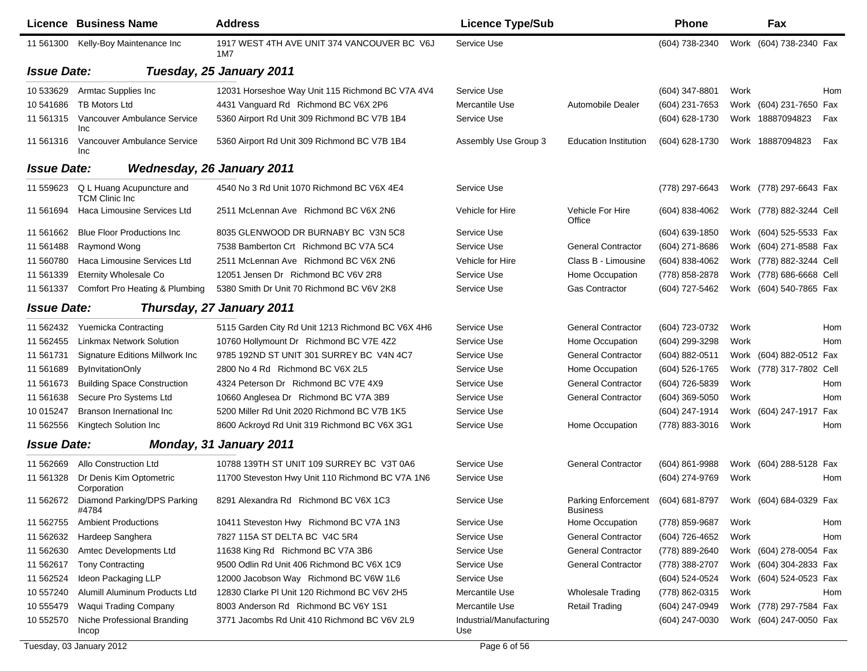|                    | Licence Business Name                              | <b>Address</b>                                     | <b>Licence Type/Sub</b>         |                              | <b>Phone</b>     |      | Fax                      |     |
|--------------------|----------------------------------------------------|----------------------------------------------------|---------------------------------|------------------------------|------------------|------|--------------------------|-----|
| 11 561300          | Kelly-Boy Maintenance Inc                          | 1917 WEST 4TH AVE UNIT 374 VANCOUVER BC V6J<br>1M7 | Service Use                     |                              | (604) 738-2340   |      | Work (604) 738-2340 Fax  |     |
| <b>Issue Date:</b> |                                                    | Tuesday, 25 January 2011                           |                                 |                              |                  |      |                          |     |
| 10 533629          | Armtac Supplies Inc                                | 12031 Horseshoe Way Unit 115 Richmond BC V7A 4V4   | Service Use                     |                              | $(604)$ 347-8801 | Work |                          | Hom |
| 10 541686          | <b>TB Motors Ltd</b>                               | 4431 Vanguard Rd Richmond BC V6X 2P6               | Mercantile Use                  | Automobile Dealer            | (604) 231-7653   |      | Work (604) 231-7650 Fax  |     |
| 11 561315          | Vancouver Ambulance Service<br>Inc                 | 5360 Airport Rd Unit 309 Richmond BC V7B 1B4       | Service Use                     |                              | (604) 628-1730   |      | Work 18887094823         | Fax |
| 11 561316          | Vancouver Ambulance Service<br>Inc                 | 5360 Airport Rd Unit 309 Richmond BC V7B 1B4       | Assembly Use Group 3            | <b>Education Institution</b> | (604) 628-1730   |      | Work 18887094823         | Fax |
| <b>Issue Date:</b> |                                                    | <b>Wednesday, 26 January 2011</b>                  |                                 |                              |                  |      |                          |     |
| 11 559623          | Q L Huang Acupuncture and<br><b>TCM Clinic Inc</b> | 4540 No 3 Rd Unit 1070 Richmond BC V6X 4E4         | Service Use                     |                              | (778) 297-6643   |      | Work (778) 297-6643 Fax  |     |
| 11 561694          | Haca Limousine Services Ltd                        | 2511 McLennan Ave Richmond BC V6X 2N6              | Vehicle for Hire                | Vehicle For Hire<br>Office   | (604) 838-4062   |      | Work (778) 882-3244 Cell |     |
| 11 561 662         | <b>Blue Floor Productions Inc.</b>                 | 8035 GLENWOOD DR BURNABY BC V3N 5C8                | Service Use                     |                              | (604) 639-1850   |      | Work (604) 525-5533 Fax  |     |
| 11 561488          | Raymond Wong                                       | 7538 Bamberton Crt Richmond BC V7A 5C4             | Service Use                     | <b>General Contractor</b>    | (604) 271-8686   |      | Work (604) 271-8588 Fax  |     |
| 11 560780          | Haca Limousine Services Ltd                        | 2511 McLennan Ave Richmond BC V6X 2N6              | Vehicle for Hire                | Class B - Limousine          | (604) 838-4062   |      | Work (778) 882-3244 Cell |     |
| 11 561339          | <b>Eternity Wholesale Co</b>                       | 12051 Jensen Dr Richmond BC V6V 2R8                | Service Use                     | Home Occupation              | (778) 858-2878   |      | Work (778) 686-6668 Cell |     |
| 11 561337          | Comfort Pro Heating & Plumbing                     | 5380 Smith Dr Unit 70 Richmond BC V6V 2K8          | Service Use                     | <b>Gas Contractor</b>        | (604) 727-5462   |      | Work (604) 540-7865 Fax  |     |
| <b>Issue Date:</b> |                                                    | Thursday, 27 January 2011                          |                                 |                              |                  |      |                          |     |
| 11 562432          | <b>Yuemicka Contracting</b>                        | 5115 Garden City Rd Unit 1213 Richmond BC V6X 4H6  | Service Use                     | <b>General Contractor</b>    | (604) 723-0732   | Work |                          | Hom |
| 11 562455          | <b>Linkmax Network Solution</b>                    | 10760 Hollymount Dr Richmond BC V7E 4Z2            | Service Use                     | Home Occupation              | (604) 299-3298   | Work |                          | Hom |
| 11 561731          | Signature Editions Millwork Inc                    | 9785 192ND ST UNIT 301 SURREY BC V4N 4C7           | Service Use                     | <b>General Contractor</b>    | (604) 882-0511   |      | Work (604) 882-0512 Fax  |     |
| 11 561689          | <b>ByInvitationOnly</b>                            | 2800 No 4 Rd Richmond BC V6X 2L5                   | Service Use                     | Home Occupation              | (604) 526-1765   |      | Work (778) 317-7802 Cell |     |
| 11 561673          | <b>Building Space Construction</b>                 | 4324 Peterson Dr Richmond BC V7E 4X9               | Service Use                     | <b>General Contractor</b>    | (604) 726-5839   | Work |                          | Hom |
| 11 561638          | Secure Pro Systems Ltd                             | 10660 Anglesea Dr Richmond BC V7A 3B9              | Service Use                     | <b>General Contractor</b>    | (604) 369-5050   | Work |                          | Hom |
| 10 015247          | <b>Branson Inernational Inc</b>                    | 5200 Miller Rd Unit 2020 Richmond BC V7B 1K5       | Service Use                     |                              | (604) 247-1914   |      | Work (604) 247-1917 Fax  |     |
| 11 562556          | Kingtech Solution Inc                              | 8600 Ackroyd Rd Unit 319 Richmond BC V6X 3G1       | Service Use                     | Home Occupation              | (778) 883-3016   | Work |                          | Hom |
| <b>Issue Date:</b> |                                                    | <b>Monday, 31 January 2011</b>                     |                                 |                              |                  |      |                          |     |
| 11 562669          | Allo Construction Ltd                              | 10788 139TH ST UNIT 109 SURREY BC V3T 0A6          | Service Use                     | <b>General Contractor</b>    | (604) 861-9988   |      | Work (604) 288-5128 Fax  |     |
| 11 561328          | Dr Denis Kim Optometric<br>Corporation             | 11700 Steveston Hwy Unit 110 Richmond BC V7A 1N6   | Service Use                     |                              | (604) 274-9769   | Work |                          | Hom |
| 11 562672          | Diamond Parking/DPS Parking<br>#4784               | 8291 Alexandra Rd Richmond BC V6X 1C3              | Service Use                     | <b>Business</b>              |                  |      |                          |     |
| 11 562755          | <b>Ambient Productions</b>                         | 10411 Steveston Hwy Richmond BC V7A 1N3            | Service Use                     | Home Occupation              | (778) 859-9687   | Work |                          | Hom |
| 11 562632          | Hardeep Sanghera                                   | 7827 115A ST DELTA BC V4C 5R4                      | Service Use                     | <b>General Contractor</b>    | (604) 726-4652   | Work |                          | Hom |
| 11 562630          | Amtec Developments Ltd                             | 11638 King Rd Richmond BC V7A 3B6                  | Service Use                     | <b>General Contractor</b>    | (778) 889-2640   |      | Work (604) 278-0054 Fax  |     |
| 11 562617          | <b>Tony Contracting</b>                            | 9500 Odlin Rd Unit 406 Richmond BC V6X 1C9         | Service Use                     | <b>General Contractor</b>    | (778) 388-2707   |      | Work (604) 304-2833 Fax  |     |
| 11 562524          | Ideon Packaging LLP                                | 12000 Jacobson Way Richmond BC V6W 1L6             | Service Use                     |                              | (604) 524-0524   |      | Work (604) 524-0523 Fax  |     |
| 10 557240          | Alumill Aluminum Products Ltd                      | 12830 Clarke PI Unit 120 Richmond BC V6V 2H5       | Mercantile Use                  | <b>Wholesale Trading</b>     | (778) 862-0315   | Work |                          | Hom |
| 10 555479          | Waqui Trading Company                              | 8003 Anderson Rd Richmond BC V6Y 1S1               | Mercantile Use                  | <b>Retail Trading</b>        | (604) 247-0949   |      | Work (778) 297-7584 Fax  |     |
| 10 552570          | Niche Professional Branding<br>Incop               | 3771 Jacombs Rd Unit 410 Richmond BC V6V 2L9       | Industrial/Manufacturing<br>Use |                              | (604) 247-0030   |      | Work (604) 247-0050 Fax  |     |

Tuesday, 03 January 2012 **Page 6 of 56**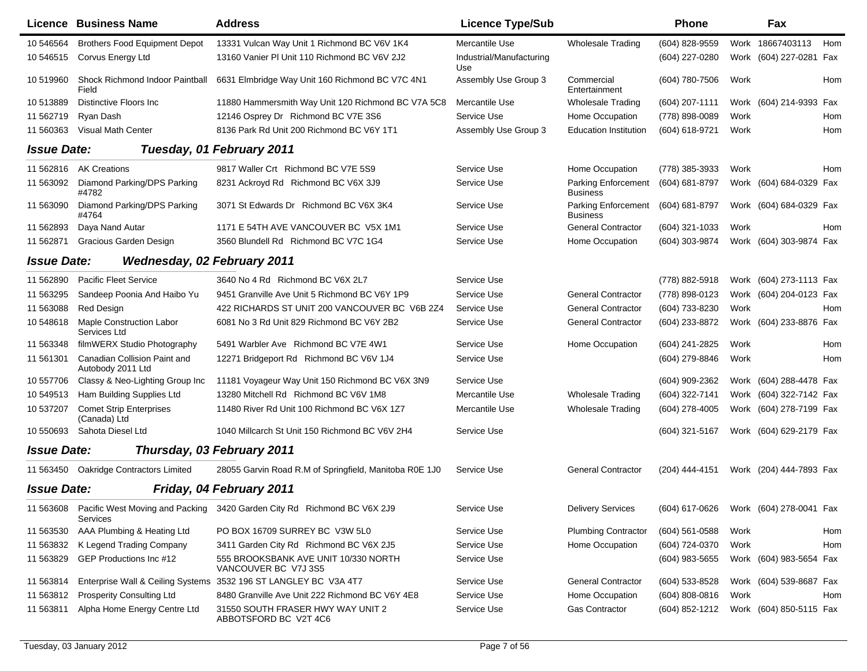|                    | Licence Business Name                             | <b>Address</b>                                                          | <b>Licence Type/Sub</b>         |                                        | <b>Phone</b>     |      | Fax                     |            |
|--------------------|---------------------------------------------------|-------------------------------------------------------------------------|---------------------------------|----------------------------------------|------------------|------|-------------------------|------------|
| 10 54 65 64        | <b>Brothers Food Equipment Depot</b>              | 13331 Vulcan Way Unit 1 Richmond BC V6V 1K4                             | Mercantile Use                  | <b>Wholesale Trading</b>               | (604) 828-9559   | Work | 18667403113             | Hom        |
| 10 54 6515         | Corvus Energy Ltd                                 | 13160 Vanier PI Unit 110 Richmond BC V6V 2J2                            | Industrial/Manufacturing<br>Use |                                        | (604) 227-0280   | Work | (604) 227-0281 Fax      |            |
| 10 519960          | Shock Richmond Indoor Paintball<br>Field          | 6631 Elmbridge Way Unit 160 Richmond BC V7C 4N1                         | Assembly Use Group 3            | Commercial<br>Entertainment            | (604) 780-7506   | Work |                         | Hom        |
| 10513889           | Distinctive Floors Inc                            | 11880 Hammersmith Way Unit 120 Richmond BC V7A 5C8                      | Mercantile Use                  | <b>Wholesale Trading</b>               | (604) 207-1111   |      | Work (604) 214-9393 Fax |            |
| 11 562719          | Ryan Dash                                         | 12146 Osprey Dr Richmond BC V7E 3S6                                     | Service Use                     | Home Occupation                        | (778) 898-0089   | Work |                         | Hom        |
| 11 560363          | <b>Visual Math Center</b>                         | 8136 Park Rd Unit 200 Richmond BC V6Y 1T1                               | Assembly Use Group 3            | <b>Education Institution</b>           | (604) 618-9721   | Work |                         | Hom        |
| <b>Issue Date:</b> |                                                   | Tuesday, 01 February 2011                                               |                                 |                                        |                  |      |                         |            |
| 11 562816          | <b>AK Creations</b>                               | 9817 Waller Crt Richmond BC V7E 5S9                                     | Service Use                     | Home Occupation                        | (778) 385-3933   | Work |                         | <b>Hom</b> |
| 11 563092          | Diamond Parking/DPS Parking<br>#4782              | 8231 Ackroyd Rd Richmond BC V6X 3J9                                     | Service Use                     | Parking Enforcement<br><b>Business</b> | (604) 681-8797   |      | Work (604) 684-0329 Fax |            |
| 11 563090          | Diamond Parking/DPS Parking<br>#4764              | 3071 St Edwards Dr Richmond BC V6X 3K4                                  | Service Use                     | Parking Enforcement<br><b>Business</b> | (604) 681-8797   |      | Work (604) 684-0329 Fax |            |
| 11 562893          | Daya Nand Autar                                   | 1171 E 54TH AVE VANCOUVER BC V5X 1M1                                    | Service Use                     | <b>General Contractor</b>              | (604) 321-1033   | Work |                         | Hom        |
| 11 562871          | <b>Gracious Garden Design</b>                     | 3560 Blundell Rd Richmond BC V7C 1G4                                    | Service Use                     | Home Occupation                        | (604) 303-9874   |      | Work (604) 303-9874 Fax |            |
| <b>Issue Date:</b> | <b>Wednesday, 02 February 2011</b>                |                                                                         |                                 |                                        |                  |      |                         |            |
| 11 562890          | <b>Pacific Fleet Service</b>                      | 3640 No 4 Rd Richmond BC V6X 2L7                                        | Service Use                     |                                        | (778) 882-5918   |      | Work (604) 273-1113 Fax |            |
| 11 563295          | Sandeep Poonia And Haibo Yu                       | 9451 Granville Ave Unit 5 Richmond BC V6Y 1P9                           | Service Use                     | <b>General Contractor</b>              | (778) 898-0123   |      | Work (604) 204-0123 Fax |            |
| 11 563088          | <b>Red Design</b>                                 | 422 RICHARDS ST UNIT 200 VANCOUVER BC V6B 2Z4                           | Service Use                     | <b>General Contractor</b>              | (604) 733-8230   | Work |                         | Hom        |
| 10 548618          | <b>Maple Construction Labor</b><br>Services Ltd   | 6081 No 3 Rd Unit 829 Richmond BC V6Y 2B2                               | Service Use                     | <b>General Contractor</b>              | (604) 233-8872   |      | Work (604) 233-8876 Fax |            |
| 11 563348          | filmWERX Studio Photography                       | 5491 Warbler Ave Richmond BC V7E 4W1                                    | Service Use                     | Home Occupation                        | (604) 241-2825   | Work |                         | <b>Hom</b> |
| 11 561301          | Canadian Collision Paint and<br>Autobody 2011 Ltd | 12271 Bridgeport Rd Richmond BC V6V 1J4                                 | Service Use                     |                                        | (604) 279-8846   | Work |                         | Hom        |
| 10 557706          | Classy & Neo-Lighting Group Inc                   | 11181 Voyageur Way Unit 150 Richmond BC V6X 3N9                         | Service Use                     |                                        | (604) 909-2362   |      | Work (604) 288-4478 Fax |            |
| 10 549513          | Ham Building Supplies Ltd                         | 13280 Mitchell Rd Richmond BC V6V 1M8                                   | Mercantile Use                  | <b>Wholesale Trading</b>               | (604) 322-7141   |      | Work (604) 322-7142 Fax |            |
| 10 537207          | <b>Comet Strip Enterprises</b><br>(Canada) Ltd    | 11480 River Rd Unit 100 Richmond BC V6X 1Z7                             | Mercantile Use                  | <b>Wholesale Trading</b>               | (604) 278-4005   |      | Work (604) 278-7199 Fax |            |
| 10 550693          | Sahota Diesel Ltd                                 | 1040 Millcarch St Unit 150 Richmond BC V6V 2H4                          | Service Use                     |                                        | (604) 321-5167   |      | Work (604) 629-2179 Fax |            |
| <b>Issue Date:</b> |                                                   | Thursday, 03 February 2011                                              |                                 |                                        |                  |      |                         |            |
| 11 563450          | Oakridge Contractors Limited                      | 28055 Garvin Road R.M of Springfield, Manitoba R0E 1J0                  | Service Use                     | <b>General Contractor</b>              | (204) 444-4151   |      | Work (204) 444-7893 Fax |            |
| <b>Issue Date:</b> |                                                   | Friday, 04 February 2011                                                |                                 |                                        |                  |      |                         |            |
| 11 563608          | <b>Services</b>                                   | Pacific West Moving and Packing 3420 Garden City Rd Richmond BC V6X 2J9 | Service Use                     | <b>Delivery Services</b>               | (604) 617-0626   |      | Work (604) 278-0041 Fax |            |
| 11 563530          | AAA Plumbing & Heating Ltd                        | PO BOX 16709 SURREY BC V3W 5L0                                          | Service Use                     | <b>Plumbing Contractor</b>             | (604) 561-0588   | Work |                         | Hom        |
| 11 563832          | K Legend Trading Company                          | 3411 Garden City Rd Richmond BC V6X 2J5                                 | Service Use                     | Home Occupation                        | (604) 724-0370   | Work |                         | Hom        |
| 11 563829          | GEP Productions Inc #12                           | 555 BROOKSBANK AVE UNIT 10/330 NORTH<br>VANCOUVER BC V7J 3S5            | Service Use                     |                                        | $(604)$ 983-5655 |      | Work (604) 983-5654 Fax |            |
| 11 563814          | Enterprise Wall & Ceiling Systems                 | 3532 196 ST LANGLEY BC V3A 4T7                                          | Service Use                     | <b>General Contractor</b>              | (604) 533-8528   |      | Work (604) 539-8687 Fax |            |
| 11 563812          | <b>Prosperity Consulting Ltd</b>                  | 8480 Granville Ave Unit 222 Richmond BC V6Y 4E8                         | Service Use                     | Home Occupation                        | $(604)$ 808-0816 | Work |                         | Hom        |
| 11 563811          | Alpha Home Energy Centre Ltd                      | 31550 SOUTH FRASER HWY WAY UNIT 2<br>ABBOTSFORD BC V2T 4C6              | Service Use                     | <b>Gas Contractor</b>                  | (604) 852-1212   |      | Work (604) 850-5115 Fax |            |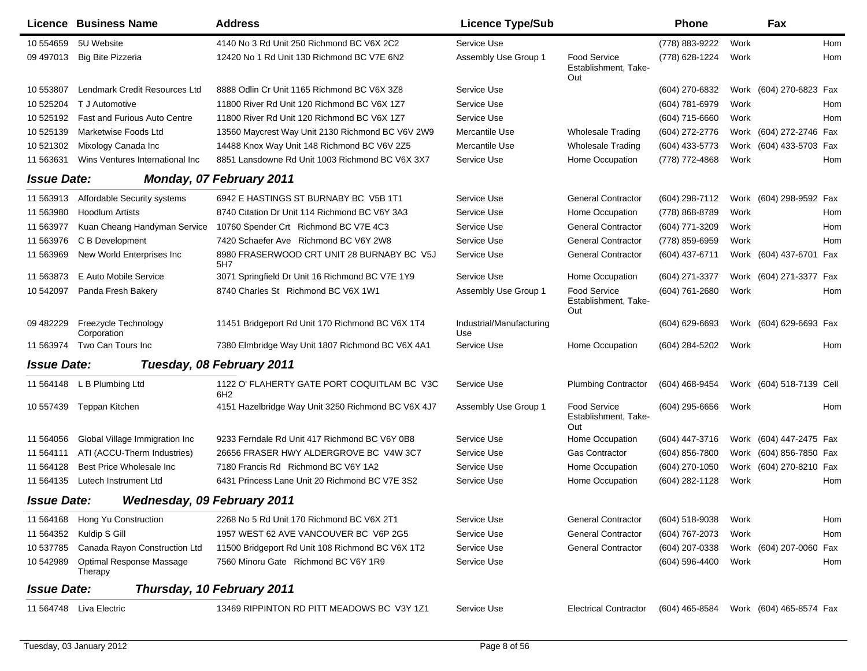|                    | <b>Licence Business Name</b>        | <b>Address</b>                                                 | <b>Licence Type/Sub</b>         |                                                    | <b>Phone</b>     |      | Fax                      |     |
|--------------------|-------------------------------------|----------------------------------------------------------------|---------------------------------|----------------------------------------------------|------------------|------|--------------------------|-----|
| 10 554659          | 5U Website                          | 4140 No 3 Rd Unit 250 Richmond BC V6X 2C2                      | Service Use                     |                                                    | (778) 883-9222   | Work |                          | Hom |
| 09 497013          | <b>Big Bite Pizzeria</b>            | 12420 No 1 Rd Unit 130 Richmond BC V7E 6N2                     | Assembly Use Group 1            | <b>Food Service</b><br>Establishment, Take-<br>Out | (778) 628-1224   | Work |                          | Hom |
| 10 553807          | Lendmark Credit Resources Ltd       | 8888 Odlin Cr Unit 1165 Richmond BC V6X 3Z8                    | Service Use                     |                                                    | (604) 270-6832   |      | Work (604) 270-6823 Fax  |     |
| 10 525204          | T J Automotive                      | 11800 River Rd Unit 120 Richmond BC V6X 1Z7                    | Service Use                     |                                                    | (604) 781-6979   | Work |                          | Hom |
| 10 525192          | <b>Fast and Furious Auto Centre</b> | 11800 River Rd Unit 120 Richmond BC V6X 1Z7                    | Service Use                     |                                                    | (604) 715-6660   | Work |                          | Hom |
| 10 525139          | Marketwise Foods Ltd                | 13560 Maycrest Way Unit 2130 Richmond BC V6V 2W9               | Mercantile Use                  | <b>Wholesale Trading</b>                           | (604) 272-2776   |      | Work (604) 272-2746 Fax  |     |
| 10 521302          | Mixology Canada Inc                 | 14488 Knox Way Unit 148 Richmond BC V6V 2Z5                    | Mercantile Use                  | <b>Wholesale Trading</b>                           | (604) 433-5773   |      | Work (604) 433-5703 Fax  |     |
| 11 563631          | Wins Ventures International Inc     | 8851 Lansdowne Rd Unit 1003 Richmond BC V6X 3X7                | Service Use                     | Home Occupation                                    | (778) 772-4868   | Work |                          | Hom |
| <b>Issue Date:</b> |                                     | <b>Monday, 07 February 2011</b>                                |                                 |                                                    |                  |      |                          |     |
| 11 563913          | Affordable Security systems         | 6942 E HASTINGS ST BURNABY BC V5B 1T1                          | Service Use                     | <b>General Contractor</b>                          | (604) 298-7112   |      | Work (604) 298-9592 Fax  |     |
| 11 563980          | <b>Hoodlum Artists</b>              | 8740 Citation Dr Unit 114 Richmond BC V6Y 3A3                  | Service Use                     | Home Occupation                                    | (778) 868-8789   | Work |                          | Hom |
| 11 563977          | Kuan Cheang Handyman Service        | 10760 Spender Crt Richmond BC V7E 4C3                          | Service Use                     | <b>General Contractor</b>                          | (604) 771-3209   | Work |                          | Hom |
| 11 563976          | C B Development                     | 7420 Schaefer Ave Richmond BC V6Y 2W8                          | Service Use                     | <b>General Contractor</b>                          | (778) 859-6959   | Work |                          | Hom |
| 11 563969          | New World Enterprises Inc           | 8980 FRASERWOOD CRT UNIT 28 BURNABY BC V5J<br>5H7              | Service Use                     | <b>General Contractor</b>                          | (604) 437-6711   |      | Work (604) 437-6701 Fax  |     |
| 11 563873          | E Auto Mobile Service               | 3071 Springfield Dr Unit 16 Richmond BC V7E 1Y9                | Service Use                     | Home Occupation                                    | (604) 271-3377   |      | Work (604) 271-3377 Fax  |     |
| 10 542097          | Panda Fresh Bakery                  | 8740 Charles St Richmond BC V6X 1W1                            | Assembly Use Group 1            | <b>Food Service</b><br>Establishment, Take-<br>Out | (604) 761-2680   | Work |                          | Hom |
| 09 482229          | Freezycle Technology<br>Corporation | 11451 Bridgeport Rd Unit 170 Richmond BC V6X 1T4               | Industrial/Manufacturing<br>Use |                                                    | $(604)$ 629-6693 |      | Work (604) 629-6693 Fax  |     |
| 11 563974          | Two Can Tours Inc                   | 7380 Elmbridge Way Unit 1807 Richmond BC V6X 4A1               | Service Use                     | Home Occupation                                    | (604) 284-5202   | Work |                          | Hom |
| <b>Issue Date:</b> |                                     | Tuesday, 08 February 2011                                      |                                 |                                                    |                  |      |                          |     |
| 11 564148          | L B Plumbing Ltd                    | 1122 O' FLAHERTY GATE PORT COQUITLAM BC V3C<br>6H <sub>2</sub> | Service Use                     | <b>Plumbing Contractor</b>                         | (604) 468-9454   |      | Work (604) 518-7139 Cell |     |
| 10 557439          | Teppan Kitchen                      | 4151 Hazelbridge Way Unit 3250 Richmond BC V6X 4J7             | Assembly Use Group 1            | <b>Food Service</b><br>Establishment, Take-<br>Out | (604) 295-6656   | Work |                          | Hom |
| 11 564056          | Global Village Immigration Inc      | 9233 Ferndale Rd Unit 417 Richmond BC V6Y 0B8                  | Service Use                     | Home Occupation                                    | (604) 447-3716   |      | Work (604) 447-2475 Fax  |     |
| 11 564111          | ATI (ACCU-Therm Industries)         | 26656 FRASER HWY ALDERGROVE BC V4W 3C7                         | Service Use                     | <b>Gas Contractor</b>                              | (604) 856-7800   |      | Work (604) 856-7850 Fax  |     |
| 11 564128          | Best Price Wholesale Inc            | 7180 Francis Rd Richmond BC V6Y 1A2                            | Service Use                     | Home Occupation                                    | (604) 270-1050   |      | Work (604) 270-8210 Fax  |     |
| 11 564135          | Lutech Instrument Ltd               | 6431 Princess Lane Unit 20 Richmond BC V7E 3S2                 | Service Use                     | Home Occupation                                    | (604) 282-1128   | Work |                          | Hom |
| <b>Issue Date:</b> | <b>Wednesday, 09 February 2011</b>  |                                                                |                                 |                                                    |                  |      |                          |     |
|                    | 11 564168 Hong Yu Construction      | 2268 No 5 Rd Unit 170 Richmond BC V6X 2T1                      | Service Use                     | <b>General Contractor</b>                          | (604) 518-9038   | Work |                          | Hom |
|                    | 11 564352 Kuldip S Gill             | 1957 WEST 62 AVE VANCOUVER BC V6P 2G5                          | Service Use                     | <b>General Contractor</b>                          | (604) 767-2073   | Work |                          | Hom |
| 10 537785          | Canada Rayon Construction Ltd       | 11500 Bridgeport Rd Unit 108 Richmond BC V6X 1T2               | Service Use                     | <b>General Contractor</b>                          | (604) 207-0338   |      | Work (604) 207-0060 Fax  |     |
| 10 542989          | Optimal Response Massage<br>Therapy | 7560 Minoru Gate Richmond BC V6Y 1R9                           | Service Use                     |                                                    | (604) 596-4400   | Work |                          | Hom |
| <b>Issue Date:</b> |                                     | Thursday, 10 February 2011                                     |                                 |                                                    |                  |      |                          |     |
|                    | 11 564748 Liva Electric             | 13469 RIPPINTON RD PITT MEADOWS BC V3Y 1Z1                     | Service Use                     | <b>Electrical Contractor</b>                       | (604) 465-8584   |      | Work (604) 465-8574 Fax  |     |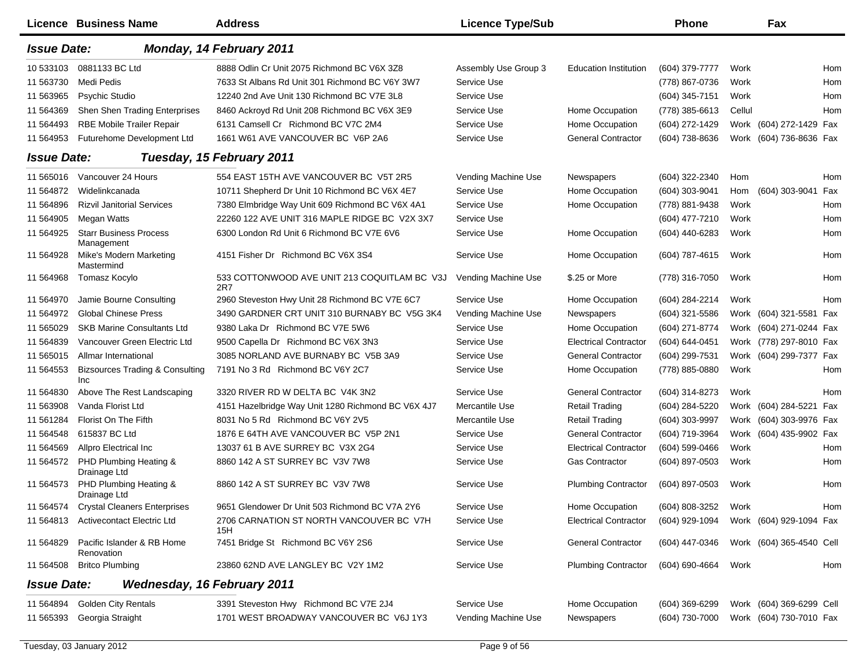|                    | Licence Business Name                             | <b>Address</b>                                      | <b>Licence Type/Sub</b> |                              | Phone            |        | Fax                      |            |
|--------------------|---------------------------------------------------|-----------------------------------------------------|-------------------------|------------------------------|------------------|--------|--------------------------|------------|
| <b>Issue Date:</b> |                                                   | Monday, 14 February 2011                            |                         |                              |                  |        |                          |            |
| 10 533103          | 0881133 BC Ltd                                    | 8888 Odlin Cr Unit 2075 Richmond BC V6X 3Z8         | Assembly Use Group 3    | <b>Education Institution</b> | (604) 379-7777   | Work   |                          | <b>Hom</b> |
| 11 563730          | Medi Pedis                                        | 7633 St Albans Rd Unit 301 Richmond BC V6Y 3W7      | Service Use             |                              | (778) 867-0736   | Work   |                          | <b>Hom</b> |
| 11 563965          | <b>Psychic Studio</b>                             | 12240 2nd Ave Unit 130 Richmond BC V7E 3L8          | Service Use             |                              | (604) 345-7151   | Work   |                          | Hom        |
| 11 564369          | Shen Shen Trading Enterprises                     | 8460 Ackroyd Rd Unit 208 Richmond BC V6X 3E9        | Service Use             | Home Occupation              | (778) 385-6613   | Cellul |                          | Hom        |
| 11 564493          | <b>RBE Mobile Trailer Repair</b>                  | 6131 Camsell Cr Richmond BC V7C 2M4                 | Service Use             | Home Occupation              | (604) 272-1429   |        | Work (604) 272-1429 Fax  |            |
| 11 564953          | Futurehome Development Ltd                        | 1661 W61 AVE VANCOUVER BC V6P 2A6                   | Service Use             | <b>General Contractor</b>    | (604) 738-8636   |        | Work (604) 736-8636 Fax  |            |
| <b>Issue Date:</b> |                                                   | Tuesday, 15 February 2011                           |                         |                              |                  |        |                          |            |
| 11 565016          | Vancouver 24 Hours                                | 554 EAST 15TH AVE VANCOUVER BC V5T 2R5              | Vending Machine Use     | Newspapers                   | (604) 322-2340   | Hom    |                          | Hom        |
| 11 564872          | Widelinkcanada                                    | 10711 Shepherd Dr Unit 10 Richmond BC V6X 4E7       | Service Use             | Home Occupation              | (604) 303-9041   | Hom    | (604) 303-9041           | Fax        |
| 11 564896          | <b>Rizvil Janitorial Services</b>                 | 7380 Elmbridge Way Unit 609 Richmond BC V6X 4A1     | Service Use             | Home Occupation              | (778) 881-9438   | Work   |                          | Hom        |
| 11 564905          | Megan Watts                                       | 22260 122 AVE UNIT 316 MAPLE RIDGE BC V2X 3X7       | Service Use             |                              | (604) 477-7210   | Work   |                          | Hom        |
| 11 564925          | <b>Starr Business Process</b><br>Management       | 6300 London Rd Unit 6 Richmond BC V7E 6V6           | Service Use             | Home Occupation              | (604) 440-6283   | Work   |                          | Hom        |
| 11 564928          | Mike's Modern Marketing<br>Mastermind             | 4151 Fisher Dr Richmond BC V6X 3S4                  | Service Use             | Home Occupation              | (604) 787-4615   | Work   |                          | Hom        |
| 11 564968          | Tomasz Kocylo                                     | 533 COTTONWOOD AVE UNIT 213 COQUITLAM BC V3J<br>2R7 | Vending Machine Use     | \$.25 or More                | (778) 316-7050   | Work   |                          | Hom        |
| 11 564970          | Jamie Bourne Consulting                           | 2960 Steveston Hwy Unit 28 Richmond BC V7E 6C7      | Service Use             | Home Occupation              | (604) 284-2214   | Work   |                          | <b>Hom</b> |
| 11 564972          | <b>Global Chinese Press</b>                       | 3490 GARDNER CRT UNIT 310 BURNABY BC V5G 3K4        | Vending Machine Use     | Newspapers                   | (604) 321-5586   |        | Work (604) 321-5581 Fax  |            |
| 11 565029          | <b>SKB Marine Consultants Ltd</b>                 | 9380 Laka Dr Richmond BC V7E 5W6                    | Service Use             | Home Occupation              | (604) 271-8774   |        | Work (604) 271-0244 Fax  |            |
| 11 564839          | Vancouver Green Electric Ltd                      | 9500 Capella Dr Richmond BC V6X 3N3                 | Service Use             | <b>Electrical Contractor</b> | (604) 644-0451   |        | Work (778) 297-8010 Fax  |            |
| 11 565015          | Allmar International                              | 3085 NORLAND AVE BURNABY BC V5B 3A9                 | Service Use             | <b>General Contractor</b>    | (604) 299-7531   |        | Work (604) 299-7377 Fax  |            |
| 11 564553          | <b>Bizsources Trading &amp; Consulting</b><br>Inc | 7191 No 3 Rd Richmond BC V6Y 2C7                    | Service Use             | Home Occupation              | (778) 885-0880   | Work   |                          | Hom        |
| 11 564830          | Above The Rest Landscaping                        | 3320 RIVER RD W DELTA BC V4K 3N2                    | Service Use             | <b>General Contractor</b>    | (604) 314-8273   | Work   |                          | Hom        |
| 11 563908          | Vanda Florist Ltd                                 | 4151 Hazelbridge Way Unit 1280 Richmond BC V6X 4J7  | Mercantile Use          | <b>Retail Trading</b>        | (604) 284-5220   | Work   | (604) 284-5221 Fax       |            |
| 11 561284          | Florist On The Fifth                              | 8031 No 5 Rd Richmond BC V6Y 2V5                    | Mercantile Use          | <b>Retail Trading</b>        | (604) 303-9997   | Work   | (604) 303-9976 Fax       |            |
| 11 564548          | 615837 BC Ltd                                     | 1876 E 64TH AVE VANCOUVER BC V5P 2N1                | Service Use             | <b>General Contractor</b>    | (604) 719-3964   |        | Work (604) 435-9902 Fax  |            |
| 11 564569          | Allpro Electrical Inc                             | 13037 61 B AVE SURREY BC V3X 2G4                    | Service Use             | <b>Electrical Contractor</b> | (604) 599-0466   | Work   |                          | <b>Hom</b> |
| 11 564572          | PHD Plumbing Heating &<br>Drainage Ltd            | 8860 142 A ST SURREY BC V3V 7W8                     | Service Use             | <b>Gas Contractor</b>        | (604) 897-0503   | Work   |                          | Hom        |
| 11 564573          | PHD Plumbing Heating &<br>Drainage Ltd            | 8860 142 A ST SURREY BC V3V 7W8                     | Service Use             | <b>Plumbing Contractor</b>   | (604) 897-0503   | Work   |                          | Hom        |
| 11 564574          | <b>Crystal Cleaners Enterprises</b>               | 9651 Glendower Dr Unit 503 Richmond BC V7A 2Y6      | Service Use             | Home Occupation              | (604) 808-3252   | Work   |                          | Hom        |
| 11 564813          | <b>Activecontact Electric Ltd</b>                 | 2706 CARNATION ST NORTH VANCOUVER BC V7H<br>15H     | Service Use             | <b>Electrical Contractor</b> | (604) 929-1094   |        | Work (604) 929-1094 Fax  |            |
| 11 564829          | Pacific Islander & RB Home<br>Renovation          | 7451 Bridge St Richmond BC V6Y 2S6                  | Service Use             | <b>General Contractor</b>    | (604) 447-0346   |        | Work (604) 365-4540 Cell |            |
| 11 564508          | <b>Britco Plumbing</b>                            | 23860 62ND AVE LANGLEY BC V2Y 1M2                   | Service Use             | <b>Plumbing Contractor</b>   | (604) 690-4664   | Work   |                          | Hom        |
| <b>Issue Date:</b> | <b>Wednesday, 16 February 2011</b>                |                                                     |                         |                              |                  |        |                          |            |
| 11 564894          | <b>Golden City Rentals</b>                        | 3391 Steveston Hwy Richmond BC V7E 2J4              | Service Use             | Home Occupation              | $(604)$ 369-6299 |        | Work (604) 369-6299 Cell |            |
| 11 565393          | Georgia Straight                                  | 1701 WEST BROADWAY VANCOUVER BC V6J 1Y3             | Vending Machine Use     | Newspapers                   | (604) 730-7000   |        | Work (604) 730-7010 Fax  |            |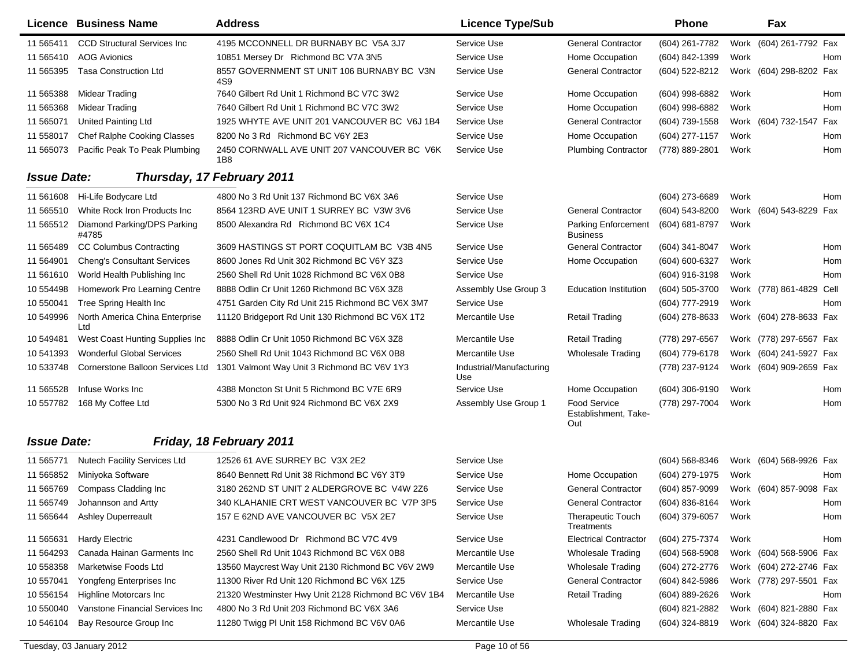|                    | <b>Licence Business Name</b>          | <b>Address</b>                                      | <b>Licence Type/Sub</b>         |                                                    | <b>Phone</b>     |      | Fax                     |            |
|--------------------|---------------------------------------|-----------------------------------------------------|---------------------------------|----------------------------------------------------|------------------|------|-------------------------|------------|
| 11 565411          | <b>CCD Structural Services Inc.</b>   | 4195 MCCONNELL DR BURNABY BC V5A 3J7                | Service Use                     | General Contractor                                 | (604) 261-7782   |      | Work (604) 261-7792 Fax |            |
| 11 565410          | <b>AOG Avionics</b>                   | 10851 Mersey Dr Richmond BC V7A 3N5                 | Service Use                     | Home Occupation                                    | (604) 842-1399   | Work |                         | Hom        |
| 11 565395          | <b>Tasa Construction Ltd</b>          | 8557 GOVERNMENT ST UNIT 106 BURNABY BC V3N<br>4S9   | Service Use                     | <b>General Contractor</b>                          | (604) 522-8212   |      | Work (604) 298-8202 Fax |            |
| 11 565388          | <b>Midear Trading</b>                 | 7640 Gilbert Rd Unit 1 Richmond BC V7C 3W2          | Service Use                     | Home Occupation                                    | (604) 998-6882   | Work |                         | Hom        |
| 11 565368          | Midear Trading                        | 7640 Gilbert Rd Unit 1 Richmond BC V7C 3W2          | Service Use                     | Home Occupation                                    | (604) 998-6882   | Work |                         | Hom        |
| 11 565071          | United Painting Ltd                   | 1925 WHYTE AVE UNIT 201 VANCOUVER BC V6J 1B4        | Service Use                     | <b>General Contractor</b>                          | (604) 739-1558   |      | Work (604) 732-1547 Fax |            |
| 11 558017          | Chef Ralphe Cooking Classes           | 8200 No 3 Rd Richmond BC V6Y 2E3                    | Service Use                     | Home Occupation                                    | (604) 277-1157   | Work |                         | Hom        |
| 11 565073          | Pacific Peak To Peak Plumbing         | 2450 CORNWALL AVE UNIT 207 VANCOUVER BC V6K<br>1B8  | Service Use                     | <b>Plumbing Contractor</b>                         | (778) 889-2801   | Work |                         | Hom        |
| <b>Issue Date:</b> |                                       | Thursday, 17 February 2011                          |                                 |                                                    |                  |      |                         |            |
| 11 561608          | Hi-Life Bodycare Ltd                  | 4800 No 3 Rd Unit 137 Richmond BC V6X 3A6           | Service Use                     |                                                    | (604) 273-6689   | Work |                         | Hom        |
| 11 565510          | White Rock Iron Products Inc          | 8564 123RD AVE UNIT 1 SURREY BC V3W 3V6             | Service Use                     | <b>General Contractor</b>                          | (604) 543-8200   |      | Work (604) 543-8229 Fax |            |
| 11 565512          | Diamond Parking/DPS Parking<br>#4785  | 8500 Alexandra Rd Richmond BC V6X 1C4               | Service Use                     | Parking Enforcement<br>Business                    | (604) 681-8797   | Work |                         |            |
| 11 565489          | <b>CC Columbus Contracting</b>        | 3609 HASTINGS ST PORT COQUITLAM BC V3B 4N5          | Service Use                     | <b>General Contractor</b>                          | (604) 341-8047   | Work |                         | <b>Hom</b> |
| 11 564901          | <b>Cheng's Consultant Services</b>    | 8600 Jones Rd Unit 302 Richmond BC V6Y 3Z3          | Service Use                     | Home Occupation                                    | (604) 600-6327   | Work |                         | Hom        |
| 11 561610          | World Health Publishing Inc           | 2560 Shell Rd Unit 1028 Richmond BC V6X 0B8         | Service Use                     |                                                    | (604) 916-3198   | Work |                         | Hom        |
| 10 554498          | Homework Pro Learning Centre          | 8888 Odlin Cr Unit 1260 Richmond BC V6X 3Z8         | Assembly Use Group 3            | <b>Education Institution</b>                       | (604) 505-3700   |      | Work (778) 861-4829     | Cell       |
| 10 550041          | Tree Spring Health Inc                | 4751 Garden City Rd Unit 215 Richmond BC V6X 3M7    | Service Use                     |                                                    | (604) 777-2919   | Work |                         | Hom        |
| 10 549996          | North America China Enterprise<br>Ltd | 11120 Bridgeport Rd Unit 130 Richmond BC V6X 1T2    | Mercantile Use                  | Retail Trading                                     | (604) 278-8633   |      | Work (604) 278-8633 Fax |            |
| 10 549481          | West Coast Hunting Supplies Inc       | 8888 Odlin Cr Unit 1050 Richmond BC V6X 3Z8         | Mercantile Use                  | <b>Retail Trading</b>                              | (778) 297-6567   |      | Work (778) 297-6567 Fax |            |
| 10 541393          | <b>Wonderful Global Services</b>      | 2560 Shell Rd Unit 1043 Richmond BC V6X 0B8         | Mercantile Use                  | <b>Wholesale Trading</b>                           | (604) 779-6178   |      | Work (604) 241-5927 Fax |            |
| 10 533748          | Cornerstone Balloon Services Ltd      | 1301 Valmont Way Unit 3 Richmond BC V6V 1Y3         | Industrial/Manufacturing<br>Use |                                                    | (778) 237-9124   |      | Work (604) 909-2659 Fax |            |
| 11 565528          | Infuse Works Inc                      | 4388 Moncton St Unit 5 Richmond BC V7E 6R9          | Service Use                     | Home Occupation                                    | (604) 306-9190   | Work |                         | Hom        |
| 10 557782          | 168 My Coffee Ltd                     | 5300 No 3 Rd Unit 924 Richmond BC V6X 2X9           | Assembly Use Group 1            | <b>Food Service</b><br>Establishment, Take-<br>Out | (778) 297-7004   | Work |                         | Hom        |
| <b>Issue Date:</b> |                                       | Friday, 18 February 2011                            |                                 |                                                    |                  |      |                         |            |
| 11 565771          | <b>Nutech Facility Services Ltd</b>   | 12526 61 AVE SURREY BC V3X 2E2                      | Service Use                     |                                                    | (604) 568-8346   |      | Work (604) 568-9926 Fax |            |
| 11 565852          | Miniyoka Software                     | 8640 Bennett Rd Unit 38 Richmond BC V6Y 3T9         | Service Use                     | Home Occupation                                    | (604) 279-1975   | Work |                         | Hom        |
| 11 565769          | Compass Cladding Inc                  | 3180 262ND ST UNIT 2 ALDERGROVE BC V4W 2Z6          | Service Use                     | General Contractor                                 | (604) 857-9099   |      | Work (604) 857-9098     | Fax        |
| 11 565749          | Johannson and Artty                   | 340 KLAHANIE CRT WEST VANCOUVER BC V7P 3P5          | Service Use                     | <b>General Contractor</b>                          | (604) 836-8164   | Work |                         | Hom        |
| 11 565644          | <b>Ashley Duperreault</b>             | 157 E 62ND AVE VANCOUVER BC V5X 2E7                 | Service Use                     | <b>Therapeutic Touch</b><br>Treatments             | (604) 379-6057   | Work |                         | Hom        |
| 11 565631          | <b>Hardy Electric</b>                 | 4231 Candlewood Dr Richmond BC V7C 4V9              | Service Use                     | <b>Electrical Contractor</b>                       | (604) 275-7374   | Work |                         | Hom        |
| 11 564293          | Canada Hainan Garments Inc            | 2560 Shell Rd Unit 1043 Richmond BC V6X 0B8         | Mercantile Use                  | <b>Wholesale Trading</b>                           | $(604)$ 568-5908 |      | Work (604) 568-5906 Fax |            |
| 10 558358          | Marketwise Foods Ltd                  | 13560 Maycrest Way Unit 2130 Richmond BC V6V 2W9    | Mercantile Use                  | <b>Wholesale Trading</b>                           | (604) 272-2776   |      | Work (604) 272-2746 Fax |            |
| 10 557041          | Yongfeng Enterprises Inc              | 11300 River Rd Unit 120 Richmond BC V6X 1Z5         | Service Use                     | <b>General Contractor</b>                          | (604) 842-5986   |      | Work (778) 297-5501 Fax |            |
| 10 556154          | Highline Motorcars Inc                | 21320 Westminster Hwy Unit 2128 Richmond BC V6V 1B4 | Mercantile Use                  | <b>Retail Trading</b>                              | (604) 889-2626   | Work |                         | Hom        |
| 10 550040          | Vanstone Financial Services Inc       | 4800 No 3 Rd Unit 203 Richmond BC V6X 3A6           | Service Use                     |                                                    | (604) 821-2882   |      | Work (604) 821-2880 Fax |            |
| 10 54 6104         | Bay Resource Group Inc                | 11280 Twigg PI Unit 158 Richmond BC V6V 0A6         | Mercantile Use                  | Wholesale Trading                                  | (604) 324-8819   |      | Work (604) 324-8820 Fax |            |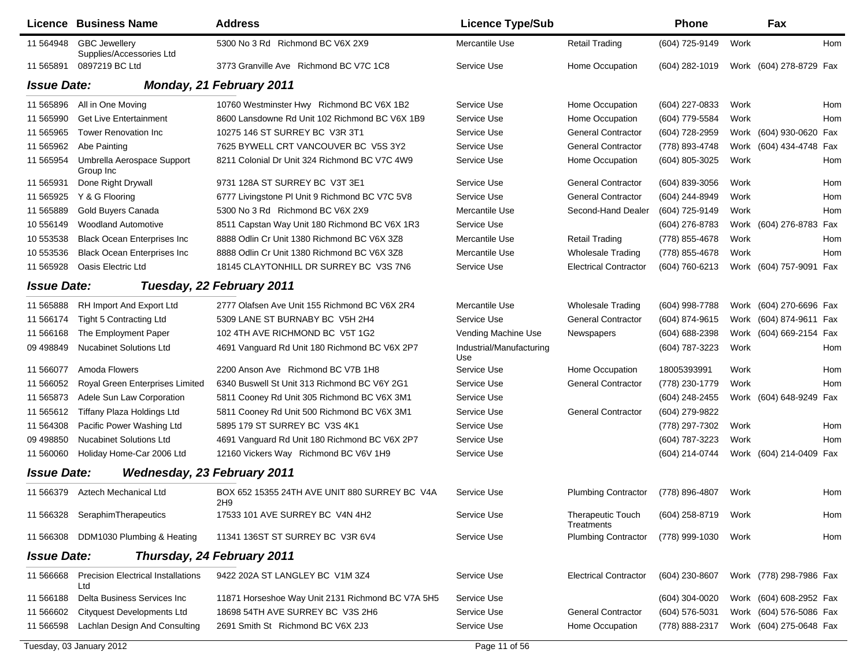|                    | Licence Business Name                            | <b>Address</b>                                       | <b>Licence Type/Sub</b>         |                                 | Phone          |      | Fax                     |     |
|--------------------|--------------------------------------------------|------------------------------------------------------|---------------------------------|---------------------------------|----------------|------|-------------------------|-----|
| 11 564948          | <b>GBC Jewellery</b><br>Supplies/Accessories Ltd | 5300 No 3 Rd Richmond BC V6X 2X9                     | Mercantile Use                  | <b>Retail Trading</b>           | (604) 725-9149 | Work |                         | Hom |
| 11 565891          | 0897219 BC Ltd                                   | 3773 Granville Ave Richmond BC V7C 1C8               | Service Use                     | Home Occupation                 | (604) 282-1019 |      | Work (604) 278-8729 Fax |     |
| <b>Issue Date:</b> |                                                  | Monday, 21 February 2011                             |                                 |                                 |                |      |                         |     |
| 11 565896          | All in One Moving                                | 10760 Westminster Hwy Richmond BC V6X 1B2            | Service Use                     | Home Occupation                 | (604) 227-0833 | Work |                         | Hom |
| 11 565990          | <b>Get Live Entertainment</b>                    | 8600 Lansdowne Rd Unit 102 Richmond BC V6X 1B9       | Service Use                     | Home Occupation                 | (604) 779-5584 | Work |                         | Hom |
| 11 565965          | <b>Tower Renovation Inc</b>                      | 10275 146 ST SURREY BC V3R 3T1                       | Service Use                     | <b>General Contractor</b>       | (604) 728-2959 | Work | (604) 930-0620 Fax      |     |
| 11 565962          | Abe Painting                                     | 7625 BYWELL CRT VANCOUVER BC V5S 3Y2                 | Service Use                     | <b>General Contractor</b>       | (778) 893-4748 | Work | (604) 434-4748 Fax      |     |
| 11 565954          | Umbrella Aerospace Support<br>Group Inc          | 8211 Colonial Dr Unit 324 Richmond BC V7C 4W9        | Service Use                     | Home Occupation                 | (604) 805-3025 | Work |                         | Hom |
| 11 565931          | Done Right Drywall                               | 9731 128A ST SURREY BC V3T 3E1                       | Service Use                     | <b>General Contractor</b>       | (604) 839-3056 | Work |                         | Hom |
| 11 565925          | Y & G Flooring                                   | 6777 Livingstone PI Unit 9 Richmond BC V7C 5V8       | Service Use                     | <b>General Contractor</b>       | (604) 244-8949 | Work |                         | Hom |
| 11 565889          | Gold Buyers Canada                               | 5300 No 3 Rd Richmond BC V6X 2X9                     | Mercantile Use                  | Second-Hand Dealer              | (604) 725-9149 | Work |                         | Hom |
| 10 55 6149         | <b>Woodland Automotive</b>                       | 8511 Capstan Way Unit 180 Richmond BC V6X 1R3        | Service Use                     |                                 | (604) 276-8783 | Work | (604) 276-8783 Fax      |     |
| 10 553538          | <b>Black Ocean Enterprises Inc</b>               | 8888 Odlin Cr Unit 1380 Richmond BC V6X 3Z8          | Mercantile Use                  | <b>Retail Trading</b>           | (778) 855-4678 | Work |                         | Hom |
| 10 553536          | <b>Black Ocean Enterprises Inc</b>               | 8888 Odlin Cr Unit 1380 Richmond BC V6X 3Z8          | Mercantile Use                  | <b>Wholesale Trading</b>        | (778) 855-4678 | Work |                         | Hom |
| 11 565928          | Oasis Electric Ltd                               | 18145 CLAYTONHILL DR SURREY BC V3S 7N6               | Service Use                     | <b>Electrical Contractor</b>    | (604) 760-6213 |      | Work (604) 757-9091 Fax |     |
| <b>Issue Date:</b> |                                                  | Tuesday, 22 February 2011                            |                                 |                                 |                |      |                         |     |
| 11 565888          | RH Import And Export Ltd                         | 2777 Olafsen Ave Unit 155 Richmond BC V6X 2R4        | Mercantile Use                  | <b>Wholesale Trading</b>        | (604) 998-7788 | Work | (604) 270-6696 Fax      |     |
| 11 566174          | <b>Tight 5 Contracting Ltd</b>                   | 5309 LANE ST BURNABY BC V5H 2H4                      | Service Use                     | <b>General Contractor</b>       | (604) 874-9615 | Work | (604) 874-9611 Fax      |     |
| 11 566168          | The Employment Paper                             | 102 4TH AVE RICHMOND BC V5T 1G2                      | Vending Machine Use             | Newspapers                      | (604) 688-2398 | Work | (604) 669-2154 Fax      |     |
| 09 498849          | <b>Nucabinet Solutions Ltd</b>                   | 4691 Vanguard Rd Unit 180 Richmond BC V6X 2P7        | Industrial/Manufacturing<br>Use |                                 | (604) 787-3223 | Work |                         | Hom |
| 11 566077          | Amoda Flowers                                    | 2200 Anson Ave Richmond BC V7B 1H8                   | Service Use                     | Home Occupation                 | 18005393991    | Work |                         | Hom |
| 11 566052          | Royal Green Enterprises Limited                  | 6340 Buswell St Unit 313 Richmond BC V6Y 2G1         | Service Use                     | <b>General Contractor</b>       | (778) 230-1779 | Work |                         | Hom |
| 11 565873          | Adele Sun Law Corporation                        | 5811 Cooney Rd Unit 305 Richmond BC V6X 3M1          | Service Use                     |                                 | (604) 248-2455 |      | Work (604) 648-9249 Fax |     |
| 11 565612          | Tiffany Plaza Holdings Ltd                       | 5811 Cooney Rd Unit 500 Richmond BC V6X 3M1          | Service Use                     | <b>General Contractor</b>       | (604) 279-9822 |      |                         |     |
| 11 564308          | Pacific Power Washing Ltd                        | 5895 179 ST SURREY BC V3S 4K1                        | Service Use                     |                                 | (778) 297-7302 | Work |                         | Hom |
| 09 49 8850         | <b>Nucabinet Solutions Ltd</b>                   | 4691 Vanguard Rd Unit 180 Richmond BC V6X 2P7        | Service Use                     |                                 | (604) 787-3223 | Work |                         | Hom |
| 11 560060          | Holiday Home-Car 2006 Ltd                        | 12160 Vickers Way Richmond BC V6V 1H9                | Service Use                     |                                 | (604) 214-0744 |      | Work (604) 214-0409 Fax |     |
| <b>Issue Date:</b> | <b>Wednesday, 23 February 2011</b>               |                                                      |                                 |                                 |                |      |                         |     |
| 11 566379          | Aztech Mechanical Ltd                            | BOX 652 15355 24TH AVE UNIT 880 SURREY BC V4A<br>2H9 | Service Use                     | <b>Plumbing Contractor</b>      | (778) 896-4807 | Work |                         | Hom |
|                    | 11 566328 Seraphim Therapeutics                  | 17533 101 AVE SURREY BC V4N 4H2                      | Service Use                     | Therapeutic Touch<br>Treatments | (604) 258-8719 | Work |                         | Hom |
| 11 566308          | DDM1030 Plumbing & Heating                       | 11341 136ST ST SURREY BC V3R 6V4                     | Service Use                     | <b>Plumbing Contractor</b>      | (778) 999-1030 | Work |                         | Hom |
| <b>Issue Date:</b> |                                                  | Thursday, 24 February 2011                           |                                 |                                 |                |      |                         |     |
| 11 566668          | <b>Precision Electrical Installations</b><br>Ltd | 9422 202A ST LANGLEY BC V1M 3Z4                      | Service Use                     | <b>Electrical Contractor</b>    | (604) 230-8607 |      | Work (778) 298-7986 Fax |     |
| 11 566188          | Delta Business Services Inc                      | 11871 Horseshoe Way Unit 2131 Richmond BC V7A 5H5    | Service Use                     |                                 | (604) 304-0020 |      | Work (604) 608-2952 Fax |     |
| 11 566602          | <b>Cityquest Developments Ltd</b>                | 18698 54TH AVE SURREY BC V3S 2H6                     | Service Use                     | <b>General Contractor</b>       | (604) 576-5031 |      | Work (604) 576-5086 Fax |     |
| 11 566598          | Lachlan Design And Consulting                    | 2691 Smith St Richmond BC V6X 2J3                    | Service Use                     | Home Occupation                 | (778) 888-2317 |      | Work (604) 275-0648 Fax |     |
|                    | Tuesday, 03 January 2012                         |                                                      | Page 11 of 56                   |                                 |                |      |                         |     |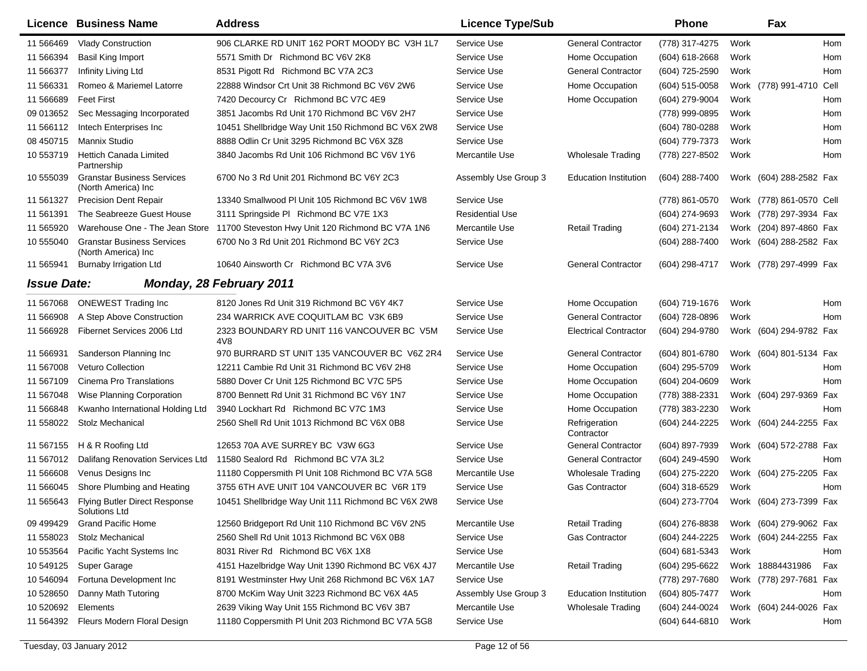|                    | Licence Business Name                                     | <b>Address</b>                                     | <b>Licence Type/Sub</b> |                              | <b>Phone</b>     |      | Fax                         |  |
|--------------------|-----------------------------------------------------------|----------------------------------------------------|-------------------------|------------------------------|------------------|------|-----------------------------|--|
| 11 566469          | <b>Vlady Construction</b>                                 | 906 CLARKE RD UNIT 162 PORT MOODY BC V3H 1L7       | Service Use             | <b>General Contractor</b>    | (778) 317-4275   | Work | Hom                         |  |
| 11 566394          | Basil King Import                                         | 5571 Smith Dr Richmond BC V6V 2K8                  | Service Use             | Home Occupation              | (604) 618-2668   | Work | Hom                         |  |
| 11 566377          | Infinity Living Ltd                                       | 8531 Pigott Rd Richmond BC V7A 2C3                 | Service Use             | <b>General Contractor</b>    | (604) 725-2590   | Work | Hom                         |  |
| 11 566331          | Romeo & Mariemel Latorre                                  | 22888 Windsor Crt Unit 38 Richmond BC V6V 2W6      | Service Use             | Home Occupation              | (604) 515-0058   |      | Work (778) 991-4710<br>Cell |  |
| 11 566689          | <b>Feet First</b>                                         | 7420 Decourcy Cr Richmond BC V7C 4E9               | Service Use             | Home Occupation              | (604) 279-9004   | Work | Hom                         |  |
| 09 013652          | Sec Messaging Incorporated                                | 3851 Jacombs Rd Unit 170 Richmond BC V6V 2H7       | Service Use             |                              | (778) 999-0895   | Work | Hom                         |  |
| 11 566112          | Intech Enterprises Inc                                    | 10451 Shellbridge Way Unit 150 Richmond BC V6X 2W8 | Service Use             |                              | (604) 780-0288   | Work | Hom                         |  |
| 08 450715          | <b>Mannix Studio</b>                                      | 8888 Odlin Cr Unit 3295 Richmond BC V6X 3Z8        | Service Use             |                              | (604) 779-7373   | Work | Hom                         |  |
| 10 553719          | <b>Hettich Canada Limited</b><br>Partnership              | 3840 Jacombs Rd Unit 106 Richmond BC V6V 1Y6       | Mercantile Use          | <b>Wholesale Trading</b>     | (778) 227-8502   | Work | Hom                         |  |
| 10 555039          | <b>Granstar Business Services</b><br>(North America) Inc  | 6700 No 3 Rd Unit 201 Richmond BC V6Y 2C3          | Assembly Use Group 3    | <b>Education Institution</b> | $(604)$ 288-7400 |      | Work (604) 288-2582 Fax     |  |
| 11 561327          | <b>Precision Dent Repair</b>                              | 13340 Smallwood PI Unit 105 Richmond BC V6V 1W8    | Service Use             |                              | (778) 861-0570   |      | Work (778) 861-0570 Cell    |  |
| 11 561391          | The Seabreeze Guest House                                 | 3111 Springside PI Richmond BC V7E 1X3             | <b>Residential Use</b>  |                              | (604) 274-9693   |      | Work (778) 297-3934 Fax     |  |
| 11 565920          | Warehouse One - The Jean Store                            | 11700 Steveston Hwy Unit 120 Richmond BC V7A 1N6   | Mercantile Use          | <b>Retail Trading</b>        | (604) 271-2134   |      | Work (204) 897-4860 Fax     |  |
| 10 555040          | <b>Granstar Business Services</b><br>(North America) Inc. | 6700 No 3 Rd Unit 201 Richmond BC V6Y 2C3          | Service Use             |                              | (604) 288-7400   |      | Work (604) 288-2582 Fax     |  |
| 11 565941          | <b>Burnaby Irrigation Ltd</b>                             | 10640 Ainsworth Cr Richmond BC V7A 3V6             | Service Use             | <b>General Contractor</b>    | (604) 298-4717   |      | Work (778) 297-4999 Fax     |  |
| <b>Issue Date:</b> |                                                           | <b>Monday, 28 February 2011</b>                    |                         |                              |                  |      |                             |  |
| 11 567068          | <b>ONEWEST Trading Inc</b>                                | 8120 Jones Rd Unit 319 Richmond BC V6Y 4K7         | Service Use             | Home Occupation              | (604) 719-1676   | Work | Hom                         |  |
| 11 566908          | A Step Above Construction                                 | 234 WARRICK AVE COQUITLAM BC V3K 6B9               | Service Use             | <b>General Contractor</b>    | (604) 728-0896   | Work | Hom                         |  |
| 11 566928          | Fibernet Services 2006 Ltd                                | 2323 BOUNDARY RD UNIT 116 VANCOUVER BC V5M<br>4V8  | Service Use             | <b>Electrical Contractor</b> | (604) 294-9780   |      | Work (604) 294-9782 Fax     |  |
| 11 566931          | Sanderson Planning Inc                                    | 970 BURRARD ST UNIT 135 VANCOUVER BC V6Z 2R4       | Service Use             | <b>General Contractor</b>    | (604) 801-6780   |      | Work (604) 801-5134 Fax     |  |
| 11 567008          | <b>Veturo Collection</b>                                  | 12211 Cambie Rd Unit 31 Richmond BC V6V 2H8        | Service Use             | Home Occupation              | (604) 295-5709   | Work | Hom                         |  |
| 11 567109          | Cinema Pro Translations                                   | 5880 Dover Cr Unit 125 Richmond BC V7C 5P5         | Service Use             | Home Occupation              | (604) 204-0609   | Work | Hom                         |  |
| 11 567048          | Wise Planning Corporation                                 | 8700 Bennett Rd Unit 31 Richmond BC V6Y 1N7        | Service Use             | Home Occupation              | (778) 388-2331   |      | Work (604) 297-9369 Fax     |  |
| 11 566848          | Kwanho International Holding Ltd                          | 3940 Lockhart Rd Richmond BC V7C 1M3               | Service Use             | Home Occupation              | (778) 383-2230   | Work | Hom                         |  |
| 11 558022          | <b>Stolz Mechanical</b>                                   | 2560 Shell Rd Unit 1013 Richmond BC V6X 0B8        | Service Use             | Refrigeration<br>Contractor  | (604) 244-2225   |      | Work (604) 244-2255 Fax     |  |
| 11 567155          | H & R Roofing Ltd                                         | 12653 70A AVE SURREY BC V3W 6G3                    | Service Use             | <b>General Contractor</b>    | (604) 897-7939   |      | Work (604) 572-2788 Fax     |  |
| 11 567012          | Dalifang Renovation Services Ltd                          | 11580 Sealord Rd Richmond BC V7A 3L2               | Service Use             | <b>General Contractor</b>    | (604) 249-4590   | Work | Hom                         |  |
| 11 566608          | Venus Designs Inc                                         | 11180 Coppersmith PI Unit 108 Richmond BC V7A 5G8  | Mercantile Use          | <b>Wholesale Trading</b>     | (604) 275-2220   |      | Work (604) 275-2205<br>Fax  |  |
| 11 566045          | Shore Plumbing and Heating                                | 3755 6TH AVE UNIT 104 VANCOUVER BC V6R 1T9         | Service Use             | <b>Gas Contractor</b>        | $(604)$ 318-6529 | Work | Hom                         |  |
| 11 565643          | <b>Flying Butler Direct Response</b><br>Solutions Ltd     | 10451 Shellbridge Way Unit 111 Richmond BC V6X 2W8 | Service Use             |                              | (604) 273-7704   |      | Work (604) 273-7399 Fax     |  |
| 09 49 94 29        | <b>Grand Pacific Home</b>                                 | 12560 Bridgeport Rd Unit 110 Richmond BC V6V 2N5   | Mercantile Use          | <b>Retail Trading</b>        | (604) 276-8838   |      | Work (604) 279-9062 Fax     |  |
| 11 558023          | Stolz Mechanical                                          | 2560 Shell Rd Unit 1013 Richmond BC V6X 0B8        | Service Use             | <b>Gas Contractor</b>        | (604) 244-2225   |      | Work (604) 244-2255 Fax     |  |
| 10 553564          | Pacific Yacht Systems Inc                                 | 8031 River Rd Richmond BC V6X 1X8                  | Service Use             |                              | (604) 681-5343   | Work | Hom                         |  |
| 10 549125          | Super Garage                                              | 4151 Hazelbridge Way Unit 1390 Richmond BC V6X 4J7 | Mercantile Use          | <b>Retail Trading</b>        | (604) 295-6622   |      | Work 18884431986<br>Fax     |  |
| 10 546094          | Fortuna Development Inc                                   | 8191 Westminster Hwy Unit 268 Richmond BC V6X 1A7  | Service Use             |                              | (778) 297-7680   |      | Work (778) 297-7681 Fax     |  |
| 10 528650          | Danny Math Tutoring                                       | 8700 McKim Way Unit 3223 Richmond BC V6X 4A5       | Assembly Use Group 3    | <b>Education Institution</b> | (604) 805-7477   | Work | Hom                         |  |
| 10 520692          | Elements                                                  | 2639 Viking Way Unit 155 Richmond BC V6V 3B7       | Mercantile Use          | <b>Wholesale Trading</b>     | (604) 244-0024   |      | Work (604) 244-0026 Fax     |  |
| 11 564392          | Fleurs Modern Floral Design                               | 11180 Coppersmith PI Unit 203 Richmond BC V7A 5G8  | Service Use             |                              | (604) 644-6810   | Work | Hom                         |  |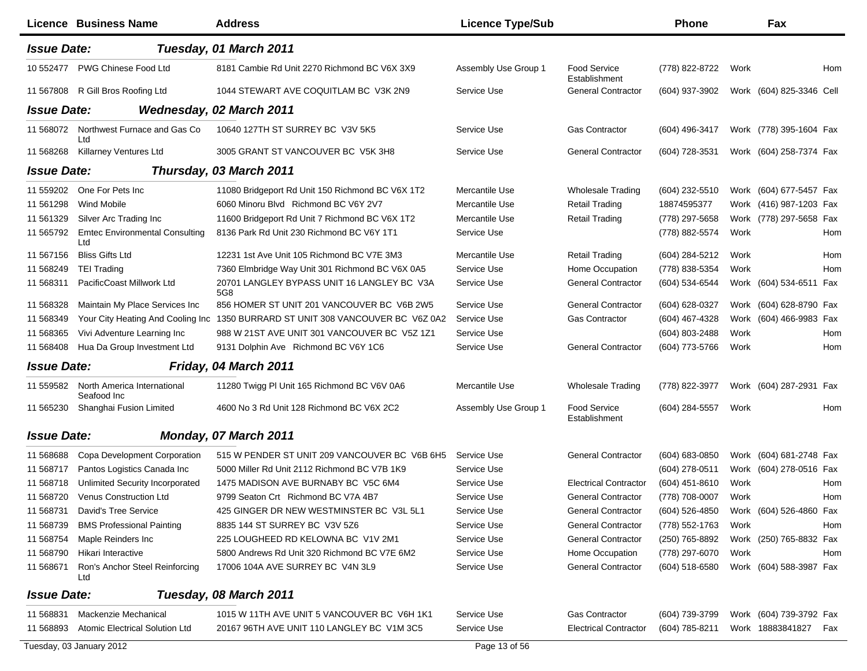| <b>Issue Date:</b><br>Tuesday, 01 March 2011<br>PWG Chinese Food Ltd<br>10 552477<br>8181 Cambie Rd Unit 2270 Richmond BC V6X 3X9<br>Assembly Use Group 1<br><b>Food Service</b><br>(778) 822-8722<br>Work<br>Establishment<br>11 567808<br>R Gill Bros Roofing Ltd<br>1044 STEWART AVE COQUITLAM BC V3K 2N9<br>Service Use<br><b>General Contractor</b><br>(604) 937-3902<br>Work (604) 825-3346 Cell<br><b>Issue Date:</b><br><b>Wednesday, 02 March 2011</b><br>Northwest Furnace and Gas Co<br>11 568072<br>10640 127TH ST SURREY BC V3V 5K5<br>Service Use<br><b>Gas Contractor</b><br>Work (778) 395-1604 Fax<br>(604) 496-3417<br>Ltd<br><b>General Contractor</b><br>11 568268<br>Killarney Ventures Ltd<br>3005 GRANT ST VANCOUVER BC V5K 3H8<br>Service Use<br>(604) 728-3531<br>Work (604) 258-7374 Fax<br><b>Issue Date:</b><br>Thursday, 03 March 2011<br>One For Pets Inc<br>(604) 232-5510<br>Work (604) 677-5457 Fax<br>11 559202<br>11080 Bridgeport Rd Unit 150 Richmond BC V6X 1T2<br>Mercantile Use<br><b>Wholesale Trading</b><br>6060 Minoru Blvd Richmond BC V6Y 2V7<br>11 561298<br><b>Wind Mobile</b><br>Mercantile Use<br><b>Retail Trading</b><br>18874595377<br>Work (416) 987-1203 Fax<br>11 561329<br>Silver Arc Trading Inc<br>11600 Bridgeport Rd Unit 7 Richmond BC V6X 1T2<br>Mercantile Use<br><b>Retail Trading</b><br>(778) 297-5658<br>Work (778) 297-5658 Fax<br>11 565792<br><b>Emtec Environmental Consulting</b><br>8136 Park Rd Unit 230 Richmond BC V6Y 1T1<br>Service Use<br>(778) 882-5574<br>Work<br>Ltd<br>11 567156<br><b>Bliss Gifts Ltd</b><br>12231 1st Ave Unit 105 Richmond BC V7E 3M3<br>Mercantile Use<br><b>Retail Trading</b><br>(604) 284-5212<br>Work<br>7360 Elmbridge Way Unit 301 Richmond BC V6X 0A5<br>Service Use<br>Home Occupation<br>(778) 838-5354<br>11 568249<br><b>TEI Trading</b><br>Work<br>20701 LANGLEY BYPASS UNIT 16 LANGLEY BC V3A<br>11 568311<br>PacificCoast Millwork Ltd<br>Service Use<br><b>General Contractor</b><br>(604) 534-6544<br>Work (604) 534-6511 Fax<br>5G8<br><b>General Contractor</b><br>856 HOMER ST UNIT 201 VANCOUVER BC V6B 2W5<br>Service Use<br>11 568328<br>Maintain My Place Services Inc<br>(604) 628-0327<br>Work (604) 628-8790 Fax<br>Your City Heating And Cooling Inc<br>1350 BURRARD ST UNIT 308 VANCOUVER BC V6Z 0A2<br>Service Use<br><b>Gas Contractor</b><br>(604) 467-4328<br>Work (604) 466-9983 Fax<br>11 568349<br>Vivi Adventure Learning Inc<br>988 W 21ST AVE UNIT 301 VANCOUVER BC V5Z 1Z1<br>Service Use<br>(604) 803-2488<br>Work<br>11 568365<br>11 568408<br>Hua Da Group Investment Ltd<br>9131 Dolphin Ave Richmond BC V6Y 1C6<br>Service Use<br><b>General Contractor</b><br>(604) 773-5766<br>Work<br><b>Issue Date:</b><br>Friday, 04 March 2011<br>11 559582<br>North America International<br>11280 Twigg PI Unit 165 Richmond BC V6V 0A6<br>Mercantile Use<br>(778) 822-3977<br>Work (604) 287-2931 Fax<br><b>Wholesale Trading</b><br>Seafood Inc<br>11 565230<br>Shanghai Fusion Limited<br>4600 No 3 Rd Unit 128 Richmond BC V6X 2C2<br>Assembly Use Group 1<br><b>Food Service</b><br>(604) 284-5557<br>Work<br>Establishment<br><b>Issue Date:</b><br>Monday, 07 March 2011<br><b>General Contractor</b><br>11 568688<br>Copa Development Corporation<br>515 W PENDER ST UNIT 209 VANCOUVER BC V6B 6H5<br>Service Use<br>(604) 683-0850<br>Work (604) 681-2748 Fax<br>Pantos Logistics Canada Inc<br>5000 Miller Rd Unit 2112 Richmond BC V7B 1K9<br>Service Use<br>(604) 278-0511<br>Work (604) 278-0516 Fax<br>11 568717<br><b>Electrical Contractor</b><br>11 568718<br>Unlimited Security Incorporated<br>1475 MADISON AVE BURNABY BC V5C 6M4<br>Service Use<br>(604) 451-8610<br>Work<br><b>Venus Construction Ltd</b><br>9799 Seaton Crt Richmond BC V7A 4B7<br><b>General Contractor</b><br>(778) 708-0007<br>11 568720<br>Service Use<br>Work<br>David's Tree Service<br>425 GINGER DR NEW WESTMINSTER BC V3L 5L1<br><b>General Contractor</b><br>11 568731<br>Service Use<br>(604) 526-4850<br>Work (604) 526-4860 Fax<br>8835 144 ST SURREY BC V3V 5Z6<br>Service Use<br><b>General Contractor</b><br>Work<br>11 568739<br><b>BMS Professional Painting</b><br>(778) 552-1763<br>225 LOUGHEED RD KELOWNA BC V1V 2M1<br><b>General Contractor</b><br>Work (250) 765-8832 Fax<br>11 568754<br>Maple Reinders Inc<br>Service Use<br>(250) 765-8892<br>11 568790<br>Hikari Interactive<br>5800 Andrews Rd Unit 320 Richmond BC V7E 6M2<br>Home Occupation<br>(778) 297-6070<br>Service Use<br>Work<br>11 568671<br>17006 104A AVE SURREY BC V4N 3L9<br><b>General Contractor</b><br>(604) 518-6580<br>Work (604) 588-3987 Fax<br>Ron's Anchor Steel Reinforcing<br>Service Use<br>Ltd |                    | Licence Business Name | <b>Address</b>         | <b>Licence Type/Sub</b> | <b>Phone</b> | Fax |     |
|---------------------------------------------------------------------------------------------------------------------------------------------------------------------------------------------------------------------------------------------------------------------------------------------------------------------------------------------------------------------------------------------------------------------------------------------------------------------------------------------------------------------------------------------------------------------------------------------------------------------------------------------------------------------------------------------------------------------------------------------------------------------------------------------------------------------------------------------------------------------------------------------------------------------------------------------------------------------------------------------------------------------------------------------------------------------------------------------------------------------------------------------------------------------------------------------------------------------------------------------------------------------------------------------------------------------------------------------------------------------------------------------------------------------------------------------------------------------------------------------------------------------------------------------------------------------------------------------------------------------------------------------------------------------------------------------------------------------------------------------------------------------------------------------------------------------------------------------------------------------------------------------------------------------------------------------------------------------------------------------------------------------------------------------------------------------------------------------------------------------------------------------------------------------------------------------------------------------------------------------------------------------------------------------------------------------------------------------------------------------------------------------------------------------------------------------------------------------------------------------------------------------------------------------------------------------------------------------------------------------------------------------------------------------------------------------------------------------------------------------------------------------------------------------------------------------------------------------------------------------------------------------------------------------------------------------------------------------------------------------------------------------------------------------------------------------------------------------------------------------------------------------------------------------------------------------------------------------------------------------------------------------------------------------------------------------------------------------------------------------------------------------------------------------------------------------------------------------------------------------------------------------------------------------------------------------------------------------------------------------------------------------------------------------------------------------------------------------------------------------------------------------------------------------------------------------------------------------------------------------------------------------------------------------------------------------------------------------------------------------------------------------------------------------------------------------------------------------------------------------------------------------------------------------------------------------------------------------------------------------------------------------------------------------------------------------------------------------------------------------------------------------------------------------------------------------------------------------------------------------------------------------------------------------------------------------------------------------------------------------------------------------------------------------------------------------------------------------------------------------|--------------------|-----------------------|------------------------|-------------------------|--------------|-----|-----|
|                                                                                                                                                                                                                                                                                                                                                                                                                                                                                                                                                                                                                                                                                                                                                                                                                                                                                                                                                                                                                                                                                                                                                                                                                                                                                                                                                                                                                                                                                                                                                                                                                                                                                                                                                                                                                                                                                                                                                                                                                                                                                                                                                                                                                                                                                                                                                                                                                                                                                                                                                                                                                                                                                                                                                                                                                                                                                                                                                                                                                                                                                                                                                                                                                                                                                                                                                                                                                                                                                                                                                                                                                                                                                                                                                                                                                                                                                                                                                                                                                                                                                                                                                                                                                                                                                                                                                                                                                                                                                                                                                                                                                                                                                                                                             |                    |                       |                        |                         |              |     |     |
|                                                                                                                                                                                                                                                                                                                                                                                                                                                                                                                                                                                                                                                                                                                                                                                                                                                                                                                                                                                                                                                                                                                                                                                                                                                                                                                                                                                                                                                                                                                                                                                                                                                                                                                                                                                                                                                                                                                                                                                                                                                                                                                                                                                                                                                                                                                                                                                                                                                                                                                                                                                                                                                                                                                                                                                                                                                                                                                                                                                                                                                                                                                                                                                                                                                                                                                                                                                                                                                                                                                                                                                                                                                                                                                                                                                                                                                                                                                                                                                                                                                                                                                                                                                                                                                                                                                                                                                                                                                                                                                                                                                                                                                                                                                                             |                    |                       |                        |                         |              |     | Hom |
|                                                                                                                                                                                                                                                                                                                                                                                                                                                                                                                                                                                                                                                                                                                                                                                                                                                                                                                                                                                                                                                                                                                                                                                                                                                                                                                                                                                                                                                                                                                                                                                                                                                                                                                                                                                                                                                                                                                                                                                                                                                                                                                                                                                                                                                                                                                                                                                                                                                                                                                                                                                                                                                                                                                                                                                                                                                                                                                                                                                                                                                                                                                                                                                                                                                                                                                                                                                                                                                                                                                                                                                                                                                                                                                                                                                                                                                                                                                                                                                                                                                                                                                                                                                                                                                                                                                                                                                                                                                                                                                                                                                                                                                                                                                                             |                    |                       |                        |                         |              |     |     |
|                                                                                                                                                                                                                                                                                                                                                                                                                                                                                                                                                                                                                                                                                                                                                                                                                                                                                                                                                                                                                                                                                                                                                                                                                                                                                                                                                                                                                                                                                                                                                                                                                                                                                                                                                                                                                                                                                                                                                                                                                                                                                                                                                                                                                                                                                                                                                                                                                                                                                                                                                                                                                                                                                                                                                                                                                                                                                                                                                                                                                                                                                                                                                                                                                                                                                                                                                                                                                                                                                                                                                                                                                                                                                                                                                                                                                                                                                                                                                                                                                                                                                                                                                                                                                                                                                                                                                                                                                                                                                                                                                                                                                                                                                                                                             |                    |                       |                        |                         |              |     |     |
|                                                                                                                                                                                                                                                                                                                                                                                                                                                                                                                                                                                                                                                                                                                                                                                                                                                                                                                                                                                                                                                                                                                                                                                                                                                                                                                                                                                                                                                                                                                                                                                                                                                                                                                                                                                                                                                                                                                                                                                                                                                                                                                                                                                                                                                                                                                                                                                                                                                                                                                                                                                                                                                                                                                                                                                                                                                                                                                                                                                                                                                                                                                                                                                                                                                                                                                                                                                                                                                                                                                                                                                                                                                                                                                                                                                                                                                                                                                                                                                                                                                                                                                                                                                                                                                                                                                                                                                                                                                                                                                                                                                                                                                                                                                                             |                    |                       |                        |                         |              |     |     |
|                                                                                                                                                                                                                                                                                                                                                                                                                                                                                                                                                                                                                                                                                                                                                                                                                                                                                                                                                                                                                                                                                                                                                                                                                                                                                                                                                                                                                                                                                                                                                                                                                                                                                                                                                                                                                                                                                                                                                                                                                                                                                                                                                                                                                                                                                                                                                                                                                                                                                                                                                                                                                                                                                                                                                                                                                                                                                                                                                                                                                                                                                                                                                                                                                                                                                                                                                                                                                                                                                                                                                                                                                                                                                                                                                                                                                                                                                                                                                                                                                                                                                                                                                                                                                                                                                                                                                                                                                                                                                                                                                                                                                                                                                                                                             |                    |                       |                        |                         |              |     |     |
|                                                                                                                                                                                                                                                                                                                                                                                                                                                                                                                                                                                                                                                                                                                                                                                                                                                                                                                                                                                                                                                                                                                                                                                                                                                                                                                                                                                                                                                                                                                                                                                                                                                                                                                                                                                                                                                                                                                                                                                                                                                                                                                                                                                                                                                                                                                                                                                                                                                                                                                                                                                                                                                                                                                                                                                                                                                                                                                                                                                                                                                                                                                                                                                                                                                                                                                                                                                                                                                                                                                                                                                                                                                                                                                                                                                                                                                                                                                                                                                                                                                                                                                                                                                                                                                                                                                                                                                                                                                                                                                                                                                                                                                                                                                                             |                    |                       |                        |                         |              |     |     |
|                                                                                                                                                                                                                                                                                                                                                                                                                                                                                                                                                                                                                                                                                                                                                                                                                                                                                                                                                                                                                                                                                                                                                                                                                                                                                                                                                                                                                                                                                                                                                                                                                                                                                                                                                                                                                                                                                                                                                                                                                                                                                                                                                                                                                                                                                                                                                                                                                                                                                                                                                                                                                                                                                                                                                                                                                                                                                                                                                                                                                                                                                                                                                                                                                                                                                                                                                                                                                                                                                                                                                                                                                                                                                                                                                                                                                                                                                                                                                                                                                                                                                                                                                                                                                                                                                                                                                                                                                                                                                                                                                                                                                                                                                                                                             |                    |                       |                        |                         |              |     |     |
|                                                                                                                                                                                                                                                                                                                                                                                                                                                                                                                                                                                                                                                                                                                                                                                                                                                                                                                                                                                                                                                                                                                                                                                                                                                                                                                                                                                                                                                                                                                                                                                                                                                                                                                                                                                                                                                                                                                                                                                                                                                                                                                                                                                                                                                                                                                                                                                                                                                                                                                                                                                                                                                                                                                                                                                                                                                                                                                                                                                                                                                                                                                                                                                                                                                                                                                                                                                                                                                                                                                                                                                                                                                                                                                                                                                                                                                                                                                                                                                                                                                                                                                                                                                                                                                                                                                                                                                                                                                                                                                                                                                                                                                                                                                                             |                    |                       |                        |                         |              |     |     |
|                                                                                                                                                                                                                                                                                                                                                                                                                                                                                                                                                                                                                                                                                                                                                                                                                                                                                                                                                                                                                                                                                                                                                                                                                                                                                                                                                                                                                                                                                                                                                                                                                                                                                                                                                                                                                                                                                                                                                                                                                                                                                                                                                                                                                                                                                                                                                                                                                                                                                                                                                                                                                                                                                                                                                                                                                                                                                                                                                                                                                                                                                                                                                                                                                                                                                                                                                                                                                                                                                                                                                                                                                                                                                                                                                                                                                                                                                                                                                                                                                                                                                                                                                                                                                                                                                                                                                                                                                                                                                                                                                                                                                                                                                                                                             |                    |                       |                        |                         |              |     |     |
|                                                                                                                                                                                                                                                                                                                                                                                                                                                                                                                                                                                                                                                                                                                                                                                                                                                                                                                                                                                                                                                                                                                                                                                                                                                                                                                                                                                                                                                                                                                                                                                                                                                                                                                                                                                                                                                                                                                                                                                                                                                                                                                                                                                                                                                                                                                                                                                                                                                                                                                                                                                                                                                                                                                                                                                                                                                                                                                                                                                                                                                                                                                                                                                                                                                                                                                                                                                                                                                                                                                                                                                                                                                                                                                                                                                                                                                                                                                                                                                                                                                                                                                                                                                                                                                                                                                                                                                                                                                                                                                                                                                                                                                                                                                                             |                    |                       |                        |                         |              |     | Hom |
|                                                                                                                                                                                                                                                                                                                                                                                                                                                                                                                                                                                                                                                                                                                                                                                                                                                                                                                                                                                                                                                                                                                                                                                                                                                                                                                                                                                                                                                                                                                                                                                                                                                                                                                                                                                                                                                                                                                                                                                                                                                                                                                                                                                                                                                                                                                                                                                                                                                                                                                                                                                                                                                                                                                                                                                                                                                                                                                                                                                                                                                                                                                                                                                                                                                                                                                                                                                                                                                                                                                                                                                                                                                                                                                                                                                                                                                                                                                                                                                                                                                                                                                                                                                                                                                                                                                                                                                                                                                                                                                                                                                                                                                                                                                                             |                    |                       |                        |                         |              |     | Hom |
|                                                                                                                                                                                                                                                                                                                                                                                                                                                                                                                                                                                                                                                                                                                                                                                                                                                                                                                                                                                                                                                                                                                                                                                                                                                                                                                                                                                                                                                                                                                                                                                                                                                                                                                                                                                                                                                                                                                                                                                                                                                                                                                                                                                                                                                                                                                                                                                                                                                                                                                                                                                                                                                                                                                                                                                                                                                                                                                                                                                                                                                                                                                                                                                                                                                                                                                                                                                                                                                                                                                                                                                                                                                                                                                                                                                                                                                                                                                                                                                                                                                                                                                                                                                                                                                                                                                                                                                                                                                                                                                                                                                                                                                                                                                                             |                    |                       |                        |                         |              |     | Hom |
|                                                                                                                                                                                                                                                                                                                                                                                                                                                                                                                                                                                                                                                                                                                                                                                                                                                                                                                                                                                                                                                                                                                                                                                                                                                                                                                                                                                                                                                                                                                                                                                                                                                                                                                                                                                                                                                                                                                                                                                                                                                                                                                                                                                                                                                                                                                                                                                                                                                                                                                                                                                                                                                                                                                                                                                                                                                                                                                                                                                                                                                                                                                                                                                                                                                                                                                                                                                                                                                                                                                                                                                                                                                                                                                                                                                                                                                                                                                                                                                                                                                                                                                                                                                                                                                                                                                                                                                                                                                                                                                                                                                                                                                                                                                                             |                    |                       |                        |                         |              |     |     |
|                                                                                                                                                                                                                                                                                                                                                                                                                                                                                                                                                                                                                                                                                                                                                                                                                                                                                                                                                                                                                                                                                                                                                                                                                                                                                                                                                                                                                                                                                                                                                                                                                                                                                                                                                                                                                                                                                                                                                                                                                                                                                                                                                                                                                                                                                                                                                                                                                                                                                                                                                                                                                                                                                                                                                                                                                                                                                                                                                                                                                                                                                                                                                                                                                                                                                                                                                                                                                                                                                                                                                                                                                                                                                                                                                                                                                                                                                                                                                                                                                                                                                                                                                                                                                                                                                                                                                                                                                                                                                                                                                                                                                                                                                                                                             |                    |                       |                        |                         |              |     |     |
|                                                                                                                                                                                                                                                                                                                                                                                                                                                                                                                                                                                                                                                                                                                                                                                                                                                                                                                                                                                                                                                                                                                                                                                                                                                                                                                                                                                                                                                                                                                                                                                                                                                                                                                                                                                                                                                                                                                                                                                                                                                                                                                                                                                                                                                                                                                                                                                                                                                                                                                                                                                                                                                                                                                                                                                                                                                                                                                                                                                                                                                                                                                                                                                                                                                                                                                                                                                                                                                                                                                                                                                                                                                                                                                                                                                                                                                                                                                                                                                                                                                                                                                                                                                                                                                                                                                                                                                                                                                                                                                                                                                                                                                                                                                                             |                    |                       |                        |                         |              |     |     |
|                                                                                                                                                                                                                                                                                                                                                                                                                                                                                                                                                                                                                                                                                                                                                                                                                                                                                                                                                                                                                                                                                                                                                                                                                                                                                                                                                                                                                                                                                                                                                                                                                                                                                                                                                                                                                                                                                                                                                                                                                                                                                                                                                                                                                                                                                                                                                                                                                                                                                                                                                                                                                                                                                                                                                                                                                                                                                                                                                                                                                                                                                                                                                                                                                                                                                                                                                                                                                                                                                                                                                                                                                                                                                                                                                                                                                                                                                                                                                                                                                                                                                                                                                                                                                                                                                                                                                                                                                                                                                                                                                                                                                                                                                                                                             |                    |                       |                        |                         |              |     | Hom |
|                                                                                                                                                                                                                                                                                                                                                                                                                                                                                                                                                                                                                                                                                                                                                                                                                                                                                                                                                                                                                                                                                                                                                                                                                                                                                                                                                                                                                                                                                                                                                                                                                                                                                                                                                                                                                                                                                                                                                                                                                                                                                                                                                                                                                                                                                                                                                                                                                                                                                                                                                                                                                                                                                                                                                                                                                                                                                                                                                                                                                                                                                                                                                                                                                                                                                                                                                                                                                                                                                                                                                                                                                                                                                                                                                                                                                                                                                                                                                                                                                                                                                                                                                                                                                                                                                                                                                                                                                                                                                                                                                                                                                                                                                                                                             |                    |                       |                        |                         |              |     | Hom |
|                                                                                                                                                                                                                                                                                                                                                                                                                                                                                                                                                                                                                                                                                                                                                                                                                                                                                                                                                                                                                                                                                                                                                                                                                                                                                                                                                                                                                                                                                                                                                                                                                                                                                                                                                                                                                                                                                                                                                                                                                                                                                                                                                                                                                                                                                                                                                                                                                                                                                                                                                                                                                                                                                                                                                                                                                                                                                                                                                                                                                                                                                                                                                                                                                                                                                                                                                                                                                                                                                                                                                                                                                                                                                                                                                                                                                                                                                                                                                                                                                                                                                                                                                                                                                                                                                                                                                                                                                                                                                                                                                                                                                                                                                                                                             |                    |                       |                        |                         |              |     |     |
|                                                                                                                                                                                                                                                                                                                                                                                                                                                                                                                                                                                                                                                                                                                                                                                                                                                                                                                                                                                                                                                                                                                                                                                                                                                                                                                                                                                                                                                                                                                                                                                                                                                                                                                                                                                                                                                                                                                                                                                                                                                                                                                                                                                                                                                                                                                                                                                                                                                                                                                                                                                                                                                                                                                                                                                                                                                                                                                                                                                                                                                                                                                                                                                                                                                                                                                                                                                                                                                                                                                                                                                                                                                                                                                                                                                                                                                                                                                                                                                                                                                                                                                                                                                                                                                                                                                                                                                                                                                                                                                                                                                                                                                                                                                                             |                    |                       |                        |                         |              |     |     |
|                                                                                                                                                                                                                                                                                                                                                                                                                                                                                                                                                                                                                                                                                                                                                                                                                                                                                                                                                                                                                                                                                                                                                                                                                                                                                                                                                                                                                                                                                                                                                                                                                                                                                                                                                                                                                                                                                                                                                                                                                                                                                                                                                                                                                                                                                                                                                                                                                                                                                                                                                                                                                                                                                                                                                                                                                                                                                                                                                                                                                                                                                                                                                                                                                                                                                                                                                                                                                                                                                                                                                                                                                                                                                                                                                                                                                                                                                                                                                                                                                                                                                                                                                                                                                                                                                                                                                                                                                                                                                                                                                                                                                                                                                                                                             |                    |                       |                        |                         |              |     | Hom |
|                                                                                                                                                                                                                                                                                                                                                                                                                                                                                                                                                                                                                                                                                                                                                                                                                                                                                                                                                                                                                                                                                                                                                                                                                                                                                                                                                                                                                                                                                                                                                                                                                                                                                                                                                                                                                                                                                                                                                                                                                                                                                                                                                                                                                                                                                                                                                                                                                                                                                                                                                                                                                                                                                                                                                                                                                                                                                                                                                                                                                                                                                                                                                                                                                                                                                                                                                                                                                                                                                                                                                                                                                                                                                                                                                                                                                                                                                                                                                                                                                                                                                                                                                                                                                                                                                                                                                                                                                                                                                                                                                                                                                                                                                                                                             |                    |                       |                        |                         |              |     |     |
|                                                                                                                                                                                                                                                                                                                                                                                                                                                                                                                                                                                                                                                                                                                                                                                                                                                                                                                                                                                                                                                                                                                                                                                                                                                                                                                                                                                                                                                                                                                                                                                                                                                                                                                                                                                                                                                                                                                                                                                                                                                                                                                                                                                                                                                                                                                                                                                                                                                                                                                                                                                                                                                                                                                                                                                                                                                                                                                                                                                                                                                                                                                                                                                                                                                                                                                                                                                                                                                                                                                                                                                                                                                                                                                                                                                                                                                                                                                                                                                                                                                                                                                                                                                                                                                                                                                                                                                                                                                                                                                                                                                                                                                                                                                                             |                    |                       |                        |                         |              |     |     |
|                                                                                                                                                                                                                                                                                                                                                                                                                                                                                                                                                                                                                                                                                                                                                                                                                                                                                                                                                                                                                                                                                                                                                                                                                                                                                                                                                                                                                                                                                                                                                                                                                                                                                                                                                                                                                                                                                                                                                                                                                                                                                                                                                                                                                                                                                                                                                                                                                                                                                                                                                                                                                                                                                                                                                                                                                                                                                                                                                                                                                                                                                                                                                                                                                                                                                                                                                                                                                                                                                                                                                                                                                                                                                                                                                                                                                                                                                                                                                                                                                                                                                                                                                                                                                                                                                                                                                                                                                                                                                                                                                                                                                                                                                                                                             |                    |                       |                        |                         |              |     |     |
|                                                                                                                                                                                                                                                                                                                                                                                                                                                                                                                                                                                                                                                                                                                                                                                                                                                                                                                                                                                                                                                                                                                                                                                                                                                                                                                                                                                                                                                                                                                                                                                                                                                                                                                                                                                                                                                                                                                                                                                                                                                                                                                                                                                                                                                                                                                                                                                                                                                                                                                                                                                                                                                                                                                                                                                                                                                                                                                                                                                                                                                                                                                                                                                                                                                                                                                                                                                                                                                                                                                                                                                                                                                                                                                                                                                                                                                                                                                                                                                                                                                                                                                                                                                                                                                                                                                                                                                                                                                                                                                                                                                                                                                                                                                                             |                    |                       |                        |                         |              |     | Hom |
|                                                                                                                                                                                                                                                                                                                                                                                                                                                                                                                                                                                                                                                                                                                                                                                                                                                                                                                                                                                                                                                                                                                                                                                                                                                                                                                                                                                                                                                                                                                                                                                                                                                                                                                                                                                                                                                                                                                                                                                                                                                                                                                                                                                                                                                                                                                                                                                                                                                                                                                                                                                                                                                                                                                                                                                                                                                                                                                                                                                                                                                                                                                                                                                                                                                                                                                                                                                                                                                                                                                                                                                                                                                                                                                                                                                                                                                                                                                                                                                                                                                                                                                                                                                                                                                                                                                                                                                                                                                                                                                                                                                                                                                                                                                                             |                    |                       |                        |                         |              |     | Hom |
|                                                                                                                                                                                                                                                                                                                                                                                                                                                                                                                                                                                                                                                                                                                                                                                                                                                                                                                                                                                                                                                                                                                                                                                                                                                                                                                                                                                                                                                                                                                                                                                                                                                                                                                                                                                                                                                                                                                                                                                                                                                                                                                                                                                                                                                                                                                                                                                                                                                                                                                                                                                                                                                                                                                                                                                                                                                                                                                                                                                                                                                                                                                                                                                                                                                                                                                                                                                                                                                                                                                                                                                                                                                                                                                                                                                                                                                                                                                                                                                                                                                                                                                                                                                                                                                                                                                                                                                                                                                                                                                                                                                                                                                                                                                                             |                    |                       |                        |                         |              |     |     |
|                                                                                                                                                                                                                                                                                                                                                                                                                                                                                                                                                                                                                                                                                                                                                                                                                                                                                                                                                                                                                                                                                                                                                                                                                                                                                                                                                                                                                                                                                                                                                                                                                                                                                                                                                                                                                                                                                                                                                                                                                                                                                                                                                                                                                                                                                                                                                                                                                                                                                                                                                                                                                                                                                                                                                                                                                                                                                                                                                                                                                                                                                                                                                                                                                                                                                                                                                                                                                                                                                                                                                                                                                                                                                                                                                                                                                                                                                                                                                                                                                                                                                                                                                                                                                                                                                                                                                                                                                                                                                                                                                                                                                                                                                                                                             |                    |                       |                        |                         |              |     | Hom |
|                                                                                                                                                                                                                                                                                                                                                                                                                                                                                                                                                                                                                                                                                                                                                                                                                                                                                                                                                                                                                                                                                                                                                                                                                                                                                                                                                                                                                                                                                                                                                                                                                                                                                                                                                                                                                                                                                                                                                                                                                                                                                                                                                                                                                                                                                                                                                                                                                                                                                                                                                                                                                                                                                                                                                                                                                                                                                                                                                                                                                                                                                                                                                                                                                                                                                                                                                                                                                                                                                                                                                                                                                                                                                                                                                                                                                                                                                                                                                                                                                                                                                                                                                                                                                                                                                                                                                                                                                                                                                                                                                                                                                                                                                                                                             |                    |                       |                        |                         |              |     |     |
|                                                                                                                                                                                                                                                                                                                                                                                                                                                                                                                                                                                                                                                                                                                                                                                                                                                                                                                                                                                                                                                                                                                                                                                                                                                                                                                                                                                                                                                                                                                                                                                                                                                                                                                                                                                                                                                                                                                                                                                                                                                                                                                                                                                                                                                                                                                                                                                                                                                                                                                                                                                                                                                                                                                                                                                                                                                                                                                                                                                                                                                                                                                                                                                                                                                                                                                                                                                                                                                                                                                                                                                                                                                                                                                                                                                                                                                                                                                                                                                                                                                                                                                                                                                                                                                                                                                                                                                                                                                                                                                                                                                                                                                                                                                                             |                    |                       |                        |                         |              |     | Hom |
|                                                                                                                                                                                                                                                                                                                                                                                                                                                                                                                                                                                                                                                                                                                                                                                                                                                                                                                                                                                                                                                                                                                                                                                                                                                                                                                                                                                                                                                                                                                                                                                                                                                                                                                                                                                                                                                                                                                                                                                                                                                                                                                                                                                                                                                                                                                                                                                                                                                                                                                                                                                                                                                                                                                                                                                                                                                                                                                                                                                                                                                                                                                                                                                                                                                                                                                                                                                                                                                                                                                                                                                                                                                                                                                                                                                                                                                                                                                                                                                                                                                                                                                                                                                                                                                                                                                                                                                                                                                                                                                                                                                                                                                                                                                                             |                    |                       |                        |                         |              |     |     |
|                                                                                                                                                                                                                                                                                                                                                                                                                                                                                                                                                                                                                                                                                                                                                                                                                                                                                                                                                                                                                                                                                                                                                                                                                                                                                                                                                                                                                                                                                                                                                                                                                                                                                                                                                                                                                                                                                                                                                                                                                                                                                                                                                                                                                                                                                                                                                                                                                                                                                                                                                                                                                                                                                                                                                                                                                                                                                                                                                                                                                                                                                                                                                                                                                                                                                                                                                                                                                                                                                                                                                                                                                                                                                                                                                                                                                                                                                                                                                                                                                                                                                                                                                                                                                                                                                                                                                                                                                                                                                                                                                                                                                                                                                                                                             | <b>Issue Date:</b> |                       | Tuesday, 08 March 2011 |                         |              |     |     |
| 11 568831<br>Mackenzie Mechanical<br>1015 W 11TH AVE UNIT 5 VANCOUVER BC V6H 1K1<br><b>Gas Contractor</b><br>(604) 739-3799<br>Work (604) 739-3792 Fax<br>Service Use                                                                                                                                                                                                                                                                                                                                                                                                                                                                                                                                                                                                                                                                                                                                                                                                                                                                                                                                                                                                                                                                                                                                                                                                                                                                                                                                                                                                                                                                                                                                                                                                                                                                                                                                                                                                                                                                                                                                                                                                                                                                                                                                                                                                                                                                                                                                                                                                                                                                                                                                                                                                                                                                                                                                                                                                                                                                                                                                                                                                                                                                                                                                                                                                                                                                                                                                                                                                                                                                                                                                                                                                                                                                                                                                                                                                                                                                                                                                                                                                                                                                                                                                                                                                                                                                                                                                                                                                                                                                                                                                                                       |                    |                       |                        |                         |              |     |     |
| Atomic Electrical Solution Ltd<br>20167 96TH AVE UNIT 110 LANGLEY BC V1M 3C5<br><b>Electrical Contractor</b><br>(604) 785-8211<br>Work 18883841827 Fax<br>11 568893<br>Service Use                                                                                                                                                                                                                                                                                                                                                                                                                                                                                                                                                                                                                                                                                                                                                                                                                                                                                                                                                                                                                                                                                                                                                                                                                                                                                                                                                                                                                                                                                                                                                                                                                                                                                                                                                                                                                                                                                                                                                                                                                                                                                                                                                                                                                                                                                                                                                                                                                                                                                                                                                                                                                                                                                                                                                                                                                                                                                                                                                                                                                                                                                                                                                                                                                                                                                                                                                                                                                                                                                                                                                                                                                                                                                                                                                                                                                                                                                                                                                                                                                                                                                                                                                                                                                                                                                                                                                                                                                                                                                                                                                          |                    |                       |                        |                         |              |     |     |
| Tuesday, 03 January 2012<br>Page 13 of 56                                                                                                                                                                                                                                                                                                                                                                                                                                                                                                                                                                                                                                                                                                                                                                                                                                                                                                                                                                                                                                                                                                                                                                                                                                                                                                                                                                                                                                                                                                                                                                                                                                                                                                                                                                                                                                                                                                                                                                                                                                                                                                                                                                                                                                                                                                                                                                                                                                                                                                                                                                                                                                                                                                                                                                                                                                                                                                                                                                                                                                                                                                                                                                                                                                                                                                                                                                                                                                                                                                                                                                                                                                                                                                                                                                                                                                                                                                                                                                                                                                                                                                                                                                                                                                                                                                                                                                                                                                                                                                                                                                                                                                                                                                   |                    |                       |                        |                         |              |     |     |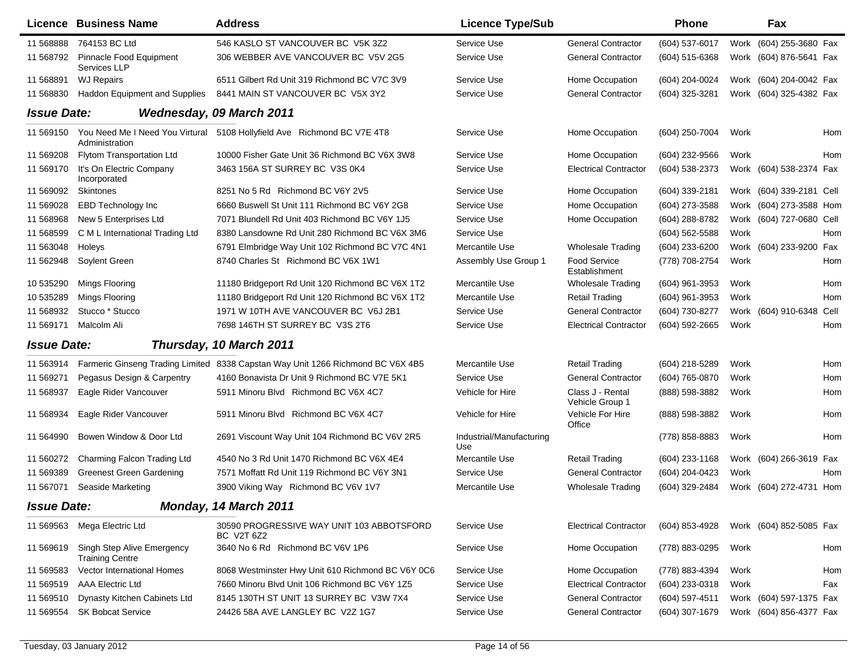|                    | <b>Licence Business Name</b>                         | <b>Address</b>                                                                  | <b>Licence Type/Sub</b>         |                                      | <b>Phone</b>     |      | Fax                      |     |
|--------------------|------------------------------------------------------|---------------------------------------------------------------------------------|---------------------------------|--------------------------------------|------------------|------|--------------------------|-----|
| 11 568888          | 764153 BC Ltd                                        | 546 KASLO ST VANCOUVER BC V5K 3Z2                                               | Service Use                     | <b>General Contractor</b>            | (604) 537-6017   |      | Work (604) 255-3680 Fax  |     |
| 11 568792          | Pinnacle Food Equipment<br>Services LLP              | 306 WEBBER AVE VANCOUVER BC V5V 2G5                                             | Service Use                     | <b>General Contractor</b>            | (604) 515-6368   |      | Work (604) 876-5641 Fax  |     |
| 11 568891          | <b>WJ Repairs</b>                                    | 6511 Gilbert Rd Unit 319 Richmond BC V7C 3V9                                    | Service Use                     | Home Occupation                      | (604) 204-0024   |      | Work (604) 204-0042 Fax  |     |
| 11 568830          | Haddon Equipment and Supplies                        | 8441 MAIN ST VANCOUVER BC V5X 3Y2                                               | Service Use                     | <b>General Contractor</b>            | (604) 325-3281   |      | Work (604) 325-4382 Fax  |     |
| <b>Issue Date:</b> |                                                      | Wednesday, 09 March 2011                                                        |                                 |                                      |                  |      |                          |     |
| 11 569150          | Administration                                       | You Need Me I Need You Virtural 5108 Hollyfield Ave Richmond BC V7E 4T8         | Service Use                     | Home Occupation                      | (604) 250-7004   | Work |                          | Hom |
| 11 569208          | Flytom Transportation Ltd                            | 10000 Fisher Gate Unit 36 Richmond BC V6X 3W8                                   | Service Use                     | Home Occupation                      | (604) 232-9566   | Work |                          | Hom |
| 11 569170          | It's On Electric Company<br>Incorporated             | 3463 156A ST SURREY BC V3S 0K4                                                  | Service Use                     | <b>Electrical Contractor</b>         | (604) 538-2373   |      | Work (604) 538-2374 Fax  |     |
| 11 569092          | Skintones                                            | 8251 No 5 Rd Richmond BC V6Y 2V5                                                | Service Use                     | Home Occupation                      | (604) 339-2181   |      | Work (604) 339-2181 Cell |     |
| 11 569028          | <b>EBD Technology Inc</b>                            | 6660 Buswell St Unit 111 Richmond BC V6Y 2G8                                    | Service Use                     | Home Occupation                      | (604) 273-3588   |      | Work (604) 273-3588 Hom  |     |
| 11 568968          | New 5 Enterprises Ltd                                | 7071 Blundell Rd Unit 403 Richmond BC V6Y 1J5                                   | Service Use                     | Home Occupation                      | (604) 288-8782   |      | Work (604) 727-0680 Cell |     |
| 11 568599          | C M L International Trading Ltd                      | 8380 Lansdowne Rd Unit 280 Richmond BC V6X 3M6                                  | Service Use                     |                                      | (604) 562-5588   | Work |                          | Hom |
| 11 563048          | Holeys                                               | 6791 Elmbridge Way Unit 102 Richmond BC V7C 4N1                                 | Mercantile Use                  | <b>Wholesale Trading</b>             | (604) 233-6200   |      | Work (604) 233-9200 Fax  |     |
| 11 562948          | Soylent Green                                        | 8740 Charles St Richmond BC V6X 1W1                                             | Assembly Use Group 1            | <b>Food Service</b><br>Establishment | (778) 708-2754   | Work |                          | Hom |
| 10 535290          | Mings Flooring                                       | 11180 Bridgeport Rd Unit 120 Richmond BC V6X 1T2                                | Mercantile Use                  | <b>Wholesale Trading</b>             | $(604)$ 961-3953 | Work |                          | Hom |
| 10 535289          | Mings Flooring                                       | 11180 Bridgeport Rd Unit 120 Richmond BC V6X 1T2                                | Mercantile Use                  | <b>Retail Trading</b>                | (604) 961-3953   | Work |                          | Hom |
| 11 568932          | Stucco * Stucco                                      | 1971 W 10TH AVE VANCOUVER BC V6J 2B1                                            | Service Use                     | <b>General Contractor</b>            | (604) 730-8277   |      | Work (604) 910-6348 Cell |     |
| 11 569171          | Malcolm Ali                                          | 7698 146TH ST SURREY BC V3S 2T6                                                 | Service Use                     | <b>Electrical Contractor</b>         | (604) 592-2665   | Work |                          | Hom |
| <b>Issue Date:</b> |                                                      | Thursday, 10 March 2011                                                         |                                 |                                      |                  |      |                          |     |
| 11 563914          |                                                      | Farmeric Ginseng Trading Limited 8338 Capstan Way Unit 1266 Richmond BC V6X 4B5 | Mercantile Use                  | <b>Retail Trading</b>                | (604) 218-5289   | Work |                          | Hom |
| 11 569271          | Pegasus Design & Carpentry                           | 4160 Bonavista Dr Unit 9 Richmond BC V7E 5K1                                    | Service Use                     | <b>General Contractor</b>            | (604) 765-0870   | Work |                          | Hom |
| 11 568937          | Eagle Rider Vancouver                                | 5911 Minoru Blvd Richmond BC V6X 4C7                                            | Vehicle for Hire                | Class J - Rental<br>Vehicle Group 1  | (888) 598-3882   | Work |                          | Hom |
| 11 568934          | Eagle Rider Vancouver                                | 5911 Minoru Blvd Richmond BC V6X 4C7                                            | Vehicle for Hire                | Vehicle For Hire<br>Office           | (888) 598-3882   | Work |                          | Hom |
| 11 564990          | Bowen Window & Door Ltd                              | 2691 Viscount Way Unit 104 Richmond BC V6V 2R5                                  | Industrial/Manufacturing<br>Use |                                      | (778) 858-8883   | Work |                          | Hom |
| 11 560272          | Charming Falcon Trading Ltd                          | 4540 No 3 Rd Unit 1470 Richmond BC V6X 4E4                                      | Mercantile Use                  | <b>Retail Trading</b>                | (604) 233-1168   |      | Work (604) 266-3619 Fax  |     |
| 11 569389          | <b>Greenest Green Gardening</b>                      | 7571 Moffatt Rd Unit 119 Richmond BC V6Y 3N1                                    | Service Use                     | <b>General Contractor</b>            | (604) 204-0423   | Work |                          | Hom |
| 11 567071          | Seaside Marketing                                    | 3900 Viking Way Richmond BC V6V 1V7                                             | Mercantile Use                  | <b>Wholesale Trading</b>             | (604) 329-2484   | Work | (604) 272-4731 Hom       |     |
| <b>Issue Date:</b> |                                                      | Monday, 14 March 2011                                                           |                                 |                                      |                  |      |                          |     |
| 11 569563          | Mega Electric Ltd                                    | 30590 PROGRESSIVE WAY UNIT 103 ABBOTSFORD<br><b>BC V2T 6Z2</b>                  | Service Use                     | <b>Electrical Contractor</b>         | (604) 853-4928   |      | Work (604) 852-5085 Fax  |     |
| 11 569619          | Singh Step Alive Emergency<br><b>Training Centre</b> | 3640 No 6 Rd Richmond BC V6V 1P6                                                | Service Use                     | Home Occupation                      | (778) 883-0295   | Work |                          | Hom |
| 11 569583          | Vector International Homes                           | 8068 Westminster Hwy Unit 610 Richmond BC V6Y 0C6                               | Service Use                     | Home Occupation                      | (778) 883-4394   | Work |                          | Hom |
| 11 569519          | <b>AAA Electric Ltd</b>                              | 7660 Minoru Blvd Unit 106 Richmond BC V6Y 1Z5                                   | Service Use                     | <b>Electrical Contractor</b>         | (604) 233-0318   | Work |                          | Fax |
| 11 569510          | Dynasty Kitchen Cabinets Ltd                         | 8145 130TH ST UNIT 13 SURREY BC V3W 7X4                                         | Service Use                     | <b>General Contractor</b>            | (604) 597-4511   |      | Work (604) 597-1375 Fax  |     |
| 11 569554          | <b>SK Bobcat Service</b>                             | 24426 58A AVE LANGLEY BC V2Z 1G7                                                | Service Use                     | <b>General Contractor</b>            | (604) 307-1679   |      | Work (604) 856-4377 Fax  |     |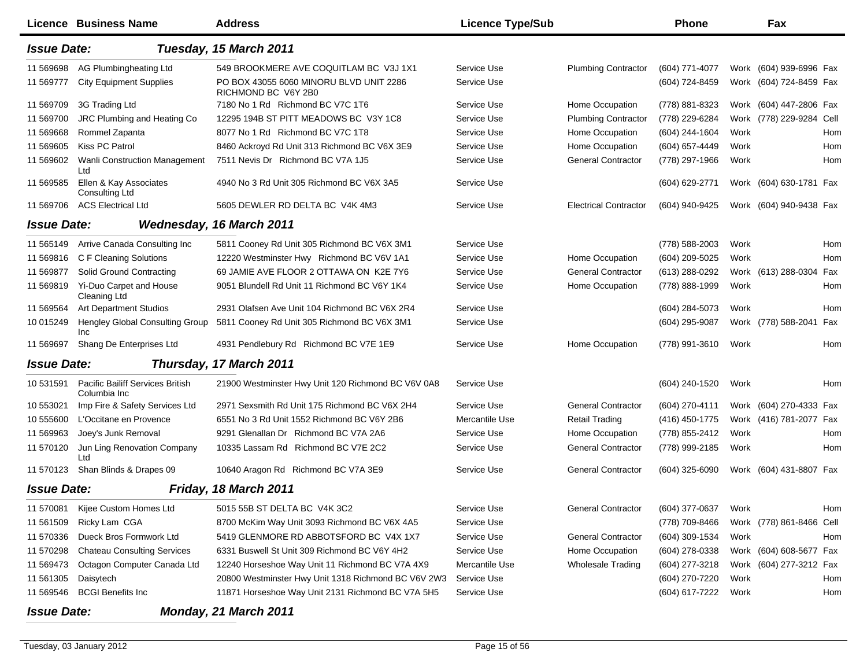|                    | Licence Business Name                            | <b>Address</b>                                                 | <b>Licence Type/Sub</b> |                              | <b>Phone</b>   |      | Fax                      |            |
|--------------------|--------------------------------------------------|----------------------------------------------------------------|-------------------------|------------------------------|----------------|------|--------------------------|------------|
| <b>Issue Date:</b> |                                                  | Tuesday, 15 March 2011                                         |                         |                              |                |      |                          |            |
| 11 569698          | AG Plumbingheating Ltd                           | 549 BROOKMERE AVE COQUITLAM BC V3J 1X1                         | Service Use             | <b>Plumbing Contractor</b>   | (604) 771-4077 |      | Work (604) 939-6996 Fax  |            |
| 11 569777          | <b>City Equipment Supplies</b>                   | PO BOX 43055 6060 MINORU BLVD UNIT 2286<br>RICHMOND BC V6Y 2B0 | Service Use             |                              | (604) 724-8459 | Work | (604) 724-8459 Fax       |            |
| 11 569709          | 3G Trading Ltd                                   | 7180 No 1 Rd Richmond BC V7C 1T6                               | Service Use             | Home Occupation              | (778) 881-8323 | Work | (604) 447-2806 Fax       |            |
| 11 569700          | JRC Plumbing and Heating Co.                     | 12295 194B ST PITT MEADOWS BC V3Y 1C8                          | Service Use             | <b>Plumbing Contractor</b>   | (778) 229-6284 |      | Work (778) 229-9284 Cell |            |
| 11 569668          | Rommel Zapanta                                   | 8077 No 1 Rd Richmond BC V7C 1T8                               | Service Use             | Home Occupation              | (604) 244-1604 | Work |                          | Hom        |
| 11 569605          | <b>Kiss PC Patrol</b>                            | 8460 Ackroyd Rd Unit 313 Richmond BC V6X 3E9                   | Service Use             | Home Occupation              | (604) 657-4449 | Work |                          | Hom        |
| 11 569602          | Wanli Construction Management<br>Ltd             | 7511 Nevis Dr Richmond BC V7A 1J5                              | Service Use             | <b>General Contractor</b>    | (778) 297-1966 | Work |                          | <b>Hom</b> |
| 11 569585          | Ellen & Kay Associates<br><b>Consulting Ltd</b>  | 4940 No 3 Rd Unit 305 Richmond BC V6X 3A5                      | Service Use             |                              | (604) 629-2771 |      | Work (604) 630-1781 Fax  |            |
| 11 569706          | <b>ACS Electrical Ltd</b>                        | 5605 DEWLER RD DELTA BC V4K 4M3                                | Service Use             | <b>Electrical Contractor</b> | (604) 940-9425 |      | Work (604) 940-9438 Fax  |            |
| <b>Issue Date:</b> |                                                  | Wednesday, 16 March 2011                                       |                         |                              |                |      |                          |            |
| 11 565149          | Arrive Canada Consulting Inc                     | 5811 Cooney Rd Unit 305 Richmond BC V6X 3M1                    | Service Use             |                              | (778) 588-2003 | Work |                          | Hom        |
| 11 569816          | C F Cleaning Solutions                           | 12220 Westminster Hwy Richmond BC V6V 1A1                      | Service Use             | Home Occupation              | (604) 209-5025 | Work |                          | Hom        |
| 11 569877          | Solid Ground Contracting                         | 69 JAMIE AVE FLOOR 2 OTTAWA ON K2E 7Y6                         | Service Use             | <b>General Contractor</b>    | (613) 288-0292 |      | Work (613) 288-0304      | Fax        |
| 11 569819          | Yi-Duo Carpet and House<br><b>Cleaning Ltd</b>   | 9051 Blundell Rd Unit 11 Richmond BC V6Y 1K4                   | Service Use             | Home Occupation              | (778) 888-1999 | Work |                          | Hom        |
| 11 569564          | <b>Art Department Studios</b>                    | 2931 Olafsen Ave Unit 104 Richmond BC V6X 2R4                  | Service Use             |                              | (604) 284-5073 | Work |                          | Hom        |
| 10 015249          | Hengley Global Consulting Group<br>Inc           | 5811 Cooney Rd Unit 305 Richmond BC V6X 3M1                    | Service Use             |                              | (604) 295-9087 |      | Work (778) 588-2041      | Fax        |
| 11 569697          | Shang De Enterprises Ltd                         | 4931 Pendlebury Rd Richmond BC V7E 1E9                         | Service Use             | Home Occupation              | (778) 991-3610 | Work |                          | Hom        |
| <b>Issue Date:</b> |                                                  | Thursday, 17 March 2011                                        |                         |                              |                |      |                          |            |
| 10 531591          | Pacific Bailiff Services British<br>Columbia Inc | 21900 Westminster Hwy Unit 120 Richmond BC V6V 0A8             | Service Use             |                              | (604) 240-1520 | Work |                          | Hom        |
| 10 553021          | Imp Fire & Safety Services Ltd                   | 2971 Sexsmith Rd Unit 175 Richmond BC V6X 2H4                  | Service Use             | <b>General Contractor</b>    | (604) 270-4111 |      | Work (604) 270-4333 Fax  |            |
| 10 555600          | L'Occitane en Provence                           | 6551 No 3 Rd Unit 1552 Richmond BC V6Y 2B6                     | Mercantile Use          | <b>Retail Trading</b>        | (416) 450-1775 |      | Work (416) 781-2077 Fax  |            |
| 11 569963          | Joey's Junk Removal                              | 9291 Glenallan Dr Richmond BC V7A 2A6                          | Service Use             | Home Occupation              | (778) 855-2412 | Work |                          | Hom        |
| 11 570120          | Jun Ling Renovation Company<br>Ltd               | 10335 Lassam Rd Richmond BC V7E 2C2                            | Service Use             | <b>General Contractor</b>    | (778) 999-2185 | Work |                          | Hom        |
| 11 570123          | Shan Blinds & Drapes 09                          | 10640 Aragon Rd Richmond BC V7A 3E9                            | Service Use             | <b>General Contractor</b>    | (604) 325-6090 |      | Work (604) 431-8807 Fax  |            |
| <b>Issue Date:</b> |                                                  | Friday, 18 March 2011                                          |                         |                              |                |      |                          |            |
| 11 570081          | Kijee Custom Homes Ltd                           | 5015 55B ST DELTA BC V4K 3C2                                   | Service Use             | <b>General Contractor</b>    | (604) 377-0637 | Work |                          | Hom        |
| 11 561509          | Ricky Lam CGA                                    | 8700 McKim Way Unit 3093 Richmond BC V6X 4A5                   | Service Use             |                              | (778) 709-8466 |      | Work (778) 861-8466 Cell |            |
| 11 570336          | Dueck Bros Formwork Ltd                          | 5419 GLENMORE RD ABBOTSFORD BC V4X 1X7                         | Service Use             | <b>General Contractor</b>    | (604) 309-1534 | Work |                          | Hom        |
| 11 570298          | <b>Chateau Consulting Services</b>               | 6331 Buswell St Unit 309 Richmond BC V6Y 4H2                   | Service Use             | Home Occupation              | (604) 278-0338 |      | Work (604) 608-5677 Fax  |            |
| 11 569473          | Octagon Computer Canada Ltd                      | 12240 Horseshoe Way Unit 11 Richmond BC V7A 4X9                | Mercantile Use          | <b>Wholesale Trading</b>     | (604) 277-3218 |      | Work (604) 277-3212 Fax  |            |
| 11 561305          | Daisytech                                        | 20800 Westminster Hwy Unit 1318 Richmond BC V6V 2W3            | Service Use             |                              | (604) 270-7220 | Work |                          | Hom        |
| 11 569546          | <b>BCGI Benefits Inc</b>                         | 11871 Horseshoe Way Unit 2131 Richmond BC V7A 5H5              | Service Use             |                              | (604) 617-7222 | Work |                          | Hom        |
| <b>Issue Date:</b> |                                                  | Monday, 21 March 2011                                          |                         |                              |                |      |                          |            |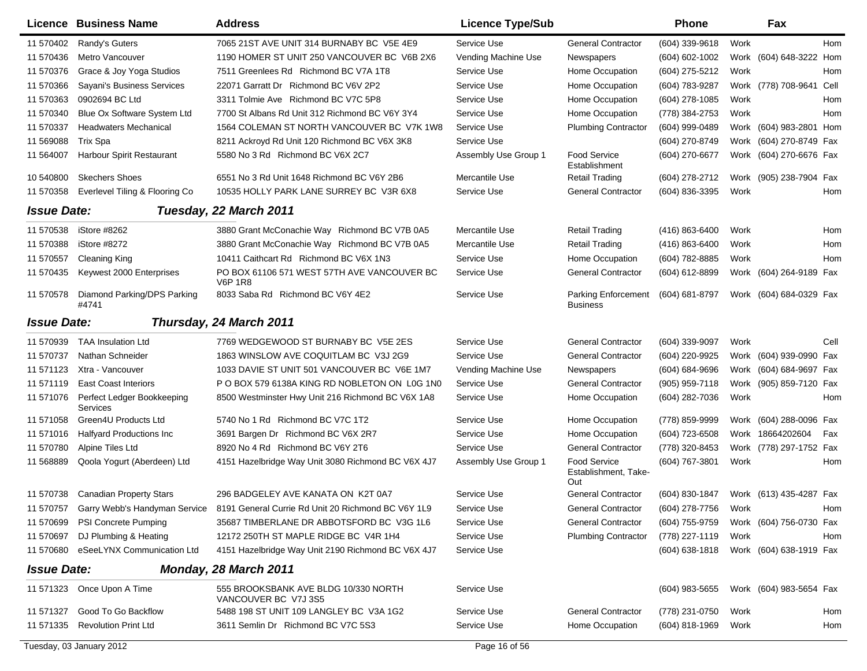|                    | Licence Business Name                  | <b>Address</b>                                                | <b>Licence Type/Sub</b> |                                                    | <b>Phone</b>       |      | Fax                     |      |
|--------------------|----------------------------------------|---------------------------------------------------------------|-------------------------|----------------------------------------------------|--------------------|------|-------------------------|------|
| 11 570402          | Randy's Guters                         | 7065 21ST AVE UNIT 314 BURNABY BC V5E 4E9                     | Service Use             | <b>General Contractor</b>                          | (604) 339-9618     | Work |                         | Hom  |
| 11 570436          | Metro Vancouver                        | 1190 HOMER ST UNIT 250 VANCOUVER BC V6B 2X6                   | Vending Machine Use     | Newspapers                                         | (604) 602-1002     | Work | (604) 648-3222 Hom      |      |
| 11 570376          | Grace & Joy Yoga Studios               | 7511 Greenlees Rd Richmond BC V7A 1T8                         | Service Use             | Home Occupation                                    | (604) 275-5212     | Work |                         | Hom  |
| 11 570366          | Sayani's Business Services             | 22071 Garratt Dr Richmond BC V6V 2P2                          | Service Use             | Home Occupation                                    | (604) 783-9287     |      | Work (778) 708-9641     | Cell |
| 11 570363          | 0902694 BC Ltd                         | 3311 Tolmie Ave Richmond BC V7C 5P8                           | Service Use             | Home Occupation                                    | (604) 278-1085     | Work |                         | Hom  |
| 11 570340          | Blue Ox Software System Ltd            | 7700 St Albans Rd Unit 312 Richmond BC V6Y 3Y4                | Service Use             | Home Occupation                                    | (778) 384-2753     | Work |                         | Hom  |
| 11 570337          | <b>Headwaters Mechanical</b>           | 1564 COLEMAN ST NORTH VANCOUVER BC V7K 1W8                    | Service Use             | <b>Plumbing Contractor</b>                         | (604) 999-0489     |      | Work (604) 983-2801 Hom |      |
| 11 569088          | <b>Trix Spa</b>                        | 8211 Ackroyd Rd Unit 120 Richmond BC V6X 3K8                  | Service Use             |                                                    | (604) 270-8749     |      | Work (604) 270-8749 Fax |      |
| 11 564007          | Harbour Spirit Restaurant              | 5580 No 3 Rd Richmond BC V6X 2C7                              | Assembly Use Group 1    | <b>Food Service</b><br>Establishment               | (604) 270-6677     |      | Work (604) 270-6676 Fax |      |
| 10 540800          | <b>Skechers Shoes</b>                  | 6551 No 3 Rd Unit 1648 Richmond BC V6Y 2B6                    | Mercantile Use          | Retail Trading                                     | (604) 278-2712     |      | Work (905) 238-7904 Fax |      |
| 11 570358          | Everlevel Tiling & Flooring Co         | 10535 HOLLY PARK LANE SURREY BC V3R 6X8                       | Service Use             | <b>General Contractor</b>                          | (604) 836-3395     | Work |                         | Hom  |
| <b>Issue Date:</b> |                                        | Tuesday, 22 March 2011                                        |                         |                                                    |                    |      |                         |      |
| 11 570538          | iStore #8262                           | 3880 Grant McConachie Way Richmond BC V7B 0A5                 | Mercantile Use          | <b>Retail Trading</b>                              | (416) 863-6400     | Work |                         | Hom  |
| 11 570388          | iStore #8272                           | 3880 Grant McConachie Way Richmond BC V7B 0A5                 | Mercantile Use          | <b>Retail Trading</b>                              | (416) 863-6400     | Work |                         | Hom  |
| 11 570557          | Cleaning King                          | 10411 Caithcart Rd Richmond BC V6X 1N3                        | Service Use             | Home Occupation                                    | (604) 782-8885     | Work |                         | Hom  |
| 11 570435          | Keywest 2000 Enterprises               | PO BOX 61106 571 WEST 57TH AVE VANCOUVER BC<br><b>V6P 1R8</b> | Service Use             | <b>General Contractor</b>                          | (604) 612-8899     |      | Work (604) 264-9189 Fax |      |
| 11 570578          | Diamond Parking/DPS Parking<br>#4741   | 8033 Saba Rd Richmond BC V6Y 4E2                              | Service Use             | <b>Parking Enforcement</b><br><b>Business</b>      | $(604) 681 - 8797$ |      | Work (604) 684-0329 Fax |      |
| <b>Issue Date:</b> |                                        | Thursday, 24 March 2011                                       |                         |                                                    |                    |      |                         |      |
| 11 570939          | <b>TAA Insulation Ltd</b>              | 7769 WEDGEWOOD ST BURNABY BC V5E 2ES                          | Service Use             | <b>General Contractor</b>                          | (604) 339-9097     | Work |                         | Cell |
| 11 570737          | Nathan Schneider                       | 1863 WINSLOW AVE COQUITLAM BC V3J 2G9                         | Service Use             | <b>General Contractor</b>                          | (604) 220-9925     |      | Work (604) 939-0990 Fax |      |
| 11 571123          | Xtra - Vancouver                       | 1033 DAVIE ST UNIT 501 VANCOUVER BC V6E 1M7                   | Vending Machine Use     | Newspapers                                         | (604) 684-9696     | Work | (604) 684-9697 Fax      |      |
| 11 571119          | <b>East Coast Interiors</b>            | P O BOX 579 6138A KING RD NOBLETON ON LOG 1NO                 | Service Use             | <b>General Contractor</b>                          | (905) 959-7118     | Work | (905) 859-7120 Fax      |      |
| 11 571076          | Perfect Ledger Bookkeeping<br>Services | 8500 Westminster Hwy Unit 216 Richmond BC V6X 1A8             | Service Use             | Home Occupation                                    | (604) 282-7036     | Work |                         | Hom  |
| 11 571058          | Green4U Products Ltd                   | 5740 No 1 Rd Richmond BC V7C 1T2                              | Service Use             | Home Occupation                                    | (778) 859-9999     | Work | (604) 288-0096 Fax      |      |
| 11 571016          | <b>Halfyard Productions Inc</b>        | 3691 Bargen Dr Richmond BC V6X 2R7                            | Service Use             | Home Occupation                                    | (604) 723-6508     |      | Work 18664202604        | Fax  |
| 11 570780          | Alpine Tiles Ltd                       | 8920 No 4 Rd Richmond BC V6Y 2T6                              | Service Use             | <b>General Contractor</b>                          | (778) 320-8453     |      | Work (778) 297-1752 Fax |      |
| 11 568889          | Qoola Yogurt (Aberdeen) Ltd            | 4151 Hazelbridge Way Unit 3080 Richmond BC V6X 4J7            | Assembly Use Group 1    | <b>Food Service</b><br>Establishment, Take-<br>Out | (604) 767-3801     | Work |                         | Hom  |
|                    | 11 570738 Canadian Property Stars      | 296 BADGELEY AVE KANATA ON K2T 0A7                            | Service Use             | <b>General Contractor</b>                          | (604) 830-1847     |      | Work (613) 435-4287 Fax |      |
| 11 570757          | Garry Webb's Handyman Service          | 8191 General Currie Rd Unit 20 Richmond BC V6Y 1L9            | Service Use             | <b>General Contractor</b>                          | (604) 278-7756     | Work |                         | Hom  |
| 11 570699          | PSI Concrete Pumping                   | 35687 TIMBERLANE DR ABBOTSFORD BC V3G 1L6                     | Service Use             | <b>General Contractor</b>                          | (604) 755-9759     |      | Work (604) 756-0730 Fax |      |
| 11 570697          | DJ Plumbing & Heating                  | 12172 250TH ST MAPLE RIDGE BC V4R 1H4                         | Service Use             | <b>Plumbing Contractor</b>                         | (778) 227-1119     | Work |                         | Hom  |
| 11 570680          | eSeeLYNX Communication Ltd             | 4151 Hazelbridge Way Unit 2190 Richmond BC V6X 4J7            | Service Use             |                                                    | $(604)$ 638-1818   |      | Work (604) 638-1919 Fax |      |
| <b>Issue Date:</b> |                                        | Monday, 28 March 2011                                         |                         |                                                    |                    |      |                         |      |
| 11 571323          | Once Upon A Time                       | 555 BROOKSBANK AVE BLDG 10/330 NORTH<br>VANCOUVER BC V7J 3S5  | Service Use             |                                                    | $(604)$ 983-5655   |      | Work (604) 983-5654 Fax |      |
| 11 571327          | Good To Go Backflow                    | 5488 198 ST UNIT 109 LANGLEY BC V3A 1G2                       | Service Use             | <b>General Contractor</b>                          | (778) 231-0750     | Work |                         | Hom  |
| 11 571335          | <b>Revolution Print Ltd</b>            | 3611 Semlin Dr Richmond BC V7C 5S3                            | Service Use             | Home Occupation                                    | (604) 818-1969     | Work |                         | Hom  |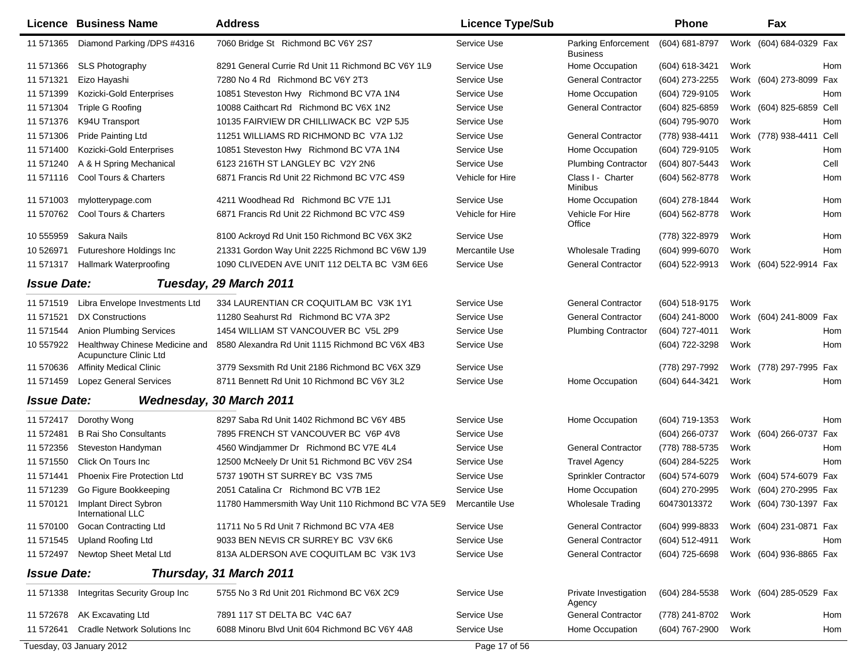|                    | <b>Licence Business Name</b>                             | <b>Address</b>                                     | <b>Licence Type/Sub</b> |                                               | <b>Phone</b>     |      | Fax                      |      |
|--------------------|----------------------------------------------------------|----------------------------------------------------|-------------------------|-----------------------------------------------|------------------|------|--------------------------|------|
| 11 571365          | Diamond Parking /DPS #4316                               | 7060 Bridge St Richmond BC V6Y 2S7                 | Service Use             | <b>Parking Enforcement</b><br><b>Business</b> | (604) 681-8797   |      | Work (604) 684-0329 Fax  |      |
| 11 571366          | <b>SLS Photography</b>                                   | 8291 General Currie Rd Unit 11 Richmond BC V6Y 1L9 | Service Use             | Home Occupation                               | (604) 618-3421   | Work |                          | Hom  |
| 11 571321          | Eizo Hayashi                                             | 7280 No 4 Rd Richmond BC V6Y 2T3                   | Service Use             | <b>General Contractor</b>                     | (604) 273-2255   |      | Work (604) 273-8099      | Fax  |
| 11 571399          | Kozicki-Gold Enterprises                                 | 10851 Steveston Hwy Richmond BC V7A 1N4            | Service Use             | Home Occupation                               | (604) 729-9105   | Work |                          | Hom  |
| 11 571304          | <b>Triple G Roofing</b>                                  | 10088 Caithcart Rd Richmond BC V6X 1N2             | Service Use             | <b>General Contractor</b>                     | (604) 825-6859   |      | Work (604) 825-6859 Cell |      |
| 11 571376          | K94U Transport                                           | 10135 FAIRVIEW DR CHILLIWACK BC V2P 5J5            | Service Use             |                                               | (604) 795-9070   | Work |                          | Hom  |
| 11 571306          | Pride Painting Ltd                                       | 11251 WILLIAMS RD RICHMOND BC V7A 1J2              | Service Use             | <b>General Contractor</b>                     | (778) 938-4411   |      | Work (778) 938-4411      | Cell |
| 11 571400          | Kozicki-Gold Enterprises                                 | 10851 Steveston Hwy Richmond BC V7A 1N4            | Service Use             | Home Occupation                               | (604) 729-9105   | Work |                          | Hom  |
| 11 571240          | A & H Spring Mechanical                                  | 6123 216TH ST LANGLEY BC V2Y 2N6                   | Service Use             | <b>Plumbing Contractor</b>                    | (604) 807-5443   | Work |                          | Cell |
| 11 571116          | Cool Tours & Charters                                    | 6871 Francis Rd Unit 22 Richmond BC V7C 4S9        | Vehicle for Hire        | Class I - Charter<br>Minibus                  | (604) 562-8778   | Work |                          | Hom  |
| 11 571003          | mylotterypage.com                                        | 4211 Woodhead Rd Richmond BC V7E 1J1               | Service Use             | Home Occupation                               | (604) 278-1844   | Work |                          | Hom  |
| 11 570762          | Cool Tours & Charters                                    | 6871 Francis Rd Unit 22 Richmond BC V7C 4S9        | Vehicle for Hire        | Vehicle For Hire<br>Office                    | $(604)$ 562-8778 | Work |                          | Hom  |
| 10 555959          | Sakura Nails                                             | 8100 Ackroyd Rd Unit 150 Richmond BC V6X 3K2       | Service Use             |                                               | (778) 322-8979   | Work |                          | Hom  |
| 10 526971          | Futureshore Holdings Inc                                 | 21331 Gordon Way Unit 2225 Richmond BC V6W 1J9     | Mercantile Use          | <b>Wholesale Trading</b>                      | (604) 999-6070   | Work |                          | Hom  |
| 11 571317          | Hallmark Waterproofing                                   | 1090 CLIVEDEN AVE UNIT 112 DELTA BC V3M 6E6        | Service Use             | <b>General Contractor</b>                     | (604) 522-9913   |      | Work (604) 522-9914 Fax  |      |
| <b>Issue Date:</b> |                                                          | Tuesday, 29 March 2011                             |                         |                                               |                  |      |                          |      |
| 11 571519          | Libra Envelope Investments Ltd                           | 334 LAURENTIAN CR COQUITLAM BC V3K 1Y1             | Service Use             | <b>General Contractor</b>                     | (604) 518-9175   | Work |                          |      |
| 11 571521          | DX Constructions                                         | 11280 Seahurst Rd Richmond BC V7A 3P2              | Service Use             | <b>General Contractor</b>                     | (604) 241-8000   |      | Work (604) 241-8009 Fax  |      |
| 11 571 544         | <b>Anion Plumbing Services</b>                           | 1454 WILLIAM ST VANCOUVER BC V5L 2P9               | Service Use             | <b>Plumbing Contractor</b>                    | (604) 727-4011   | Work |                          | Hom  |
| 10 557922          | Healthway Chinese Medicine and<br>Acupuncture Clinic Ltd | 8580 Alexandra Rd Unit 1115 Richmond BC V6X 4B3    | Service Use             |                                               | (604) 722-3298   | Work |                          | Hom  |
| 11 570636          | <b>Affinity Medical Clinic</b>                           | 3779 Sexsmith Rd Unit 2186 Richmond BC V6X 3Z9     | Service Use             |                                               | (778) 297-7992   |      | Work (778) 297-7995 Fax  |      |
| 11 571459          | <b>Lopez General Services</b>                            | 8711 Bennett Rd Unit 10 Richmond BC V6Y 3L2        | Service Use             | Home Occupation                               | (604) 644-3421   | Work |                          | Hom  |
| <b>Issue Date:</b> |                                                          | Wednesday, 30 March 2011                           |                         |                                               |                  |      |                          |      |
| 11 572417          | Dorothy Wong                                             | 8297 Saba Rd Unit 1402 Richmond BC V6Y 4B5         | Service Use             | Home Occupation                               | (604) 719-1353   | Work |                          | Hom  |
| 11 572481          | <b>B Rai Sho Consultants</b>                             | 7895 FRENCH ST VANCOUVER BC V6P 4V8                | Service Use             |                                               | (604) 266-0737   |      | Work (604) 266-0737      | Fax  |
| 11 572356          | Steveston Handyman                                       | 4560 Windjammer Dr Richmond BC V7E 4L4             | Service Use             | <b>General Contractor</b>                     | (778) 788-5735   | Work |                          | Hom  |
| 11 571550          | Click On Tours Inc                                       | 12500 McNeely Dr Unit 51 Richmond BC V6V 2S4       | Service Use             | <b>Travel Agency</b>                          | (604) 284-5225   | Work |                          | Hom  |
| 11 571441          | Phoenix Fire Protection Ltd                              | 5737 190TH ST SURREY BC V3S 7M5                    | Service Use             | <b>Sprinkler Contractor</b>                   | (604) 574-6079   | Work | (604) 574-6079 Fax       |      |
| 11 571 239         | Go Figure Bookkeeping                                    | 2051 Catalina Cr Richmond BC V7B 1E2               | Service Use             | Home Occupation                               | (604) 270-2995   |      | Work (604) 270-2995 Fax  |      |
| 11 570121          | Implant Direct Sybron<br>International LLC               | 11780 Hammersmith Way Unit 110 Richmond BC V7A 5E9 | Mercantile Use          | Wholesale Trading                             | 60473013372      |      | Work (604) 730-1397 Fax  |      |
| 11 570100          | Gocan Contracting Ltd                                    | 11711 No 5 Rd Unit 7 Richmond BC V7A 4E8           | Service Use             | <b>General Contractor</b>                     | $(604)$ 999-8833 |      | Work (604) 231-0871 Fax  |      |
| 11 571 545         | <b>Upland Roofing Ltd</b>                                | 9033 BEN NEVIS CR SURREY BC V3V 6K6                | Service Use             | <b>General Contractor</b>                     | (604) 512-4911   | Work |                          | Hom  |
| 11 572497          | Newtop Sheet Metal Ltd                                   | 813A ALDERSON AVE COQUITLAM BC V3K 1V3             | Service Use             | <b>General Contractor</b>                     | $(604)$ 725-6698 |      | Work (604) 936-8865 Fax  |      |
| <b>Issue Date:</b> |                                                          | Thursday, 31 March 2011                            |                         |                                               |                  |      |                          |      |
| 11 571338          | Integritas Security Group Inc                            | 5755 No 3 Rd Unit 201 Richmond BC V6X 2C9          | Service Use             | Private Investigation<br>Agency               | (604) 284-5538   |      | Work (604) 285-0529 Fax  |      |
| 11 572678          | AK Excavating Ltd                                        | 7891 117 ST DELTA BC V4C 6A7                       | Service Use             | <b>General Contractor</b>                     | (778) 241-8702   | Work |                          | Hom  |
| 11 572641          | Cradle Network Solutions Inc                             | 6088 Minoru Blvd Unit 604 Richmond BC V6Y 4A8      | Service Use             | Home Occupation                               | (604) 767-2900   | Work |                          | Hom  |
|                    | Tuesday, 03 January 2012                                 |                                                    | Page 17 of 56           |                                               |                  |      |                          |      |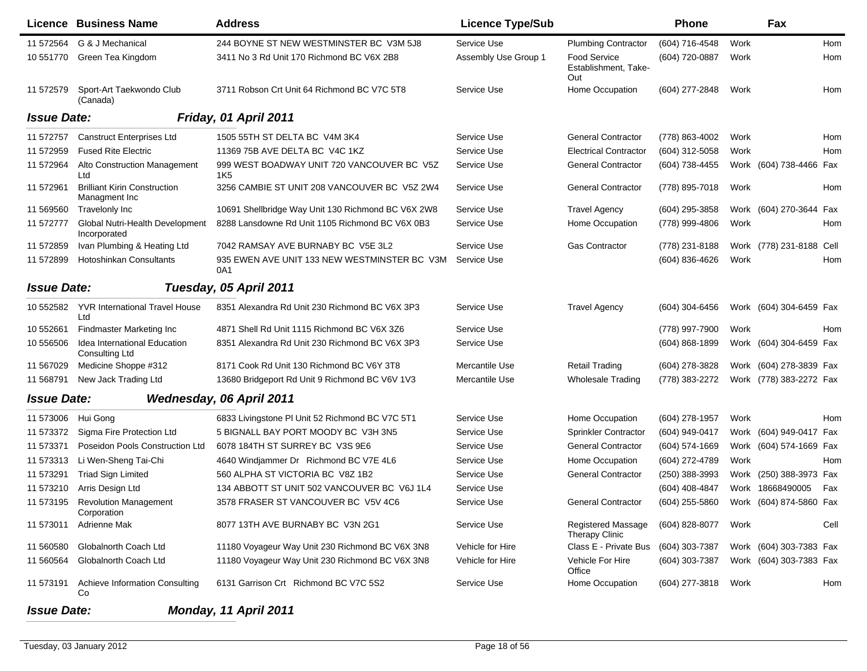|                    | <b>Licence Business Name</b>                          | <b>Address</b>                                      | <b>Licence Type/Sub</b> |                                                    | <b>Phone</b>       |      | Fax                     |      |
|--------------------|-------------------------------------------------------|-----------------------------------------------------|-------------------------|----------------------------------------------------|--------------------|------|-------------------------|------|
| 11 572564          | G & J Mechanical                                      | 244 BOYNE ST NEW WESTMINSTER BC V3M 5J8             | Service Use             | <b>Plumbing Contractor</b>                         | (604) 716-4548     | Work |                         | Hom  |
| 10 551770          | Green Tea Kingdom                                     | 3411 No 3 Rd Unit 170 Richmond BC V6X 2B8           | Assembly Use Group 1    | <b>Food Service</b><br>Establishment, Take-<br>Out | (604) 720-0887     | Work |                         | Hom  |
| 11 572579          | Sport-Art Taekwondo Club<br>(Canada)                  | 3711 Robson Crt Unit 64 Richmond BC V7C 5T8         | Service Use             | Home Occupation                                    | (604) 277-2848     | Work |                         | Hom  |
| <b>Issue Date:</b> |                                                       | Friday, 01 April 2011                               |                         |                                                    |                    |      |                         |      |
| 11 572757          | <b>Canstruct Enterprises Ltd</b>                      | 1505 55TH ST DELTA BC V4M 3K4                       | Service Use             | <b>General Contractor</b>                          | (778) 863-4002     | Work |                         | Hom  |
| 11 572959          | <b>Fused Rite Electric</b>                            | 11369 75B AVE DELTA BC V4C 1KZ                      | Service Use             | <b>Electrical Contractor</b>                       | (604) 312-5058     | Work |                         | Hom  |
| 11 572964          | Alto Construction Management<br>Ltd                   | 999 WEST BOADWAY UNIT 720 VANCOUVER BC V5Z<br>1K5   | Service Use             | <b>General Contractor</b>                          | (604) 738-4455     |      | Work (604) 738-4466 Fax |      |
| 11 572961          | <b>Brilliant Kirin Construction</b><br>Managment Inc  | 3256 CAMBIE ST UNIT 208 VANCOUVER BC V5Z 2W4        | Service Use             | <b>General Contractor</b>                          | (778) 895-7018     | Work |                         | Hom  |
| 11 569560          | <b>Travelonly Inc</b>                                 | 10691 Shellbridge Way Unit 130 Richmond BC V6X 2W8  | Service Use             | <b>Travel Agency</b>                               | (604) 295-3858     |      | Work (604) 270-3644     | Fax  |
| 11 572777          | Global Nutri-Health Development<br>Incorporated       | 8288 Lansdowne Rd Unit 1105 Richmond BC V6X 0B3     | Service Use             | Home Occupation                                    | (778) 999-4806     | Work |                         | Hom  |
| 11 572859          | Ivan Plumbing & Heating Ltd                           | 7042 RAMSAY AVE BURNABY BC V5E 3L2                  | Service Use             | <b>Gas Contractor</b>                              | (778) 231-8188     |      | Work (778) 231-8188     | Cell |
| 11 572899          | <b>Hotoshinkan Consultants</b>                        | 935 EWEN AVE UNIT 133 NEW WESTMINSTER BC V3M<br>0A1 | Service Use             |                                                    | (604) 836-4626     | Work |                         | Hom  |
| <b>Issue Date:</b> |                                                       | Tuesday, 05 April 2011                              |                         |                                                    |                    |      |                         |      |
| 10 552582          | <b>YVR International Travel House</b><br>Ltd          | 8351 Alexandra Rd Unit 230 Richmond BC V6X 3P3      | Service Use             | <b>Travel Agency</b>                               | (604) 304-6456     |      | Work (604) 304-6459 Fax |      |
| 10 552661          | <b>Findmaster Marketing Inc</b>                       | 4871 Shell Rd Unit 1115 Richmond BC V6X 3Z6         | Service Use             |                                                    | (778) 997-7900     | Work |                         | Hom  |
| 10 556506          | Idea International Education<br><b>Consulting Ltd</b> | 8351 Alexandra Rd Unit 230 Richmond BC V6X 3P3      | Service Use             |                                                    | $(604) 868 - 1899$ |      | Work (604) 304-6459 Fax |      |
| 11 567029          | Medicine Shoppe #312                                  | 8171 Cook Rd Unit 130 Richmond BC V6Y 3T8           | Mercantile Use          | <b>Retail Trading</b>                              | (604) 278-3828     |      | Work (604) 278-3839 Fax |      |
| 11 568791          | New Jack Trading Ltd                                  | 13680 Bridgeport Rd Unit 9 Richmond BC V6V 1V3      | Mercantile Use          | <b>Wholesale Trading</b>                           | (778) 383-2272     |      | Work (778) 383-2272 Fax |      |
| <b>Issue Date:</b> |                                                       | Wednesday, 06 April 2011                            |                         |                                                    |                    |      |                         |      |
| 11 573006          | Hui Gong                                              | 6833 Livingstone PI Unit 52 Richmond BC V7C 5T1     | Service Use             | Home Occupation                                    | (604) 278-1957     | Work |                         | Hom  |
| 11 573372          | Sigma Fire Protection Ltd                             | 5 BIGNALL BAY PORT MOODY BC V3H 3N5                 | Service Use             | Sprinkler Contractor                               | (604) 949-0417     |      | Work (604) 949-0417 Fax |      |
| 11 573371          | Poseidon Pools Construction Ltd                       | 6078 184TH ST SURREY BC V3S 9E6                     | Service Use             | <b>General Contractor</b>                          | (604) 574-1669     |      | Work (604) 574-1669 Fax |      |
| 11 573313          | Li Wen-Sheng Tai-Chi                                  | 4640 Windjammer Dr Richmond BC V7E 4L6              | Service Use             | Home Occupation                                    | (604) 272-4789     | Work |                         | Hom  |
| 11 573291          | <b>Triad Sign Limited</b>                             | 560 ALPHA ST VICTORIA BC V8Z 1B2                    | Service Use             | <b>General Contractor</b>                          | (250) 388-3993     | Work | (250) 388-3973 Fax      |      |
| 11 573210          | Arris Design Ltd                                      | 134 ABBOTT ST UNIT 502 VANCOUVER BC V6J 1L4         | Service Use             |                                                    | (604) 408-4847     |      | Work 18668490005        | Fax  |
| 11 573195          | <b>Revolution Management</b><br>Corporation           | 3578 FRASER ST VANCOUVER BC V5V 4C6                 | Service Use             | <b>General Contractor</b>                          | (604) 255-5860     |      | Work (604) 874-5860 Fax |      |
| 11 573011          | Adrienne Mak                                          | 8077 13TH AVE BURNABY BC V3N 2G1                    | Service Use             | <b>Registered Massage</b><br><b>Therapy Clinic</b> | (604) 828-8077     | Work |                         | Cell |
| 11 560580          | Globalnorth Coach Ltd                                 | 11180 Voyageur Way Unit 230 Richmond BC V6X 3N8     | Vehicle for Hire        | Class E - Private Bus                              | (604) 303-7387     |      | Work (604) 303-7383 Fax |      |
| 11 560564          | Globalnorth Coach Ltd                                 | 11180 Voyageur Way Unit 230 Richmond BC V6X 3N8     | Vehicle for Hire        | Vehicle For Hire<br>Office                         | (604) 303-7387     |      | Work (604) 303-7383 Fax |      |
| 11 573191          | Achieve Information Consulting<br>Co                  | 6131 Garrison Crt Richmond BC V7C 5S2               | Service Use             | Home Occupation                                    | (604) 277-3818     | Work |                         | Hom  |
| <b>Issue Date:</b> |                                                       | Monday, 11 April 2011                               |                         |                                                    |                    |      |                         |      |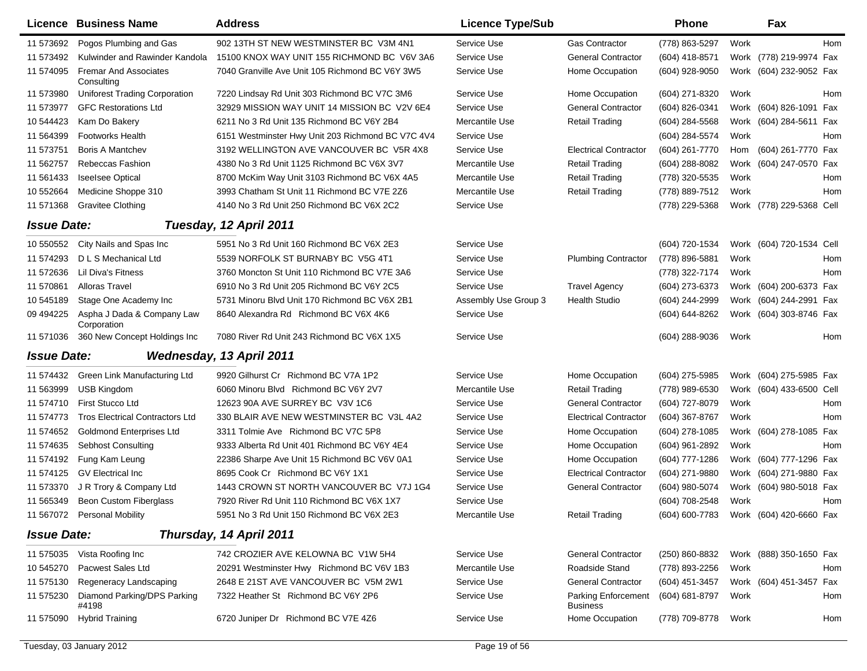|                    | <b>Licence Business Name</b>               | <b>Address</b>                                    | <b>Licence Type/Sub</b> |                                               | <b>Phone</b>        |      | Fax                                    |     |
|--------------------|--------------------------------------------|---------------------------------------------------|-------------------------|-----------------------------------------------|---------------------|------|----------------------------------------|-----|
| 11 573692          | Pogos Plumbing and Gas                     | 902 13TH ST NEW WESTMINSTER BC V3M 4N1            | Service Use             | <b>Gas Contractor</b>                         | (778) 863-5297      | Work |                                        | Hom |
| 11 573492          | Kulwinder and Rawinder Kandola             | 15100 KNOX WAY UNIT 155 RICHMOND BC V6V 3A6       | Service Use             | <b>General Contractor</b>                     | (604) 418-8571      |      | Work (778) 219-9974 Fax                |     |
| 11 574095          | <b>Fremar And Associates</b><br>Consulting | 7040 Granville Ave Unit 105 Richmond BC V6Y 3W5   | Service Use             | Home Occupation                               | (604) 928-9050      |      | Work (604) 232-9052 Fax                |     |
| 11 573980          | <b>Uniforest Trading Corporation</b>       | 7220 Lindsay Rd Unit 303 Richmond BC V7C 3M6      | Service Use             | Home Occupation                               | (604) 271-8320      | Work |                                        | Hom |
| 11 573977          | <b>GFC Restorations Ltd</b>                | 32929 MISSION WAY UNIT 14 MISSION BC V2V 6E4      | Service Use             | <b>General Contractor</b>                     | (604) 826-0341      |      | Work (604) 826-1091 Fax                |     |
| 10 544423          | Kam Do Bakery                              | 6211 No 3 Rd Unit 135 Richmond BC V6Y 2B4         | Mercantile Use          | <b>Retail Trading</b>                         | (604) 284-5568      |      | Work (604) 284-5611 Fax                |     |
| 11 564399          | <b>Footworks Health</b>                    | 6151 Westminster Hwy Unit 203 Richmond BC V7C 4V4 | Service Use             |                                               | (604) 284-5574      | Work |                                        | Hom |
| 11 573751          | <b>Boris A Mantchev</b>                    | 3192 WELLINGTON AVE VANCOUVER BC V5R 4X8          | Service Use             | <b>Electrical Contractor</b>                  | (604) 261-7770      | Hom  | (604) 261-7770 Fax                     |     |
| 11 562757          | <b>Rebeccas Fashion</b>                    | 4380 No 3 Rd Unit 1125 Richmond BC V6X 3V7        | Mercantile Use          | <b>Retail Trading</b>                         | (604) 288-8082      |      | Work (604) 247-0570 Fax                |     |
| 11 561433          | <b>Iseelsee Optical</b>                    | 8700 McKim Way Unit 3103 Richmond BC V6X 4A5      | Mercantile Use          | <b>Retail Trading</b>                         | (778) 320-5535      | Work |                                        | Hom |
| 10 552664          | Medicine Shoppe 310                        | 3993 Chatham St Unit 11 Richmond BC V7E 2Z6       | Mercantile Use          | <b>Retail Trading</b>                         | (778) 889-7512      | Work |                                        | Hom |
| 11 571368          | <b>Gravitee Clothing</b>                   | 4140 No 3 Rd Unit 250 Richmond BC V6X 2C2         | Service Use             |                                               | (778) 229-5368      |      | Work (778) 229-5368 Cell               |     |
| <b>Issue Date:</b> |                                            | Tuesday, 12 April 2011                            |                         |                                               |                     |      |                                        |     |
| 10 550552          | City Nails and Spas Inc                    | 5951 No 3 Rd Unit 160 Richmond BC V6X 2E3         | Service Use             |                                               | (604) 720-1534      |      | Work (604) 720-1534 Cell               |     |
| 11 574293          | D L S Mechanical Ltd                       | 5539 NORFOLK ST BURNABY BC V5G 4T1                | Service Use             | <b>Plumbing Contractor</b>                    | (778) 896-5881      | Work |                                        | Hom |
| 11 572636          | Lil Diva's Fitness                         | 3760 Moncton St Unit 110 Richmond BC V7E 3A6      | Service Use             |                                               | (778) 322-7174      | Work |                                        | Hom |
| 11 570861          | <b>Alloras Travel</b>                      | 6910 No 3 Rd Unit 205 Richmond BC V6Y 2C5         | Service Use             | <b>Travel Agency</b>                          | (604) 273-6373      |      | Work (604) 200-6373 Fax                |     |
| 10 545189          | Stage One Academy Inc                      | 5731 Minoru Blvd Unit 170 Richmond BC V6X 2B1     | Assembly Use Group 3    | <b>Health Studio</b>                          | (604) 244-2999      |      | Work (604) 244-2991 Fax                |     |
| 09 49 4225         | Aspha J Dada & Company Law<br>Corporation  | 8640 Alexandra Rd Richmond BC V6X 4K6             | Service Use             |                                               | (604) 644-8262      |      | Work (604) 303-8746 Fax                |     |
| 11 571036          | 360 New Concept Holdings Inc               | 7080 River Rd Unit 243 Richmond BC V6X 1X5        | Service Use             |                                               | (604) 288-9036      | Work |                                        | Hom |
| <b>Issue Date:</b> |                                            | Wednesday, 13 April 2011                          |                         |                                               |                     |      |                                        |     |
| 11 574432          | Green Link Manufacturing Ltd               | 9920 Gilhurst Cr Richmond BC V7A 1P2              | Service Use             | Home Occupation                               | $(604)$ 275-5985    |      | Work (604) 275-5985 Fax                |     |
| 11 563999          | <b>USB Kingdom</b>                         | 6060 Minoru Blvd Richmond BC V6Y 2V7              | Mercantile Use          | <b>Retail Trading</b>                         | (778) 989-6530      |      | Work (604) 433-6500 Cell               |     |
| 11 574710          | First Stucco Ltd                           | 12623 90A AVE SURREY BC V3V 1C6                   | Service Use             | <b>General Contractor</b>                     | (604) 727-8079      | Work |                                        | Hom |
| 11 574773          | <b>Tros Electrical Contractors Ltd</b>     | 330 BLAIR AVE NEW WESTMINSTER BC V3L 4A2          | Service Use             | <b>Electrical Contractor</b>                  | (604) 367-8767      | Work |                                        | Hom |
| 11 574 652         | <b>Goldmond Enterprises Ltd</b>            | 3311 Tolmie Ave Richmond BC V7C 5P8               | Service Use             | Home Occupation                               | (604) 278-1085      |      | Work (604) 278-1085 Fax                |     |
| 11 574635          | <b>Sebhost Consulting</b>                  | 9333 Alberta Rd Unit 401 Richmond BC V6Y 4E4      | Service Use             | Home Occupation                               | (604) 961-2892      | Work |                                        | Hom |
| 11 574192          | Fung Kam Leung                             | 22386 Sharpe Ave Unit 15 Richmond BC V6V 0A1      | Service Use             | Home Occupation                               | $(604)$ 777-1286    |      | Work (604) 777-1296 Fax                |     |
| 11 574125          | <b>GV Electrical Inc</b>                   | 8695 Cook Cr Richmond BC V6Y 1X1                  | Service Use             | <b>Electrical Contractor</b>                  | (604) 271-9880      |      | Work (604) 271-9880 Fax                |     |
| 11 573370          | J R Trory & Company Ltd                    | 1443 CROWN ST NORTH VANCOUVER BC V7J 1G4          | Service Use             | <b>General Contractor</b>                     | (604) 980-5074      |      | Work (604) 980-5018 Fax                |     |
| 11 565349          | <b>Beon Custom Fiberglass</b>              | 7920 River Rd Unit 110 Richmond BC V6X 1X7        | Service Use             |                                               | (604) 708-2548      | Work |                                        | Hom |
|                    | 11 567072 Personal Mobility                | 5951 No 3 Rd Unit 150 Richmond BC V6X 2E3         | Mercantile Use          | <b>Retail Trading</b>                         |                     |      | (604) 600-7783 Work (604) 420-6660 Fax |     |
| <b>Issue Date:</b> |                                            | Thursday, 14 April 2011                           |                         |                                               |                     |      |                                        |     |
| 11 575035          | Vista Roofing Inc                          | 742 CROZIER AVE KELOWNA BC V1W 5H4                | Service Use             | <b>General Contractor</b>                     | (250) 860-8832      |      | Work (888) 350-1650 Fax                |     |
| 10 545270          | Pacwest Sales Ltd                          | 20291 Westminster Hwy Richmond BC V6V 1B3         | Mercantile Use          | Roadside Stand                                | (778) 893-2256      | Work |                                        | Hom |
| 11 575130          | Regeneracy Landscaping                     | 2648 E 21ST AVE VANCOUVER BC V5M 2W1              | Service Use             | <b>General Contractor</b>                     | (604) 451-3457      |      | Work (604) 451-3457 Fax                |     |
| 11 57 5230         | Diamond Parking/DPS Parking<br>#4198       | 7322 Heather St Richmond BC V6Y 2P6               | Service Use             | <b>Parking Enforcement</b><br><b>Business</b> | (604) 681-8797      | Work |                                        | Hom |
| 11 575090          | <b>Hybrid Training</b>                     | 6720 Juniper Dr Richmond BC V7E 4Z6               | Service Use             | Home Occupation                               | (778) 709-8778 Work |      |                                        | Hom |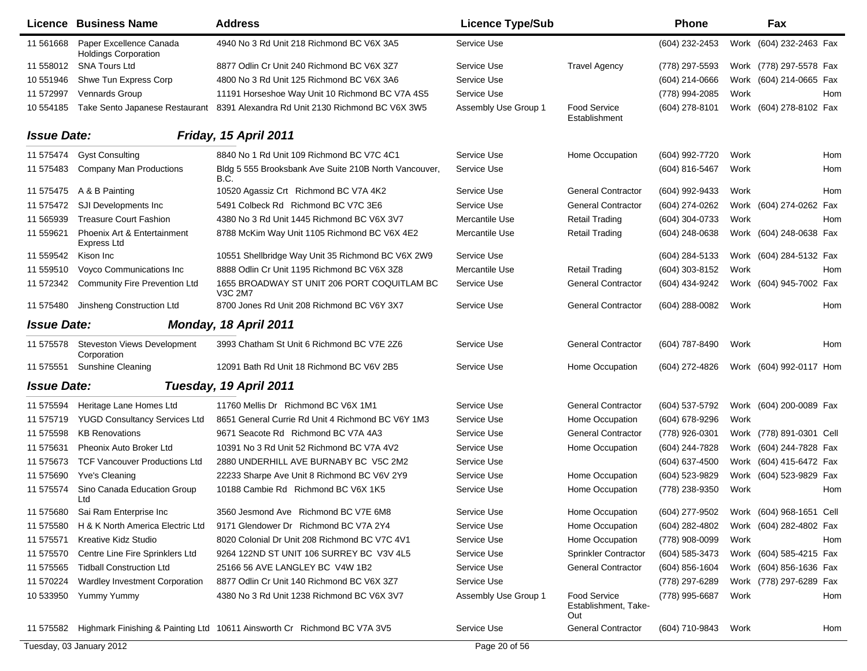|                    | <b>Licence Business Name</b>                           | <b>Address</b>                                                           | <b>Licence Type/Sub</b> |                                                    | Phone            |      | Fax                      |            |
|--------------------|--------------------------------------------------------|--------------------------------------------------------------------------|-------------------------|----------------------------------------------------|------------------|------|--------------------------|------------|
| 11 561 668         | Paper Excellence Canada<br><b>Holdings Corporation</b> | 4940 No 3 Rd Unit 218 Richmond BC V6X 3A5                                | Service Use             |                                                    | (604) 232-2453   |      | Work (604) 232-2463 Fax  |            |
| 11 558012          | <b>SNA Tours Ltd</b>                                   | 8877 Odlin Cr Unit 240 Richmond BC V6X 3Z7                               | Service Use             | <b>Travel Agency</b>                               | (778) 297-5593   |      | Work (778) 297-5578 Fax  |            |
| 10 551946          | Shwe Tun Express Corp                                  | 4800 No 3 Rd Unit 125 Richmond BC V6X 3A6                                | Service Use             |                                                    | (604) 214-0666   |      | Work (604) 214-0665 Fax  |            |
| 11 572997          | Vennards Group                                         | 11191 Horseshoe Way Unit 10 Richmond BC V7A 4S5                          | Service Use             |                                                    | (778) 994-2085   | Work |                          | Hom        |
| 10 554185          | Take Sento Japanese Restaurant                         | 8391 Alexandra Rd Unit 2130 Richmond BC V6X 3W5                          | Assembly Use Group 1    | <b>Food Service</b><br>Establishment               | (604) 278-8101   |      | Work (604) 278-8102 Fax  |            |
| <b>Issue Date:</b> |                                                        | Friday, 15 April 2011                                                    |                         |                                                    |                  |      |                          |            |
| 11 575474          | <b>Gyst Consulting</b>                                 | 8840 No 1 Rd Unit 109 Richmond BC V7C 4C1                                | Service Use             | Home Occupation                                    | (604) 992-7720   | Work |                          | <b>Hom</b> |
| 11 575483          | <b>Company Man Productions</b>                         | Bldg 5 555 Brooksbank Ave Suite 210B North Vancouver,<br>B.C.            | Service Use             |                                                    | (604) 816-5467   | Work |                          | Hom        |
| 11 575475          | A & B Painting                                         | 10520 Agassiz Crt Richmond BC V7A 4K2                                    | Service Use             | <b>General Contractor</b>                          | (604) 992-9433   | Work |                          | Hom        |
| 11 575472          | SJI Developments Inc.                                  | 5491 Colbeck Rd Richmond BC V7C 3E6                                      | Service Use             | <b>General Contractor</b>                          | (604) 274-0262   |      | Work (604) 274-0262 Fax  |            |
| 11 565939          | <b>Treasure Court Fashion</b>                          | 4380 No 3 Rd Unit 1445 Richmond BC V6X 3V7                               | Mercantile Use          | <b>Retail Trading</b>                              | (604) 304-0733   | Work |                          | Hom        |
| 11 559621          | Phoenix Art & Entertainment<br><b>Express Ltd</b>      | 8788 McKim Way Unit 1105 Richmond BC V6X 4E2                             | <b>Mercantile Use</b>   | <b>Retail Trading</b>                              | (604) 248-0638   |      | Work (604) 248-0638 Fax  |            |
| 11 559542          | Kison Inc                                              | 10551 Shellbridge Way Unit 35 Richmond BC V6X 2W9                        | Service Use             |                                                    | (604) 284-5133   |      | Work (604) 284-5132 Fax  |            |
| 11 559510          | Voyco Communications Inc                               | 8888 Odlin Cr Unit 1195 Richmond BC V6X 3Z8                              | Mercantile Use          | <b>Retail Trading</b>                              | (604) 303-8152   | Work |                          | Hom        |
| 11 572342          | <b>Community Fire Prevention Ltd</b>                   | 1655 BROADWAY ST UNIT 206 PORT COQUITLAM BC<br>V3C 2M7                   | Service Use             | <b>General Contractor</b>                          | (604) 434-9242   |      | Work (604) 945-7002 Fax  |            |
| 11 575480          | Jinsheng Construction Ltd                              | 8700 Jones Rd Unit 208 Richmond BC V6Y 3X7                               | Service Use             | <b>General Contractor</b>                          | (604) 288-0082   | Work |                          | Hom        |
| <b>Issue Date:</b> |                                                        | Monday, 18 April 2011                                                    |                         |                                                    |                  |      |                          |            |
| 11 575578          | Steveston Views Development<br>Corporation             | 3993 Chatham St Unit 6 Richmond BC V7E 2Z6                               | Service Use             | <b>General Contractor</b>                          | (604) 787-8490   | Work |                          | Hom        |
| 11 57 55 51        | <b>Sunshine Cleaning</b>                               | 12091 Bath Rd Unit 18 Richmond BC V6V 2B5                                | Service Use             | Home Occupation                                    | (604) 272-4826   |      | Work (604) 992-0117 Hom  |            |
| <b>Issue Date:</b> |                                                        | Tuesday, 19 April 2011                                                   |                         |                                                    |                  |      |                          |            |
| 11 575594          | Heritage Lane Homes Ltd                                | 11760 Mellis Dr Richmond BC V6X 1M1                                      | Service Use             | <b>General Contractor</b>                          | (604) 537-5792   |      | Work (604) 200-0089 Fax  |            |
| 11 575719          | <b>YUGD Consultancy Services Ltd</b>                   | 8651 General Currie Rd Unit 4 Richmond BC V6Y 1M3                        | Service Use             | Home Occupation                                    | (604) 678-9296   | Work |                          |            |
| 11 575598          | <b>KB Renovations</b>                                  | 9671 Seacote Rd Richmond BC V7A 4A3                                      | Service Use             | <b>General Contractor</b>                          | (778) 926-0301   |      | Work (778) 891-0301 Cell |            |
| 11 575631          | Pheonix Auto Broker Ltd                                | 10391 No 3 Rd Unit 52 Richmond BC V7A 4V2                                | Service Use             | Home Occupation                                    | (604) 244-7828   |      | Work (604) 244-7828 Fax  |            |
| 11 57 56 73        | <b>TCF Vancouver Productions Ltd</b>                   | 2880 UNDERHILL AVE BURNABY BC V5C 2M2                                    | Service Use             |                                                    | (604) 637-4500   |      | Work (604) 415-6472 Fax  |            |
| 11 575690          | Yve's Cleaning                                         | 22233 Sharpe Ave Unit 8 Richmond BC V6V 2Y9                              | Service Use             | Home Occupation                                    | (604) 523-9829   |      | Work (604) 523-9829 Fax  |            |
| 11 575574          | Sino Canada Education Group<br>Ltd                     | 10188 Cambie Rd Richmond BC V6X 1K5                                      | Service Use             | Home Occupation                                    | (778) 238-9350   | Work |                          | Hom        |
| 11 575680          | Sai Ram Enterprise Inc                                 | 3560 Jesmond Ave Richmond BC V7E 6M8                                     | Service Use             | Home Occupation                                    | (604) 277-9502   |      | Work (604) 968-1651 Cell |            |
| 11 575580          | H & K North America Electric Ltd                       | 9171 Glendower Dr Richmond BC V7A 2Y4                                    | Service Use             | Home Occupation                                    | (604) 282-4802   |      | Work (604) 282-4802 Fax  |            |
| 11 57 55 71        | Kreative Kidz Studio                                   | 8020 Colonial Dr Unit 208 Richmond BC V7C 4V1                            | Service Use             | Home Occupation                                    | (778) 908-0099   | Work |                          | Hom        |
| 11 575570          | Centre Line Fire Sprinklers Ltd                        | 9264 122ND ST UNIT 106 SURREY BC V3V 4L5                                 | Service Use             | <b>Sprinkler Contractor</b>                        | (604) 585-3473   |      | Work (604) 585-4215 Fax  |            |
| 11 575565          | <b>Tidball Construction Ltd</b>                        | 25166 56 AVE LANGLEY BC V4W 1B2                                          | Service Use             | <b>General Contractor</b>                          | $(604)$ 856-1604 |      | Work (604) 856-1636 Fax  |            |
| 11 570224          | Wardley Investment Corporation                         | 8877 Odlin Cr Unit 140 Richmond BC V6X 3Z7                               | Service Use             |                                                    | (778) 297-6289   |      | Work (778) 297-6289 Fax  |            |
| 10 533950          | Yummy Yummy                                            | 4380 No 3 Rd Unit 1238 Richmond BC V6X 3V7                               | Assembly Use Group 1    | <b>Food Service</b><br>Establishment, Take-<br>Out | (778) 995-6687   | Work |                          | Hom        |
| 11 575582          |                                                        | Highmark Finishing & Painting Ltd 10611 Ainsworth Cr Richmond BC V7A 3V5 | Service Use             | <b>General Contractor</b>                          | (604) 710-9843   | Work |                          | Hom        |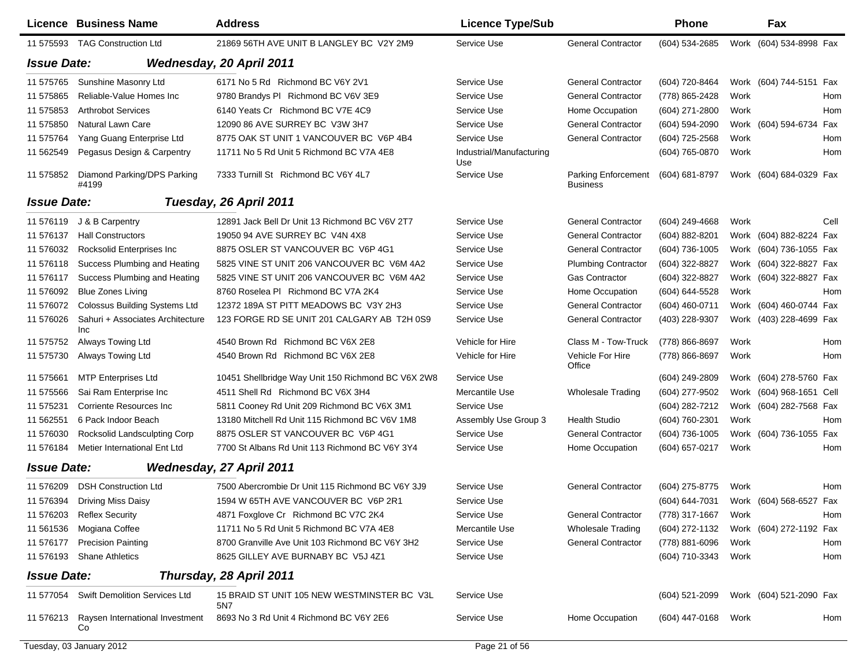|                    | <b>Licence Business Name</b>            | <b>Address</b>                                     | <b>Licence Type/Sub</b>         |                                 | <b>Phone</b>     |      | Fax                      |      |
|--------------------|-----------------------------------------|----------------------------------------------------|---------------------------------|---------------------------------|------------------|------|--------------------------|------|
| 11 575593          | <b>TAG Construction Ltd</b>             | 21869 56TH AVE UNIT B LANGLEY BC V2Y 2M9           | Service Use                     | <b>General Contractor</b>       | (604) 534-2685   |      | Work (604) 534-8998 Fax  |      |
| <b>Issue Date:</b> |                                         | <b>Wednesday, 20 April 2011</b>                    |                                 |                                 |                  |      |                          |      |
| 11 575765          | Sunshine Masonry Ltd                    | 6171 No 5 Rd Richmond BC V6Y 2V1                   | Service Use                     | <b>General Contractor</b>       | (604) 720-8464   |      | Work (604) 744-5151 Fax  |      |
| 11 575865          | Reliable-Value Homes Inc                | 9780 Brandys PI Richmond BC V6V 3E9                | Service Use                     | <b>General Contractor</b>       | (778) 865-2428   | Work |                          | Hom  |
| 11 575853          | <b>Arthrobot Services</b>               | 6140 Yeats Cr Richmond BC V7E 4C9                  | Service Use                     | Home Occupation                 | (604) 271-2800   | Work |                          | Hom  |
| 11 575850          | Natural Lawn Care                       | 12090 86 AVE SURREY BC V3W 3H7                     | Service Use                     | <b>General Contractor</b>       | (604) 594-2090   |      | Work (604) 594-6734 Fax  |      |
| 11 57 57 64        | Yang Guang Enterprise Ltd               | 8775 OAK ST UNIT 1 VANCOUVER BC V6P 4B4            | Service Use                     | <b>General Contractor</b>       | (604) 725-2568   | Work |                          | Hom  |
| 11 562549          | Pegasus Design & Carpentry              | 11711 No 5 Rd Unit 5 Richmond BC V7A 4E8           | Industrial/Manufacturing<br>Use |                                 | (604) 765-0870   | Work |                          | Hom  |
| 11 57 58 52        | Diamond Parking/DPS Parking<br>#4199    | 7333 Turnill St Richmond BC V6Y 4L7                | Service Use                     | Parking Enforcement<br>Business | (604) 681-8797   |      | Work (604) 684-0329 Fax  |      |
| <b>Issue Date:</b> |                                         | Tuesday, 26 April 2011                             |                                 |                                 |                  |      |                          |      |
| 11 576119          | J & B Carpentry                         | 12891 Jack Bell Dr Unit 13 Richmond BC V6V 2T7     | Service Use                     | <b>General Contractor</b>       | $(604)$ 249-4668 | Work |                          | Cell |
| 11 576137          | <b>Hall Constructors</b>                | 19050 94 AVE SURREY BC V4N 4X8                     | Service Use                     | <b>General Contractor</b>       | (604) 882-8201   |      | Work (604) 882-8224 Fax  |      |
| 11 576032          | Rocksolid Enterprises Inc               | 8875 OSLER ST VANCOUVER BC V6P 4G1                 | Service Use                     | <b>General Contractor</b>       | (604) 736-1005   |      | Work (604) 736-1055 Fax  |      |
| 11 576118          | Success Plumbing and Heating            | 5825 VINE ST UNIT 206 VANCOUVER BC V6M 4A2         | Service Use                     | <b>Plumbing Contractor</b>      | (604) 322-8827   |      | Work (604) 322-8827 Fax  |      |
| 11 57 6117         | Success Plumbing and Heating            | 5825 VINE ST UNIT 206 VANCOUVER BC V6M 4A2         | Service Use                     | <b>Gas Contractor</b>           | (604) 322-8827   |      | Work (604) 322-8827 Fax  |      |
| 11 576092          | <b>Blue Zones Living</b>                | 8760 Roselea PI Richmond BC V7A 2K4                | Service Use                     | Home Occupation                 | (604) 644-5528   | Work |                          | Hom  |
| 11 57 60 72        | <b>Colossus Building Systems Ltd</b>    | 12372 189A ST PITT MEADOWS BC V3Y 2H3              | Service Use                     | <b>General Contractor</b>       | (604) 460-0711   |      | Work (604) 460-0744 Fax  |      |
| 11 576026          | Sahuri + Associates Architecture<br>Inc | 123 FORGE RD SE UNIT 201 CALGARY AB T2H 0S9        | Service Use                     | <b>General Contractor</b>       | (403) 228-9307   |      | Work (403) 228-4699 Fax  |      |
| 11 57 57 52        | Always Towing Ltd                       | 4540 Brown Rd Richmond BC V6X 2E8                  | Vehicle for Hire                | Class M - Tow-Truck             | (778) 866-8697   | Work |                          | Hom  |
| 11 57 57 30        | Always Towing Ltd                       | 4540 Brown Rd Richmond BC V6X 2E8                  | Vehicle for Hire                | Vehicle For Hire<br>Office      | (778) 866-8697   | Work |                          | Hom  |
| 11 575661          | <b>MTP Enterprises Ltd</b>              | 10451 Shellbridge Way Unit 150 Richmond BC V6X 2W8 | Service Use                     |                                 | (604) 249-2809   |      | Work (604) 278-5760 Fax  |      |
| 11 57 5566         | Sai Ram Enterprise Inc                  | 4511 Shell Rd Richmond BC V6X 3H4                  | Mercantile Use                  | <b>Wholesale Trading</b>        | (604) 277-9502   |      | Work (604) 968-1651 Cell |      |
| 11 575231          | Corriente Resources Inc.                | 5811 Cooney Rd Unit 209 Richmond BC V6X 3M1        | Service Use                     |                                 | (604) 282-7212   |      | Work (604) 282-7568 Fax  |      |
| 11 562551          | 6 Pack Indoor Beach                     | 13180 Mitchell Rd Unit 115 Richmond BC V6V 1M8     | Assembly Use Group 3            | <b>Health Studio</b>            | (604) 760-2301   | Work |                          | Hom  |
| 11 576030          | Rocksolid Landsculpting Corp            | 8875 OSLER ST VANCOUVER BC V6P 4G1                 | Service Use                     | <b>General Contractor</b>       | (604) 736-1005   |      | Work (604) 736-1055 Fax  |      |
| 11 576184          | Metier International Ent Ltd            | 7700 St Albans Rd Unit 113 Richmond BC V6Y 3Y4     | Service Use                     | Home Occupation                 | (604) 657-0217   | Work |                          | Hom  |
| <b>Issue Date:</b> |                                         | <b>Wednesday, 27 April 2011</b>                    |                                 |                                 |                  |      |                          |      |
| 11 576209          | <b>DSH Construction Ltd</b>             | 7500 Abercrombie Dr Unit 115 Richmond BC V6Y 3J9   | Service Use                     | <b>General Contractor</b>       | (604) 275-8775   | Work |                          | Hom  |
| 11 576394          | Driving Miss Daisy                      | 1594 W 65TH AVE VANCOUVER BC V6P 2R1               | Service Use                     |                                 | (604) 644-7031   |      | Work (604) 568-6527 Fax  |      |
| 11 576203          | <b>Reflex Security</b>                  | 4871 Foxglove Cr Richmond BC V7C 2K4               | Service Use                     | <b>General Contractor</b>       | (778) 317-1667   | Work |                          | Hom  |
| 11 561536          | Mogiana Coffee                          | 11711 No 5 Rd Unit 5 Richmond BC V7A 4E8           | Mercantile Use                  | <b>Wholesale Trading</b>        | (604) 272-1132   |      | Work (604) 272-1192 Fax  |      |
| 11 576177          | <b>Precision Painting</b>               | 8700 Granville Ave Unit 103 Richmond BC V6Y 3H2    | Service Use                     | <b>General Contractor</b>       | (778) 881-6096   | Work |                          | Hom  |
| 11 576193          | <b>Shane Athletics</b>                  | 8625 GILLEY AVE BURNABY BC V5J 4Z1                 | Service Use                     |                                 | (604) 710-3343   | Work |                          | Hom  |
| <b>Issue Date:</b> |                                         | Thursday, 28 April 2011                            |                                 |                                 |                  |      |                          |      |
| 11 577054          | <b>Swift Demolition Services Ltd</b>    | 15 BRAID ST UNIT 105 NEW WESTMINSTER BC V3L<br>5N7 | Service Use                     |                                 | $(604)$ 521-2099 |      | Work (604) 521-2090 Fax  |      |
| 11 576213          | Raysen International Investment<br>Co   | 8693 No 3 Rd Unit 4 Richmond BC V6Y 2E6            | Service Use                     | Home Occupation                 | (604) 447-0168   | Work |                          | Hom  |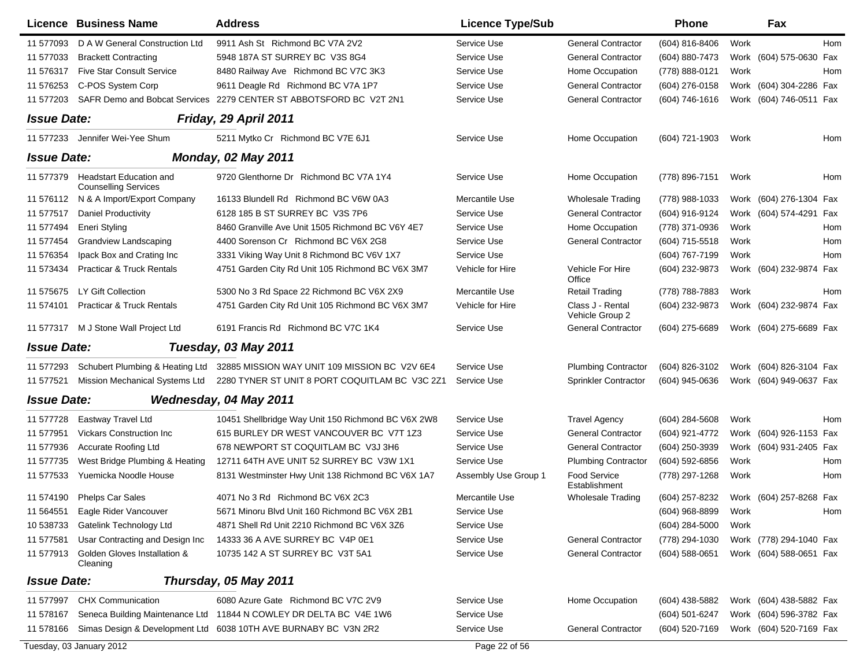|                    | Licence Business Name                                         | <b>Address</b>                                                     | <b>Licence Type/Sub</b> |                                     | <b>Phone</b>       | Fax                        |     |
|--------------------|---------------------------------------------------------------|--------------------------------------------------------------------|-------------------------|-------------------------------------|--------------------|----------------------------|-----|
| 11 577093          | D A W General Construction Ltd                                | 9911 Ash St Richmond BC V7A 2V2                                    | Service Use             | <b>General Contractor</b>           | (604) 816-8406     | Work                       | Hom |
| 11 577033          | <b>Brackett Contracting</b>                                   | 5948 187A ST SURREY BC V3S 8G4                                     | Service Use             | <b>General Contractor</b>           | (604) 880-7473     | Work (604) 575-0630        | Fax |
| 11 57 6317         | <b>Five Star Consult Service</b>                              | 8480 Railway Ave Richmond BC V7C 3K3                               | Service Use             | Home Occupation                     | (778) 888-0121     | Work                       | Hom |
| 11 576253          | C-POS System Corp                                             | 9611 Deagle Rd Richmond BC V7A 1P7                                 | Service Use             | <b>General Contractor</b>           | (604) 276-0158     | Work (604) 304-2286 Fax    |     |
| 11 577203          | <b>SAFR Demo and Bobcat Services</b>                          | 2279 CENTER ST ABBOTSFORD BC V2T 2N1                               | Service Use             | <b>General Contractor</b>           | $(604) 746 - 1616$ | Work (604) 746-0511 Fax    |     |
| <b>Issue Date:</b> |                                                               | Friday, 29 April 2011                                              |                         |                                     |                    |                            |     |
| 11 577233          | Jennifer Wei-Yee Shum                                         | 5211 Mytko Cr Richmond BC V7E 6J1                                  | Service Use             | Home Occupation                     | (604) 721-1903     | Work                       | Hom |
| <b>Issue Date:</b> |                                                               | <b>Monday, 02 May 2011</b>                                         |                         |                                     |                    |                            |     |
| 11 577379          | <b>Headstart Education and</b><br><b>Counselling Services</b> | 9720 Glenthorne Dr Richmond BC V7A 1Y4                             | Service Use             | Home Occupation                     | (778) 896-7151     | Work                       | Hom |
| 11 576112          | N & A Import/Export Company                                   | 16133 Blundell Rd Richmond BC V6W 0A3                              | Mercantile Use          | <b>Wholesale Trading</b>            | (778) 988-1033     | Work (604) 276-1304 Fax    |     |
| 11 577517          | <b>Daniel Productivity</b>                                    | 6128 185 B ST SURREY BC V3S 7P6                                    | Service Use             | <b>General Contractor</b>           | (604) 916-9124     | Work (604) 574-4291 Fax    |     |
| 11 577494          | <b>Eneri Styling</b>                                          | 8460 Granville Ave Unit 1505 Richmond BC V6Y 4E7                   | Service Use             | Home Occupation                     | (778) 371-0936     | Work                       | Hom |
| 11 577454          | Grandview Landscaping                                         | 4400 Sorenson Cr Richmond BC V6X 2G8                               | Service Use             | <b>General Contractor</b>           | (604) 715-5518     | Work                       | Hom |
| 11 57 6354         | Ipack Box and Crating Inc                                     | 3331 Viking Way Unit 8 Richmond BC V6V 1X7                         | Service Use             |                                     | (604) 767-7199     | Work                       | Hom |
| 11 573434          | <b>Practicar &amp; Truck Rentals</b>                          | 4751 Garden City Rd Unit 105 Richmond BC V6X 3M7                   | Vehicle for Hire        | Vehicle For Hire<br>Office          | (604) 232-9873     | Work (604) 232-9874 Fax    |     |
| 11 57 56 75        | LY Gift Collection                                            | 5300 No 3 Rd Space 22 Richmond BC V6X 2X9                          | Mercantile Use          | <b>Retail Trading</b>               | (778) 788-7883     | Work                       | Hom |
| 11 574101          | <b>Practicar &amp; Truck Rentals</b>                          | 4751 Garden City Rd Unit 105 Richmond BC V6X 3M7                   | Vehicle for Hire        | Class J - Rental<br>Vehicle Group 2 | (604) 232-9873     | Work (604) 232-9874 Fax    |     |
| 11 577317          | M J Stone Wall Project Ltd                                    | 6191 Francis Rd Richmond BC V7C 1K4                                | Service Use             | <b>General Contractor</b>           | (604) 275-6689     | Work (604) 275-6689 Fax    |     |
| <b>Issue Date:</b> |                                                               | Tuesday, 03 May 2011                                               |                         |                                     |                    |                            |     |
| 11 577293          | Schubert Plumbing & Heating Ltd                               | 32885 MISSION WAY UNIT 109 MISSION BC V2V 6E4                      | Service Use             | <b>Plumbing Contractor</b>          | (604) 826-3102     | Work (604) 826-3104 Fax    |     |
| 11 577521          | Mission Mechanical Systems Ltd                                | 2280 TYNER ST UNIT 8 PORT COQUITLAM BC V3C 2Z1                     | Service Use             | Sprinkler Contractor                | (604) 945-0636     | Work (604) 949-0637 Fax    |     |
| <b>Issue Date:</b> |                                                               | Wednesday, 04 May 2011                                             |                         |                                     |                    |                            |     |
| 11 577728          | Eastway Travel Ltd                                            | 10451 Shellbridge Way Unit 150 Richmond BC V6X 2W8                 | Service Use             | <b>Travel Agency</b>                | $(604)$ 284-5608   | Work                       | Hom |
| 11 577951          | <b>Vickars Construction Inc</b>                               | 615 BURLEY DR WEST VANCOUVER BC V7T 1Z3                            | Service Use             | <b>General Contractor</b>           | (604) 921-4772     | (604) 926-1153 Fax<br>Work |     |
| 11 577936          | Accurate Roofing Ltd                                          | 678 NEWPORT ST COQUITLAM BC V3J 3H6                                | Service Use             | <b>General Contractor</b>           | (604) 250-3939     | Work (604) 931-2405 Fax    |     |
| 11 577735          | West Bridge Plumbing & Heating                                | 12711 64TH AVE UNIT 52 SURREY BC V3W 1X1                           | Service Use             | <b>Plumbing Contractor</b>          | (604) 592-6856     | Work                       | Hom |
| 11 577533          | Yuemicka Noodle House                                         | 8131 Westminster Hwy Unit 138 Richmond BC V6X 1A7                  | Assembly Use Group 1    | Food Service<br>Establishment       | (778) 297-1268     | Work                       | Hom |
|                    | 11 574190 Phelps Car Sales                                    | 4071 No 3 Rd Richmond BC V6X 2C3                                   | Mercantile Use          | <b>Wholesale Trading</b>            | (604) 257-8232     | Work (604) 257-8268 Fax    |     |
| 11 564551          | Eagle Rider Vancouver                                         | 5671 Minoru Blvd Unit 160 Richmond BC V6X 2B1                      | Service Use             |                                     | (604) 968-8899     | Work                       | Hom |
| 10 538733          | Gatelink Technology Ltd                                       | 4871 Shell Rd Unit 2210 Richmond BC V6X 3Z6                        | Service Use             |                                     | (604) 284-5000     | Work                       |     |
| 11 577581          | Usar Contracting and Design Inc                               | 14333 36 A AVE SURREY BC V4P 0E1                                   | Service Use             | <b>General Contractor</b>           | (778) 294-1030     | Work (778) 294-1040 Fax    |     |
| 11 577913          | Golden Gloves Installation &<br>Cleaning                      | 10735 142 A ST SURREY BC V3T 5A1                                   | Service Use             | <b>General Contractor</b>           | (604) 588-0651     | Work (604) 588-0651 Fax    |     |
| <b>Issue Date:</b> |                                                               | Thursday, 05 May 2011                                              |                         |                                     |                    |                            |     |
| 11 577997          | <b>CHX Communication</b>                                      | 6080 Azure Gate Richmond BC V7C 2V9                                | Service Use             | Home Occupation                     | (604) 438-5882     | Work (604) 438-5882 Fax    |     |
| 11 578167          |                                                               | Seneca Building Maintenance Ltd 11844 N COWLEY DR DELTA BC V4E 1W6 | Service Use             |                                     | (604) 501-6247     | Work (604) 596-3782 Fax    |     |
| 11 578166          |                                                               | Simas Design & Development Ltd 6038 10TH AVE BURNABY BC V3N 2R2    | Service Use             | <b>General Contractor</b>           | (604) 520-7169     | Work (604) 520-7169 Fax    |     |
|                    | Tuesday, 03 January 2012                                      |                                                                    | Page 22 of 56           |                                     |                    |                            |     |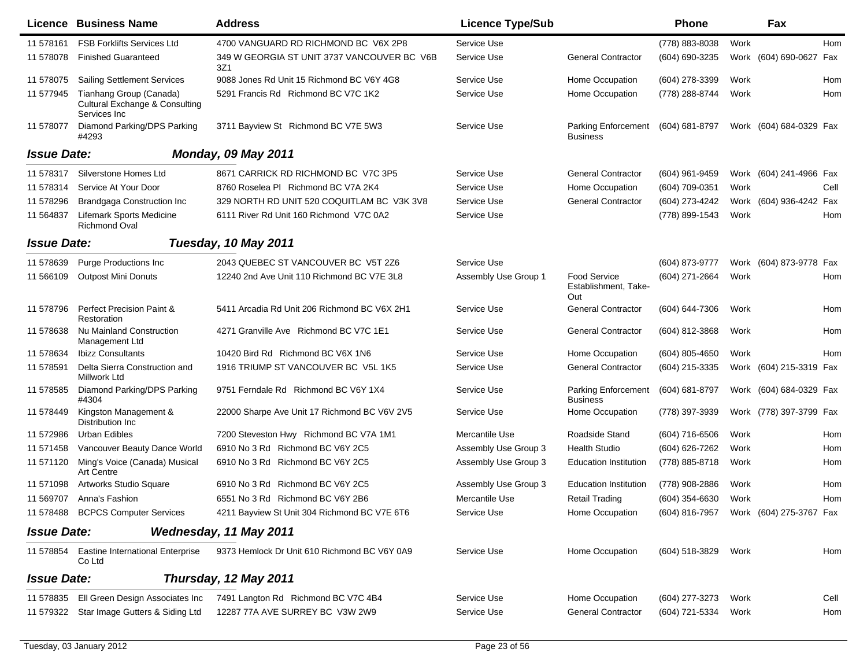|                    | <b>Licence Business Name</b>                                                         | <b>Address</b>                                     | <b>Licence Type/Sub</b> |                                                    | <b>Phone</b>                           |      | Fax                     |      |
|--------------------|--------------------------------------------------------------------------------------|----------------------------------------------------|-------------------------|----------------------------------------------------|----------------------------------------|------|-------------------------|------|
| 11 578161          | <b>FSB Forklifts Services Ltd</b>                                                    | 4700 VANGUARD RD RICHMOND BC V6X 2P8               | Service Use             |                                                    | (778) 883-8038                         | Work |                         | Hom  |
| 11 578078          | <b>Finished Guaranteed</b>                                                           | 349 W GEORGIA ST UNIT 3737 VANCOUVER BC V6B<br>3Z1 | Service Use             | <b>General Contractor</b>                          | (604) 690-3235                         |      | Work (604) 690-0627 Fax |      |
| 11 578075          | <b>Sailing Settlement Services</b>                                                   | 9088 Jones Rd Unit 15 Richmond BC V6Y 4G8          | Service Use             | Home Occupation                                    | (604) 278-3399                         | Work |                         | Hom  |
| 11 577945          | Tianhang Group (Canada)<br><b>Cultural Exchange &amp; Consulting</b><br>Services Inc | 5291 Francis Rd Richmond BC V7C 1K2                | Service Use             | Home Occupation                                    | (778) 288-8744                         | Work |                         | Hom  |
| 11 578077          | Diamond Parking/DPS Parking<br>#4293                                                 | 3711 Bayview St Richmond BC V7E 5W3                | Service Use             | <b>Parking Enforcement</b><br><b>Business</b>      | (604) 681-8797                         |      | Work (604) 684-0329 Fax |      |
| <b>Issue Date:</b> |                                                                                      | <b>Monday, 09 May 2011</b>                         |                         |                                                    |                                        |      |                         |      |
| 11 578317          | Silverstone Homes Ltd                                                                | 8671 CARRICK RD RICHMOND BC V7C 3P5                | Service Use             | <b>General Contractor</b>                          | (604) 961-9459                         |      | Work (604) 241-4966 Fax |      |
| 11 578314          | Service At Your Door                                                                 | 8760 Roselea PI Richmond BC V7A 2K4                | Service Use             | Home Occupation                                    | (604) 709-0351                         | Work |                         | Cell |
| 11 578296          | <b>Brandgaga Construction Inc</b>                                                    | 329 NORTH RD UNIT 520 COQUITLAM BC V3K 3V8         | Service Use             | <b>General Contractor</b>                          | (604) 273-4242                         |      | Work (604) 936-4242 Fax |      |
| 11 564837          | Lifemark Sports Medicine<br><b>Richmond Oval</b>                                     | 6111 River Rd Unit 160 Richmond V7C 0A2            | Service Use             |                                                    | (778) 899-1543                         | Work |                         | Hom  |
| <b>Issue Date:</b> |                                                                                      | Tuesday, 10 May 2011                               |                         |                                                    |                                        |      |                         |      |
| 11 578639          | <b>Purge Productions Inc</b>                                                         | 2043 QUEBEC ST VANCOUVER BC V5T 2Z6                | Service Use             |                                                    | (604) 873-9777                         |      | Work (604) 873-9778 Fax |      |
| 11 566109          | <b>Outpost Mini Donuts</b>                                                           | 12240 2nd Ave Unit 110 Richmond BC V7E 3L8         | Assembly Use Group 1    | <b>Food Service</b><br>Establishment, Take-<br>Out | (604) 271-2664                         | Work |                         | Hom  |
| 11 578796          | <b>Perfect Precision Paint &amp;</b><br>Restoration                                  | 5411 Arcadia Rd Unit 206 Richmond BC V6X 2H1       | Service Use             | <b>General Contractor</b>                          | (604) 644-7306                         | Work |                         | Hom  |
| 11 578638          | Nu Mainland Construction<br>Management Ltd                                           | 4271 Granville Ave Richmond BC V7C 1E1             | Service Use             | <b>General Contractor</b>                          | (604) 812-3868                         | Work |                         | Hom  |
| 11 578634          | <b>Ibizz Consultants</b>                                                             | 10420 Bird Rd Richmond BC V6X 1N6                  | Service Use             | Home Occupation                                    | (604) 805-4650                         | Work |                         | Hom  |
| 11 578591          | Delta Sierra Construction and<br>Millwork Ltd                                        | 1916 TRIUMP ST VANCOUVER BC V5L 1K5                | Service Use             | <b>General Contractor</b>                          | (604) 215-3335                         |      | Work (604) 215-3319 Fax |      |
| 11 578585          | Diamond Parking/DPS Parking<br>#4304                                                 | 9751 Ferndale Rd Richmond BC V6Y 1X4               | Service Use             | <b>Parking Enforcement</b><br><b>Business</b>      | (604) 681-8797                         |      | Work (604) 684-0329 Fax |      |
| 11 578449          | Kingston Management &<br>Distribution Inc.                                           | 22000 Sharpe Ave Unit 17 Richmond BC V6V 2V5       | Service Use             | Home Occupation                                    | (778) 397-3939                         |      | Work (778) 397-3799 Fax |      |
| 11 572986          | Urban Edibles                                                                        | 7200 Steveston Hwy Richmond BC V7A 1M1             | Mercantile Use          | Roadside Stand                                     | (604) 716-6506                         | Work |                         | Hom  |
| 11 571458          | Vancouver Beauty Dance World                                                         | 6910 No 3 Rd Richmond BC V6Y 2C5                   | Assembly Use Group 3    | <b>Health Studio</b>                               | (604) 626-7262                         | Work |                         | Hom  |
| 11 571120          | Ming's Voice (Canada) Musical<br><b>Art Centre</b>                                   | 6910 No 3 Rd Richmond BC V6Y 2C5                   | Assembly Use Group 3    | <b>Education Institution</b>                       | (778) 885-8718                         | Work |                         | Hom  |
| 11 571098          | Artworks Studio Square                                                               | 6910 No 3 Rd Richmond BC V6Y 2C5                   | Assembly Use Group 3    | <b>Education Institution</b>                       | (778) 908-2886                         | Work |                         | Hom  |
| 11 569707          | Anna's Fashion                                                                       | 6551 No 3 Rd Richmond BC V6Y 2B6                   | Mercantile Use          | <b>Retail Trading</b>                              | $(604)$ 354-6630                       | Work |                         | Hom  |
|                    | 11 578488 BCPCS Computer Services                                                    | 4211 Bayview St Unit 304 Richmond BC V7E 6T6       | Service Use             | Home Occupation                                    | (604) 816-7957 Work (604) 275-3767 Fax |      |                         |      |
| <b>Issue Date:</b> |                                                                                      | Wednesday, 11 May 2011                             |                         |                                                    |                                        |      |                         |      |
| 11 578854          | <b>Eastine International Enterprise</b><br>Co Ltd                                    | 9373 Hemlock Dr Unit 610 Richmond BC V6Y 0A9       | Service Use             | Home Occupation                                    | (604) 518-3829                         | Work |                         | Hom  |
| <b>Issue Date:</b> |                                                                                      | Thursday, 12 May 2011                              |                         |                                                    |                                        |      |                         |      |
| 11 578835          | Ell Green Design Associates Inc                                                      | 7491 Langton Rd Richmond BC V7C 4B4                | Service Use             | Home Occupation                                    | (604) 277-3273                         | Work |                         | Cell |
| 11 579322          | Star Image Gutters & Siding Ltd                                                      | 12287 77A AVE SURREY BC V3W 2W9                    | Service Use             | <b>General Contractor</b>                          | (604) 721-5334                         | Work |                         | Hom  |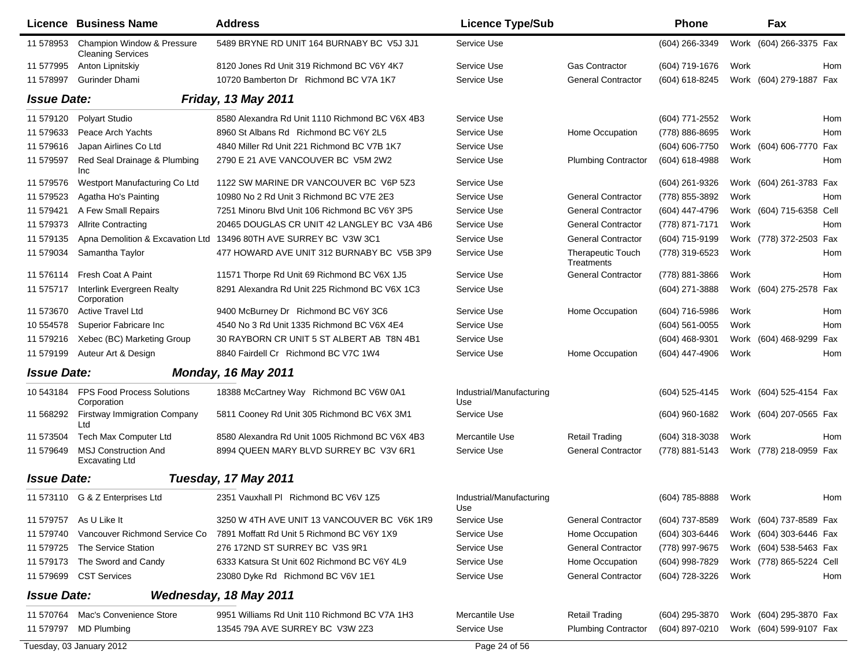|                    | Licence Business Name                                  | <b>Address</b>                                  | <b>Licence Type/Sub</b>         |                                        | <b>Phone</b>     |      | Fax                      |     |
|--------------------|--------------------------------------------------------|-------------------------------------------------|---------------------------------|----------------------------------------|------------------|------|--------------------------|-----|
| 11 578953          | Champion Window & Pressure<br><b>Cleaning Services</b> | 5489 BRYNE RD UNIT 164 BURNABY BC V5J 3J1       | Service Use                     |                                        | (604) 266-3349   | Work | (604) 266-3375 Fax       |     |
| 11 577995          | Anton Lipnitskiy                                       | 8120 Jones Rd Unit 319 Richmond BC V6Y 4K7      | Service Use                     | <b>Gas Contractor</b>                  | (604) 719-1676   | Work |                          | Hom |
| 11 578997          | <b>Gurinder Dhami</b>                                  | 10720 Bamberton Dr Richmond BC V7A 1K7          | Service Use                     | <b>General Contractor</b>              | (604) 618-8245   |      | Work (604) 279-1887 Fax  |     |
| <b>Issue Date:</b> |                                                        | <b>Friday, 13 May 2011</b>                      |                                 |                                        |                  |      |                          |     |
| 11 579120          | Polyart Studio                                         | 8580 Alexandra Rd Unit 1110 Richmond BC V6X 4B3 | Service Use                     |                                        | (604) 771-2552   | Work |                          | Hom |
| 11 579633          | Peace Arch Yachts                                      | 8960 St Albans Rd Richmond BC V6Y 2L5           | Service Use                     | Home Occupation                        | (778) 886-8695   | Work |                          | Hom |
| 11 579616          | Japan Airlines Co Ltd                                  | 4840 Miller Rd Unit 221 Richmond BC V7B 1K7     | Service Use                     |                                        | (604) 606-7750   | Work | (604) 606-7770           | Fax |
| 11 579597          | Red Seal Drainage & Plumbing<br>Inc                    | 2790 E 21 AVE VANCOUVER BC V5M 2W2              | Service Use                     | <b>Plumbing Contractor</b>             | (604) 618-4988   | Work |                          | Hom |
| 11 579576          | Westport Manufacturing Co Ltd                          | 1122 SW MARINE DR VANCOUVER BC V6P 5Z3          | Service Use                     |                                        | (604) 261-9326   |      | Work (604) 261-3783 Fax  |     |
| 11 579523          | Agatha Ho's Painting                                   | 10980 No 2 Rd Unit 3 Richmond BC V7E 2E3        | Service Use                     | <b>General Contractor</b>              | (778) 855-3892   | Work |                          | Hom |
| 11 579421          | A Few Small Repairs                                    | 7251 Minoru Blvd Unit 106 Richmond BC V6Y 3P5   | Service Use                     | <b>General Contractor</b>              | (604) 447-4796   |      | Work (604) 715-6358 Cell |     |
| 11 579373          | <b>Allrite Contracting</b>                             | 20465 DOUGLAS CR UNIT 42 LANGLEY BC V3A 4B6     | Service Use                     | <b>General Contractor</b>              | (778) 871-7171   | Work |                          | Hom |
| 11 579135          | Apna Demolition & Excavation Ltd                       | 13496 80TH AVE SURREY BC V3W 3C1                | Service Use                     | <b>General Contractor</b>              | (604) 715-9199   |      | Work (778) 372-2503 Fax  |     |
| 11 579034          | Samantha Taylor                                        | 477 HOWARD AVE UNIT 312 BURNABY BC V5B 3P9      | Service Use                     | <b>Therapeutic Touch</b><br>Treatments | (778) 319-6523   | Work |                          | Hom |
| 11 57 6114         | Fresh Coat A Paint                                     | 11571 Thorpe Rd Unit 69 Richmond BC V6X 1J5     | Service Use                     | <b>General Contractor</b>              | (778) 881-3866   | Work |                          | Hom |
| 11 575717          | Interlink Evergreen Realty<br>Corporation              | 8291 Alexandra Rd Unit 225 Richmond BC V6X 1C3  | Service Use                     |                                        | (604) 271-3888   | Work | (604) 275-2578 Fax       |     |
| 11 573670          | Active Travel Ltd                                      | 9400 McBurney Dr Richmond BC V6Y 3C6            | Service Use                     | Home Occupation                        | (604) 716-5986   | Work |                          | Hom |
| 10 554578          | Superior Fabricare Inc                                 | 4540 No 3 Rd Unit 1335 Richmond BC V6X 4E4      | Service Use                     |                                        | (604) 561-0055   | Work |                          | Hom |
| 11 579216          | Xebec (BC) Marketing Group                             | 30 RAYBORN CR UNIT 5 ST ALBERT AB T8N 4B1       | Service Use                     |                                        | (604) 468-9301   |      | Work (604) 468-9299      | Fax |
| 11 579199          | Auteur Art & Design                                    | 8840 Fairdell Cr Richmond BC V7C 1W4            | Service Use                     | Home Occupation                        | (604) 447-4906   | Work |                          | Hom |
| <b>Issue Date:</b> |                                                        | <b>Monday, 16 May 2011</b>                      |                                 |                                        |                  |      |                          |     |
| 10 543184          | FPS Food Process Solutions<br>Corporation              | 18388 McCartney Way Richmond BC V6W 0A1         | Industrial/Manufacturing<br>Use |                                        | (604) 525-4145   |      | Work (604) 525-4154 Fax  |     |
| 11 568292          | <b>Firstway Immigration Company</b><br>Ltd             | 5811 Cooney Rd Unit 305 Richmond BC V6X 3M1     | Service Use                     |                                        | $(604)$ 960-1682 |      | Work (604) 207-0565 Fax  |     |
| 11 573504          | Tech Max Computer Ltd                                  | 8580 Alexandra Rd Unit 1005 Richmond BC V6X 4B3 | Mercantile Use                  | <b>Retail Trading</b>                  | (604) 318-3038   | Work |                          | Hom |
| 11 579649          | <b>MSJ Construction And</b><br><b>Excavating Ltd</b>   | 8994 QUEEN MARY BLVD SURREY BC V3V 6R1          | Service Use                     | <b>General Contractor</b>              | (778) 881-5143   |      | Work (778) 218-0959 Fax  |     |
| <b>Issue Date:</b> |                                                        | Tuesday, 17 May 2011                            |                                 |                                        |                  |      |                          |     |
|                    | 11 573110 G & Z Enterprises Ltd                        | 2351 Vauxhall PI Richmond BC V6V 1Z5            | Industrial/Manufacturing<br>Use |                                        | (604) 785-8888   | Work |                          | Hom |
| 11 579757          | As U Like It                                           | 3250 W 4TH AVE UNIT 13 VANCOUVER BC V6K 1R9     | Service Use                     | <b>General Contractor</b>              | (604) 737-8589   |      | Work (604) 737-8589 Fax  |     |
| 11 579740          | Vancouver Richmond Service Co                          | 7891 Moffatt Rd Unit 5 Richmond BC V6Y 1X9      | Service Use                     | Home Occupation                        | (604) 303-6446   |      | Work (604) 303-6446 Fax  |     |
| 11 579725          | The Service Station                                    | 276 172ND ST SURREY BC V3S 9R1                  | Service Use                     | <b>General Contractor</b>              | (778) 997-9675   |      | Work (604) 538-5463 Fax  |     |
| 11 579173          | The Sword and Candy                                    | 6333 Katsura St Unit 602 Richmond BC V6Y 4L9    | Service Use                     | Home Occupation                        | (604) 998-7829   |      | Work (778) 865-5224 Cell |     |
| 11 579699          | <b>CST Services</b>                                    | 23080 Dyke Rd Richmond BC V6V 1E1               | Service Use                     | <b>General Contractor</b>              | (604) 728-3226   | Work |                          | Hom |
| <b>Issue Date:</b> |                                                        | Wednesday, 18 May 2011                          |                                 |                                        |                  |      |                          |     |
| 11 570764          | Mac's Convenience Store                                | 9951 Williams Rd Unit 110 Richmond BC V7A 1H3   | Mercantile Use                  | <b>Retail Trading</b>                  | (604) 295-3870   |      | Work (604) 295-3870 Fax  |     |
| 11 579797          | <b>MD Plumbing</b>                                     | 13545 79A AVE SURREY BC V3W 2Z3                 | Service Use                     | <b>Plumbing Contractor</b>             | (604) 897-0210   |      | Work (604) 599-9107 Fax  |     |
|                    | Tuesday, 03 January 2012                               |                                                 | Page 24 of 56                   |                                        |                  |      |                          |     |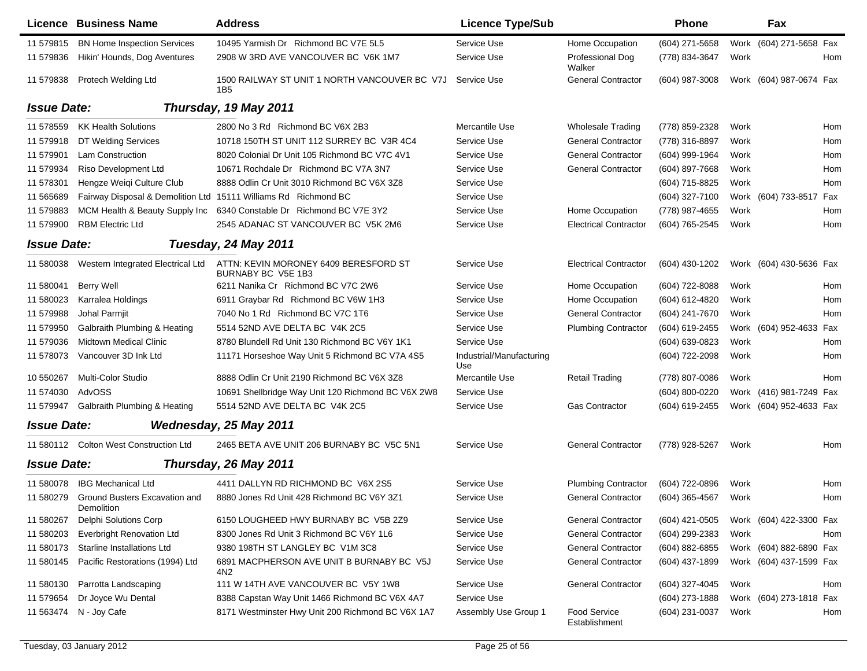|                    | Licence Business Name                       | <b>Address</b>                                                   | <b>Licence Type/Sub</b>         |                               | Phone          |      | Fax                     |            |
|--------------------|---------------------------------------------|------------------------------------------------------------------|---------------------------------|-------------------------------|----------------|------|-------------------------|------------|
| 11 579815          | <b>BN Home Inspection Services</b>          | 10495 Yarmish Dr Richmond BC V7E 5L5                             | Service Use                     | Home Occupation               | (604) 271-5658 |      | Work (604) 271-5658 Fax |            |
| 11 579836          | Hikin' Hounds, Dog Aventures                | 2908 W 3RD AVE VANCOUVER BC V6K 1M7                              | Service Use                     | Professional Dog<br>Walker    | (778) 834-3647 | Work |                         | Hom        |
| 11 579838          | Protech Welding Ltd                         | 1500 RAILWAY ST UNIT 1 NORTH VANCOUVER BC V7J<br>1B <sub>5</sub> | Service Use                     | <b>General Contractor</b>     | (604) 987-3008 |      | Work (604) 987-0674 Fax |            |
| <b>Issue Date:</b> |                                             | Thursday, 19 May 2011                                            |                                 |                               |                |      |                         |            |
| 11 578559          | <b>KK Health Solutions</b>                  | 2800 No 3 Rd Richmond BC V6X 2B3                                 | Mercantile Use                  | <b>Wholesale Trading</b>      | (778) 859-2328 | Work |                         | Hom        |
| 11 579918          | DT Welding Services                         | 10718 150TH ST UNIT 112 SURREY BC V3R 4C4                        | Service Use                     | <b>General Contractor</b>     | (778) 316-8897 | Work |                         | Hom        |
| 11 579901          | <b>Lam Construction</b>                     | 8020 Colonial Dr Unit 105 Richmond BC V7C 4V1                    | Service Use                     | <b>General Contractor</b>     | (604) 999-1964 | Work |                         | Hom        |
| 11 579934          | Riso Development Ltd                        | 10671 Rochdale Dr Richmond BC V7A 3N7                            | Service Use                     | <b>General Contractor</b>     | (604) 897-7668 | Work |                         | Hom        |
| 11 578301          | Hengze Weigi Culture Club                   | 8888 Odlin Cr Unit 3010 Richmond BC V6X 3Z8                      | Service Use                     |                               | (604) 715-8825 | Work |                         | Hom        |
| 11 565689          |                                             | Fairway Disposal & Demolition Ltd 15111 Williams Rd Richmond BC  | Service Use                     |                               | (604) 327-7100 |      | Work (604) 733-8517 Fax |            |
| 11 579883          | MCM Health & Beauty Supply Inc              | 6340 Constable Dr Richmond BC V7E 3Y2                            | Service Use                     | Home Occupation               | (778) 987-4655 | Work |                         | Hom        |
| 11 579900          | <b>RBM Electric Ltd</b>                     | 2545 ADANAC ST VANCOUVER BC V5K 2M6                              | Service Use                     | <b>Electrical Contractor</b>  | (604) 765-2545 | Work |                         | Hom        |
| <b>Issue Date:</b> |                                             | Tuesday, 24 May 2011                                             |                                 |                               |                |      |                         |            |
| 11 580038          | Western Integrated Electrical Ltd           | ATTN: KEVIN MORONEY 6409 BERESFORD ST<br>BURNABY BC V5E 1B3      | Service Use                     | <b>Electrical Contractor</b>  | (604) 430-1202 |      | Work (604) 430-5636 Fax |            |
| 11 580041          | <b>Berry Well</b>                           | 6211 Nanika Cr Richmond BC V7C 2W6                               | Service Use                     | Home Occupation               | (604) 722-8088 | Work |                         | <b>Hom</b> |
| 11 580023          | Karralea Holdings                           | 6911 Graybar Rd Richmond BC V6W 1H3                              | Service Use                     | Home Occupation               | (604) 612-4820 | Work |                         | Hom        |
| 11 579988          | Johal Parmjit                               | 7040 No 1 Rd Richmond BC V7C 1T6                                 | Service Use                     | <b>General Contractor</b>     | (604) 241-7670 | Work |                         | Hom        |
| 11 579950          | Galbraith Plumbing & Heating                | 5514 52ND AVE DELTA BC V4K 2C5                                   | Service Use                     | <b>Plumbing Contractor</b>    | (604) 619-2455 |      | Work (604) 952-4633 Fax |            |
| 11 579036          | <b>Midtown Medical Clinic</b>               | 8780 Blundell Rd Unit 130 Richmond BC V6Y 1K1                    | Service Use                     |                               | (604) 639-0823 | Work |                         | Hom        |
| 11 578073          | Vancouver 3D Ink Ltd                        | 11171 Horseshoe Way Unit 5 Richmond BC V7A 4S5                   | Industrial/Manufacturing<br>Use |                               | (604) 722-2098 | Work |                         | Hom        |
| 10 550267          | Multi-Color Studio                          | 8888 Odlin Cr Unit 2190 Richmond BC V6X 3Z8                      | Mercantile Use                  | <b>Retail Trading</b>         | (778) 807-0086 | Work |                         | <b>Hom</b> |
| 11 574030          | AdvOSS                                      | 10691 Shellbridge Way Unit 120 Richmond BC V6X 2W8               | Service Use                     |                               | (604) 800-0220 |      | Work (416) 981-7249 Fax |            |
| 11 579947          | Galbraith Plumbing & Heating                | 5514 52ND AVE DELTA BC V4K 2C5                                   | Service Use                     | <b>Gas Contractor</b>         | (604) 619-2455 |      | Work (604) 952-4633 Fax |            |
| <b>Issue Date:</b> |                                             | Wednesday, 25 May 2011                                           |                                 |                               |                |      |                         |            |
|                    | 11 580112 Colton West Construction Ltd      | 2465 BETA AVE UNIT 206 BURNABY BC V5C 5N1                        | Service Use                     | <b>General Contractor</b>     | (778) 928-5267 | Work |                         | Hom        |
| <b>Issue Date:</b> |                                             | Thursday, 26 May 2011                                            |                                 |                               |                |      |                         |            |
| 11 580078          | <b>IBG Mechanical Ltd</b>                   | 4411 DALLYN RD RICHMOND BC V6X 2S5                               | Service Use                     | <b>Plumbing Contractor</b>    | (604) 722-0896 | Work |                         | Hom        |
| 11 580279          | Ground Busters Excavation and<br>Demolition | 8880 Jones Rd Unit 428 Richmond BC V6Y 3Z1                       | Service Use                     | <b>General Contractor</b>     | (604) 365-4567 | Work |                         | Hom        |
| 11 580267          | <b>Delphi Solutions Corp</b>                | 6150 LOUGHEED HWY BURNABY BC V5B 2Z9                             | Service Use                     | <b>General Contractor</b>     | (604) 421-0505 |      | Work (604) 422-3300 Fax |            |
| 11 580203          | <b>Everbright Renovation Ltd</b>            | 8300 Jones Rd Unit 3 Richmond BC V6Y 1L6                         | Service Use                     | <b>General Contractor</b>     | (604) 299-2383 | Work |                         | Hom        |
| 11 580173          | Starline Installations Ltd                  | 9380 198TH ST LANGLEY BC V1M 3C8                                 | Service Use                     | <b>General Contractor</b>     | (604) 882-6855 |      | Work (604) 882-6890 Fax |            |
| 11 580145          | Pacific Restorations (1994) Ltd             | 6891 MACPHERSON AVE UNIT B BURNABY BC V5J<br>4N2                 | Service Use                     | <b>General Contractor</b>     | (604) 437-1899 |      | Work (604) 437-1599 Fax |            |
| 11 580130          | Parrotta Landscaping                        | 111 W 14TH AVE VANCOUVER BC V5Y 1W8                              | Service Use                     | <b>General Contractor</b>     | (604) 327-4045 | Work |                         | Hom        |
| 11 579654          | Dr Joyce Wu Dental                          | 8388 Capstan Way Unit 1466 Richmond BC V6X 4A7                   | Service Use                     |                               | (604) 273-1888 |      | Work (604) 273-1818 Fax |            |
| 11 563474          | N - Joy Cafe                                | 8171 Westminster Hwy Unit 200 Richmond BC V6X 1A7                | Assembly Use Group 1            | Food Service<br>Establishment | (604) 231-0037 | Work |                         | Hom        |

 $\blacksquare$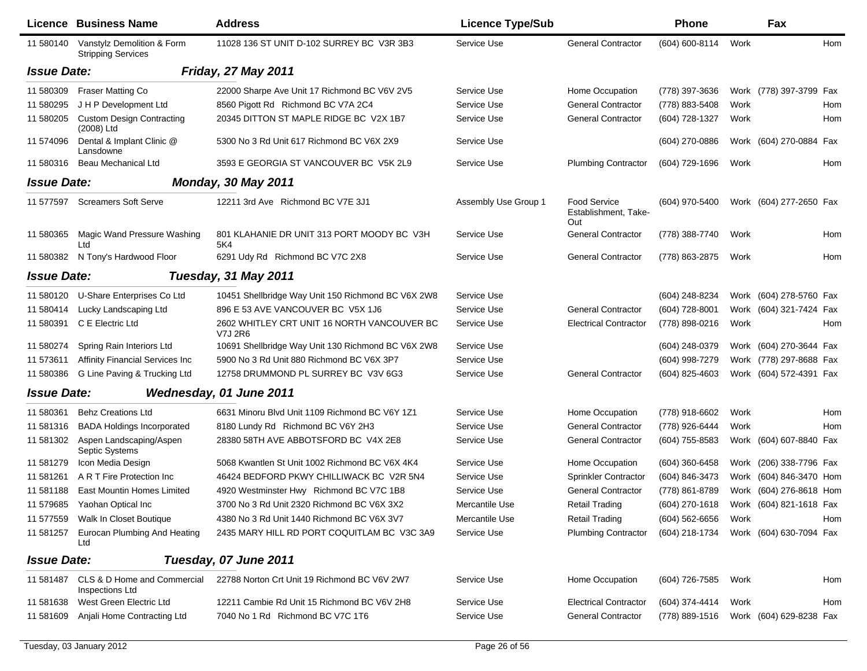|                    | Licence Business Name                                   | <b>Address</b>                                                | <b>Licence Type/Sub</b> |                                                    | <b>Phone</b>     |      | Fax                     |
|--------------------|---------------------------------------------------------|---------------------------------------------------------------|-------------------------|----------------------------------------------------|------------------|------|-------------------------|
| 11 580140          | Vanstylz Demolition & Form<br><b>Stripping Services</b> | 11028 136 ST UNIT D-102 SURREY BC V3R 3B3                     | Service Use             | <b>General Contractor</b>                          | (604) 600-8114   | Work | Hom                     |
| <b>Issue Date:</b> |                                                         | <b>Friday, 27 May 2011</b>                                    |                         |                                                    |                  |      |                         |
| 11 580309          | <b>Fraser Matting Co</b>                                | 22000 Sharpe Ave Unit 17 Richmond BC V6V 2V5                  | Service Use             | Home Occupation                                    | (778) 397-3636   |      | Work (778) 397-3799 Fax |
| 11 580295          | J H P Development Ltd                                   | 8560 Pigott Rd Richmond BC V7A 2C4                            | Service Use             | <b>General Contractor</b>                          | (778) 883-5408   | Work | Hom                     |
| 11 580205          | <b>Custom Design Contracting</b><br>(2008) Ltd          | 20345 DITTON ST MAPLE RIDGE BC V2X 1B7                        | Service Use             | <b>General Contractor</b>                          | (604) 728-1327   | Work | Hom                     |
| 11 574096          | Dental & Implant Clinic @<br>Lansdowne                  | 5300 No 3 Rd Unit 617 Richmond BC V6X 2X9                     | Service Use             |                                                    | (604) 270-0886   |      | Work (604) 270-0884 Fax |
| 11 580316          | <b>Beau Mechanical Ltd</b>                              | 3593 E GEORGIA ST VANCOUVER BC V5K 2L9                        | Service Use             | <b>Plumbing Contractor</b>                         | (604) 729-1696   | Work | Hom                     |
| <b>Issue Date:</b> |                                                         | <b>Monday, 30 May 2011</b>                                    |                         |                                                    |                  |      |                         |
| 11 577597          | <b>Screamers Soft Serve</b>                             | 12211 3rd Ave Richmond BC V7E 3J1                             | Assembly Use Group 1    | <b>Food Service</b><br>Establishment, Take-<br>Out | (604) 970-5400   |      | Work (604) 277-2650 Fax |
| 11 580365          | Magic Wand Pressure Washing<br>Ltd                      | 801 KLAHANIE DR UNIT 313 PORT MOODY BC V3H<br>5K4             | Service Use             | <b>General Contractor</b>                          | (778) 388-7740   | Work | Hom                     |
| 11 580382          | N Tony's Hardwood Floor                                 | 6291 Udy Rd Richmond BC V7C 2X8                               | Service Use             | <b>General Contractor</b>                          | (778) 863-2875   | Work | Hom                     |
| <b>Issue Date:</b> |                                                         | Tuesday, 31 May 2011                                          |                         |                                                    |                  |      |                         |
| 11 580120          | U-Share Enterprises Co Ltd                              | 10451 Shellbridge Way Unit 150 Richmond BC V6X 2W8            | Service Use             |                                                    | (604) 248-8234   |      | Work (604) 278-5760 Fax |
| 11 580414          | Lucky Landscaping Ltd                                   | 896 E 53 AVE VANCOUVER BC V5X 1J6                             | Service Use             | <b>General Contractor</b>                          | (604) 728-8001   |      | Work (604) 321-7424 Fax |
| 11 580391          | C E Electric Ltd                                        | 2602 WHITLEY CRT UNIT 16 NORTH VANCOUVER BC<br><b>V7J 2R6</b> | Service Use             | <b>Electrical Contractor</b>                       | (778) 898-0216   | Work | Hom                     |
| 11 580274          | Spring Rain Interiors Ltd                               | 10691 Shellbridge Way Unit 130 Richmond BC V6X 2W8            | Service Use             |                                                    | (604) 248-0379   |      | Work (604) 270-3644 Fax |
| 11 573611          | <b>Affinity Financial Services Inc</b>                  | 5900 No 3 Rd Unit 880 Richmond BC V6X 3P7                     | Service Use             |                                                    | (604) 998-7279   |      | Work (778) 297-8688 Fax |
| 11 580386          | G Line Paving & Trucking Ltd                            | 12758 DRUMMOND PL SURREY BC V3V 6G3                           | Service Use             | <b>General Contractor</b>                          | (604) 825-4603   |      | Work (604) 572-4391 Fax |
| <b>Issue Date:</b> |                                                         | Wednesday, 01 June 2011                                       |                         |                                                    |                  |      |                         |
| 11 580361          | <b>Behz Creations Ltd</b>                               | 6631 Minoru Blvd Unit 1109 Richmond BC V6Y 1Z1                | Service Use             | Home Occupation                                    | (778) 918-6602   | Work | Hom                     |
| 11 581316          | <b>BADA Holdings Incorporated</b>                       | 8180 Lundy Rd Richmond BC V6Y 2H3                             | Service Use             | <b>General Contractor</b>                          | (778) 926-6444   | Work | Hom                     |
| 11 581302          | Aspen Landscaping/Aspen<br>Septic Systems               | 28380 58TH AVE ABBOTSFORD BC V4X 2E8                          | Service Use             | <b>General Contractor</b>                          | (604) 755-8583   |      | Work (604) 607-8840 Fax |
| 11 581279          | Icon Media Design                                       | 5068 Kwantlen St Unit 1002 Richmond BC V6X 4K4                | Service Use             | Home Occupation                                    | $(604)$ 360-6458 |      | Work (206) 338-7796 Fax |
| 11 581261          | A R T Fire Protection Inc                               | 46424 BEDFORD PKWY CHILLIWACK BC V2R 5N4                      | Service Use             | Sprinkler Contractor                               | (604) 846-3473   |      | Work (604) 846-3470 Hom |
| 11 581188          | <b>East Mountin Homes Limited</b>                       | 4920 Westminster Hwy Richmond BC V7C 1B8                      | Service Use             | <b>General Contractor</b>                          | (778) 861-8789   |      | Work (604) 276-8618 Hom |
|                    | 11 579685 Yaohan Optical Inc                            | 3700 No 3 Rd Unit 2320 Richmond BC V6X 3X2                    | Mercantile Use          | <b>Retail Trading</b>                              | (604) 270-1618   |      | Work (604) 821-1618 Fax |
|                    | 11 577559 Walk In Closet Boutique                       | 4380 No 3 Rd Unit 1440 Richmond BC V6X 3V7                    | Mercantile Use          | Retail Trading                                     | (604) 562-6656   | Work | Hom                     |
| 11 581257          | Eurocan Plumbing And Heating<br>Ltd                     | 2435 MARY HILL RD PORT COQUITLAM BC V3C 3A9                   | Service Use             | <b>Plumbing Contractor</b>                         | (604) 218-1734   |      | Work (604) 630-7094 Fax |
| <b>Issue Date:</b> |                                                         | Tuesday, 07 June 2011                                         |                         |                                                    |                  |      |                         |
| 11 581487          | CLS & D Home and Commercial<br>Inspections Ltd          | 22788 Norton Crt Unit 19 Richmond BC V6V 2W7                  | Service Use             | Home Occupation                                    | (604) 726-7585   | Work | Hom                     |
| 11 581638          | West Green Electric Ltd                                 | 12211 Cambie Rd Unit 15 Richmond BC V6V 2H8                   | Service Use             | <b>Electrical Contractor</b>                       | (604) 374-4414   | Work | Hom                     |
| 11 581609          | Anjali Home Contracting Ltd                             | 7040 No 1 Rd Richmond BC V7C 1T6                              | Service Use             | <b>General Contractor</b>                          | (778) 889-1516   |      | Work (604) 629-8238 Fax |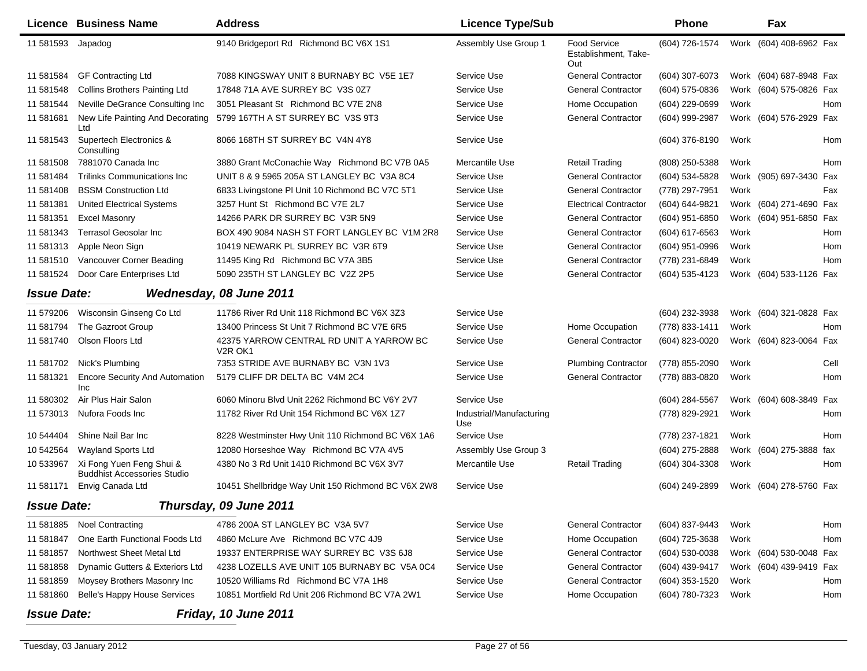|                    | Licence Business Name                                          | <b>Address</b>                                                               | <b>Licence Type/Sub</b>         |                                                    | <b>Phone</b>     |      | Fax                     |      |
|--------------------|----------------------------------------------------------------|------------------------------------------------------------------------------|---------------------------------|----------------------------------------------------|------------------|------|-------------------------|------|
| 11 581593 Japadog  |                                                                | 9140 Bridgeport Rd Richmond BC V6X 1S1                                       | Assembly Use Group 1            | <b>Food Service</b><br>Establishment, Take-<br>Out | (604) 726-1574   |      | Work (604) 408-6962 Fax |      |
| 11 581584          | <b>GF Contracting Ltd</b>                                      | 7088 KINGSWAY UNIT 8 BURNABY BC V5E 1E7                                      | Service Use                     | <b>General Contractor</b>                          | (604) 307-6073   |      | Work (604) 687-8948 Fax |      |
| 11 581548          | <b>Collins Brothers Painting Ltd</b>                           | 17848 71A AVE SURREY BC V3S 0Z7                                              | Service Use                     | <b>General Contractor</b>                          | (604) 575-0836   |      | Work (604) 575-0826 Fax |      |
| 11 581544          | Neville DeGrance Consulting Inc                                | 3051 Pleasant St Richmond BC V7E 2N8                                         | Service Use                     | Home Occupation                                    | (604) 229-0699   | Work |                         | Hom  |
| 11 581681          | New Life Painting And Decorating<br>Ltd                        | 5799 167TH A ST SURREY BC V3S 9T3                                            | Service Use                     | <b>General Contractor</b>                          | (604) 999-2987   |      | Work (604) 576-2929 Fax |      |
| 11 581543          | Supertech Electronics &<br>Consulting                          | 8066 168TH ST SURREY BC V4N 4Y8                                              | Service Use                     |                                                    | (604) 376-8190   | Work |                         | Hom  |
| 11 581508          | 7881070 Canada Inc                                             | 3880 Grant McConachie Way Richmond BC V7B 0A5                                | Mercantile Use                  | Retail Trading                                     | (808) 250-5388   | Work |                         | Hom  |
| 11 581484          | Trilinks Communications Inc                                    | UNIT 8 & 9 5965 205A ST LANGLEY BC V3A 8C4                                   | Service Use                     | <b>General Contractor</b>                          | (604) 534-5828   |      | Work (905) 697-3430 Fax |      |
| 11 581408          | <b>BSSM Construction Ltd</b>                                   | 6833 Livingstone PI Unit 10 Richmond BC V7C 5T1                              | Service Use                     | <b>General Contractor</b>                          | (778) 297-7951   | Work |                         | Fax  |
| 11 581381          | <b>United Electrical Systems</b>                               | 3257 Hunt St Richmond BC V7E 2L7                                             | Service Use                     | <b>Electrical Contractor</b>                       | (604) 644-9821   |      | Work (604) 271-4690 Fax |      |
| 11 581351          | <b>Excel Masonry</b>                                           | 14266 PARK DR SURREY BC V3R 5N9                                              | Service Use                     | <b>General Contractor</b>                          | (604) 951-6850   |      | Work (604) 951-6850 Fax |      |
| 11 581343          | <b>Terrasol Geosolar Inc.</b>                                  | BOX 490 9084 NASH ST FORT LANGLEY BC V1M 2R8                                 | Service Use                     | <b>General Contractor</b>                          | (604) 617-6563   | Work |                         | Hom  |
| 11 581313          | Apple Neon Sign                                                | 10419 NEWARK PL SURREY BC V3R 6T9                                            | Service Use                     | <b>General Contractor</b>                          | (604) 951-0996   | Work |                         | Hom  |
| 11 581510          | Vancouver Corner Beading                                       | 11495 King Rd Richmond BC V7A 3B5                                            | Service Use                     | <b>General Contractor</b>                          | (778) 231-6849   | Work |                         | Hom  |
| 11 581524          | Door Care Enterprises Ltd                                      | 5090 235TH ST LANGLEY BC V2Z 2P5                                             | Service Use                     | <b>General Contractor</b>                          | (604) 535-4123   |      | Work (604) 533-1126 Fax |      |
| <b>Issue Date:</b> |                                                                | Wednesday, 08 June 2011                                                      |                                 |                                                    |                  |      |                         |      |
| 11 579206          | Wisconsin Ginseng Co Ltd                                       | 11786 River Rd Unit 118 Richmond BC V6X 3Z3                                  | Service Use                     |                                                    | (604) 232-3938   |      | Work (604) 321-0828 Fax |      |
| 11 581794          | The Gazroot Group                                              | 13400 Princess St Unit 7 Richmond BC V7E 6R5                                 | Service Use                     | Home Occupation                                    | (778) 833-1411   | Work |                         | Hom  |
| 11 581740          | Olson Floors Ltd                                               | 42375 YARROW CENTRAL RD UNIT A YARROW BC<br>V <sub>2</sub> R OK <sub>1</sub> | Service Use                     | <b>General Contractor</b>                          | (604) 823-0020   |      | Work (604) 823-0064 Fax |      |
| 11 581702          | Nick's Plumbing                                                | 7353 STRIDE AVE BURNABY BC V3N 1V3                                           | Service Use                     | <b>Plumbing Contractor</b>                         | (778) 855-2090   | Work |                         | Cell |
| 11 581321          | <b>Encore Security And Automation</b><br><b>Inc</b>            | 5179 CLIFF DR DELTA BC V4M 2C4                                               | Service Use                     | <b>General Contractor</b>                          | (778) 883-0820   | Work |                         | Hom  |
| 11 580302          | Air Plus Hair Salon                                            | 6060 Minoru Blvd Unit 2262 Richmond BC V6Y 2V7                               | Service Use                     |                                                    | (604) 284-5567   |      | Work (604) 608-3849 Fax |      |
| 11 573013          | Nufora Foods Inc                                               | 11782 River Rd Unit 154 Richmond BC V6X 1Z7                                  | Industrial/Manufacturing<br>Use |                                                    | (778) 829-2921   | Work |                         | Hom  |
| 10 544404          | Shine Nail Bar Inc                                             | 8228 Westminster Hwy Unit 110 Richmond BC V6X 1A6                            | Service Use                     |                                                    | (778) 237-1821   | Work |                         | Hom  |
| 10 542564          | Wayland Sports Ltd                                             | 12080 Horseshoe Way Richmond BC V7A 4V5                                      | Assembly Use Group 3            |                                                    | (604) 275-2888   |      | Work (604) 275-3888 fax |      |
| 10 533967          | Xi Fong Yuen Feng Shui &<br><b>Buddhist Accessories Studio</b> | 4380 No 3 Rd Unit 1410 Richmond BC V6X 3V7                                   | Mercantile Use                  | <b>Retail Trading</b>                              | (604) 304-3308   | Work |                         | Hom  |
| 11 581171          | Envig Canada Ltd                                               | 10451 Shellbridge Way Unit 150 Richmond BC V6X 2W8                           | Service Use                     |                                                    | (604) 249-2899   |      | Work (604) 278-5760 Fax |      |
| <b>Issue Date:</b> |                                                                | Thursday, 09 June 2011                                                       |                                 |                                                    |                  |      |                         |      |
| 11 581885          | <b>Noel Contracting</b>                                        | 4786 200A ST LANGLEY BC V3A 5V7                                              | Service Use                     | <b>General Contractor</b>                          | (604) 837-9443   | Work |                         | Hom  |
| 11 581847          | One Earth Functional Foods Ltd                                 | 4860 McLure Ave Richmond BC V7C 4J9                                          | Service Use                     | Home Occupation                                    | (604) 725-3638   | Work |                         | Hom  |
| 11 581857          | Northwest Sheet Metal Ltd                                      | 19337 ENTERPRISE WAY SURREY BC V3S 6J8                                       | Service Use                     | <b>General Contractor</b>                          | $(604)$ 530-0038 |      | Work (604) 530-0048 Fax |      |
| 11 581858          | Dynamic Gutters & Exteriors Ltd                                | 4238 LOZELLS AVE UNIT 105 BURNABY BC V5A 0C4                                 | Service Use                     | <b>General Contractor</b>                          | (604) 439-9417   |      | Work (604) 439-9419 Fax |      |
| 11 581859          | Moysey Brothers Masonry Inc                                    | 10520 Williams Rd Richmond BC V7A 1H8                                        | Service Use                     | <b>General Contractor</b>                          | $(604)$ 353-1520 | Work |                         | Hom  |
| 11 581860          | <b>Belle's Happy House Services</b>                            | 10851 Mortfield Rd Unit 206 Richmond BC V7A 2W1                              | Service Use                     | Home Occupation                                    | (604) 780-7323   | Work |                         | Hom  |
| <b>Issue Date:</b> |                                                                | Friday, 10 June 2011                                                         |                                 |                                                    |                  |      |                         |      |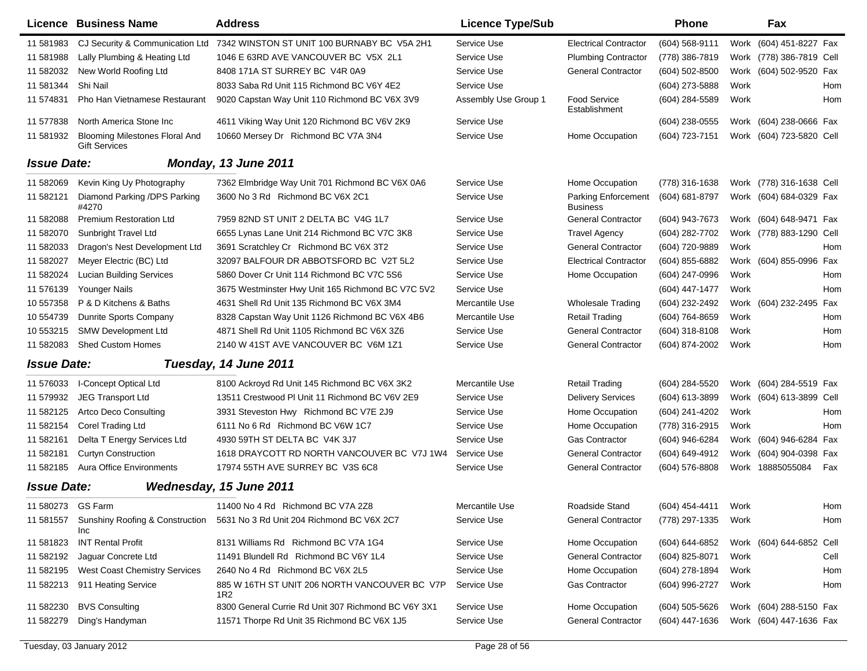|                    | Licence Business Name                                         | <b>Address</b>                                       | <b>Licence Type/Sub</b> |                                        | <b>Phone</b>        |      | Fax                      |  |
|--------------------|---------------------------------------------------------------|------------------------------------------------------|-------------------------|----------------------------------------|---------------------|------|--------------------------|--|
| 11 581983          | CJ Security & Communication Ltd                               | 7342 WINSTON ST UNIT 100 BURNABY BC V5A 2H1          | Service Use             | <b>Electrical Contractor</b>           | (604) 568-9111      |      | Work (604) 451-8227 Fax  |  |
| 11 581988          | Lally Plumbing & Heating Ltd                                  | 1046 E 63RD AVE VANCOUVER BC V5X 2L1                 | Service Use             | <b>Plumbing Contractor</b>             | (778) 386-7819      |      | Work (778) 386-7819 Cell |  |
| 11 582032          | New World Roofing Ltd                                         | 8408 171A ST SURREY BC V4R 0A9                       | Service Use             | <b>General Contractor</b>              | (604) 502-8500      |      | Work (604) 502-9520 Fax  |  |
| 11 581344          | Shi Nail                                                      | 8033 Saba Rd Unit 115 Richmond BC V6Y 4E2            | Service Use             |                                        | (604) 273-5888      | Work | Hom                      |  |
| 11 574831          | Pho Han Vietnamese Restaurant                                 | 9020 Capstan Way Unit 110 Richmond BC V6X 3V9        | Assembly Use Group 1    | <b>Food Service</b><br>Establishment   | (604) 284-5589      | Work | Hom                      |  |
| 11 577838          | North America Stone Inc                                       | 4611 Viking Way Unit 120 Richmond BC V6V 2K9         | Service Use             |                                        | (604) 238-0555      |      | Work (604) 238-0666 Fax  |  |
| 11 581932          | <b>Blooming Milestones Floral And</b><br><b>Gift Services</b> | 10660 Mersey Dr Richmond BC V7A 3N4                  | Service Use             | Home Occupation                        | (604) 723-7151      |      | Work (604) 723-5820 Cell |  |
| <b>Issue Date:</b> |                                                               | Monday, 13 June 2011                                 |                         |                                        |                     |      |                          |  |
| 11 582069          | Kevin King Uy Photography                                     | 7362 Elmbridge Way Unit 701 Richmond BC V6X 0A6      | Service Use             | Home Occupation                        | (778) 316-1638      |      | Work (778) 316-1638 Cell |  |
| 11 582121          | Diamond Parking /DPS Parking<br>#4270                         | 3600 No 3 Rd Richmond BC V6X 2C1                     | Service Use             | Parking Enforcement<br><b>Business</b> | (604) 681-8797      |      | Work (604) 684-0329 Fax  |  |
| 11 582088          | <b>Premium Restoration Ltd</b>                                | 7959 82ND ST UNIT 2 DELTA BC V4G 1L7                 | Service Use             | <b>General Contractor</b>              | (604) 943-7673      |      | Work (604) 648-9471 Fax  |  |
| 11 582070          | Sunbright Travel Ltd                                          | 6655 Lynas Lane Unit 214 Richmond BC V7C 3K8         | Service Use             | <b>Travel Agency</b>                   | (604) 282-7702      |      | Work (778) 883-1290 Cell |  |
| 11 582033          | Dragon's Nest Development Ltd                                 | 3691 Scratchley Cr Richmond BC V6X 3T2               | Service Use             | <b>General Contractor</b>              | (604) 720-9889      | Work | Hom                      |  |
| 11 582027          | Meyer Electric (BC) Ltd                                       | 32097 BALFOUR DR ABBOTSFORD BC V2T 5L2               | Service Use             | <b>Electrical Contractor</b>           | (604) 855-6882      |      | Work (604) 855-0996 Fax  |  |
| 11 582024          | <b>Lucian Building Services</b>                               | 5860 Dover Cr Unit 114 Richmond BC V7C 5S6           | Service Use             | Home Occupation                        | (604) 247-0996      | Work | Hom                      |  |
| 11 576139          | Younger Nails                                                 | 3675 Westminster Hwy Unit 165 Richmond BC V7C 5V2    | Service Use             |                                        | (604) 447-1477      | Work | Hom                      |  |
| 10 557358          | P & D Kitchens & Baths                                        | 4631 Shell Rd Unit 135 Richmond BC V6X 3M4           | Mercantile Use          | <b>Wholesale Trading</b>               | (604) 232-2492      |      | Work (604) 232-2495 Fax  |  |
| 10 554739          | Dunrite Sports Company                                        | 8328 Capstan Way Unit 1126 Richmond BC V6X 4B6       | Mercantile Use          | <b>Retail Trading</b>                  | (604) 764-8659      | Work | Hom                      |  |
| 10 553215          | <b>SMW Development Ltd</b>                                    | 4871 Shell Rd Unit 1105 Richmond BC V6X 3Z6          | Service Use             | <b>General Contractor</b>              | (604) 318-8108      | Work | Hom                      |  |
| 11 582083          | <b>Shed Custom Homes</b>                                      | 2140 W 41ST AVE VANCOUVER BC V6M 1Z1                 | Service Use             | <b>General Contractor</b>              | (604) 874-2002      | Work | Hom                      |  |
| <b>Issue Date:</b> |                                                               | Tuesday, 14 June 2011                                |                         |                                        |                     |      |                          |  |
| 11 576033          | I-Concept Optical Ltd                                         | 8100 Ackroyd Rd Unit 145 Richmond BC V6X 3K2         | Mercantile Use          | <b>Retail Trading</b>                  | (604) 284-5520      |      | Work (604) 284-5519 Fax  |  |
| 11 579932          | <b>JEG Transport Ltd</b>                                      | 13511 Crestwood PI Unit 11 Richmond BC V6V 2E9       | Service Use             | <b>Delivery Services</b>               | (604) 613-3899      |      | Work (604) 613-3899 Cell |  |
| 11 582125          | <b>Artco Deco Consulting</b>                                  | 3931 Steveston Hwy Richmond BC V7E 2J9               | Service Use             | Home Occupation                        | (604) 241-4202      | Work | Hom                      |  |
| 11 582154          | Corel Trading Ltd                                             | 6111 No 6 Rd Richmond BC V6W 1C7                     | Service Use             | Home Occupation                        | (778) 316-2915      | Work | Hom                      |  |
| 11 582161          | Delta T Energy Services Ltd                                   | 4930 59TH ST DELTA BC V4K 3J7                        | Service Use             | <b>Gas Contractor</b>                  | (604) 946-6284      |      | Work (604) 946-6284 Fax  |  |
| 11 582181          | <b>Curtyn Construction</b>                                    | 1618 DRAYCOTT RD NORTH VANCOUVER BC V7J 1W4          | Service Use             | <b>General Contractor</b>              | (604) 649-4912      |      | Work (604) 904-0398 Fax  |  |
| 11 582185          | <b>Aura Office Environments</b>                               | 17974 55TH AVE SURREY BC V3S 6C8                     | Service Use             | <b>General Contractor</b>              | (604) 576-8808      |      | Work 18885055084<br>Fax  |  |
| <b>Issue Date:</b> |                                                               | Wednesday, 15 June 2011                              |                         |                                        |                     |      |                          |  |
| 11 580273 GS Farm  |                                                               | 11400 No 4 Rd Richmond BC V7A 2Z8                    | Mercantile Use          | Roadside Stand                         | (604) 454-4411 Work |      | Hom                      |  |
| 11 581557          | Sunshiny Roofing & Construction<br>Inc                        | 5631 No 3 Rd Unit 204 Richmond BC V6X 2C7            | Service Use             | <b>General Contractor</b>              | (778) 297-1335      | Work | Hom                      |  |
| 11 581823          | <b>INT Rental Profit</b>                                      | 8131 Williams Rd Richmond BC V7A 1G4                 | Service Use             | Home Occupation                        | (604) 644-6852      |      | Work (604) 644-6852 Cell |  |
| 11 582192          | Jaguar Concrete Ltd                                           | 11491 Blundell Rd Richmond BC V6Y 1L4                | Service Use             | <b>General Contractor</b>              | (604) 825-8071      | Work | Cell                     |  |
| 11 582195          | <b>West Coast Chemistry Services</b>                          | 2640 No 4 Rd Richmond BC V6X 2L5                     | Service Use             | Home Occupation                        | (604) 278-1894      | Work | Hom                      |  |
| 11 582213          | 911 Heating Service                                           | 885 W 16TH ST UNIT 206 NORTH VANCOUVER BC V7P<br>1R2 | Service Use             | Gas Contractor                         | (604) 996-2727      | Work | Hom                      |  |
| 11 582230          | <b>BVS Consulting</b>                                         | 8300 General Currie Rd Unit 307 Richmond BC V6Y 3X1  | Service Use             | Home Occupation                        | (604) 505-5626      |      | Work (604) 288-5150 Fax  |  |
| 11 582279          | Ding's Handyman                                               | 11571 Thorpe Rd Unit 35 Richmond BC V6X 1J5          | Service Use             | <b>General Contractor</b>              | (604) 447-1636      |      | Work (604) 447-1636 Fax  |  |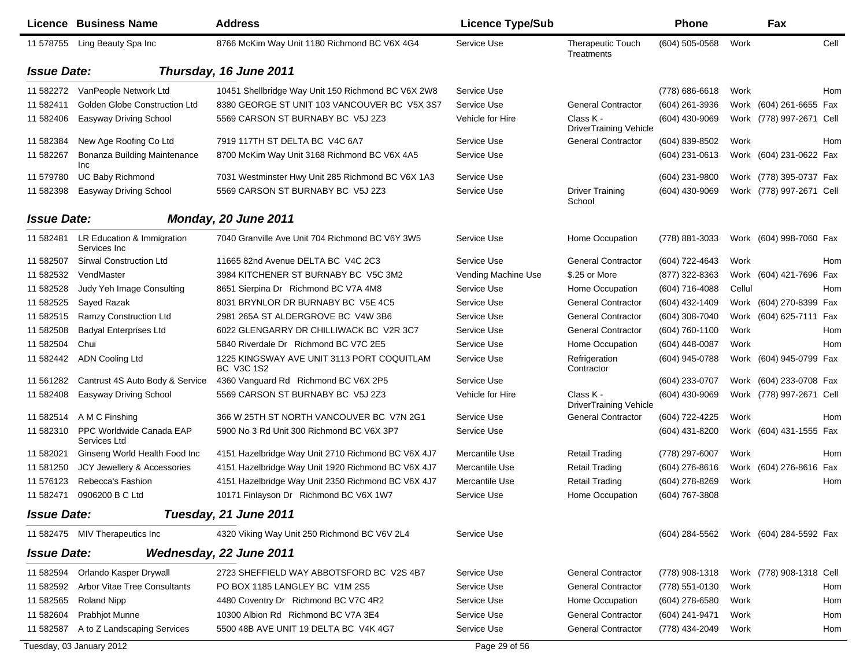|                    | Licence Business Name                      | <b>Address</b>                                           | <b>Licence Type/Sub</b> |                                            | <b>Phone</b>     |        | Fax                      |            |
|--------------------|--------------------------------------------|----------------------------------------------------------|-------------------------|--------------------------------------------|------------------|--------|--------------------------|------------|
| 11 578755          | Ling Beauty Spa Inc                        | 8766 McKim Way Unit 1180 Richmond BC V6X 4G4             | Service Use             | <b>Therapeutic Touch</b><br>Treatments     | (604) 505-0568   | Work   |                          | Cell       |
| <b>Issue Date:</b> |                                            | Thursday, 16 June 2011                                   |                         |                                            |                  |        |                          |            |
| 11 582272          | VanPeople Network Ltd                      | 10451 Shellbridge Way Unit 150 Richmond BC V6X 2W8       | Service Use             |                                            | (778) 686-6618   | Work   |                          | Hom        |
| 11 582411          | <b>Golden Globe Construction Ltd</b>       | 8380 GEORGE ST UNIT 103 VANCOUVER BC V5X 3S7             | Service Use             | <b>General Contractor</b>                  | (604) 261-3936   |        | Work (604) 261-6655 Fax  |            |
| 11 582406          | Easyway Driving School                     | 5569 CARSON ST BURNABY BC V5J 2Z3                        | Vehicle for Hire        | Class K -<br><b>DriverTraining Vehicle</b> | (604) 430-9069   |        | Work (778) 997-2671 Cell |            |
| 11 582384          | New Age Roofing Co Ltd                     | 7919 117TH ST DELTA BC V4C 6A7                           | Service Use             | <b>General Contractor</b>                  | (604) 839-8502   | Work   |                          | Hom        |
| 11 582267          | Bonanza Building Maintenance<br><b>Inc</b> | 8700 McKim Way Unit 3168 Richmond BC V6X 4A5             | Service Use             |                                            | (604) 231-0613   |        | Work (604) 231-0622 Fax  |            |
| 11 579780          | <b>UC Baby Richmond</b>                    | 7031 Westminster Hwy Unit 285 Richmond BC V6X 1A3        | Service Use             |                                            | (604) 231-9800   |        | Work (778) 395-0737 Fax  |            |
| 11 582398          | <b>Easyway Driving School</b>              | 5569 CARSON ST BURNABY BC V5J 2Z3                        | Service Use             | <b>Driver Training</b><br>School           | (604) 430-9069   |        | Work (778) 997-2671 Cell |            |
| <b>Issue Date:</b> |                                            | Monday, 20 June 2011                                     |                         |                                            |                  |        |                          |            |
| 11 582481          | LR Education & Immigration<br>Services Inc | 7040 Granville Ave Unit 704 Richmond BC V6Y 3W5          | Service Use             | Home Occupation                            | (778) 881-3033   |        | Work (604) 998-7060 Fax  |            |
| 11 582507          | Sirwal Construction Ltd                    | 11665 82nd Avenue DELTA BC V4C 2C3                       | Service Use             | <b>General Contractor</b>                  | (604) 722-4643   | Work   |                          | <b>Hom</b> |
| 11 582532          | VendMaster                                 | 3984 KITCHENER ST BURNABY BC V5C 3M2                     | Vending Machine Use     | \$.25 or More                              | (877) 322-8363   |        | Work (604) 421-7696 Fax  |            |
| 11 582528          | Judy Yeh Image Consulting                  | 8651 Sierpina Dr Richmond BC V7A 4M8                     | Service Use             | Home Occupation                            | (604) 716-4088   | Cellul |                          | Hom        |
| 11 582525          | Sayed Razak                                | 8031 BRYNLOR DR BURNABY BC V5E 4C5                       | Service Use             | <b>General Contractor</b>                  | (604) 432-1409   |        | Work (604) 270-8399 Fax  |            |
| 11 582515          | Ramzy Construction Ltd                     | 2981 265A ST ALDERGROVE BC V4W 3B6                       | Service Use             | <b>General Contractor</b>                  | (604) 308-7040   |        | Work (604) 625-7111 Fax  |            |
| 11 582508          | <b>Badyal Enterprises Ltd</b>              | 6022 GLENGARRY DR CHILLIWACK BC V2R 3C7                  | Service Use             | <b>General Contractor</b>                  | (604) 760-1100   | Work   |                          | Hom        |
| 11 582504          | Chui                                       | 5840 Riverdale Dr Richmond BC V7C 2E5                    | Service Use             | Home Occupation                            | (604) 448-0087   | Work   |                          | Hom        |
| 11 582442          | <b>ADN Cooling Ltd</b>                     | 1225 KINGSWAY AVE UNIT 3113 PORT COQUITLAM<br>BC V3C 1S2 | Service Use             | Refrigeration<br>Contractor                | (604) 945-0788   | Work   | (604) 945-0799 Fax       |            |
| 11 561282          | Cantrust 4S Auto Body & Service            | 4360 Vanguard Rd Richmond BC V6X 2P5                     | Service Use             |                                            | (604) 233-0707   | Work   | (604) 233-0708 Fax       |            |
| 11 582408          | Easyway Driving School                     | 5569 CARSON ST BURNABY BC V5J 2Z3                        | Vehicle for Hire        | Class K -<br><b>DriverTraining Vehicle</b> | (604) 430-9069   |        | Work (778) 997-2671 Cell |            |
| 11 582514          | A M C Finshing                             | 366 W 25TH ST NORTH VANCOUVER BC V7N 2G1                 | Service Use             | <b>General Contractor</b>                  | (604) 722-4225   | Work   |                          | Hom        |
| 11 582310          | PPC Worldwide Canada EAP<br>Services Ltd   | 5900 No 3 Rd Unit 300 Richmond BC V6X 3P7                | Service Use             |                                            | (604) 431-8200   |        | Work (604) 431-1555 Fax  |            |
| 11 582021          | Ginseng World Health Food Inc              | 4151 Hazelbridge Way Unit 2710 Richmond BC V6X 4J7       | Mercantile Use          | Retail Trading                             | (778) 297-6007   | Work   |                          | Hom        |
| 11 581250          | JCY Jewellery & Accessories                | 4151 Hazelbridge Way Unit 1920 Richmond BC V6X 4J7       | Mercantile Use          | <b>Retail Trading</b>                      | $(604)$ 276-8616 |        | Work (604) 276-8616 Fax  |            |
| 11 576123          | Rebecca's Fashion                          | 4151 Hazelbridge Way Unit 2350 Richmond BC V6X 4J7       | Mercantile Use          | <b>Retail Trading</b>                      | (604) 278-8269   | Work   |                          | Hom        |
| 11 582471          | 0906200 B C Ltd                            | 10171 Finlayson Dr Richmond BC V6X 1W7                   | Service Use             | Home Occupation                            | (604) 767-3808   |        |                          |            |
| <b>Issue Date:</b> |                                            | Tuesday, 21 June 2011                                    |                         |                                            |                  |        |                          |            |
|                    | 11 582475 MIV Therapeutics Inc             | 4320 Viking Way Unit 250 Richmond BC V6V 2L4             | Service Use             |                                            | (604) 284-5562   |        | Work (604) 284-5592 Fax  |            |
| <b>Issue Date:</b> |                                            | Wednesday, 22 June 2011                                  |                         |                                            |                  |        |                          |            |
| 11 582594          | Orlando Kasper Drywall                     | 2723 SHEFFIELD WAY ABBOTSFORD BC V2S 4B7                 | Service Use             | <b>General Contractor</b>                  | (778) 908-1318   |        | Work (778) 908-1318 Cell |            |
| 11 582592          | Arbor Vitae Tree Consultants               | PO BOX 1185 LANGLEY BC V1M 2S5                           | Service Use             | <b>General Contractor</b>                  | (778) 551-0130   | Work   |                          | Hom        |
| 11 582565          | <b>Roland Nipp</b>                         | 4480 Coventry Dr Richmond BC V7C 4R2                     | Service Use             | Home Occupation                            | (604) 278-6580   | Work   |                          | Hom        |
| 11 582604          | Prabhjot Munne                             | 10300 Albion Rd Richmond BC V7A 3E4                      | Service Use             | <b>General Contractor</b>                  | (604) 241-9471   | Work   |                          | Hom        |
| 11 582587          | A to Z Landscaping Services                | 5500 48B AVE UNIT 19 DELTA BC V4K 4G7                    | Service Use             | <b>General Contractor</b>                  | (778) 434-2049   | Work   |                          | Hom        |
|                    | Tuesday, 03 January 2012                   |                                                          | Page 29 of 56           |                                            |                  |        |                          |            |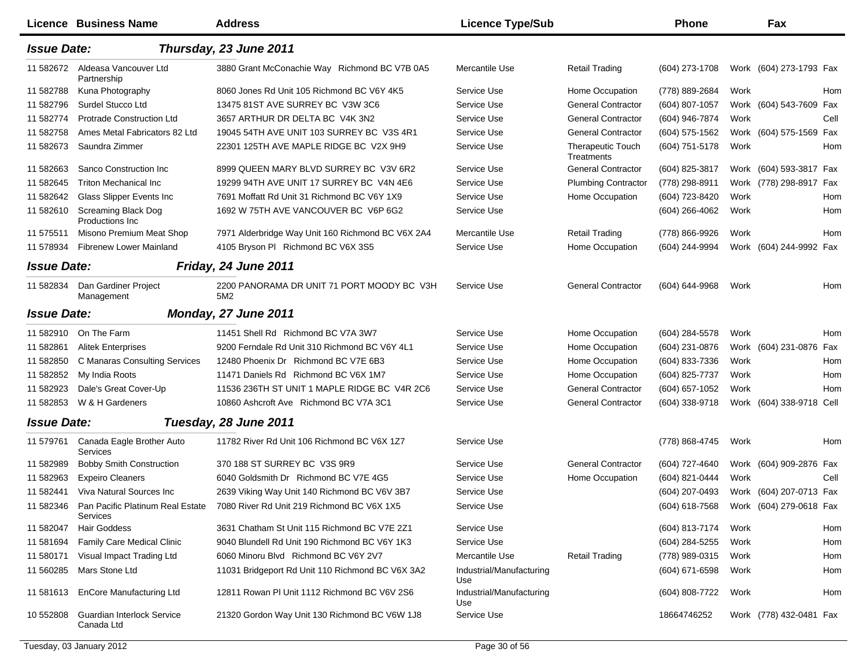|                    | Licence Business Name                           | <b>Address</b>                                    | <b>Licence Type/Sub</b>         |                                        | <b>Phone</b>                           |      | Fax                      |      |
|--------------------|-------------------------------------------------|---------------------------------------------------|---------------------------------|----------------------------------------|----------------------------------------|------|--------------------------|------|
| <b>Issue Date:</b> |                                                 | Thursday, 23 June 2011                            |                                 |                                        |                                        |      |                          |      |
| 11 582672          | Aldeasa Vancouver Ltd<br>Partnership            | 3880 Grant McConachie Way Richmond BC V7B 0A5     | Mercantile Use                  | <b>Retail Trading</b>                  | (604) 273-1708                         |      | Work (604) 273-1793 Fax  |      |
| 11 582788          | Kuna Photography                                | 8060 Jones Rd Unit 105 Richmond BC V6Y 4K5        | Service Use                     | Home Occupation                        | (778) 889-2684                         | Work |                          | Hom  |
| 11 582796          | Surdel Stucco Ltd                               | 13475 81ST AVE SURREY BC V3W 3C6                  | Service Use                     | <b>General Contractor</b>              | (604) 807-1057                         |      | Work (604) 543-7609 Fax  |      |
| 11 582774          | <b>Protrade Construction Ltd</b>                | 3657 ARTHUR DR DELTA BC V4K 3N2                   | Service Use                     | <b>General Contractor</b>              | (604) 946-7874                         | Work |                          | Cell |
| 11 582758          | Ames Metal Fabricators 82 Ltd                   | 19045 54TH AVE UNIT 103 SURREY BC V3S 4R1         | Service Use                     | <b>General Contractor</b>              | (604) 575-1562                         |      | Work (604) 575-1569 Fax  |      |
| 11 582673          | Saundra Zimmer                                  | 22301 125TH AVE MAPLE RIDGE BC V2X 9H9            | Service Use                     | <b>Therapeutic Touch</b><br>Treatments | (604) 751-5178                         | Work |                          | Hom  |
| 11 582663          | Sanco Construction Inc                          | 8999 QUEEN MARY BLVD SURREY BC V3V 6R2            | Service Use                     | <b>General Contractor</b>              | (604) 825-3817                         |      | Work (604) 593-3817 Fax  |      |
| 11 582645          | <b>Triton Mechanical Inc.</b>                   | 19299 94TH AVE UNIT 17 SURREY BC V4N 4E6          | Service Use                     | <b>Plumbing Contractor</b>             | (778) 298-8911                         |      | Work (778) 298-8917 Fax  |      |
| 11 582642          | Glass Slipper Events Inc                        | 7691 Moffatt Rd Unit 31 Richmond BC V6Y 1X9       | Service Use                     | Home Occupation                        | (604) 723-8420                         | Work |                          | Hom  |
| 11 582610          | <b>Screaming Black Dog</b><br>Productions Inc.  | 1692 W 75TH AVE VANCOUVER BC V6P 6G2              | Service Use                     |                                        | $(604)$ 266-4062                       | Work |                          | Hom  |
| 11 575511          | Misono Premium Meat Shop                        | 7971 Alderbridge Way Unit 160 Richmond BC V6X 2A4 | Mercantile Use                  | <b>Retail Trading</b>                  | (778) 866-9926                         | Work |                          | Hom  |
| 11 578934          | Fibrenew Lower Mainland                         | 4105 Bryson PI Richmond BC V6X 3S5                | Service Use                     | Home Occupation                        | (604) 244-9994                         |      | Work (604) 244-9992 Fax  |      |
| <b>Issue Date:</b> |                                                 | Friday, 24 June 2011                              |                                 |                                        |                                        |      |                          |      |
| 11 582834          | Dan Gardiner Project<br>Management              | 2200 PANORAMA DR UNIT 71 PORT MOODY BC V3H<br>5M2 | Service Use                     | <b>General Contractor</b>              | (604) 644-9968                         | Work |                          | Hom  |
| <b>Issue Date:</b> |                                                 | Monday, 27 June 2011                              |                                 |                                        |                                        |      |                          |      |
| 11 582910          | On The Farm                                     | 11451 Shell Rd Richmond BC V7A 3W7                | Service Use                     | Home Occupation                        | (604) 284-5578                         | Work |                          | Hom  |
| 11 582861          | <b>Alitek Enterprises</b>                       | 9200 Ferndale Rd Unit 310 Richmond BC V6Y 4L1     | Service Use                     | Home Occupation                        | (604) 231-0876                         |      | Work (604) 231-0876 Fax  |      |
| 11 582850          | C Manaras Consulting Services                   | 12480 Phoenix Dr Richmond BC V7E 6B3              | Service Use                     | Home Occupation                        | (604) 833-7336                         | Work |                          | Hom  |
| 11 582852          | My India Roots                                  | 11471 Daniels Rd Richmond BC V6X 1M7              | Service Use                     | Home Occupation                        | (604) 825-7737                         | Work |                          | Hom  |
| 11 582923          | Dale's Great Cover-Up                           | 11536 236TH ST UNIT 1 MAPLE RIDGE BC V4R 2C6      | Service Use                     | <b>General Contractor</b>              | (604) 657-1052                         | Work |                          | Hom  |
| 11 582853          | W & H Gardeners                                 | 10860 Ashcroft Ave Richmond BC V7A 3C1            | Service Use                     | <b>General Contractor</b>              | (604) 338-9718                         |      | Work (604) 338-9718 Cell |      |
| <b>Issue Date:</b> |                                                 | Tuesday, 28 June 2011                             |                                 |                                        |                                        |      |                          |      |
| 11 579761          | Canada Eagle Brother Auto<br>Services           | 11782 River Rd Unit 106 Richmond BC V6X 1Z7       | Service Use                     |                                        | (778) 868-4745                         | Work |                          | Hom  |
| 11 582989          | <b>Bobby Smith Construction</b>                 | 370 188 ST SURREY BC V3S 9R9                      | Service Use                     | <b>General Contractor</b>              | (604) 727-4640                         |      | Work (604) 909-2876 Fax  |      |
| 11 582963          | <b>Expeiro Cleaners</b>                         | 6040 Goldsmith Dr Richmond BC V7E 4G5             | Service Use                     | Home Occupation                        | (604) 821-0444                         | Work |                          | Cell |
| 11 582441          | Viva Natural Sources Inc                        | 2639 Viking Way Unit 140 Richmond BC V6V 3B7      | Service Use                     |                                        | (604) 207-0493                         |      | Work (604) 207-0713 Fax  |      |
| 11 582346          | Pan Pacific Platinum Real Estate<br>Services    | 7080 River Rd Unit 219 Richmond BC V6X 1X5        | Service Use                     |                                        | (604) 618-7568 Work (604) 279-0618 Fax |      |                          |      |
| 11 582047          | <b>Hair Goddess</b>                             | 3631 Chatham St Unit 115 Richmond BC V7E 2Z1      | Service Use                     |                                        | (604) 813-7174                         | Work |                          | Hom  |
| 11 581694          | Family Care Medical Clinic                      | 9040 Blundell Rd Unit 190 Richmond BC V6Y 1K3     | Service Use                     |                                        | (604) 284-5255                         | Work |                          | Hom  |
| 11 580171          | Visual Impact Trading Ltd                       | 6060 Minoru Blvd Richmond BC V6Y 2V7              | Mercantile Use                  | <b>Retail Trading</b>                  | (778) 989-0315                         | Work |                          | Hom  |
| 11 560285          | Mars Stone Ltd                                  | 11031 Bridgeport Rd Unit 110 Richmond BC V6X 3A2  | Industrial/Manufacturing<br>Use |                                        | (604) 671-6598                         | Work |                          | Hom  |
| 11 581613          | EnCore Manufacturing Ltd                        | 12811 Rowan PI Unit 1112 Richmond BC V6V 2S6      | Industrial/Manufacturing<br>Use |                                        | (604) 808-7722                         | Work |                          | Hom  |
| 10 552808          | <b>Guardian Interlock Service</b><br>Canada Ltd | 21320 Gordon Way Unit 130 Richmond BC V6W 1J8     | Service Use                     |                                        | 18664746252                            |      | Work (778) 432-0481 Fax  |      |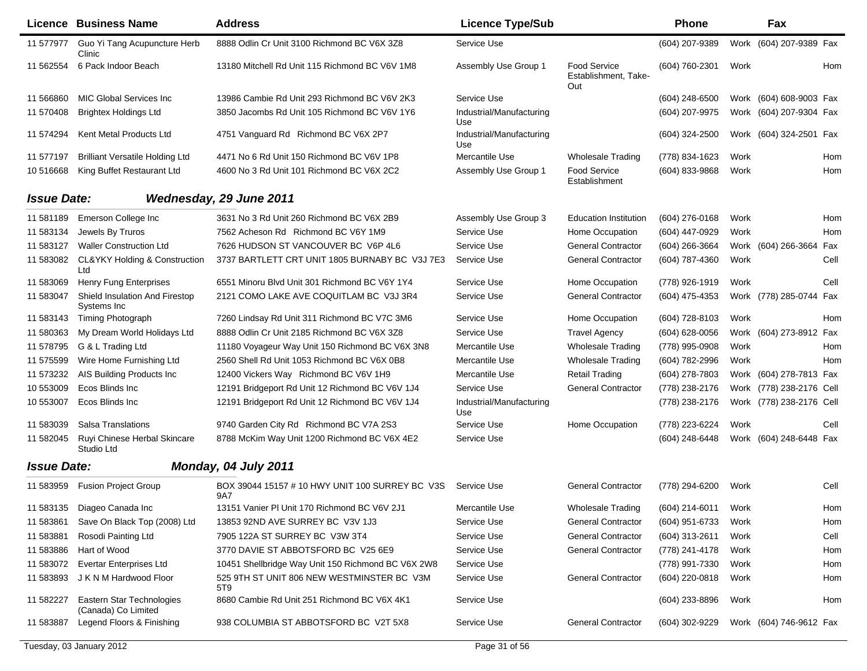|                    | <b>Licence Business Name</b>                        | <b>Address</b>                                         | <b>Licence Type/Sub</b>         |                                                    | <b>Phone</b>        |      | Fax                      |      |
|--------------------|-----------------------------------------------------|--------------------------------------------------------|---------------------------------|----------------------------------------------------|---------------------|------|--------------------------|------|
| 11 577977          | Guo Yi Tang Acupuncture Herb<br>Clinic              | 8888 Odlin Cr Unit 3100 Richmond BC V6X 3Z8            | Service Use                     |                                                    | (604) 207-9389      |      | Work (604) 207-9389 Fax  |      |
| 11 562554          | 6 Pack Indoor Beach                                 | 13180 Mitchell Rd Unit 115 Richmond BC V6V 1M8         | Assembly Use Group 1            | <b>Food Service</b><br>Establishment, Take-<br>Out | (604) 760-2301      | Work |                          | Hom  |
| 11 566860          | <b>MIC Global Services Inc.</b>                     | 13986 Cambie Rd Unit 293 Richmond BC V6V 2K3           | Service Use                     |                                                    | $(604)$ 248-6500    |      | Work (604) 608-9003 Fax  |      |
| 11 570408          | <b>Brightex Holdings Ltd</b>                        | 3850 Jacombs Rd Unit 105 Richmond BC V6V 1Y6           | Industrial/Manufacturing<br>Use |                                                    | (604) 207-9975      |      | Work (604) 207-9304 Fax  |      |
| 11 574294          | Kent Metal Products Ltd                             | 4751 Vanguard Rd Richmond BC V6X 2P7                   | Industrial/Manufacturing<br>Use |                                                    | (604) 324-2500      |      | Work (604) 324-2501 Fax  |      |
| 11 577197          | <b>Brilliant Versatile Holding Ltd</b>              | 4471 No 6 Rd Unit 150 Richmond BC V6V 1P8              | Mercantile Use                  | <b>Wholesale Trading</b>                           | (778) 834-1623      | Work |                          | Hom  |
| 10 51 6668         | King Buffet Restaurant Ltd                          | 4600 No 3 Rd Unit 101 Richmond BC V6X 2C2              | Assembly Use Group 1            | <b>Food Service</b><br>Establishment               | (604) 833-9868      | Work |                          | Hom  |
| <b>Issue Date:</b> |                                                     | Wednesday, 29 June 2011                                |                                 |                                                    |                     |      |                          |      |
| 11 581189          | Emerson College Inc                                 | 3631 No 3 Rd Unit 260 Richmond BC V6X 2B9              | Assembly Use Group 3            | <b>Education Institution</b>                       | $(604)$ 276-0168    | Work |                          | Hom  |
| 11 583134          | Jewels By Truros                                    | 7562 Acheson Rd Richmond BC V6Y 1M9                    | Service Use                     | Home Occupation                                    | (604) 447-0929      | Work |                          | Hom  |
| 11 583127          | <b>Waller Construction Ltd</b>                      | 7626 HUDSON ST VANCOUVER BC V6P 4L6                    | Service Use                     | <b>General Contractor</b>                          | (604) 266-3664      |      | Work (604) 266-3664 Fax  |      |
| 11 583082          | <b>CL&amp;YKY Holding &amp; Construction</b><br>Ltd | 3737 BARTLETT CRT UNIT 1805 BURNABY BC V3J 7E3         | Service Use                     | <b>General Contractor</b>                          | (604) 787-4360      | Work |                          | Cell |
| 11 583069          | Henry Fung Enterprises                              | 6551 Minoru Blvd Unit 301 Richmond BC V6Y 1Y4          | Service Use                     | Home Occupation                                    | (778) 926-1919      | Work |                          | Cell |
| 11 583047          | Shield Insulation And Firestop<br>Systems Inc       | 2121 COMO LAKE AVE COQUITLAM BC V3J 3R4                | Service Use                     | <b>General Contractor</b>                          | (604) 475-4353      |      | Work (778) 285-0744 Fax  |      |
| 11 583143          | Timing Photograph                                   | 7260 Lindsay Rd Unit 311 Richmond BC V7C 3M6           | Service Use                     | Home Occupation                                    | (604) 728-8103      | Work |                          | Hom  |
| 11 580363          | My Dream World Holidays Ltd                         | 8888 Odlin Cr Unit 2185 Richmond BC V6X 3Z8            | Service Use                     | <b>Travel Agency</b>                               | $(604)$ 628-0056    |      | Work (604) 273-8912 Fax  |      |
| 11 578795          | G & L Trading Ltd                                   | 11180 Voyageur Way Unit 150 Richmond BC V6X 3N8        | Mercantile Use                  | <b>Wholesale Trading</b>                           | (778) 995-0908      | Work |                          | Hom  |
| 11 575599          | Wire Home Furnishing Ltd                            | 2560 Shell Rd Unit 1053 Richmond BC V6X 0B8            | Mercantile Use                  | <b>Wholesale Trading</b>                           | (604) 782-2996      | Work |                          | Hom  |
| 11 573232          | AIS Building Products Inc                           | 12400 Vickers Way Richmond BC V6V 1H9                  | Mercantile Use                  | <b>Retail Trading</b>                              | (604) 278-7803      |      | Work (604) 278-7813 Fax  |      |
| 10 553009          | Ecos Blinds Inc                                     | 12191 Bridgeport Rd Unit 12 Richmond BC V6V 1J4        | Service Use                     | <b>General Contractor</b>                          | (778) 238-2176      |      | Work (778) 238-2176 Cell |      |
| 10 553007          | Ecos Blinds Inc                                     | 12191 Bridgeport Rd Unit 12 Richmond BC V6V 1J4        | Industrial/Manufacturing<br>Use |                                                    | (778) 238-2176      |      | Work (778) 238-2176 Cell |      |
| 11 583039          | Salsa Translations                                  | 9740 Garden City Rd Richmond BC V7A 2S3                | Service Use                     | Home Occupation                                    | (778) 223-6224      | Work |                          | Cell |
| 11 582045          | Ruyi Chinese Herbal Skincare<br>Studio Ltd          | 8788 McKim Way Unit 1200 Richmond BC V6X 4E2           | Service Use                     |                                                    | (604) 248-6448      |      | Work (604) 248-6448 Fax  |      |
| <b>Issue Date:</b> |                                                     | Monday, 04 July 2011                                   |                                 |                                                    |                     |      |                          |      |
| 11 583959          | <b>Fusion Project Group</b>                         | BOX 39044 15157 # 10 HWY UNIT 100 SURREY BC V3S<br>9A7 | Service Use                     | <b>General Contractor</b>                          | (778) 294-6200      | Work |                          | Cell |
|                    | 11 583135 Diageo Canada Inc                         | 13151 Vanier PI Unit 170 Richmond BC V6V 2J1           | Mercantile Use                  | <b>Wholesale Trading</b>                           | (604) 214-6011 Work |      |                          | Hom  |
| 11 583861          | Save On Black Top (2008) Ltd                        | 13853 92ND AVE SURREY BC V3V 1J3                       | Service Use                     | <b>General Contractor</b>                          | (604) 951-6733      | Work |                          | Hom  |
| 11 583881          | Rosodi Painting Ltd                                 | 7905 122A ST SURREY BC V3W 3T4                         | Service Use                     | <b>General Contractor</b>                          | (604) 313-2611      | Work |                          | Cell |
| 11 583886          | Hart of Wood                                        | 3770 DAVIE ST ABBOTSFORD BC V25 6E9                    | Service Use                     | <b>General Contractor</b>                          | (778) 241-4178      | Work |                          | Hom  |
| 11 583072          | <b>Evertar Enterprises Ltd</b>                      | 10451 Shellbridge Way Unit 150 Richmond BC V6X 2W8     | Service Use                     |                                                    | (778) 991-7330      | Work |                          | Hom  |
| 11 583893          | J K N M Hardwood Floor                              | 525 9TH ST UNIT 806 NEW WESTMINSTER BC V3M<br>5T9      | Service Use                     | <b>General Contractor</b>                          | (604) 220-0818      | Work |                          | Hom  |
| 11 582227          | Eastern Star Technologies<br>(Canada) Co Limited    | 8680 Cambie Rd Unit 251 Richmond BC V6X 4K1            | Service Use                     |                                                    | (604) 233-8896      | Work |                          | Hom  |
| 11 583887          | Legend Floors & Finishing                           | 938 COLUMBIA ST ABBOTSFORD BC V2T 5X8                  | Service Use                     | <b>General Contractor</b>                          | (604) 302-9229      |      | Work (604) 746-9612 Fax  |      |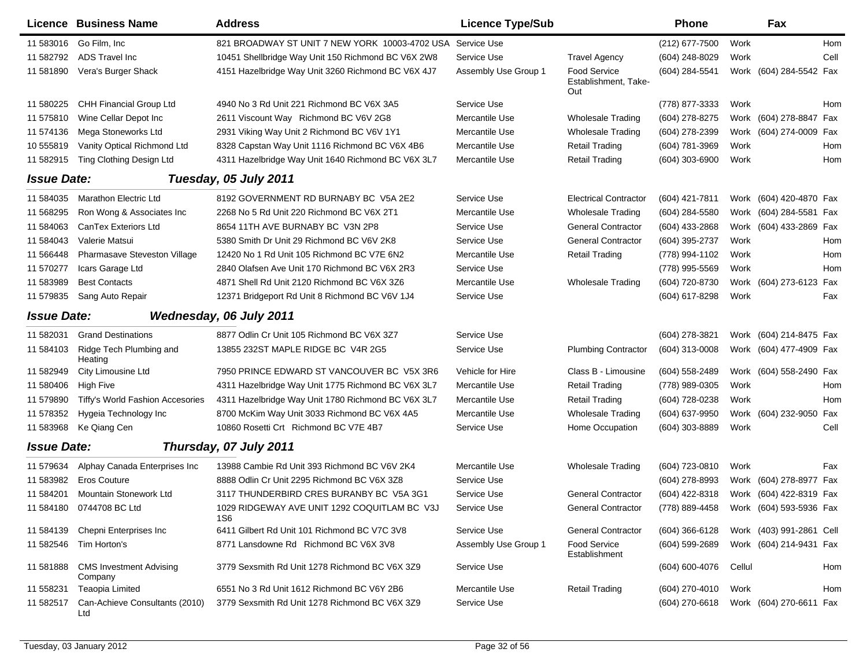|                    | <b>Licence Business Name</b>              | <b>Address</b>                                      | <b>Licence Type/Sub</b> |                                                    | <b>Phone</b>   |        | Fax                      |            |
|--------------------|-------------------------------------------|-----------------------------------------------------|-------------------------|----------------------------------------------------|----------------|--------|--------------------------|------------|
| 11 583016          | Go Film, Inc                              | 821 BROADWAY ST UNIT 7 NEW YORK 10003-4702 USA      | Service Use             |                                                    | (212) 677-7500 | Work   |                          | <b>Hom</b> |
| 11 582792          | ADS Travel Inc                            | 10451 Shellbridge Way Unit 150 Richmond BC V6X 2W8  | Service Use             | <b>Travel Agency</b>                               | (604) 248-8029 | Work   |                          | Cell       |
| 11 581890          | Vera's Burger Shack                       | 4151 Hazelbridge Way Unit 3260 Richmond BC V6X 4J7  | Assembly Use Group 1    | <b>Food Service</b><br>Establishment, Take-<br>Out | (604) 284-5541 |        | Work (604) 284-5542 Fax  |            |
| 11 580225          | <b>CHH Financial Group Ltd</b>            | 4940 No 3 Rd Unit 221 Richmond BC V6X 3A5           | Service Use             |                                                    | (778) 877-3333 | Work   |                          | <b>Hom</b> |
| 11 575810          | Wine Cellar Depot Inc                     | 2611 Viscount Way Richmond BC V6V 2G8               | Mercantile Use          | <b>Wholesale Trading</b>                           | (604) 278-8275 |        | Work (604) 278-8847 Fax  |            |
| 11 574136          | Mega Stoneworks Ltd                       | 2931 Viking Way Unit 2 Richmond BC V6V 1Y1          | Mercantile Use          | <b>Wholesale Trading</b>                           | (604) 278-2399 |        | Work (604) 274-0009 Fax  |            |
| 10 555819          | Vanity Optical Richmond Ltd               | 8328 Capstan Way Unit 1116 Richmond BC V6X 4B6      | Mercantile Use          | <b>Retail Trading</b>                              | (604) 781-3969 | Work   |                          | Hom        |
| 11 582915          | <b>Ting Clothing Design Ltd</b>           | 4311 Hazelbridge Way Unit 1640 Richmond BC V6X 3L7  | Mercantile Use          | <b>Retail Trading</b>                              | (604) 303-6900 | Work   |                          | Hom        |
| <b>Issue Date:</b> |                                           | Tuesday, 05 July 2011                               |                         |                                                    |                |        |                          |            |
| 11 584035          | <b>Marathon Electric Ltd</b>              | 8192 GOVERNMENT RD BURNABY BC V5A 2E2               | Service Use             | <b>Electrical Contractor</b>                       | (604) 421-7811 | Work   | (604) 420-4870 Fax       |            |
| 11 568295          | Ron Wong & Associates Inc                 | 2268 No 5 Rd Unit 220 Richmond BC V6X 2T1           | Mercantile Use          | <b>Wholesale Trading</b>                           | (604) 284-5580 | Work   | (604) 284-5581 Fax       |            |
| 11 584063          | CanTex Exteriors Ltd                      | 8654 11TH AVE BURNABY BC V3N 2P8                    | Service Use             | <b>General Contractor</b>                          | (604) 433-2868 | Work   | (604) 433-2869 Fax       |            |
| 11 584043          | Valerie Matsui                            | 5380 Smith Dr Unit 29 Richmond BC V6V 2K8           | Service Use             | <b>General Contractor</b>                          | (604) 395-2737 | Work   |                          | Hom        |
| 11 566448          | Pharmasave Steveston Village              | 12420 No 1 Rd Unit 105 Richmond BC V7E 6N2          | Mercantile Use          | <b>Retail Trading</b>                              | (778) 994-1102 | Work   |                          | Hom        |
| 11 570277          | Icars Garage Ltd                          | 2840 Olafsen Ave Unit 170 Richmond BC V6X 2R3       | Service Use             |                                                    | (778) 995-5569 | Work   |                          | <b>Hom</b> |
| 11 583989          | <b>Best Contacts</b>                      | 4871 Shell Rd Unit 2120 Richmond BC V6X 3Z6         | Mercantile Use          | <b>Wholesale Trading</b>                           | (604) 720-8730 |        | Work (604) 273-6123 Fax  |            |
| 11 579835          | Sang Auto Repair                          | 12371 Bridgeport Rd Unit 8 Richmond BC V6V 1J4      | Service Use             |                                                    | (604) 617-8298 | Work   |                          | Fax        |
| <b>Issue Date:</b> |                                           | Wednesday, 06 July 2011                             |                         |                                                    |                |        |                          |            |
| 11 582031          | <b>Grand Destinations</b>                 | 8877 Odlin Cr Unit 105 Richmond BC V6X 3Z7          | Service Use             |                                                    | (604) 278-3821 |        | Work (604) 214-8475 Fax  |            |
| 11 584103          | Ridge Tech Plumbing and<br>Heating        | 13855 232ST MAPLE RIDGE BC V4R 2G5                  | Service Use             | <b>Plumbing Contractor</b>                         | (604) 313-0008 |        | Work (604) 477-4909 Fax  |            |
| 11 582949          | City Limousine Ltd                        | 7950 PRINCE EDWARD ST VANCOUVER BC V5X 3R6          | Vehicle for Hire        | Class B - Limousine                                | (604) 558-2489 |        | Work (604) 558-2490 Fax  |            |
| 11 580406          | <b>High Five</b>                          | 4311 Hazelbridge Way Unit 1775 Richmond BC V6X 3L7  | Mercantile Use          | <b>Retail Trading</b>                              | (778) 989-0305 | Work   |                          | Hom        |
| 11 579890          | Tiffy's World Fashion Accesories          | 4311 Hazelbridge Way Unit 1780 Richmond BC V6X 3L7  | Mercantile Use          | <b>Retail Trading</b>                              | (604) 728-0238 | Work   |                          | Hom        |
| 11 578352          | Hygeia Technology Inc                     | 8700 McKim Way Unit 3033 Richmond BC V6X 4A5        | Mercantile Use          | <b>Wholesale Trading</b>                           | (604) 637-9950 |        | Work (604) 232-9050 Fax  |            |
| 11 583968          | Ke Qiang Cen                              | 10860 Rosetti Crt Richmond BC V7E 4B7               | Service Use             | Home Occupation                                    | (604) 303-8889 | Work   |                          | Cell       |
| <b>Issue Date:</b> |                                           | Thursday, 07 July 2011                              |                         |                                                    |                |        |                          |            |
| 11 579634          | Alphay Canada Enterprises Inc             | 13988 Cambie Rd Unit 393 Richmond BC V6V 2K4        | Mercantile Use          | <b>Wholesale Trading</b>                           | (604) 723-0810 | Work   |                          | Fax        |
| 11 583982          | <b>Eros Couture</b>                       | 8888 Odlin Cr Unit 2295 Richmond BC V6X 3Z8         | Service Use             |                                                    | (604) 278-8993 |        | Work (604) 278-8977 Fax  |            |
| 11 584201          | Mountain Stonework Ltd                    | 3117 THUNDERBIRD CRES BURANBY BC V5A 3G1            | Service Use             | <b>General Contractor</b>                          | (604) 422-8318 |        | Work (604) 422-8319 Fax  |            |
|                    | 11 584180 0744708 BC Ltd                  | 1029 RIDGEWAY AVE UNIT 1292 COQUITLAM BC V3J<br>1S6 | Service Use             | <b>General Contractor</b>                          | (778) 889-4458 |        | Work (604) 593-5936 Fax  |            |
| 11 584139          | Chepni Enterprises Inc                    | 6411 Gilbert Rd Unit 101 Richmond BC V7C 3V8        | Service Use             | <b>General Contractor</b>                          | (604) 366-6128 |        | Work (403) 991-2861 Cell |            |
| 11 582546          | Tim Horton's                              | 8771 Lansdowne Rd Richmond BC V6X 3V8               | Assembly Use Group 1    | Food Service<br>Establishment                      | (604) 599-2689 |        | Work (604) 214-9431 Fax  |            |
| 11 581888          | <b>CMS Investment Advising</b><br>Company | 3779 Sexsmith Rd Unit 1278 Richmond BC V6X 3Z9      | Service Use             |                                                    | (604) 600-4076 | Cellul |                          | Hom        |
| 11 558231          | <b>Teaopia Limited</b>                    | 6551 No 3 Rd Unit 1612 Richmond BC V6Y 2B6          | Mercantile Use          | <b>Retail Trading</b>                              | (604) 270-4010 | Work   |                          | Hom        |
| 11 582517          | Can-Achieve Consultants (2010)<br>Ltd     | 3779 Sexsmith Rd Unit 1278 Richmond BC V6X 3Z9      | Service Use             |                                                    | (604) 270-6618 |        | Work (604) 270-6611 Fax  |            |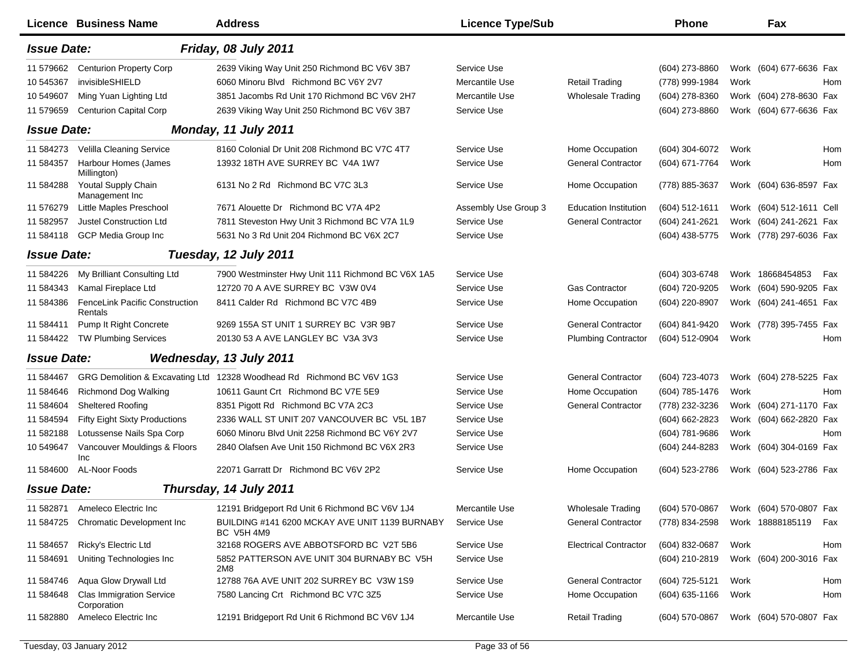|                    | <b>Licence Business Name</b>                   | <b>Address</b>                                                      | <b>Licence Type/Sub</b> |                              | Phone            |      | Fax                      |            |
|--------------------|------------------------------------------------|---------------------------------------------------------------------|-------------------------|------------------------------|------------------|------|--------------------------|------------|
| <b>Issue Date:</b> |                                                | Friday, 08 July 2011                                                |                         |                              |                  |      |                          |            |
| 11 579662          | <b>Centurion Property Corp</b>                 | 2639 Viking Way Unit 250 Richmond BC V6V 3B7                        | Service Use             |                              | (604) 273-8860   |      | Work (604) 677-6636 Fax  |            |
| 10 545367          | invisibleSHIELD                                | 6060 Minoru Blvd Richmond BC V6Y 2V7                                | Mercantile Use          | <b>Retail Trading</b>        | (778) 999-1984   | Work |                          | Hom        |
| 10 549607          | Ming Yuan Lighting Ltd                         | 3851 Jacombs Rd Unit 170 Richmond BC V6V 2H7                        | Mercantile Use          | <b>Wholesale Trading</b>     | (604) 278-8360   |      | Work (604) 278-8630 Fax  |            |
| 11 579659          | <b>Centurion Capital Corp</b>                  | 2639 Viking Way Unit 250 Richmond BC V6V 3B7                        | Service Use             |                              | (604) 273-8860   |      | Work (604) 677-6636 Fax  |            |
| <b>Issue Date:</b> |                                                | Monday, 11 July 2011                                                |                         |                              |                  |      |                          |            |
| 11 584273          | Velilla Cleaning Service                       | 8160 Colonial Dr Unit 208 Richmond BC V7C 4T7                       | Service Use             | Home Occupation              | (604) 304-6072   | Work |                          | <b>Hom</b> |
| 11 584357          | Harbour Homes (James<br>Millington)            | 13932 18TH AVE SURREY BC V4A 1W7                                    | Service Use             | <b>General Contractor</b>    | (604) 671-7764   | Work |                          | <b>Hom</b> |
| 11 584288          | Youtal Supply Chain<br>Management Inc          | 6131 No 2 Rd Richmond BC V7C 3L3                                    | Service Use             | Home Occupation              | (778) 885-3637   |      | Work (604) 636-8597 Fax  |            |
| 11 576279          | Little Maples Preschool                        | 7671 Alouette Dr Richmond BC V7A 4P2                                | Assembly Use Group 3    | <b>Education Institution</b> | (604) 512-1611   |      | Work (604) 512-1611 Cell |            |
| 11 582957          | <b>Justel Construction Ltd</b>                 | 7811 Steveston Hwy Unit 3 Richmond BC V7A 1L9                       | Service Use             | <b>General Contractor</b>    | (604) 241-2621   |      | Work (604) 241-2621 Fax  |            |
| 11 584118          | GCP Media Group Inc                            | 5631 No 3 Rd Unit 204 Richmond BC V6X 2C7                           | Service Use             |                              | (604) 438-5775   |      | Work (778) 297-6036 Fax  |            |
| <b>Issue Date:</b> |                                                | Tuesday, 12 July 2011                                               |                         |                              |                  |      |                          |            |
| 11 584226          | My Brilliant Consulting Ltd                    | 7900 Westminster Hwy Unit 111 Richmond BC V6X 1A5                   | Service Use             |                              | (604) 303-6748   |      | Work 18668454853         | Fax        |
| 11 584343          | Kamal Fireplace Ltd                            | 12720 70 A AVE SURREY BC V3W 0V4                                    | Service Use             | <b>Gas Contractor</b>        | (604) 720-9205   |      | Work (604) 590-9205 Fax  |            |
| 11 584386          | FenceLink Pacific Construction<br>Rentals      | 8411 Calder Rd Richmond BC V7C 4B9                                  | Service Use             | Home Occupation              | (604) 220-8907   |      | Work (604) 241-4651 Fax  |            |
| 11 584411          | Pump It Right Concrete                         | 9269 155A ST UNIT 1 SURREY BC V3R 9B7                               | Service Use             | <b>General Contractor</b>    | (604) 841-9420   |      | Work (778) 395-7455 Fax  |            |
| 11 584422          | <b>TW Plumbing Services</b>                    | 20130 53 A AVE LANGLEY BC V3A 3V3                                   | Service Use             | <b>Plumbing Contractor</b>   | (604) 512-0904   | Work |                          | Hom        |
| <b>Issue Date:</b> |                                                | Wednesday, 13 July 2011                                             |                         |                              |                  |      |                          |            |
| 11 584467          | GRG Demolition & Excavating Ltd                | 12328 Woodhead Rd Richmond BC V6V 1G3                               | Service Use             | <b>General Contractor</b>    | (604) 723-4073   |      | Work (604) 278-5225 Fax  |            |
| 11 584646          | Richmond Dog Walking                           | 10611 Gaunt Crt Richmond BC V7E 5E9                                 | Service Use             | Home Occupation              | (604) 785-1476   | Work |                          | Hom        |
| 11 584604          | <b>Sheltered Roofing</b>                       | 8351 Pigott Rd Richmond BC V7A 2C3                                  | Service Use             | <b>General Contractor</b>    | (778) 232-3236   |      | Work (604) 271-1170 Fax  |            |
| 11 584594          | <b>Fifty Eight Sixty Productions</b>           | 2336 WALL ST UNIT 207 VANCOUVER BC V5L 1B7                          | Service Use             |                              | (604) 662-2823   |      | Work (604) 662-2820 Fax  |            |
| 11 582188          | Lotussense Nails Spa Corp                      | 6060 Minoru Blvd Unit 2258 Richmond BC V6Y 2V7                      | Service Use             |                              | (604) 781-9686   | Work |                          | Hom        |
| 10 549647          | Vancouver Mouldings & Floors<br>Inc            | 2840 Olafsen Ave Unit 150 Richmond BC V6X 2R3                       | Service Use             |                              | (604) 244-8283   |      | Work (604) 304-0169 Fax  |            |
| 11 584600          | AL-Noor Foods                                  | 22071 Garratt Dr Richmond BC V6V 2P2                                | Service Use             | Home Occupation              | (604) 523-2786   |      | Work (604) 523-2786 Fax  |            |
| <b>Issue Date:</b> |                                                | Thursday, 14 July 2011                                              |                         |                              |                  |      |                          |            |
| 11 582871          | Ameleco Electric Inc                           | 12191 Bridgeport Rd Unit 6 Richmond BC V6V 1J4                      | Mercantile Use          | <b>Wholesale Trading</b>     | (604) 570-0867   |      | Work (604) 570-0807 Fax  |            |
| 11 584725          | Chromatic Development Inc                      | BUILDING #141 6200 MCKAY AVE UNIT 1139 BURNABY<br><b>BC V5H 4M9</b> | Service Use             | <b>General Contractor</b>    | (778) 834-2598   |      | Work 18888185119         | Fax        |
| 11 584657          | Ricky's Electric Ltd                           | 32168 ROGERS AVE ABBOTSFORD BC V2T 5B6                              | Service Use             | <b>Electrical Contractor</b> | (604) 832-0687   | Work |                          | Hom        |
| 11 584691          | Uniting Technologies Inc                       | 5852 PATTERSON AVE UNIT 304 BURNABY BC V5H<br>2M8                   | Service Use             |                              | (604) 210-2819   |      | Work (604) 200-3016 Fax  |            |
| 11 584746          | Aqua Glow Drywall Ltd                          | 12788 76A AVE UNIT 202 SURREY BC V3W 1S9                            | Service Use             | <b>General Contractor</b>    | (604) 725-5121   | Work |                          | Hom        |
| 11 584648          | <b>Clas Immigration Service</b><br>Corporation | 7580 Lancing Crt Richmond BC V7C 3Z5                                | Service Use             | Home Occupation              | $(604)$ 635-1166 | Work |                          | Hom        |
| 11 582880          | Ameleco Electric Inc                           | 12191 Bridgeport Rd Unit 6 Richmond BC V6V 1J4                      | Mercantile Use          | <b>Retail Trading</b>        | (604) 570-0867   |      | Work (604) 570-0807 Fax  |            |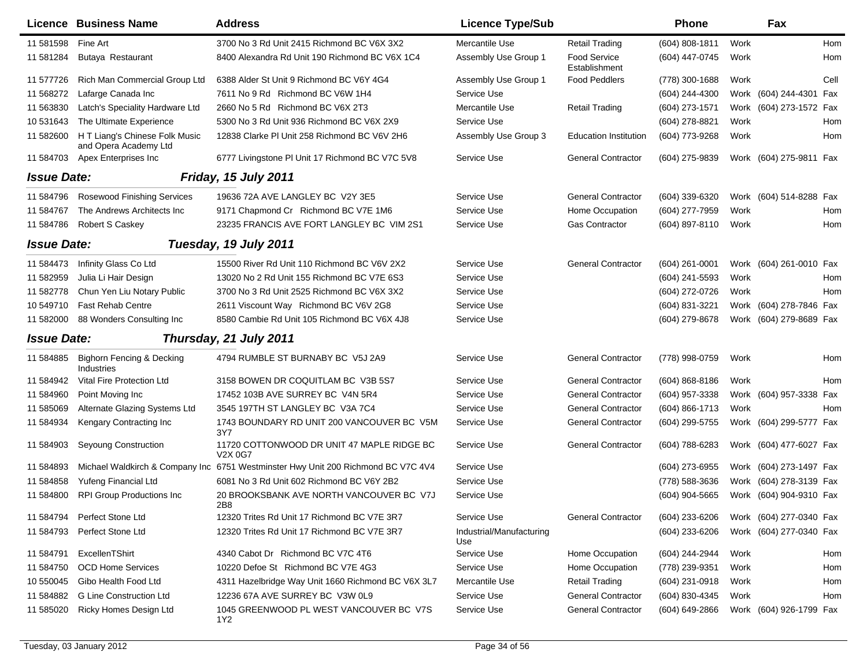|                    | Licence Business Name                                   | <b>Address</b>                                                                    | <b>Licence Type/Sub</b>         |                                      | <b>Phone</b>       |      | Fax                     |            |
|--------------------|---------------------------------------------------------|-----------------------------------------------------------------------------------|---------------------------------|--------------------------------------|--------------------|------|-------------------------|------------|
| 11 581598          | Fine Art                                                | 3700 No 3 Rd Unit 2415 Richmond BC V6X 3X2                                        | Mercantile Use                  | <b>Retail Trading</b>                | (604) 808-1811     | Work |                         | <b>Hom</b> |
| 11 581284          | Butaya Restaurant                                       | 8400 Alexandra Rd Unit 190 Richmond BC V6X 1C4                                    | Assembly Use Group 1            | <b>Food Service</b><br>Establishment | (604) 447-0745     | Work |                         | Hom        |
| 11 577726          | Rich Man Commercial Group Ltd                           | 6388 Alder St Unit 9 Richmond BC V6Y 4G4                                          | Assembly Use Group 1            | <b>Food Peddlers</b>                 | (778) 300-1688     | Work |                         | Cell       |
| 11 568272          | Lafarge Canada Inc                                      | 7611 No 9 Rd Richmond BC V6W 1H4                                                  | Service Use                     |                                      | (604) 244-4300     |      | Work (604) 244-4301 Fax |            |
| 11 563830          | Latch's Speciality Hardware Ltd                         | 2660 No 5 Rd Richmond BC V6X 2T3                                                  | Mercantile Use                  | <b>Retail Trading</b>                | (604) 273-1571     |      | Work (604) 273-1572 Fax |            |
| 10 531643          | The Ultimate Experience                                 | 5300 No 3 Rd Unit 936 Richmond BC V6X 2X9                                         | Service Use                     |                                      | (604) 278-8821     | Work |                         | Hom        |
| 11 582600          | H T Liang's Chinese Folk Music<br>and Opera Academy Ltd | 12838 Clarke PI Unit 258 Richmond BC V6V 2H6                                      | Assembly Use Group 3            | <b>Education Institution</b>         | (604) 773-9268     | Work |                         | Hom        |
| 11 584703          | Apex Enterprises Inc                                    | 6777 Livingstone PI Unit 17 Richmond BC V7C 5V8                                   | Service Use                     | <b>General Contractor</b>            | (604) 275-9839     |      | Work (604) 275-9811 Fax |            |
| <b>Issue Date:</b> |                                                         | Friday, 15 July 2011                                                              |                                 |                                      |                    |      |                         |            |
| 11 584796          | Rosewood Finishing Services                             | 19636 72A AVE LANGLEY BC V2Y 3E5                                                  | Service Use                     | <b>General Contractor</b>            | (604) 339-6320     |      | Work (604) 514-8288 Fax |            |
| 11 584767          | The Andrews Architects Inc                              | 9171 Chapmond Cr Richmond BC V7E 1M6                                              | Service Use                     | Home Occupation                      | (604) 277-7959     | Work |                         | Hom        |
| 11 584786          | <b>Robert S Caskey</b>                                  | 23235 FRANCIS AVE FORT LANGLEY BC VIM 2S1                                         | Service Use                     | <b>Gas Contractor</b>                | (604) 897-8110     | Work |                         | Hom        |
| <b>Issue Date:</b> |                                                         | Tuesday, 19 July 2011                                                             |                                 |                                      |                    |      |                         |            |
| 11 584473          | Infinity Glass Co Ltd                                   | 15500 River Rd Unit 110 Richmond BC V6V 2X2                                       | Service Use                     | <b>General Contractor</b>            | (604) 261-0001     |      | Work (604) 261-0010 Fax |            |
| 11 582959          | Julia Li Hair Design                                    | 13020 No 2 Rd Unit 155 Richmond BC V7E 6S3                                        | Service Use                     |                                      | (604) 241-5593     | Work |                         | Hom        |
| 11 582778          | Chun Yen Liu Notary Public                              | 3700 No 3 Rd Unit 2525 Richmond BC V6X 3X2                                        | Service Use                     |                                      | (604) 272-0726     | Work |                         | Hom        |
| 10 549710          | <b>Fast Rehab Centre</b>                                | 2611 Viscount Way Richmond BC V6V 2G8                                             | Service Use                     |                                      | (604) 831-3221     |      | Work (604) 278-7846 Fax |            |
| 11 582000          | 88 Wonders Consulting Inc                               | 8580 Cambie Rd Unit 105 Richmond BC V6X 4J8                                       | Service Use                     |                                      | (604) 279-8678     |      | Work (604) 279-8689 Fax |            |
| <b>Issue Date:</b> |                                                         | Thursday, 21 July 2011                                                            |                                 |                                      |                    |      |                         |            |
| 11 584885          | <b>Bighorn Fencing &amp; Decking</b><br>Industries      | 4794 RUMBLE ST BURNABY BC V5J 2A9                                                 | Service Use                     | <b>General Contractor</b>            | (778) 998-0759     | Work |                         | Hom        |
| 11 584942          | Vital Fire Protection Ltd                               | 3158 BOWEN DR COQUITLAM BC V3B 5S7                                                | Service Use                     | <b>General Contractor</b>            | $(604) 868 - 8186$ | Work |                         | Hom        |
| 11 584960          | Point Moving Inc.                                       | 17452 103B AVE SURREY BC V4N 5R4                                                  | Service Use                     | <b>General Contractor</b>            | (604) 957-3338     |      | Work (604) 957-3338 Fax |            |
| 11 585069          | Alternate Glazing Systems Ltd                           | 3545 197TH ST LANGLEY BC V3A 7C4                                                  | Service Use                     | <b>General Contractor</b>            | (604) 866-1713     | Work |                         | Hom        |
| 11 584934          | Kengary Contracting Inc                                 | 1743 BOUNDARY RD UNIT 200 VANCOUVER BC V5M<br>3Y7                                 | Service Use                     | <b>General Contractor</b>            | (604) 299-5755     |      | Work (604) 299-5777 Fax |            |
| 11 584903          | Seyoung Construction                                    | 11720 COTTONWOOD DR UNIT 47 MAPLE RIDGE BC<br>V2X 0G7                             | Service Use                     | <b>General Contractor</b>            | (604) 788-6283     |      | Work (604) 477-6027 Fax |            |
| 11 584893          |                                                         | Michael Waldkirch & Company Inc 6751 Westminster Hwy Unit 200 Richmond BC V7C 4V4 | Service Use                     |                                      | (604) 273-6955     |      | Work (604) 273-1497 Fax |            |
| 11 584858          | Yufeng Financial Ltd                                    | 6081 No 3 Rd Unit 602 Richmond BC V6Y 2B2                                         | Service Use                     |                                      | (778) 588-3636     |      | Work (604) 278-3139 Fax |            |
| 11 584800          | <b>RPI Group Productions Inc</b>                        | 20 BROOKSBANK AVE NORTH VANCOUVER BC V7J                                          | Service Use                     |                                      | (604) 904-5665     |      | Work (604) 904-9310 Fax |            |
| 11 584794          | Perfect Stone Ltd                                       | 12320 Trites Rd Unit 17 Richmond BC V7E 3R7                                       | Service Use                     | <b>General Contractor</b>            | (604) 233-6206     |      | Work (604) 277-0340 Fax |            |
| 11 584793          | Perfect Stone Ltd                                       | 12320 Trites Rd Unit 17 Richmond BC V7E 3R7                                       | Industrial/Manufacturing<br>Use |                                      | (604) 233-6206     |      | Work (604) 277-0340 Fax |            |
| 11 584791          | ExcellenTShirt                                          | 4340 Cabot Dr Richmond BC V7C 4T6                                                 | Service Use                     | Home Occupation                      | (604) 244-2944     | Work |                         | Hom        |
| 11 584750          | <b>OCD Home Services</b>                                | 10220 Defoe St Richmond BC V7E 4G3                                                | Service Use                     | Home Occupation                      | (778) 239-9351     | Work |                         | Hom        |
| 10 550045          | Gibo Health Food Ltd                                    | 4311 Hazelbridge Way Unit 1660 Richmond BC V6X 3L7                                | Mercantile Use                  | <b>Retail Trading</b>                | (604) 231-0918     | Work |                         | Hom        |
| 11 584882          | <b>G Line Construction Ltd</b>                          | 12236 67A AVE SURREY BC V3W 0L9                                                   | Service Use                     | <b>General Contractor</b>            | (604) 830-4345     | Work |                         | Hom        |
| 11 585020          | Ricky Homes Design Ltd                                  | 1045 GREENWOOD PL WEST VANCOUVER BC V7S<br>1Y2                                    | Service Use                     | <b>General Contractor</b>            | (604) 649-2866     |      | Work (604) 926-1799 Fax |            |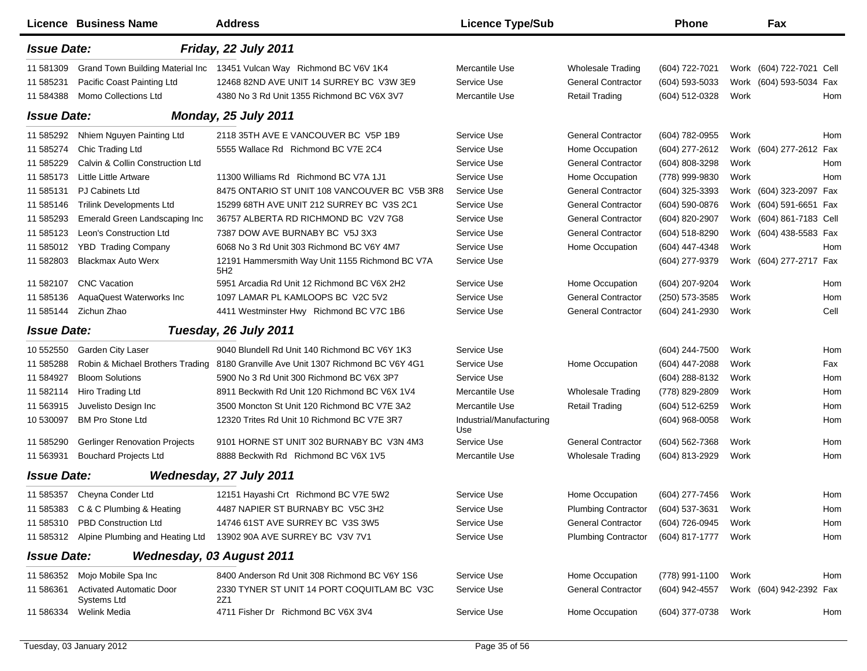|                    | <b>Licence Business Name</b>                   | <b>Address</b>                                                        | <b>Licence Type/Sub</b>         |                            | <b>Phone</b>     |      | Fax                      |      |
|--------------------|------------------------------------------------|-----------------------------------------------------------------------|---------------------------------|----------------------------|------------------|------|--------------------------|------|
| <b>Issue Date:</b> |                                                | Friday, 22 July 2011                                                  |                                 |                            |                  |      |                          |      |
| 11 581309          |                                                | Grand Town Building Material Inc 13451 Vulcan Way Richmond BC V6V 1K4 | Mercantile Use                  | <b>Wholesale Trading</b>   | (604) 722-7021   |      | Work (604) 722-7021 Cell |      |
| 11 585231          | Pacific Coast Painting Ltd                     | 12468 82ND AVE UNIT 14 SURREY BC V3W 3E9                              | Service Use                     | <b>General Contractor</b>  | (604) 593-5033   |      | Work (604) 593-5034 Fax  |      |
| 11 584388          | Momo Collections Ltd                           | 4380 No 3 Rd Unit 1355 Richmond BC V6X 3V7                            | Mercantile Use                  | <b>Retail Trading</b>      | (604) 512-0328   | Work |                          | Hom  |
| <b>Issue Date:</b> |                                                | <b>Monday, 25 July 2011</b>                                           |                                 |                            |                  |      |                          |      |
| 11 585292          | Nhiem Nguyen Painting Ltd                      | 2118 35TH AVE E VANCOUVER BC V5P 1B9                                  | Service Use                     | <b>General Contractor</b>  | (604) 782-0955   | Work |                          | Hom  |
| 11 585274          | Chic Trading Ltd                               | 5555 Wallace Rd Richmond BC V7E 2C4                                   | Service Use                     | Home Occupation            | (604) 277-2612   | Work | (604) 277-2612 Fax       |      |
| 11 585229          | Calvin & Collin Construction Ltd               |                                                                       | Service Use                     | <b>General Contractor</b>  | (604) 808-3298   | Work |                          | Hom  |
| 11 585173          | Little Little Artware                          | 11300 Williams Rd Richmond BC V7A 1J1                                 | Service Use                     | Home Occupation            | (778) 999-9830   | Work |                          | Hom  |
| 11 585131          | <b>PJ Cabinets Ltd</b>                         | 8475 ONTARIO ST UNIT 108 VANCOUVER BC V5B 3R8                         | Service Use                     | <b>General Contractor</b>  | (604) 325-3393   |      | Work (604) 323-2097 Fax  |      |
| 11 585146          | <b>Trilink Developments Ltd</b>                | 15299 68TH AVE UNIT 212 SURREY BC V3S 2C1                             | Service Use                     | <b>General Contractor</b>  | (604) 590-0876   | Work | (604) 591-6651 Fax       |      |
| 11 585293          | Emerald Green Landscaping Inc                  | 36757 ALBERTA RD RICHMOND BC V2V 7G8                                  | Service Use                     | <b>General Contractor</b>  | (604) 820-2907   | Work | (604) 861-7183 Cell      |      |
| 11 585123          | Leon's Construction Ltd                        | 7387 DOW AVE BURNABY BC V5J 3X3                                       | Service Use                     | <b>General Contractor</b>  | (604) 518-8290   |      | Work (604) 438-5583 Fax  |      |
| 11 585012          | <b>YBD Trading Company</b>                     | 6068 No 3 Rd Unit 303 Richmond BC V6Y 4M7                             | Service Use                     | Home Occupation            | (604) 447-4348   | Work |                          | Hom  |
| 11 582803          | <b>Blackmax Auto Werx</b>                      | 12191 Hammersmith Way Unit 1155 Richmond BC V7A<br>5H2                | Service Use                     |                            | (604) 277-9379   |      | Work (604) 277-2717 Fax  |      |
| 11 582107          | <b>CNC</b> Vacation                            | 5951 Arcadia Rd Unit 12 Richmond BC V6X 2H2                           | Service Use                     | Home Occupation            | (604) 207-9204   | Work |                          | Hom  |
| 11 585136          | AquaQuest Waterworks Inc                       | 1097 LAMAR PL KAMLOOPS BC V2C 5V2                                     | Service Use                     | <b>General Contractor</b>  | (250) 573-3585   | Work |                          | Hom  |
| 11 585144          | Zichun Zhao                                    | 4411 Westminster Hwy Richmond BC V7C 1B6                              | Service Use                     | <b>General Contractor</b>  | (604) 241-2930   | Work |                          | Cell |
| <b>Issue Date:</b> |                                                | Tuesday, 26 July 2011                                                 |                                 |                            |                  |      |                          |      |
| 10 552550          | Garden City Laser                              | 9040 Blundell Rd Unit 140 Richmond BC V6Y 1K3                         | Service Use                     |                            | (604) 244-7500   | Work |                          | Hom  |
| 11 585288          | Robin & Michael Brothers Trading               | 8180 Granville Ave Unit 1307 Richmond BC V6Y 4G1                      | Service Use                     | Home Occupation            | (604) 447-2088   | Work |                          | Fax  |
| 11 584927          | <b>Bloom Solutions</b>                         | 5900 No 3 Rd Unit 300 Richmond BC V6X 3P7                             | Service Use                     |                            | (604) 288-8132   | Work |                          | Hom  |
| 11 582114          | Hiro Trading Ltd                               | 8911 Beckwith Rd Unit 120 Richmond BC V6X 1V4                         | Mercantile Use                  | <b>Wholesale Trading</b>   | (778) 829-2809   | Work |                          | Hom  |
| 11 563915          | Juvelisto Design Inc                           | 3500 Moncton St Unit 120 Richmond BC V7E 3A2                          | Mercantile Use                  | <b>Retail Trading</b>      | (604) 512-6259   | Work |                          | Hom  |
| 10 530097          | <b>BM Pro Stone Ltd</b>                        | 12320 Trites Rd Unit 10 Richmond BC V7E 3R7                           | Industrial/Manufacturing<br>Use |                            | $(604)$ 968-0058 | Work |                          | Hom  |
| 11 585290          | <b>Gerlinger Renovation Projects</b>           | 9101 HORNE ST UNIT 302 BURNABY BC V3N 4M3                             | Service Use                     | <b>General Contractor</b>  | (604) 562-7368   | Work |                          | Hom  |
| 11 563931          | <b>Bouchard Projects Ltd</b>                   | 8888 Beckwith Rd Richmond BC V6X 1V5                                  | Mercantile Use                  | <b>Wholesale Trading</b>   | (604) 813-2929   | Work |                          | Hom  |
| <b>Issue Date:</b> |                                                | Wednesday, 27 July 2011                                               |                                 |                            |                  |      |                          |      |
|                    | 11 585357 Cheyna Conder Ltd                    | 12151 Hayashi Crt Richmond BC V7E 5W2                                 | Service Use                     | Home Occupation            | (604) 277-7456   | Work |                          | Hom  |
|                    | 11 585383 C & C Plumbing & Heating             | 4487 NAPIER ST BURNABY BC V5C 3H2                                     | Service Use                     | <b>Plumbing Contractor</b> | (604) 537-3631   | Work |                          | Hom  |
|                    | 11 585310 PBD Construction Ltd                 | 14746 61ST AVE SURREY BC V3S 3W5                                      | Service Use                     | <b>General Contractor</b>  | (604) 726-0945   | Work |                          | Hom  |
|                    | 11 585312 Alpine Plumbing and Heating Ltd      | 13902 90A AVE SURREY BC V3V 7V1                                       | Service Use                     | <b>Plumbing Contractor</b> | (604) 817-1777   | Work |                          | Hom  |
| <b>Issue Date:</b> |                                                | <b>Wednesday, 03 August 2011</b>                                      |                                 |                            |                  |      |                          |      |
| 11 586352          | Mojo Mobile Spa Inc                            | 8400 Anderson Rd Unit 308 Richmond BC V6Y 1S6                         | Service Use                     | Home Occupation            | (778) 991-1100   | Work |                          | Hom  |
| 11 586361          | <b>Activated Automatic Door</b><br>Systems Ltd | 2330 TYNER ST UNIT 14 PORT COQUITLAM BC V3C<br>2Z1                    | Service Use                     | <b>General Contractor</b>  | (604) 942-4557   |      | Work (604) 942-2392 Fax  |      |
| 11 586334          | Welink Media                                   | 4711 Fisher Dr Richmond BC V6X 3V4                                    | Service Use                     | Home Occupation            | (604) 377-0738   | Work |                          | Hom  |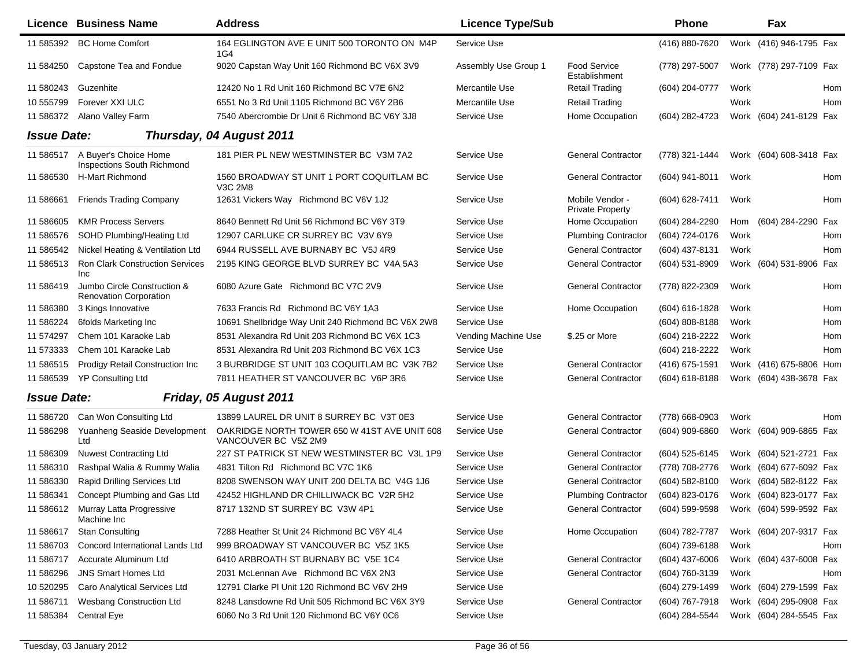|                    | <b>Licence Business Name</b>                                 | <b>Address</b>                                                       | <b>Licence Type/Sub</b> |                                     | Phone              |      | Fax                     |     |
|--------------------|--------------------------------------------------------------|----------------------------------------------------------------------|-------------------------|-------------------------------------|--------------------|------|-------------------------|-----|
| 11 585392          | <b>BC Home Comfort</b>                                       | 164 EGLINGTON AVE E UNIT 500 TORONTO ON M4P<br>1G4                   | Service Use             |                                     | (416) 880-7620     |      | Work (416) 946-1795 Fax |     |
| 11 584250          | Capstone Tea and Fondue                                      | 9020 Capstan Way Unit 160 Richmond BC V6X 3V9                        | Assembly Use Group 1    | Food Service<br>Establishment       | (778) 297-5007     |      | Work (778) 297-7109 Fax |     |
| 11 580243          | Guzenhite                                                    | 12420 No 1 Rd Unit 160 Richmond BC V7E 6N2                           | Mercantile Use          | <b>Retail Trading</b>               | (604) 204-0777     | Work |                         | Hom |
| 10 555799          | Forever XXI ULC                                              | 6551 No 3 Rd Unit 1105 Richmond BC V6Y 2B6                           | Mercantile Use          | <b>Retail Trading</b>               |                    | Work |                         | Hom |
| 11 586372          | Alano Valley Farm                                            | 7540 Abercrombie Dr Unit 6 Richmond BC V6Y 3J8                       | Service Use             | Home Occupation                     | (604) 282-4723     |      | Work (604) 241-8129 Fax |     |
| <b>Issue Date:</b> |                                                              | Thursday, 04 August 2011                                             |                         |                                     |                    |      |                         |     |
| 11 586517          | A Buyer's Choice Home<br>Inspections South Richmond          | 181 PIER PL NEW WESTMINSTER BC V3M 7A2                               | Service Use             | <b>General Contractor</b>           | (778) 321-1444     |      | Work (604) 608-3418 Fax |     |
| 11 586530          | H-Mart Richmond                                              | 1560 BROADWAY ST UNIT 1 PORT COQUITLAM BC<br>V3C 2M8                 | Service Use             | <b>General Contractor</b>           | (604) 941-8011     | Work |                         | Hom |
| 11 586661          | <b>Friends Trading Company</b>                               | 12631 Vickers Way Richmond BC V6V 1J2                                | Service Use             | Mobile Vendor -<br>Private Property | (604) 628-7411     | Work |                         | Hom |
| 11 586605          | <b>KMR Process Servers</b>                                   | 8640 Bennett Rd Unit 56 Richmond BC V6Y 3T9                          | Service Use             | Home Occupation                     | (604) 284-2290     | Hom  | (604) 284-2290 Fax      |     |
| 11 586576          | SOHD Plumbing/Heating Ltd                                    | 12907 CARLUKE CR SURREY BC V3V 6Y9                                   | Service Use             | <b>Plumbing Contractor</b>          | (604) 724-0176     | Work |                         | Hom |
| 11 586542          | Nickel Heating & Ventilation Ltd                             | 6944 RUSSELL AVE BURNABY BC V5J 4R9                                  | Service Use             | <b>General Contractor</b>           | (604) 437-8131     | Work |                         | Hom |
| 11 586513          | <b>Ron Clark Construction Services</b><br>Inc                | 2195 KING GEORGE BLVD SURREY BC V4A 5A3                              | Service Use             | <b>General Contractor</b>           | (604) 531-8909     |      | Work (604) 531-8906 Fax |     |
| 11 586419          | Jumbo Circle Construction &<br><b>Renovation Corporation</b> | 6080 Azure Gate Richmond BC V7C 2V9                                  | Service Use             | <b>General Contractor</b>           | (778) 822-2309     | Work |                         | Hom |
| 11 586380          | 3 Kings Innovative                                           | 7633 Francis Rd Richmond BC V6Y 1A3                                  | Service Use             | Home Occupation                     | (604) 616-1828     | Work |                         | Hom |
| 11 586224          | 6folds Marketing Inc                                         | 10691 Shellbridge Way Unit 240 Richmond BC V6X 2W8                   | Service Use             |                                     | $(604) 808 - 8188$ | Work |                         | Hom |
| 11 574297          | Chem 101 Karaoke Lab                                         | 8531 Alexandra Rd Unit 203 Richmond BC V6X 1C3                       | Vending Machine Use     | \$.25 or More                       | (604) 218-2222     | Work |                         | Hom |
| 11 573333          | Chem 101 Karaoke Lab                                         | 8531 Alexandra Rd Unit 203 Richmond BC V6X 1C3                       | Service Use             |                                     | (604) 218-2222     | Work |                         | Hom |
| 11 586515          | <b>Prodigy Retail Construction Inc</b>                       | 3 BURBRIDGE ST UNIT 103 COQUITLAM BC V3K 7B2                         | Service Use             | <b>General Contractor</b>           | (416) 675-1591     |      | Work (416) 675-8806 Hom |     |
| 11 586539          | <b>YP Consulting Ltd</b>                                     | 7811 HEATHER ST VANCOUVER BC V6P 3R6                                 | Service Use             | <b>General Contractor</b>           | $(604) 618 - 8188$ |      | Work (604) 438-3678 Fax |     |
| <b>Issue Date:</b> |                                                              | Friday, 05 August 2011                                               |                         |                                     |                    |      |                         |     |
| 11 586720          | Can Won Consulting Ltd                                       | 13899 LAUREL DR UNIT 8 SURREY BC V3T 0E3                             | Service Use             | <b>General Contractor</b>           | (778) 668-0903     | Work |                         | Hom |
| 11 586298          | Yuanheng Seaside Development<br>Ltd                          | OAKRIDGE NORTH TOWER 650 W 41ST AVE UNIT 608<br>VANCOUVER BC V5Z 2M9 | Service Use             | <b>General Contractor</b>           | (604) 909-6860     |      | Work (604) 909-6865 Fax |     |
| 11 586309          | <b>Nuwest Contracting Ltd</b>                                | 227 ST PATRICK ST NEW WESTMINSTER BC V3L 1P9                         | Service Use             | <b>General Contractor</b>           | (604) 525-6145     |      | Work (604) 521-2721 Fax |     |
| 11 586310          | Rashpal Walia & Rummy Walia                                  | 4831 Tilton Rd Richmond BC V7C 1K6                                   | Service Use             | <b>General Contractor</b>           | (778) 708-2776     |      | Work (604) 677-6092 Fax |     |
| 11 586330          | Rapid Drilling Services Ltd                                  | 8208 SWENSON WAY UNIT 200 DELTA BC V4G 1J6                           | Service Use             | <b>General Contractor</b>           | (604) 582-8100     |      | Work (604) 582-8122 Fax |     |
| 11 586341          | Concept Plumbing and Gas Ltd                                 | 42452 HIGHLAND DR CHILLIWACK BC V2R 5H2                              | Service Use             | <b>Plumbing Contractor</b>          | (604) 823-0176     |      | Work (604) 823-0177 Fax |     |
|                    | 11 586612 Murray Latta Progressive<br>Machine Inc            | 8717 132ND ST SURREY BC V3W 4P1                                      | Service Use             | <b>General Contractor</b>           | (604) 599-9598     |      | Work (604) 599-9592 Fax |     |
| 11 586617          | <b>Stan Consulting</b>                                       | 7288 Heather St Unit 24 Richmond BC V6Y 4L4                          | Service Use             | Home Occupation                     | (604) 782-7787     |      | Work (604) 207-9317 Fax |     |
| 11 586703          | Concord International Lands Ltd                              | 999 BROADWAY ST VANCOUVER BC V5Z 1K5                                 | Service Use             |                                     | (604) 739-6188     | Work |                         | Hom |
| 11 586717          | Accurate Aluminum Ltd                                        | 6410 ARBROATH ST BURNABY BC V5E 1C4                                  | Service Use             | <b>General Contractor</b>           | (604) 437-6006     |      | Work (604) 437-6008 Fax |     |
| 11 586296          | <b>JNS Smart Homes Ltd</b>                                   | 2031 McLennan Ave Richmond BC V6X 2N3                                | Service Use             | <b>General Contractor</b>           | (604) 760-3139     | Work |                         | Hom |
| 10 520295          | Caro Analytical Services Ltd                                 | 12791 Clarke PI Unit 120 Richmond BC V6V 2H9                         | Service Use             |                                     | (604) 279-1499     |      | Work (604) 279-1599 Fax |     |
| 11 586711          | Wesbang Construction Ltd                                     | 8248 Lansdowne Rd Unit 505 Richmond BC V6X 3Y9                       | Service Use             | <b>General Contractor</b>           | (604) 767-7918     |      | Work (604) 295-0908 Fax |     |
| 11 585384          | Central Eye                                                  | 6060 No 3 Rd Unit 120 Richmond BC V6Y 0C6                            | Service Use             |                                     | (604) 284-5544     |      | Work (604) 284-5545 Fax |     |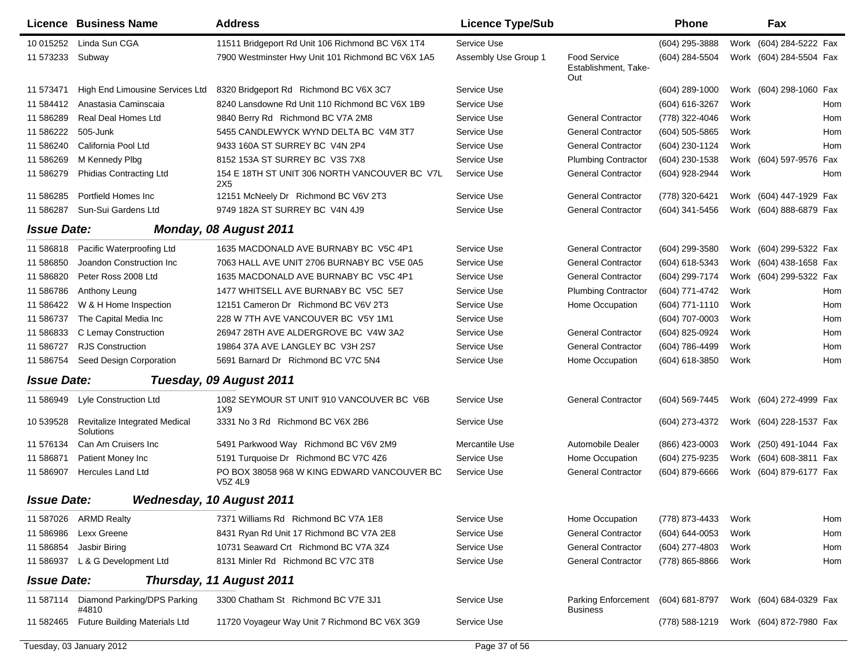|                    | <b>Licence Business Name</b>               | <b>Address</b>                                         | <b>Licence Type/Sub</b> |                                                       | <b>Phone</b>     |      | Fax                     |            |
|--------------------|--------------------------------------------|--------------------------------------------------------|-------------------------|-------------------------------------------------------|------------------|------|-------------------------|------------|
| 10 015252          | Linda Sun CGA                              | 11511 Bridgeport Rd Unit 106 Richmond BC V6X 1T4       | Service Use             |                                                       | (604) 295-3888   | Work | (604) 284-5222 Fax      |            |
| 11 573233          | Subway                                     | 7900 Westminster Hwy Unit 101 Richmond BC V6X 1A5      | Assembly Use Group 1    | <b>Food Service</b><br>Establishment, Take-<br>Out    | (604) 284-5504   |      | Work (604) 284-5504 Fax |            |
| 11 573471          | High End Limousine Services Ltd            | 8320 Bridgeport Rd Richmond BC V6X 3C7                 | Service Use             |                                                       | $(604)$ 289-1000 |      | Work (604) 298-1060 Fax |            |
| 11 584412          | Anastasia Caminscaia                       | 8240 Lansdowne Rd Unit 110 Richmond BC V6X 1B9         | Service Use             |                                                       | (604) 616-3267   | Work |                         | Hom        |
| 11 586289          | <b>Real Deal Homes Ltd</b>                 | 9840 Berry Rd Richmond BC V7A 2M8                      | Service Use             | <b>General Contractor</b>                             | (778) 322-4046   | Work |                         | Hom        |
| 11 586222          | 505-Junk                                   | 5455 CANDLEWYCK WYND DELTA BC V4M 3T7                  | Service Use             | <b>General Contractor</b>                             | (604) 505-5865   | Work |                         | <b>Hom</b> |
| 11 586240          | California Pool Ltd                        | 9433 160A ST SURREY BC V4N 2P4                         | Service Use             | <b>General Contractor</b>                             | (604) 230-1124   | Work |                         | Hom        |
| 11 586269          | M Kennedy Plbg                             | 8152 153A ST SURREY BC V3S 7X8                         | Service Use             | <b>Plumbing Contractor</b>                            | (604) 230-1538   |      | Work (604) 597-9576 Fax |            |
| 11 586279          | <b>Phidias Contracting Ltd</b>             | 154 E 18TH ST UNIT 306 NORTH VANCOUVER BC V7L<br>2X5   | Service Use             | <b>General Contractor</b>                             | (604) 928-2944   | Work |                         | Hom        |
| 11 586285          | Portfield Homes Inc.                       | 12151 McNeely Dr Richmond BC V6V 2T3                   | Service Use             | <b>General Contractor</b>                             | (778) 320-6421   |      | Work (604) 447-1929 Fax |            |
| 11 586287          | Sun-Sui Gardens Ltd                        | 9749 182A ST SURREY BC V4N 4J9                         | Service Use             | <b>General Contractor</b>                             | (604) 341-5456   | Work | (604) 888-6879 Fax      |            |
| <b>Issue Date:</b> |                                            | Monday, 08 August 2011                                 |                         |                                                       |                  |      |                         |            |
| 11 586818          | Pacific Waterproofing Ltd                  | 1635 MACDONALD AVE BURNABY BC V5C 4P1                  | Service Use             | <b>General Contractor</b>                             | (604) 299-3580   |      | Work (604) 299-5322 Fax |            |
| 11 586850          | Joandon Construction Inc                   | 7063 HALL AVE UNIT 2706 BURNABY BC V5E 0A5             | Service Use             | <b>General Contractor</b>                             | (604) 618-5343   | Work | (604) 438-1658 Fax      |            |
| 11 586820          | Peter Ross 2008 Ltd                        | 1635 MACDONALD AVE BURNABY BC V5C 4P1                  | Service Use             | <b>General Contractor</b>                             | (604) 299-7174   | Work | (604) 299-5322 Fax      |            |
| 11 586786          | Anthony Leung                              | 1477 WHITSELL AVE BURNABY BC V5C 5E7                   | Service Use             | <b>Plumbing Contractor</b>                            | (604) 771-4742   | Work |                         | Hom        |
| 11 586422          | W & H Home Inspection                      | 12151 Cameron Dr Richmond BC V6V 2T3                   | Service Use             | Home Occupation                                       | (604) 771-1110   | Work |                         | Hom        |
| 11 586737          | The Capital Media Inc                      | 228 W 7TH AVE VANCOUVER BC V5Y 1M1                     | Service Use             |                                                       | (604) 707-0003   | Work |                         | Hom        |
| 11 586833          | C Lemay Construction                       | 26947 28TH AVE ALDERGROVE BC V4W 3A2                   | Service Use             | <b>General Contractor</b>                             | (604) 825-0924   | Work |                         | Hom        |
| 11 586727          | <b>RJS Construction</b>                    | 19864 37A AVE LANGLEY BC V3H 2S7                       | Service Use             | <b>General Contractor</b>                             | (604) 786-4499   | Work |                         | Hom        |
| 11 586754          | Seed Design Corporation                    | 5691 Barnard Dr Richmond BC V7C 5N4                    | Service Use             | Home Occupation                                       | (604) 618-3850   | Work |                         | Hom        |
| <b>Issue Date:</b> |                                            | Tuesday, 09 August 2011                                |                         |                                                       |                  |      |                         |            |
| 11 586949          | Lyle Construction Ltd                      | 1082 SEYMOUR ST UNIT 910 VANCOUVER BC V6B<br>1X9       | Service Use             | <b>General Contractor</b>                             | (604) 569-7445   |      | Work (604) 272-4999 Fax |            |
| 10 539528          | Revitalize Integrated Medical<br>Solutions | 3331 No 3 Rd Richmond BC V6X 2B6                       | Service Use             |                                                       | (604) 273-4372   |      | Work (604) 228-1537 Fax |            |
| 11 576134          | Can Am Cruisers Inc                        | 5491 Parkwood Way Richmond BC V6V 2M9                  | Mercantile Use          | Automobile Dealer                                     | $(866)$ 423-0003 |      | Work (250) 491-1044 Fax |            |
| 11 586871          | Patient Money Inc                          | 5191 Turquoise Dr Richmond BC V7C 4Z6                  | Service Use             | Home Occupation                                       | (604) 275-9235   |      | Work (604) 608-3811 Fax |            |
| 11 586907          | Hercules Land Ltd                          | PO BOX 38058 968 W KING EDWARD VANCOUVER BC<br>V5Z 4L9 | Service Use             | <b>General Contractor</b>                             | (604) 879-6666   |      | Work (604) 879-6177 Fax |            |
| <b>Issue Date:</b> |                                            | <b>Wednesday, 10 August 2011</b>                       |                         |                                                       |                  |      |                         |            |
| 11 587026          | <b>ARMD Realty</b>                         | 7371 Williams Rd Richmond BC V7A 1E8                   | Service Use             | Home Occupation                                       | (778) 873-4433   | Work |                         | Hom        |
| 11 586986          | Lexx Greene                                | 8431 Ryan Rd Unit 17 Richmond BC V7A 2E8               | Service Use             | <b>General Contractor</b>                             | (604) 644-0053   | Work |                         | Hom        |
| 11 586854          | Jasbir Biring                              | 10731 Seaward Crt Richmond BC V7A 3Z4                  | Service Use             | <b>General Contractor</b>                             | (604) 277-4803   | Work |                         | Hom        |
| 11 586937          | L & G Development Ltd                      | 8131 Minler Rd Richmond BC V7C 3T8                     | Service Use             | <b>General Contractor</b>                             | (778) 865-8866   | Work |                         | Hom        |
| <b>Issue Date:</b> |                                            | Thursday, 11 August 2011                               |                         |                                                       |                  |      |                         |            |
| 11 587114          | Diamond Parking/DPS Parking<br>#4810       | 3300 Chatham St Richmond BC V7E 3J1                    | Service Use             | Parking Enforcement (604) 681-8797<br><b>Business</b> |                  |      | Work (604) 684-0329 Fax |            |
| 11 582465          | Future Building Materials Ltd              | 11720 Voyageur Way Unit 7 Richmond BC V6X 3G9          | Service Use             |                                                       | (778) 588-1219   |      | Work (604) 872-7980 Fax |            |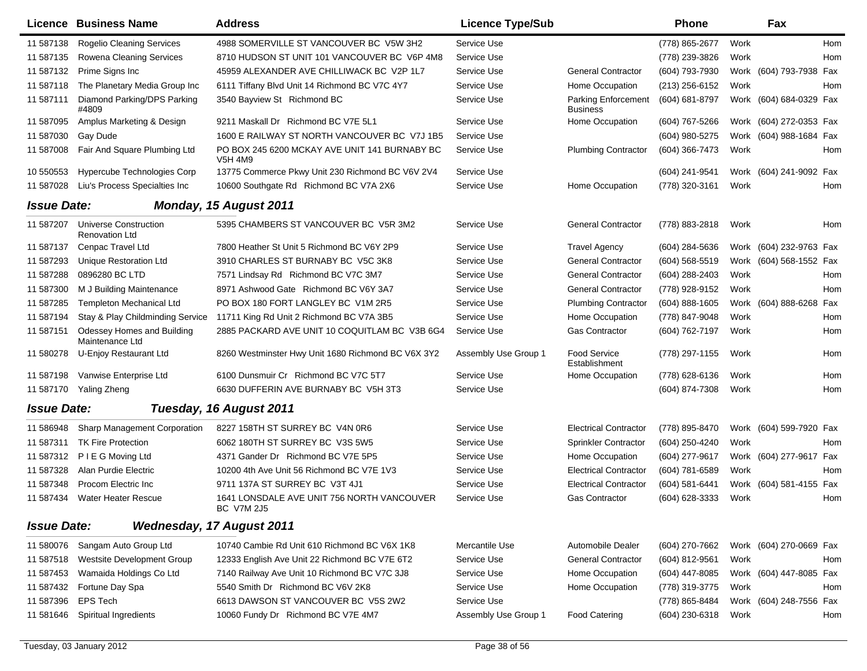|                    | Licence Business Name                                 | <b>Address</b>                                                  | <b>Licence Type/Sub</b> |                                               | Phone            | Fax                        |            |
|--------------------|-------------------------------------------------------|-----------------------------------------------------------------|-------------------------|-----------------------------------------------|------------------|----------------------------|------------|
| 11 587138          | Rogelio Cleaning Services                             | 4988 SOMERVILLE ST VANCOUVER BC V5W 3H2                         | Service Use             |                                               | (778) 865-2677   | Work                       | <b>Hom</b> |
| 11 587135          | Rowena Cleaning Services                              | 8710 HUDSON ST UNIT 101 VANCOUVER BC V6P 4M8                    | Service Use             |                                               | (778) 239-3826   | Work                       | Hom        |
| 11 587132          | Prime Signs Inc                                       | 45959 ALEXANDER AVE CHILLIWACK BC V2P 1L7                       | Service Use             | <b>General Contractor</b>                     | (604) 793-7930   | Work (604) 793-7938 Fax    |            |
| 11 587118          | The Planetary Media Group Inc                         | 6111 Tiffany Blvd Unit 14 Richmond BC V7C 4Y7                   | Service Use             | Home Occupation                               | (213) 256-6152   | Work                       | Hom        |
| 11 587111          | Diamond Parking/DPS Parking<br>#4809                  | 3540 Bayview St Richmond BC                                     | Service Use             | <b>Parking Enforcement</b><br><b>Business</b> | (604) 681-8797   | Work (604) 684-0329 Fax    |            |
| 11 587095          | Amplus Marketing & Design                             | 9211 Maskall Dr Richmond BC V7E 5L1                             | Service Use             | Home Occupation                               | (604) 767-5266   | Work (604) 272-0353 Fax    |            |
| 11 587030          | Gay Dude                                              | 1600 E RAILWAY ST NORTH VANCOUVER BC V7J 1B5                    | Service Use             |                                               | (604) 980-5275   | Work (604) 988-1684 Fax    |            |
| 11 587008          | Fair And Square Plumbing Ltd                          | PO BOX 245 6200 MCKAY AVE UNIT 141 BURNABY BC<br>V5H 4M9        | Service Use             | <b>Plumbing Contractor</b>                    | (604) 366-7473   | Work                       | Hom        |
| 10 550553          | Hypercube Technologies Corp                           | 13775 Commerce Pkwy Unit 230 Richmond BC V6V 2V4                | Service Use             |                                               | (604) 241-9541   | Work (604) 241-9092 Fax    |            |
| 11 587028          | Liu's Process Specialties Inc                         | 10600 Southgate Rd Richmond BC V7A 2X6                          | Service Use             | Home Occupation                               | (778) 320-3161   | Work                       | Hom        |
| <b>Issue Date:</b> |                                                       | Monday, 15 August 2011                                          |                         |                                               |                  |                            |            |
| 11 587207          | <b>Universe Construction</b><br><b>Renovation Ltd</b> | 5395 CHAMBERS ST VANCOUVER BC V5R 3M2                           | Service Use             | <b>General Contractor</b>                     | (778) 883-2818   | Work                       | Hom        |
| 11 587137          | Cenpac Travel Ltd                                     | 7800 Heather St Unit 5 Richmond BC V6Y 2P9                      | Service Use             | <b>Travel Agency</b>                          | (604) 284-5636   | Work (604) 232-9763 Fax    |            |
| 11 587293          | <b>Unique Restoration Ltd</b>                         | 3910 CHARLES ST BURNABY BC V5C 3K8                              | Service Use             | <b>General Contractor</b>                     | $(604)$ 568-5519 | Work (604) 568-1552 Fax    |            |
| 11 587288          | 0896280 BC LTD                                        | 7571 Lindsay Rd Richmond BC V7C 3M7                             | Service Use             | <b>General Contractor</b>                     | (604) 288-2403   | Work                       | Hom        |
| 11 587300          | M J Building Maintenance                              | 8971 Ashwood Gate Richmond BC V6Y 3A7                           | Service Use             | <b>General Contractor</b>                     | (778) 928-9152   | Work                       | Hom        |
| 11 587285          | <b>Templeton Mechanical Ltd</b>                       | PO BOX 180 FORT LANGLEY BC V1M 2R5                              | Service Use             | <b>Plumbing Contractor</b>                    | (604) 888-1605   | (604) 888-6268 Fax<br>Work |            |
| 11 587194          | Stay & Play Childminding Service                      | 11711 King Rd Unit 2 Richmond BC V7A 3B5                        | Service Use             | Home Occupation                               | (778) 847-9048   | Work                       | Hom        |
| 11 587151          | Odessey Homes and Building<br>Maintenance Ltd         | 2885 PACKARD AVE UNIT 10 COQUITLAM BC V3B 6G4                   | Service Use             | <b>Gas Contractor</b>                         | (604) 762-7197   | Work                       | Hom        |
| 11 580278          | U-Enjoy Restaurant Ltd                                | 8260 Westminster Hwy Unit 1680 Richmond BC V6X 3Y2              | Assembly Use Group 1    | <b>Food Service</b><br>Establishment          | (778) 297-1155   | Work                       | Hom        |
| 11 587198          | Vanwise Enterprise Ltd                                | 6100 Dunsmuir Cr Richmond BC V7C 5T7                            | Service Use             | Home Occupation                               | (778) 628-6136   | Work                       | Hom        |
| 11 587170          | Yaling Zheng                                          | 6630 DUFFERIN AVE BURNABY BC V5H 3T3                            | Service Use             |                                               | (604) 874-7308   | Work                       | Hom        |
| <b>Issue Date:</b> |                                                       | Tuesday, 16 August 2011                                         |                         |                                               |                  |                            |            |
| 11 586948          | Sharp Management Corporation                          | 8227 158TH ST SURREY BC V4N 0R6                                 | Service Use             | <b>Electrical Contractor</b>                  | (778) 895-8470   | Work (604) 599-7920 Fax    |            |
| 11 587311          | <b>TK Fire Protection</b>                             | 6062 180TH ST SURREY BC V3S 5W5                                 | Service Use             | Sprinkler Contractor                          | (604) 250-4240   | Work                       | Hom        |
| 11 587312          | P I E G Moving Ltd                                    | 4371 Gander Dr Richmond BC V7E 5P5                              | Service Use             | Home Occupation                               | (604) 277-9617   | Work (604) 277-9617 Fax    |            |
| 11 587328          | Alan Purdie Electric                                  | 10200 4th Ave Unit 56 Richmond BC V7E 1V3                       | Service Use             | <b>Electrical Contractor</b>                  | (604) 781-6589   | Work                       | Hom        |
| 11 587348          | Procom Electric Inc.                                  | 9711 137A ST SURREY BC V3T 4J1                                  | Service Use             | <b>Electrical Contractor</b>                  | (604) 581-6441   | Work (604) 581-4155 Fax    |            |
| 11 587434          | <b>Water Heater Rescue</b>                            | 1641 LONSDALE AVE UNIT 756 NORTH VANCOUVER<br><b>BC V7M 2J5</b> | Service Use             | <b>Gas Contractor</b>                         | (604) 628-3333   | Work                       | Hom        |
| <b>Issue Date:</b> |                                                       | <b>Wednesday, 17 August 2011</b>                                |                         |                                               |                  |                            |            |
| 11 580076          | Sangam Auto Group Ltd                                 | 10740 Cambie Rd Unit 610 Richmond BC V6X 1K8                    | Mercantile Use          | Automobile Dealer                             | (604) 270-7662   | Work (604) 270-0669 Fax    |            |
| 11 587518          | Westsite Development Group                            | 12333 English Ave Unit 22 Richmond BC V7E 6T2                   | Service Use             | <b>General Contractor</b>                     | (604) 812-9561   | Work                       | Hom        |
| 11 587453          | Wamaida Holdings Co Ltd                               | 7140 Railway Ave Unit 10 Richmond BC V7C 3J8                    | Service Use             | Home Occupation                               | (604) 447-8085   | Work (604) 447-8085 Fax    |            |
| 11 587432          | Fortune Day Spa                                       | 5540 Smith Dr Richmond BC V6V 2K8                               | Service Use             | Home Occupation                               | (778) 319-3775   | Work                       | Hom        |
| 11 587396          | <b>EPS Tech</b>                                       | 6613 DAWSON ST VANCOUVER BC V5S 2W2                             | Service Use             |                                               | (778) 865-8484   | Work (604) 248-7556 Fax    |            |
| 11 581646          | Spiritual Ingredients                                 | 10060 Fundy Dr Richmond BC V7E 4M7                              | Assembly Use Group 1    | <b>Food Catering</b>                          | (604) 230-6318   | Work                       | Hom        |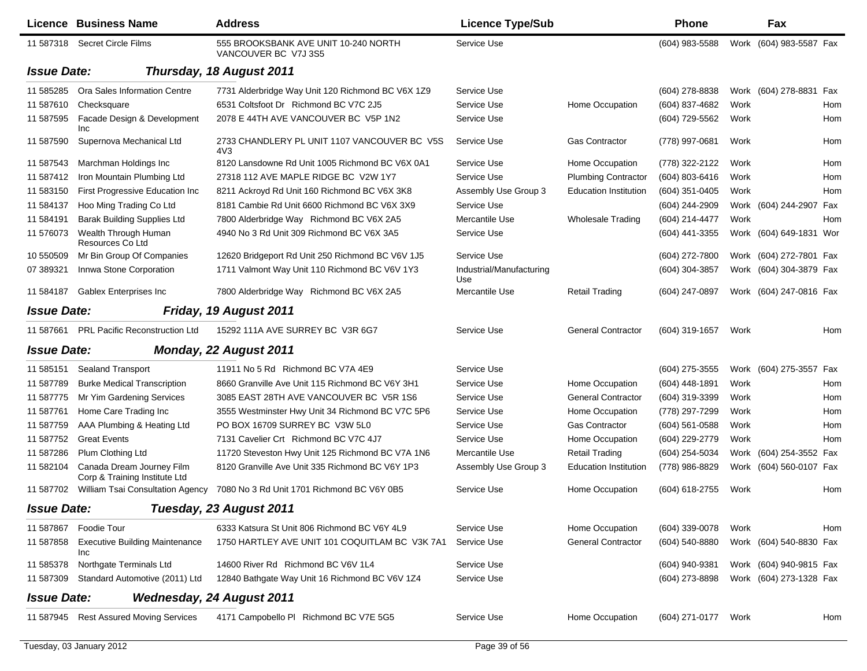|                    | Licence Business Name                                      | <b>Address</b>                                               | <b>Licence Type/Sub</b>         |                              | <b>Phone</b>     |      | Fax                     |     |
|--------------------|------------------------------------------------------------|--------------------------------------------------------------|---------------------------------|------------------------------|------------------|------|-------------------------|-----|
|                    | 11 587318 Secret Circle Films                              | 555 BROOKSBANK AVE UNIT 10-240 NORTH<br>VANCOUVER BC V7J 3S5 | Service Use                     |                              | (604) 983-5588   |      | Work (604) 983-5587 Fax |     |
| <b>Issue Date:</b> |                                                            | Thursday, 18 August 2011                                     |                                 |                              |                  |      |                         |     |
| 11 585285          | Ora Sales Information Centre                               | 7731 Alderbridge Way Unit 120 Richmond BC V6X 1Z9            | Service Use                     |                              | (604) 278-8838   |      | Work (604) 278-8831 Fax |     |
| 11 587610          | Checksquare                                                | 6531 Coltsfoot Dr Richmond BC V7C 2J5                        | Service Use                     | Home Occupation              | (604) 837-4682   | Work |                         | Hom |
| 11 587595          | Facade Design & Development<br><b>Inc</b>                  | 2078 E 44TH AVE VANCOUVER BC V5P 1N2                         | Service Use                     |                              | (604) 729-5562   | Work |                         | Hom |
| 11 587590          | Supernova Mechanical Ltd                                   | 2733 CHANDLERY PL UNIT 1107 VANCOUVER BC V5S<br>4V3          | Service Use                     | <b>Gas Contractor</b>        | (778) 997-0681   | Work |                         | Hom |
| 11 587543          | Marchman Holdings Inc                                      | 8120 Lansdowne Rd Unit 1005 Richmond BC V6X 0A1              | Service Use                     | Home Occupation              | (778) 322-2122   | Work |                         | Hom |
| 11 587412          | Iron Mountain Plumbing Ltd                                 | 27318 112 AVE MAPLE RIDGE BC V2W 1Y7                         | Service Use                     | <b>Plumbing Contractor</b>   | (604) 803-6416   | Work |                         | Hom |
| 11 583150          | First Progressive Education Inc                            | 8211 Ackroyd Rd Unit 160 Richmond BC V6X 3K8                 | Assembly Use Group 3            | <b>Education Institution</b> | (604) 351-0405   | Work |                         | Hom |
| 11 584137          | Hoo Ming Trading Co Ltd                                    | 8181 Cambie Rd Unit 6600 Richmond BC V6X 3X9                 | Service Use                     |                              | (604) 244-2909   |      | Work (604) 244-2907 Fax |     |
| 11 584191          | <b>Barak Building Supplies Ltd</b>                         | 7800 Alderbridge Way Richmond BC V6X 2A5                     | Mercantile Use                  | <b>Wholesale Trading</b>     | (604) 214-4477   | Work |                         | Hom |
| 11 576073          | Wealth Through Human<br>Resources Co Ltd                   | 4940 No 3 Rd Unit 309 Richmond BC V6X 3A5                    | Service Use                     |                              | (604) 441-3355   |      | Work (604) 649-1831 Wor |     |
| 10 550509          | Mr Bin Group Of Companies                                  | 12620 Bridgeport Rd Unit 250 Richmond BC V6V 1J5             | Service Use                     |                              | (604) 272-7800   |      | Work (604) 272-7801 Fax |     |
| 07 389321          | Innwa Stone Corporation                                    | 1711 Valmont Way Unit 110 Richmond BC V6V 1Y3                | Industrial/Manufacturing<br>Use |                              | (604) 304-3857   |      | Work (604) 304-3879 Fax |     |
| 11 584187          | Gablex Enterprises Inc                                     | 7800 Alderbridge Way Richmond BC V6X 2A5                     | Mercantile Use                  | <b>Retail Trading</b>        | (604) 247-0897   |      | Work (604) 247-0816 Fax |     |
| <b>Issue Date:</b> |                                                            | Friday, 19 August 2011                                       |                                 |                              |                  |      |                         |     |
| 11 587661          | <b>PRL Pacific Reconstruction Ltd</b>                      | 15292 111A AVE SURREY BC V3R 6G7                             | Service Use                     | <b>General Contractor</b>    | (604) 319-1657   | Work |                         | Hom |
| <b>Issue Date:</b> |                                                            | Monday, 22 August 2011                                       |                                 |                              |                  |      |                         |     |
| 11 585151          | <b>Sealand Transport</b>                                   | 11911 No 5 Rd Richmond BC V7A 4E9                            | Service Use                     |                              | $(604)$ 275-3555 |      | Work (604) 275-3557 Fax |     |
| 11 587789          | <b>Burke Medical Transcription</b>                         | 8660 Granville Ave Unit 115 Richmond BC V6Y 3H1              | Service Use                     | Home Occupation              | (604) 448-1891   | Work |                         | Hom |
| 11 587775          | Mr Yim Gardening Services                                  | 3085 EAST 28TH AVE VANCOUVER BC V5R 1S6                      | Service Use                     | <b>General Contractor</b>    | (604) 319-3399   | Work |                         | Hom |
| 11 587761          | Home Care Trading Inc                                      | 3555 Westminster Hwy Unit 34 Richmond BC V7C 5P6             | Service Use                     | Home Occupation              | (778) 297-7299   | Work |                         | Hom |
| 11 587759          | AAA Plumbing & Heating Ltd                                 | PO BOX 16709 SURREY BC V3W 5L0                               | Service Use                     | <b>Gas Contractor</b>        | $(604)$ 561-0588 | Work |                         | Hom |
| 11 587752          | <b>Great Events</b>                                        | 7131 Cavelier Crt Richmond BC V7C 4J7                        | Service Use                     | Home Occupation              | (604) 229-2779   | Work |                         | Hom |
| 11 587286          | Plum Clothing Ltd                                          | 11720 Steveston Hwy Unit 125 Richmond BC V7A 1N6             | Mercantile Use                  | <b>Retail Trading</b>        | (604) 254-5034   | Work | (604) 254-3552 Fax      |     |
| 11 582104          | Canada Dream Journey Film<br>Corp & Training Institute Ltd | 8120 Granville Ave Unit 335 Richmond BC V6Y 1P3              | Assembly Use Group 3            | <b>Education Institution</b> | (778) 986-8829   |      | Work (604) 560-0107 Fax |     |
| 11 587702          | <b>William Tsai Consultation Agency</b>                    | 7080 No 3 Rd Unit 1701 Richmond BC V6Y 0B5                   | Service Use                     | Home Occupation              | (604) 618-2755   | Work |                         | Hom |
| <b>Issue Date:</b> |                                                            | Tuesday, 23 August 2011                                      |                                 |                              |                  |      |                         |     |
| 11 587867          | Foodie Tour                                                | 6333 Katsura St Unit 806 Richmond BC V6Y 4L9                 | Service Use                     | Home Occupation              | $(604)$ 339-0078 | Work |                         | Hom |
| 11 587858          | <b>Executive Building Maintenance</b><br><b>Inc</b>        | 1750 HARTLEY AVE UNIT 101 COQUITLAM BC V3K 7A1               | Service Use                     | <b>General Contractor</b>    | (604) 540-8880   |      | Work (604) 540-8830 Fax |     |
| 11 585378          | Northgate Terminals Ltd                                    | 14600 River Rd Richmond BC V6V 1L4                           | Service Use                     |                              | (604) 940-9381   |      | Work (604) 940-9815 Fax |     |
| 11 587309          | Standard Automotive (2011) Ltd                             | 12840 Bathgate Way Unit 16 Richmond BC V6V 1Z4               | Service Use                     |                              | (604) 273-8898   |      | Work (604) 273-1328 Fax |     |
| <b>Issue Date:</b> |                                                            | <b>Wednesday, 24 August 2011</b>                             |                                 |                              |                  |      |                         |     |
|                    | 11 587945 Rest Assured Moving Services                     | 4171 Campobello PI Richmond BC V7E 5G5                       | Service Use                     | Home Occupation              | (604) 271-0177   | Work |                         | Hom |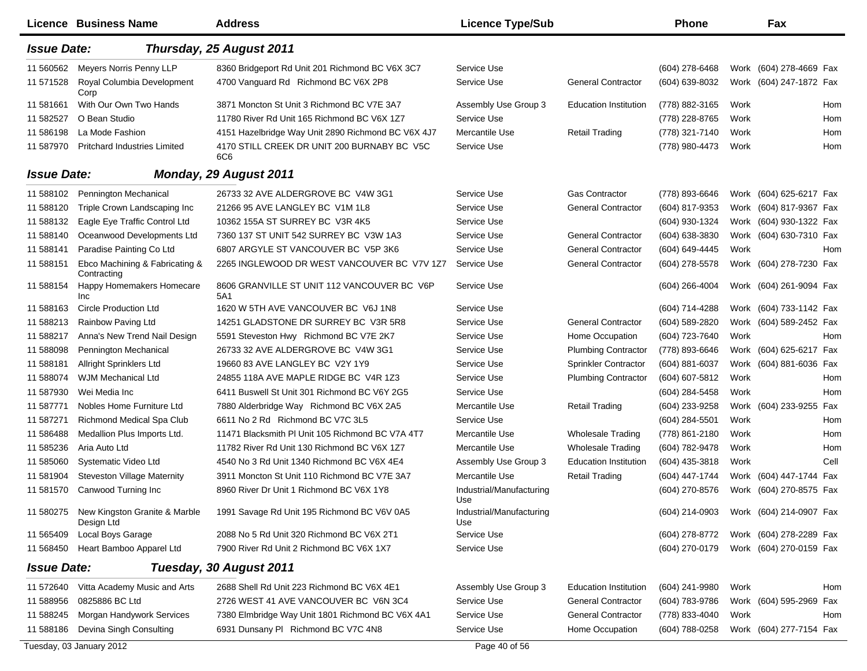|                    | Licence Business Name                         | <b>Address</b>                                     | <b>Licence Type/Sub</b>         |                              | <b>Phone</b>     |      | Fax                     |            |
|--------------------|-----------------------------------------------|----------------------------------------------------|---------------------------------|------------------------------|------------------|------|-------------------------|------------|
| <b>Issue Date:</b> |                                               | Thursday, 25 August 2011                           |                                 |                              |                  |      |                         |            |
| 11 560562          | Meyers Norris Penny LLP                       | 8360 Bridgeport Rd Unit 201 Richmond BC V6X 3C7    | Service Use                     |                              | $(604)$ 278-6468 |      | Work (604) 278-4669 Fax |            |
| 11 571 528         | Royal Columbia Development<br>Corp            | 4700 Vanguard Rd Richmond BC V6X 2P8               | Service Use                     | <b>General Contractor</b>    | (604) 639-8032   |      | Work (604) 247-1872 Fax |            |
| 11 581661          | With Our Own Two Hands                        | 3871 Moncton St Unit 3 Richmond BC V7E 3A7         | Assembly Use Group 3            | <b>Education Institution</b> | (778) 882-3165   | Work |                         | Hom        |
| 11 582527          | O Bean Studio                                 | 11780 River Rd Unit 165 Richmond BC V6X 1Z7        | Service Use                     |                              | (778) 228-8765   | Work |                         | Hom        |
| 11 586198          | La Mode Fashion                               | 4151 Hazelbridge Way Unit 2890 Richmond BC V6X 4J7 | Mercantile Use                  | <b>Retail Trading</b>        | (778) 321-7140   | Work |                         | Hom        |
| 11 587970          | <b>Pritchard Industries Limited</b>           | 4170 STILL CREEK DR UNIT 200 BURNABY BC V5C<br>6C6 | Service Use                     |                              | (778) 980-4473   | Work |                         | Hom        |
| <b>Issue Date:</b> |                                               | <b>Monday, 29 August 2011</b>                      |                                 |                              |                  |      |                         |            |
| 11 588102          | Pennington Mechanical                         | 26733 32 AVE ALDERGROVE BC V4W 3G1                 | Service Use                     | <b>Gas Contractor</b>        | (778) 893-6646   |      | Work (604) 625-6217 Fax |            |
| 11 588120          | Triple Crown Landscaping Inc                  | 21266 95 AVE LANGLEY BC V1M 1L8                    | Service Use                     | <b>General Contractor</b>    | (604) 817-9353   | Work | (604) 817-9367 Fax      |            |
| 11 588132          | Eagle Eye Traffic Control Ltd                 | 10362 155A ST SURREY BC V3R 4K5                    | Service Use                     |                              | (604) 930-1324   |      | Work (604) 930-1322 Fax |            |
| 11 588140          | Oceanwood Developments Ltd                    | 7360 137 ST UNIT 542 SURREY BC V3W 1A3             | Service Use                     | <b>General Contractor</b>    | (604) 638-3830   |      | Work (604) 630-7310 Fax |            |
| 11 588141          | Paradise Painting Co Ltd                      | 6807 ARGYLE ST VANCOUVER BC V5P 3K6                | Service Use                     | <b>General Contractor</b>    | (604) 649-4445   | Work |                         | <b>Hom</b> |
| 11 588151          | Ebco Machining & Fabricating &<br>Contracting | 2265 INGLEWOOD DR WEST VANCOUVER BC V7V 1Z7        | Service Use                     | <b>General Contractor</b>    | (604) 278-5578   |      | Work (604) 278-7230 Fax |            |
| 11 588154          | Happy Homemakers Homecare<br>Inc              | 8606 GRANVILLE ST UNIT 112 VANCOUVER BC V6P<br>5A1 | Service Use                     |                              | (604) 266-4004   |      | Work (604) 261-9094 Fax |            |
| 11 588163          | <b>Circle Production Ltd</b>                  | 1620 W 5TH AVE VANCOUVER BC V6J 1N8                | Service Use                     |                              | (604) 714-4288   |      | Work (604) 733-1142 Fax |            |
| 11 588213          | Rainbow Paving Ltd                            | 14251 GLADSTONE DR SURREY BC V3R 5R8               | Service Use                     | <b>General Contractor</b>    | (604) 589-2820   |      | Work (604) 589-2452 Fax |            |
| 11 588217          | Anna's New Trend Nail Design                  | 5591 Steveston Hwy Richmond BC V7E 2K7             | Service Use                     | Home Occupation              | (604) 723-7640   | Work |                         | <b>Hom</b> |
| 11 588098          | Pennington Mechanical                         | 26733 32 AVE ALDERGROVE BC V4W 3G1                 | Service Use                     | <b>Plumbing Contractor</b>   | (778) 893-6646   |      | Work (604) 625-6217 Fax |            |
| 11 588181          | Allright Sprinklers Ltd                       | 19660 83 AVE LANGLEY BC V2Y 1Y9                    | Service Use                     | Sprinkler Contractor         | (604) 881-6037   |      | Work (604) 881-6036 Fax |            |
| 11 588074          | <b>WJM Mechanical Ltd</b>                     | 24855 118A AVE MAPLE RIDGE BC V4R 1Z3              | Service Use                     | <b>Plumbing Contractor</b>   | (604) 607-5812   | Work |                         | <b>Hom</b> |
| 11 587930          | Wei Media Inc                                 | 6411 Buswell St Unit 301 Richmond BC V6Y 2G5       | Service Use                     |                              | (604) 284-5458   | Work |                         | Hom        |
| 11 587771          | Nobles Home Furniture Ltd                     | 7880 Alderbridge Way Richmond BC V6X 2A5           | Mercantile Use                  | <b>Retail Trading</b>        | (604) 233-9258   | Work | (604) 233-9255 Fax      |            |
| 11 587271          | Richmond Medical Spa Club                     | 6611 No 2 Rd Richmond BC V7C 3L5                   | Service Use                     |                              | (604) 284-5501   | Work |                         | Hom        |
| 11 58 6488         | Medallion Plus Imports Ltd.                   | 11471 Blacksmith PI Unit 105 Richmond BC V7A 4T7   | Mercantile Use                  | <b>Wholesale Trading</b>     | (778) 861-2180   | Work |                         | Hom        |
| 11 585236          | Aria Auto Ltd                                 | 11782 River Rd Unit 130 Richmond BC V6X 1Z7        | Mercantile Use                  | <b>Wholesale Trading</b>     | (604) 782-9478   | Work |                         | Hom        |
| 11 585060          | Systematic Video Ltd                          | 4540 No 3 Rd Unit 1340 Richmond BC V6X 4E4         | Assembly Use Group 3            | <b>Education Institution</b> | (604) 435-3818   | Work |                         | Cell       |
| 11 581904          | <b>Steveston Village Maternity</b>            | 3911 Moncton St Unit 110 Richmond BC V7E 3A7       | Mercantile Use                  | <b>Retail Trading</b>        | (604) 447-1744   |      | Work (604) 447-1744 Fax |            |
| 11 581570          | Canwood Turning Inc                           | 8960 River Dr Unit 1 Richmond BC V6X 1Y8           | Industrial/Manufacturing<br>Use |                              | (604) 270-8576   |      | Work (604) 270-8575 Fax |            |
| 11 580275          | New Kingston Granite & Marble<br>Design Ltd   | 1991 Savage Rd Unit 195 Richmond BC V6V 0A5        | Industrial/Manufacturing<br>Use |                              | (604) 214-0903   |      | Work (604) 214-0907 Fax |            |
| 11 565409          | Local Boys Garage                             | 2088 No 5 Rd Unit 320 Richmond BC V6X 2T1          | Service Use                     |                              | (604) 278-8772   |      | Work (604) 278-2289 Fax |            |
| 11 568450          | Heart Bamboo Apparel Ltd                      | 7900 River Rd Unit 2 Richmond BC V6X 1X7           | Service Use                     |                              | (604) 270-0179   |      | Work (604) 270-0159 Fax |            |
| <b>Issue Date:</b> |                                               | Tuesday, 30 August 2011                            |                                 |                              |                  |      |                         |            |
| 11 572640          | Vitta Academy Music and Arts                  | 2688 Shell Rd Unit 223 Richmond BC V6X 4E1         | Assembly Use Group 3            | <b>Education Institution</b> | (604) 241-9980   | Work |                         | Hom        |
| 11 588956          | 0825886 BC Ltd                                | 2726 WEST 41 AVE VANCOUVER BC V6N 3C4              | Service Use                     | <b>General Contractor</b>    | (604) 783-9786   |      | Work (604) 595-2969 Fax |            |
| 11 588245          | Morgan Handywork Services                     | 7380 Elmbridge Way Unit 1801 Richmond BC V6X 4A1   | Service Use                     | <b>General Contractor</b>    | (778) 833-4040   | Work |                         | Hom        |
| 11 588186          | Devina Singh Consulting                       | 6931 Dunsany PI Richmond BC V7C 4N8                | Service Use                     | Home Occupation              | (604) 788-0258   |      | Work (604) 277-7154 Fax |            |
|                    | Tuesday, 03 January 2012                      |                                                    | Page 40 of 56                   |                              |                  |      |                         |            |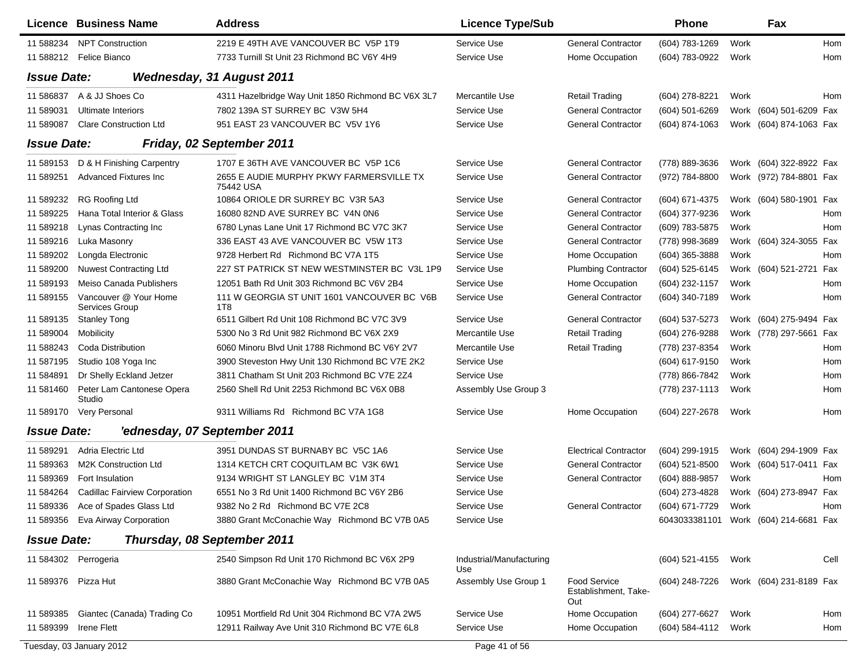|                     | Licence Business Name                   | <b>Address</b>                                        | <b>Licence Type/Sub</b>         |                                                    | Phone                                 |      | Fax                     |      |
|---------------------|-----------------------------------------|-------------------------------------------------------|---------------------------------|----------------------------------------------------|---------------------------------------|------|-------------------------|------|
| 11 588234           | <b>NPT Construction</b>                 | 2219 E 49TH AVE VANCOUVER BC V5P 1T9                  | Service Use                     | <b>General Contractor</b>                          | (604) 783-1269                        | Work |                         | Hom  |
|                     | 11 588212 Felice Bianco                 | 7733 Turnill St Unit 23 Richmond BC V6Y 4H9           | Service Use                     | Home Occupation                                    | (604) 783-0922                        | Work |                         | Hom  |
| <b>Issue Date:</b>  |                                         | <b>Wednesday, 31 August 2011</b>                      |                                 |                                                    |                                       |      |                         |      |
| 11 586837           | A & JJ Shoes Co                         | 4311 Hazelbridge Way Unit 1850 Richmond BC V6X 3L7    | Mercantile Use                  | <b>Retail Trading</b>                              | (604) 278-8221                        | Work |                         | Hom  |
| 11 589031           | Ultimate Interiors                      | 7802 139A ST SURREY BC V3W 5H4                        | Service Use                     | <b>General Contractor</b>                          | (604) 501-6269                        |      | Work (604) 501-6209 Fax |      |
| 11 589087           | <b>Clare Construction Ltd</b>           | 951 EAST 23 VANCOUVER BC V5V 1Y6                      | Service Use                     | <b>General Contractor</b>                          | (604) 874-1063                        |      | Work (604) 874-1063 Fax |      |
| <b>Issue Date:</b>  |                                         | Friday, 02 September 2011                             |                                 |                                                    |                                       |      |                         |      |
| 11 589153           | D & H Finishing Carpentry               | 1707 E 36TH AVE VANCOUVER BC V5P 1C6                  | Service Use                     | <b>General Contractor</b>                          | (778) 889-3636                        |      | Work (604) 322-8922 Fax |      |
| 11 589251           | <b>Advanced Fixtures Inc.</b>           | 2655 E AUDIE MURPHY PKWY FARMERSVILLE TX<br>75442 USA | Service Use                     | <b>General Contractor</b>                          | (972) 784-8800                        |      | Work (972) 784-8801 Fax |      |
| 11 589232           | RG Roofing Ltd                          | 10864 ORIOLE DR SURREY BC V3R 5A3                     | Service Use                     | <b>General Contractor</b>                          | (604) 671-4375                        |      | Work (604) 580-1901 Fax |      |
| 11 589225           | Hana Total Interior & Glass             | 16080 82ND AVE SURREY BC V4N 0N6                      | Service Use                     | <b>General Contractor</b>                          | (604) 377-9236                        | Work |                         | Hom  |
| 11 589218           | Lynas Contracting Inc                   | 6780 Lynas Lane Unit 17 Richmond BC V7C 3K7           | Service Use                     | <b>General Contractor</b>                          | (609) 783-5875                        | Work |                         | Hom  |
| 11 589216           | Luka Masonry                            | 336 EAST 43 AVE VANCOUVER BC V5W 1T3                  | Service Use                     | <b>General Contractor</b>                          | (778) 998-3689                        |      | Work (604) 324-3055 Fax |      |
| 11 589202           | Longda Electronic                       | 9728 Herbert Rd Richmond BC V7A 1T5                   | Service Use                     | Home Occupation                                    | (604) 365-3888                        | Work |                         | Hom  |
| 11 589200           | <b>Nuwest Contracting Ltd</b>           | 227 ST PATRICK ST NEW WESTMINSTER BC V3L 1P9          | Service Use                     | <b>Plumbing Contractor</b>                         | (604) 525-6145                        |      | Work (604) 521-2721     | Fax  |
| 11 589193           | Meiso Canada Publishers                 | 12051 Bath Rd Unit 303 Richmond BC V6V 2B4            | Service Use                     | Home Occupation                                    | (604) 232-1157                        | Work |                         | Hom  |
| 11 589155           | Vancouver @ Your Home<br>Services Group | 111 W GEORGIA ST UNIT 1601 VANCOUVER BC V6B<br>1T8    | Service Use                     | <b>General Contractor</b>                          | (604) 340-7189                        | Work |                         | Hom  |
| 11 589135           | <b>Stanley Tong</b>                     | 6511 Gilbert Rd Unit 108 Richmond BC V7C 3V9          | Service Use                     | <b>General Contractor</b>                          | (604) 537-5273                        |      | Work (604) 275-9494 Fax |      |
| 11 589004           | Mobilicity                              | 5300 No 3 Rd Unit 982 Richmond BC V6X 2X9             | Mercantile Use                  | <b>Retail Trading</b>                              | (604) 276-9288                        |      | Work (778) 297-5661 Fax |      |
| 11 588243           | Coda Distribution                       | 6060 Minoru Blvd Unit 1788 Richmond BC V6Y 2V7        | Mercantile Use                  | <b>Retail Trading</b>                              | (778) 237-8354                        | Work |                         | Hom  |
| 11 587195           | Studio 108 Yoga Inc                     | 3900 Steveston Hwy Unit 130 Richmond BC V7E 2K2       | Service Use                     |                                                    | (604) 617-9150                        | Work |                         | Hom  |
| 11 584891           | Dr Shelly Eckland Jetzer                | 3811 Chatham St Unit 203 Richmond BC V7E 2Z4          | Service Use                     |                                                    | (778) 866-7842                        | Work |                         | Hom  |
| 11 581460           | Peter Lam Cantonese Opera<br>Studio     | 2560 Shell Rd Unit 2253 Richmond BC V6X 0B8           | Assembly Use Group 3            |                                                    | (778) 237-1113                        | Work |                         | Hom  |
| 11 589170           | Very Personal                           | 9311 Williams Rd Richmond BC V7A 1G8                  | Service Use                     | Home Occupation                                    | (604) 227-2678                        | Work |                         | Hom  |
| <b>Issue Date:</b>  |                                         | 'ednesday, 07 September 2011                          |                                 |                                                    |                                       |      |                         |      |
| 11 589291           | Adria Electric Ltd                      | 3951 DUNDAS ST BURNABY BC V5C 1A6                     | Service Use                     | <b>Electrical Contractor</b>                       | (604) 299-1915                        |      | Work (604) 294-1909 Fax |      |
| 11 589363           | <b>M2K Construction Ltd</b>             | 1314 KETCH CRT COQUITLAM BC V3K 6W1                   | Service Use                     | <b>General Contractor</b>                          | $(604)$ 521-8500                      |      | Work (604) 517-0411 Fax |      |
| 11 589369           | Fort Insulation                         | 9134 WRIGHT ST LANGLEY BC V1M 3T4                     | Service Use                     | <b>General Contractor</b>                          | (604) 888-9857                        | Work |                         | Hom  |
| 11 584264           | <b>Cadillac Fairview Corporation</b>    | 6551 No 3 Rd Unit 1400 Richmond BC V6Y 2B6            | Service Use                     |                                                    | (604) 273-4828                        |      | Work (604) 273-8947 Fax |      |
|                     | 11 589336 Ace of Spades Glass Ltd       | 9382 No 2 Rd Richmond BC V7E 2C8                      | Service Use                     | <b>General Contractor</b>                          | (604) 671-7729                        | Work |                         | Hom  |
|                     | 11 589356 Eva Airway Corporation        | 3880 Grant McConachie Way Richmond BC V7B 0A5         | Service Use                     |                                                    | 6043033381101 Work (604) 214-6681 Fax |      |                         |      |
| <b>Issue Date:</b>  |                                         | Thursday, 08 September 2011                           |                                 |                                                    |                                       |      |                         |      |
|                     | 11 584302 Perrogeria                    | 2540 Simpson Rd Unit 170 Richmond BC V6X 2P9          | Industrial/Manufacturing<br>Use |                                                    | (604) 521-4155                        | Work |                         | Cell |
| 11 589376 Pizza Hut |                                         | 3880 Grant McConachie Way Richmond BC V7B 0A5         | Assembly Use Group 1            | <b>Food Service</b><br>Establishment, Take-<br>Out | (604) 248-7226                        |      | Work (604) 231-8189 Fax |      |
| 11 589385           | Giantec (Canada) Trading Co             | 10951 Mortfield Rd Unit 304 Richmond BC V7A 2W5       | Service Use                     | Home Occupation                                    | (604) 277-6627                        | Work |                         | Hom  |
| 11 589399           | Irene Flett                             | 12911 Railway Ave Unit 310 Richmond BC V7E 6L8        | Service Use                     | Home Occupation                                    | (604) 584-4112                        | Work |                         | Hom  |
|                     | Tuesday, 03 January 2012                |                                                       | Page 41 of 56                   |                                                    |                                       |      |                         |      |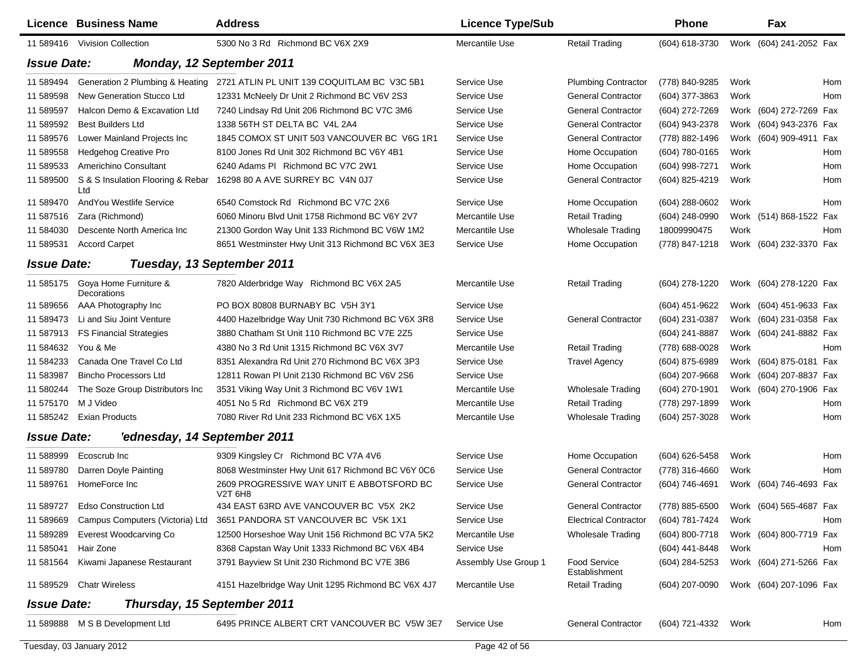|                    | <b>Licence Business Name</b>                   | <b>Address</b>                                       | <b>Licence Type/Sub</b> |                                      | <b>Phone</b>                           |      | Fax                     |     |
|--------------------|------------------------------------------------|------------------------------------------------------|-------------------------|--------------------------------------|----------------------------------------|------|-------------------------|-----|
|                    | 11 589416 Vivision Collection                  | 5300 No 3 Rd Richmond BC V6X 2X9                     | Mercantile Use          | <b>Retail Trading</b>                | (604) 618-3730                         |      | Work (604) 241-2052 Fax |     |
| <b>Issue Date:</b> |                                                | <b>Monday, 12 September 2011</b>                     |                         |                                      |                                        |      |                         |     |
| 11 589494          | Generation 2 Plumbing & Heating                | 2721 ATLIN PL UNIT 139 COQUITLAM BC V3C 5B1          | Service Use             | <b>Plumbing Contractor</b>           | (778) 840-9285                         | Work |                         | Hom |
| 11 589598          | New Generation Stucco Ltd                      | 12331 McNeely Dr Unit 2 Richmond BC V6V 2S3          | Service Use             | <b>General Contractor</b>            | (604) 377-3863                         | Work |                         | Hom |
| 11 589597          | Halcon Demo & Excavation Ltd                   | 7240 Lindsay Rd Unit 206 Richmond BC V7C 3M6         | Service Use             | <b>General Contractor</b>            | (604) 272-7269                         |      | Work (604) 272-7269 Fax |     |
| 11 589592          | <b>Best Builders Ltd</b>                       | 1338 56TH ST DELTA BC V4L 2A4                        | Service Use             | <b>General Contractor</b>            | (604) 943-2378                         |      | Work (604) 943-2376 Fax |     |
| 11 589576          | Lower Mainland Projects Inc                    | 1845 COMOX ST UNIT 503 VANCOUVER BC V6G 1R1          | Service Use             | <b>General Contractor</b>            | (778) 882-1496                         |      | Work (604) 909-4911 Fax |     |
| 11 589558          | Hedgehog Creative Pro                          | 8100 Jones Rd Unit 302 Richmond BC V6Y 4B1           | Service Use             | Home Occupation                      | (604) 780-0165                         | Work |                         | Hom |
| 11 589533          | Americhino Consultant                          | 6240 Adams PI Richmond BC V7C 2W1                    | Service Use             | Home Occupation                      | (604) 998-7271                         | Work |                         | Hom |
| 11 589500          | S & S Insulation Flooring & Rebar<br>Ltd       | 16298 80 A AVE SURREY BC V4N 0J7                     | Service Use             | <b>General Contractor</b>            | (604) 825-4219                         | Work |                         | Hom |
| 11 589470          | And You Westlife Service                       | 6540 Comstock Rd Richmond BC V7C 2X6                 | Service Use             | Home Occupation                      | $(604)$ 288-0602                       | Work |                         | Hom |
| 11 587516          | Zara (Richmond)                                | 6060 Minoru Blvd Unit 1758 Richmond BC V6Y 2V7       | Mercantile Use          | <b>Retail Trading</b>                | $(604)$ 248-0990                       |      | Work (514) 868-1522 Fax |     |
| 11 584030          | Descente North America Inc                     | 21300 Gordon Way Unit 133 Richmond BC V6W 1M2        | Mercantile Use          | <b>Wholesale Trading</b>             | 18009990475                            | Work |                         | Hom |
| 11 589531          | <b>Accord Carpet</b>                           | 8651 Westminster Hwy Unit 313 Richmond BC V6X 3E3    | Service Use             | Home Occupation                      | (778) 847-1218                         |      | Work (604) 232-3370 Fax |     |
| <b>Issue Date:</b> |                                                | Tuesday, 13 September 2011                           |                         |                                      |                                        |      |                         |     |
|                    | 11 585175 Goya Home Furniture &<br>Decorations | 7820 Alderbridge Way Richmond BC V6X 2A5             | Mercantile Use          | Retail Trading                       | (604) 278-1220                         |      | Work (604) 278-1220 Fax |     |
| 11 589656          | AAA Photography Inc                            | PO BOX 80808 BURNABY BC V5H 3Y1                      | Service Use             |                                      | (604) 451-9622                         |      | Work (604) 451-9633 Fax |     |
| 11 589473          | Li and Siu Joint Venture                       | 4400 Hazelbridge Way Unit 730 Richmond BC V6X 3R8    | Service Use             | <b>General Contractor</b>            | (604) 231-0387                         |      | Work (604) 231-0358 Fax |     |
| 11 587913          | <b>FS Financial Strategies</b>                 | 3880 Chatham St Unit 110 Richmond BC V7E 2Z5         | Service Use             |                                      | (604) 241-8887                         |      | Work (604) 241-8882 Fax |     |
| 11 584632          | You & Me                                       | 4380 No 3 Rd Unit 1315 Richmond BC V6X 3V7           | Mercantile Use          | <b>Retail Trading</b>                | (778) 688-0028                         | Work |                         | Hom |
| 11 584233          | Canada One Travel Co Ltd                       | 8351 Alexandra Rd Unit 270 Richmond BC V6X 3P3       | Service Use             | <b>Travel Agency</b>                 | (604) 875-6989                         |      | Work (604) 875-0181 Fax |     |
| 11 583987          | <b>Bincho Processors Ltd</b>                   | 12811 Rowan PI Unit 2130 Richmond BC V6V 2S6         | Service Use             |                                      | (604) 207-9668                         |      | Work (604) 207-8837 Fax |     |
| 11 580244          | The Soze Group Distributors Inc                | 3531 Viking Way Unit 3 Richmond BC V6V 1W1           | Mercantile Use          | Wholesale Trading                    | (604) 270-1901                         |      | Work (604) 270-1906 Fax |     |
| 11 575170          | M J Video                                      | 4051 No 5 Rd Richmond BC V6X 2T9                     | Mercantile Use          | <b>Retail Trading</b>                | (778) 297-1899                         | Work |                         | Hom |
| 11 585242          | <b>Exian Products</b>                          | 7080 River Rd Unit 233 Richmond BC V6X 1X5           | Mercantile Use          | <b>Wholesale Trading</b>             | (604) 257-3028                         | Work |                         | Hom |
| <b>Issue Date:</b> | 'ednesday, 14 September 2011                   |                                                      |                         |                                      |                                        |      |                         |     |
| 11 588999          | Ecoscrub Inc                                   | 9309 Kingsley Cr Richmond BC V7A 4V6                 | Service Use             | Home Occupation                      | (604) 626-5458                         | Work |                         | Hom |
| 11 589780          | Darren Doyle Painting                          | 8068 Westminster Hwy Unit 617 Richmond BC V6Y 0C6    | Service Use             | <b>General Contractor</b>            | (778) 316-4660                         | Work |                         | Hom |
| 11 589761          | HomeForce Inc                                  | 2609 PROGRESSIVE WAY UNIT E ABBOTSFORD BC<br>V2T 6H8 | Service Use             | <b>General Contractor</b>            | (604) 746-4691                         |      | Work (604) 746-4693 Fax |     |
|                    | 11 589727 Edso Construction Ltd                | 434 EAST 63RD AVE VANCOUVER BC V5X 2K2               | Service Use             | <b>General Contractor</b>            | (778) 885-6500 Work (604) 565-4687 Fax |      |                         |     |
| 11 589669          | Campus Computers (Victoria) Ltd                | 3651 PANDORA ST VANCOUVER BC V5K 1X1                 | Service Use             | <b>Electrical Contractor</b>         | (604) 781-7424                         | Work |                         | Hom |
| 11 589289          | Everest Woodcarving Co                         | 12500 Horseshoe Way Unit 156 Richmond BC V7A 5K2     | Mercantile Use          | Wholesale Trading                    | (604) 800-7718                         |      | Work (604) 800-7719 Fax |     |
| 11 585041          | Hair Zone                                      | 8368 Capstan Way Unit 1333 Richmond BC V6X 4B4       | Service Use             |                                      | (604) 441-8448                         | Work |                         | Hom |
| 11 581564          | Kiwami Japanese Restaurant                     | 3791 Bayview St Unit 230 Richmond BC V7E 3B6         | Assembly Use Group 1    | <b>Food Service</b><br>Establishment | (604) 284-5253                         |      | Work (604) 271-5266 Fax |     |
| 11 589529          | <b>Chatr Wireless</b>                          | 4151 Hazelbridge Way Unit 1295 Richmond BC V6X 4J7   | Mercantile Use          | <b>Retail Trading</b>                | (604) 207-0090                         |      | Work (604) 207-1096 Fax |     |
| <b>Issue Date:</b> | Thursday, 15 September 2011                    |                                                      |                         |                                      |                                        |      |                         |     |
|                    | 11 589888 M S B Development Ltd                | 6495 PRINCE ALBERT CRT VANCOUVER BC V5W 3E7          | Service Use             | <b>General Contractor</b>            | (604) 721-4332 Work                    |      |                         | Hom |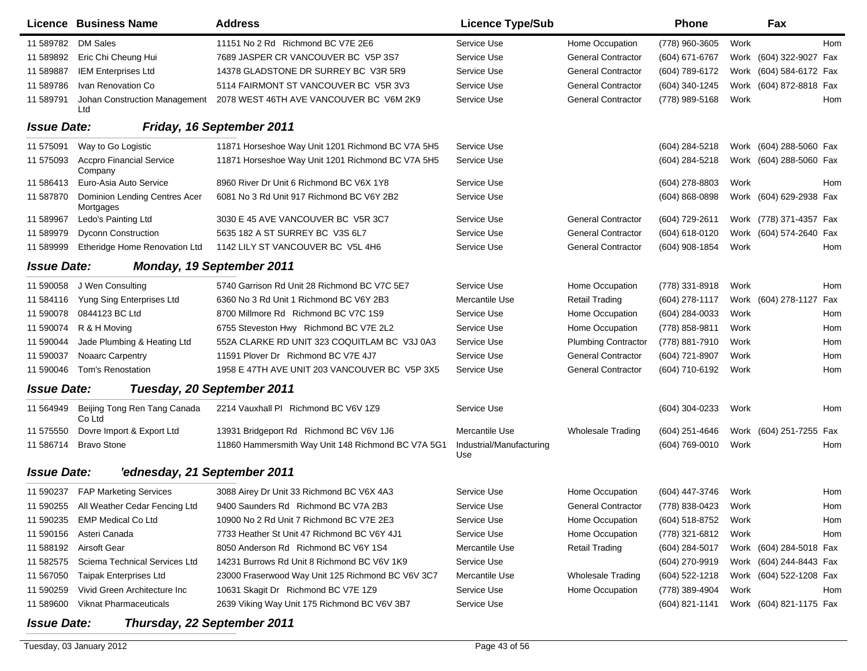|                    | Licence Business Name                      | <b>Address</b>                                     | <b>Licence Type/Sub</b>         |                            | <b>Phone</b>        |      | Fax                     |            |
|--------------------|--------------------------------------------|----------------------------------------------------|---------------------------------|----------------------------|---------------------|------|-------------------------|------------|
| 11 589782          | DM Sales                                   | 11151 No 2 Rd Richmond BC V7E 2E6                  | Service Use                     | Home Occupation            | (778) 960-3605      | Work |                         | Hom        |
| 11 589892          | Eric Chi Cheung Hui                        | 7689 JASPER CR VANCOUVER BC V5P 3S7                | Service Use                     | <b>General Contractor</b>  | (604) 671-6767      |      | Work (604) 322-9027 Fax |            |
| 11 589887          | <b>IEM Enterprises Ltd</b>                 | 14378 GLADSTONE DR SURREY BC V3R 5R9               | Service Use                     | <b>General Contractor</b>  | (604) 789-6172      |      | Work (604) 584-6172 Fax |            |
| 11 589786          | Ivan Renovation Co                         | 5114 FAIRMONT ST VANCOUVER BC V5R 3V3              | Service Use                     | <b>General Contractor</b>  | (604) 340-1245      |      | Work (604) 872-8818 Fax |            |
| 11 589791          | Johan Construction Management<br>Ltd       | 2078 WEST 46TH AVE VANCOUVER BC V6M 2K9            | Service Use                     | <b>General Contractor</b>  | (778) 989-5168      | Work |                         | Hom        |
| <b>Issue Date:</b> |                                            | <b>Friday, 16 September 2011</b>                   |                                 |                            |                     |      |                         |            |
| 11 575091          | Way to Go Logistic                         | 11871 Horseshoe Way Unit 1201 Richmond BC V7A 5H5  | Service Use                     |                            | (604) 284-5218      |      | Work (604) 288-5060 Fax |            |
| 11 575093          | <b>Accpro Financial Service</b><br>Company | 11871 Horseshoe Way Unit 1201 Richmond BC V7A 5H5  | Service Use                     |                            | (604) 284-5218      |      | Work (604) 288-5060 Fax |            |
| 11 586413          | Euro-Asia Auto Service                     | 8960 River Dr Unit 6 Richmond BC V6X 1Y8           | Service Use                     |                            | (604) 278-8803      | Work |                         | Hom        |
| 11 587870          | Dominion Lending Centres Acer<br>Mortgages | 6081 No 3 Rd Unit 917 Richmond BC V6Y 2B2          | Service Use                     |                            | $(604) 868 - 0898$  |      | Work (604) 629-2938 Fax |            |
| 11 589967          | Ledo's Painting Ltd                        | 3030 E 45 AVE VANCOUVER BC V5R 3C7                 | Service Use                     | <b>General Contractor</b>  | (604) 729-2611      |      | Work (778) 371-4357 Fax |            |
| 11 589979          | <b>Dyconn Construction</b>                 | 5635 182 A ST SURREY BC V3S 6L7                    | Service Use                     | <b>General Contractor</b>  | (604) 618-0120      |      | Work (604) 574-2640 Fax |            |
| 11 589999          | Etheridge Home Renovation Ltd              | 1142 LILY ST VANCOUVER BC V5L 4H6                  | Service Use                     | <b>General Contractor</b>  | (604) 908-1854      | Work |                         | Hom        |
| <b>Issue Date:</b> |                                            | Monday, 19 September 2011                          |                                 |                            |                     |      |                         |            |
| 11 590058          | J Wen Consulting                           | 5740 Garrison Rd Unit 28 Richmond BC V7C 5E7       | Service Use                     | Home Occupation            | (778) 331-8918      | Work |                         | <b>Hom</b> |
| 11 584116          | Yung Sing Enterprises Ltd                  | 6360 No 3 Rd Unit 1 Richmond BC V6Y 2B3            | Mercantile Use                  | <b>Retail Trading</b>      | (604) 278-1117      |      | Work (604) 278-1127     | Fax        |
| 11 590078          | 0844123 BC Ltd                             | 8700 Millmore Rd Richmond BC V7C 1S9               | Service Use                     | Home Occupation            | (604) 284-0033      | Work |                         | Hom        |
| 11 590074          | R & H Moving                               | 6755 Steveston Hwy Richmond BC V7E 2L2             | Service Use                     | Home Occupation            | (778) 858-9811      | Work |                         | Hom        |
| 11 590044          | Jade Plumbing & Heating Ltd                | 552A CLARKE RD UNIT 323 COQUITLAM BC V3J 0A3       | Service Use                     | <b>Plumbing Contractor</b> | (778) 881-7910      | Work |                         | Hom        |
| 11 590037          | Noaarc Carpentry                           | 11591 Plover Dr Richmond BC V7E 4J7                | Service Use                     | <b>General Contractor</b>  | (604) 721-8907      | Work |                         | Hom        |
| 11 590046          | Tom's Renostation                          | 1958 E 47TH AVE UNIT 203 VANCOUVER BC V5P 3X5      | Service Use                     | <b>General Contractor</b>  | (604) 710-6192      | Work |                         | Hom        |
| <b>Issue Date:</b> |                                            | Tuesday, 20 September 2011                         |                                 |                            |                     |      |                         |            |
| 11 564949          | Beijing Tong Ren Tang Canada<br>Co Ltd     | 2214 Vauxhall PI Richmond BC V6V 1Z9               | Service Use                     |                            | (604) 304-0233      | Work |                         | Hom        |
| 11 575550          | Dovre Import & Export Ltd                  | 13931 Bridgeport Rd Richmond BC V6V 1J6            | Mercantile Use                  | <b>Wholesale Trading</b>   | $(604)$ 251-4646    |      | Work (604) 251-7255 Fax |            |
| 11 586714          | <b>Bravo Stone</b>                         | 11860 Hammersmith Way Unit 148 Richmond BC V7A 5G1 | Industrial/Manufacturing<br>Use |                            | (604) 769-0010      | Work |                         | Hom        |
| <b>Issue Date:</b> | 'ednesday, 21 September 2011               |                                                    |                                 |                            |                     |      |                         |            |
|                    | 11 590237 FAP Marketing Services           | 3088 Airey Dr Unit 33 Richmond BC V6X 4A3          | Service Use                     | Home Occupation            | (604) 447-3746      | Work |                         | Hom        |
|                    | 11 590255 All Weather Cedar Fencing Ltd    | 9400 Saunders Rd Richmond BC V7A 2B3               | Service Use                     | <b>General Contractor</b>  | (778) 838-0423 Work |      |                         | Hom        |
| 11 590235          | <b>EMP Medical Co Ltd</b>                  | 10900 No 2 Rd Unit 7 Richmond BC V7E 2E3           | Service Use                     | Home Occupation            | (604) 518-8752      | Work |                         | Hom        |
| 11 590156          | Asteri Canada                              | 7733 Heather St Unit 47 Richmond BC V6Y 4J1        | Service Use                     | Home Occupation            | (778) 321-6812      | Work |                         | Hom        |
| 11 588192          | Airsoft Gear                               | 8050 Anderson Rd Richmond BC V6Y 1S4               | Mercantile Use                  | <b>Retail Trading</b>      | (604) 284-5017      |      | Work (604) 284-5018 Fax |            |
| 11 582575          | Sciema Technical Services Ltd              | 14231 Burrows Rd Unit 8 Richmond BC V6V 1K9        | Service Use                     |                            | (604) 270-9919      |      | Work (604) 244-8443 Fax |            |
| 11 567050          | <b>Taipak Enterprises Ltd</b>              | 23000 Fraserwood Way Unit 125 Richmond BC V6V 3C7  | Mercantile Use                  | <b>Wholesale Trading</b>   | (604) 522-1218      |      | Work (604) 522-1208 Fax |            |
| 11 590259          | Vivid Green Architecture Inc               | 10631 Skagit Dr Richmond BC V7E 1Z9                | Service Use                     | Home Occupation            | (778) 389-4904      | Work |                         | Hom        |
| 11 589600          | <b>Viknat Pharmaceuticals</b>              | 2639 Viking Way Unit 175 Richmond BC V6V 3B7       | Service Use                     |                            | $(604)$ 821-1141    |      | Work (604) 821-1175 Fax |            |
| <b>Issue Date:</b> | Thursday, 22 September 2011                |                                                    |                                 |                            |                     |      |                         |            |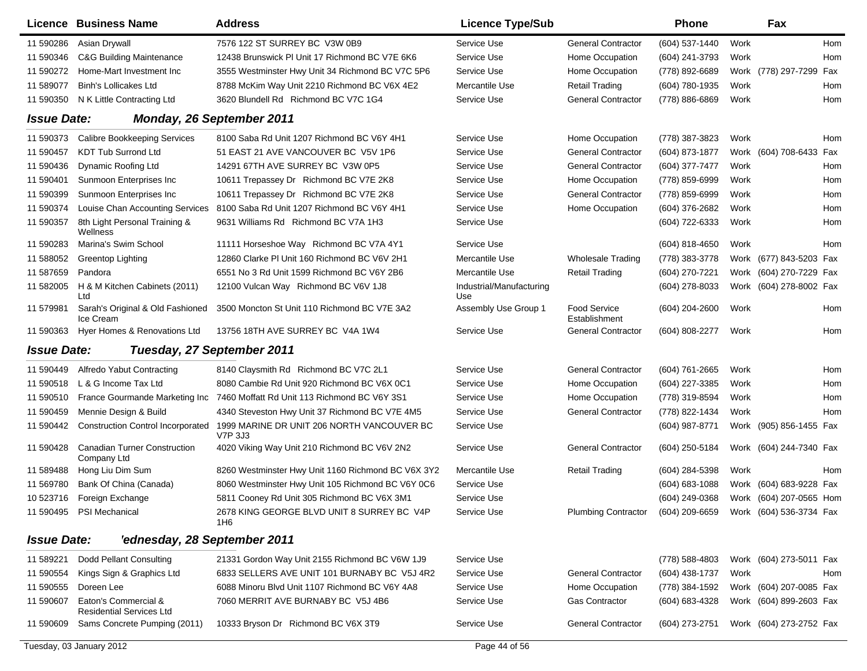|                    | Licence Business Name                                   | <b>Address</b>                                        | <b>Licence Type/Sub</b>         |                                      | <b>Phone</b>                           |      | Fax                     |     |
|--------------------|---------------------------------------------------------|-------------------------------------------------------|---------------------------------|--------------------------------------|----------------------------------------|------|-------------------------|-----|
| 11 590286          | Asian Drywall                                           | 7576 122 ST SURREY BC V3W 0B9                         | Service Use                     | <b>General Contractor</b>            | (604) 537-1440                         | Work |                         | Hom |
| 11 590346          | <b>C&amp;G Building Maintenance</b>                     | 12438 Brunswick PI Unit 17 Richmond BC V7E 6K6        | Service Use                     | Home Occupation                      | (604) 241-3793                         | Work |                         | Hom |
| 11 590272          | Home-Mart Investment Inc                                | 3555 Westminster Hwy Unit 34 Richmond BC V7C 5P6      | Service Use                     | Home Occupation                      | (778) 892-6689                         |      | Work (778) 297-7299 Fax |     |
| 11 589077          | <b>Binh's Lollicakes Ltd</b>                            | 8788 McKim Way Unit 2210 Richmond BC V6X 4E2          | Mercantile Use                  | <b>Retail Trading</b>                | (604) 780-1935                         | Work |                         | Hom |
| 11 590350          | N K Little Contracting Ltd                              | 3620 Blundell Rd Richmond BC V7C 1G4                  | Service Use                     | <b>General Contractor</b>            | (778) 886-6869                         | Work |                         | Hom |
| <b>Issue Date:</b> |                                                         | <b>Monday, 26 September 2011</b>                      |                                 |                                      |                                        |      |                         |     |
| 11 590373          | <b>Calibre Bookkeeping Services</b>                     | 8100 Saba Rd Unit 1207 Richmond BC V6Y 4H1            | Service Use                     | Home Occupation                      | (778) 387-3823                         | Work |                         | Hom |
| 11 590457          | <b>KDT Tub Surrond Ltd</b>                              | 51 EAST 21 AVE VANCOUVER BC V5V 1P6                   | Service Use                     | <b>General Contractor</b>            | (604) 873-1877                         |      | Work (604) 708-6433 Fax |     |
| 11 590436          | Dynamic Roofing Ltd                                     | 14291 67TH AVE SURREY BC V3W 0P5                      | Service Use                     | <b>General Contractor</b>            | (604) 377-7477                         | Work |                         | Hom |
| 11 590401          | Sunmoon Enterprises Inc                                 | 10611 Trepassey Dr Richmond BC V7E 2K8                | Service Use                     | Home Occupation                      | (778) 859-6999                         | Work |                         | Hom |
| 11 590399          | Sunmoon Enterprises Inc                                 | 10611 Trepassey Dr Richmond BC V7E 2K8                | Service Use                     | <b>General Contractor</b>            | (778) 859-6999                         | Work |                         | Hom |
| 11 590374          | Louise Chan Accounting Services                         | 8100 Saba Rd Unit 1207 Richmond BC V6Y 4H1            | Service Use                     | Home Occupation                      | (604) 376-2682                         | Work |                         | Hom |
| 11 590357          | 8th Light Personal Training &<br>Wellness               | 9631 Williams Rd Richmond BC V7A 1H3                  | Service Use                     |                                      | (604) 722-6333                         | Work |                         | Hom |
| 11 590283          | Marina's Swim School                                    | 11111 Horseshoe Way Richmond BC V7A 4Y1               | Service Use                     |                                      | (604) 818-4650                         | Work |                         | Hom |
| 11 588052          | <b>Greentop Lighting</b>                                | 12860 Clarke PI Unit 160 Richmond BC V6V 2H1          | Mercantile Use                  | <b>Wholesale Trading</b>             | (778) 383-3778                         |      | Work (677) 843-5203 Fax |     |
| 11 587659          | Pandora                                                 | 6551 No 3 Rd Unit 1599 Richmond BC V6Y 2B6            | Mercantile Use                  | <b>Retail Trading</b>                | (604) 270-7221                         |      | Work (604) 270-7229 Fax |     |
| 11 582005          | H & M Kitchen Cabinets (2011)<br>Ltd                    | 12100 Vulcan Way Richmond BC V6V 1J8                  | Industrial/Manufacturing<br>Use |                                      | (604) 278-8033                         |      | Work (604) 278-8002 Fax |     |
| 11 579981          | Sarah's Original & Old Fashioned<br>Ice Cream           | 3500 Moncton St Unit 110 Richmond BC V7E 3A2          | Assembly Use Group 1            | <b>Food Service</b><br>Establishment | (604) 204-2600                         | Work |                         | Hom |
| 11 590363          | Hyer Homes & Renovations Ltd                            | 13756 18TH AVE SURREY BC V4A 1W4                      | Service Use                     | <b>General Contractor</b>            | (604) 808-2277                         | Work |                         | Hom |
| <b>Issue Date:</b> |                                                         | Tuesday, 27 September 2011                            |                                 |                                      |                                        |      |                         |     |
| 11 590449          | Alfredo Yabut Contracting                               | 8140 Claysmith Rd Richmond BC V7C 2L1                 | Service Use                     | <b>General Contractor</b>            | (604) 761-2665                         | Work |                         | Hom |
| 11 590518          | L & G Income Tax Ltd                                    | 8080 Cambie Rd Unit 920 Richmond BC V6X 0C1           | Service Use                     | Home Occupation                      | (604) 227-3385                         | Work |                         | Hom |
| 11 590510          | France Gourmande Marketing Inc                          | 7460 Moffatt Rd Unit 113 Richmond BC V6Y 3S1          | Service Use                     | Home Occupation                      | (778) 319-8594                         | Work |                         | Hom |
| 11 590459          | Mennie Design & Build                                   | 4340 Steveston Hwy Unit 37 Richmond BC V7E 4M5        | Service Use                     | <b>General Contractor</b>            | (778) 822-1434                         | Work |                         | Hom |
| 11 590442          | <b>Construction Control Incorporated</b>                | 1999 MARINE DR UNIT 206 NORTH VANCOUVER BC<br>V7P 3J3 | Service Use                     |                                      | (604) 987-8771                         |      | Work (905) 856-1455 Fax |     |
| 11 590428          | <b>Canadian Turner Construction</b><br>Company Ltd      | 4020 Viking Way Unit 210 Richmond BC V6V 2N2          | Service Use                     | <b>General Contractor</b>            | (604) 250-5184                         |      | Work (604) 244-7340 Fax |     |
| 11 589488          | Hong Liu Dim Sum                                        | 8260 Westminster Hwy Unit 1160 Richmond BC V6X 3Y2    | Mercantile Use                  | <b>Retail Trading</b>                | (604) 284-5398                         | Work |                         | Hom |
| 11 569780          | Bank Of China (Canada)                                  | 8060 Westminster Hwy Unit 105 Richmond BC V6Y 0C6     | Service Use                     |                                      | (604) 683-1088                         |      | Work (604) 683-9228 Fax |     |
| 10 523716          | Foreign Exchange                                        | 5811 Cooney Rd Unit 305 Richmond BC V6X 3M1           | Service Use                     |                                      | (604) 249-0368                         |      | Work (604) 207-0565 Hom |     |
|                    | 11 590495 PSI Mechanical                                | 2678 KING GEORGE BLVD UNIT 8 SURREY BC V4P<br>1H6     | Service Use                     | <b>Plumbing Contractor</b>           | (604) 209-6659 Work (604) 536-3734 Fax |      |                         |     |
| <b>Issue Date:</b> | 'ednesday, 28 September 2011                            |                                                       |                                 |                                      |                                        |      |                         |     |
| 11 589221          | Dodd Pellant Consulting                                 | 21331 Gordon Way Unit 2155 Richmond BC V6W 1J9        | Service Use                     |                                      | (778) 588-4803                         |      | Work (604) 273-5011 Fax |     |
| 11 590554          | Kings Sign & Graphics Ltd                               | 6833 SELLERS AVE UNIT 101 BURNABY BC V5J 4R2          | Service Use                     | <b>General Contractor</b>            | (604) 438-1737                         | Work |                         | Hom |
| 11 590555          | Doreen Lee                                              | 6088 Minoru Blvd Unit 1107 Richmond BC V6Y 4A8        | Service Use                     | Home Occupation                      | (778) 384-1592                         |      | Work (604) 207-0085 Fax |     |
| 11 590607          | Eaton's Commercial &<br><b>Residential Services Ltd</b> | 7060 MERRIT AVE BURNABY BC V5J 4B6                    | Service Use                     | Gas Contractor                       | (604) 683-4328                         |      | Work (604) 899-2603 Fax |     |
| 11 590609          | Sams Concrete Pumping (2011)                            | 10333 Bryson Dr Richmond BC V6X 3T9                   | Service Use                     | <b>General Contractor</b>            | (604) 273-2751                         |      | Work (604) 273-2752 Fax |     |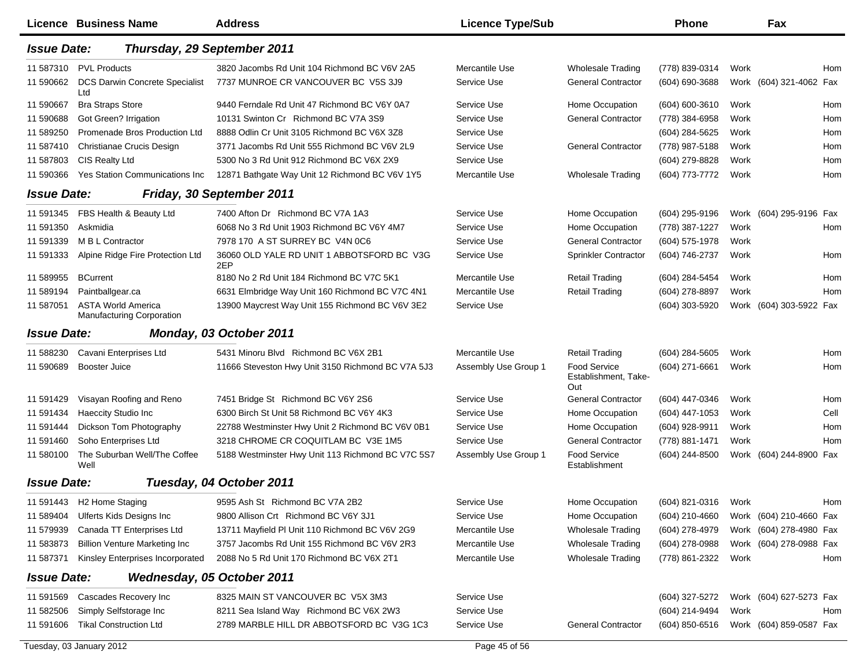|                    | Licence Business Name                                         | Address                                           | <b>Licence Type/Sub</b> |                                                    | <b>Phone</b>        |      | Fax                     |      |
|--------------------|---------------------------------------------------------------|---------------------------------------------------|-------------------------|----------------------------------------------------|---------------------|------|-------------------------|------|
| <b>Issue Date:</b> |                                                               | Thursday, 29 September 2011                       |                         |                                                    |                     |      |                         |      |
| 11 587310          | <b>PVL Products</b>                                           | 3820 Jacombs Rd Unit 104 Richmond BC V6V 2A5      | Mercantile Use          | Wholesale Trading                                  | (778) 839-0314      | Work |                         | Hom  |
| 11 590662          | DCS Darwin Concrete Specialist<br>Ltd                         | 7737 MUNROE CR VANCOUVER BC V5S 3J9               | Service Use             | <b>General Contractor</b>                          | (604) 690-3688      |      | Work (604) 321-4062 Fax |      |
| 11 590667          | <b>Bra Straps Store</b>                                       | 9440 Ferndale Rd Unit 47 Richmond BC V6Y 0A7      | Service Use             | Home Occupation                                    | (604) 600-3610      | Work |                         | Hom  |
| 11 590688          | Got Green? Irrigation                                         | 10131 Swinton Cr Richmond BC V7A 3S9              | Service Use             | <b>General Contractor</b>                          | (778) 384-6958      | Work |                         | Hom  |
| 11 589250          | Promenade Bros Production Ltd                                 | 8888 Odlin Cr Unit 3105 Richmond BC V6X 3Z8       | Service Use             |                                                    | (604) 284-5625      | Work |                         | Hom  |
| 11 587410          | Christianae Crucis Design                                     | 3771 Jacombs Rd Unit 555 Richmond BC V6V 2L9      | Service Use             | <b>General Contractor</b>                          | (778) 987-5188      | Work |                         | Hom  |
| 11 587803          | CIS Realty Ltd                                                | 5300 No 3 Rd Unit 912 Richmond BC V6X 2X9         | Service Use             |                                                    | (604) 279-8828      | Work |                         | Hom  |
| 11 590366          | Yes Station Communications Inc                                | 12871 Bathgate Way Unit 12 Richmond BC V6V 1Y5    | Mercantile Use          | <b>Wholesale Trading</b>                           | (604) 773-7772      | Work |                         | Hom  |
| <b>Issue Date:</b> |                                                               | Friday, 30 September 2011                         |                         |                                                    |                     |      |                         |      |
| 11 591345          | FBS Health & Beauty Ltd                                       | 7400 Afton Dr Richmond BC V7A 1A3                 | Service Use             | Home Occupation                                    | (604) 295-9196      |      | Work (604) 295-9196 Fax |      |
| 11 591350          | Askmidia                                                      | 6068 No 3 Rd Unit 1903 Richmond BC V6Y 4M7        | Service Use             | Home Occupation                                    | (778) 387-1227      | Work |                         | Hom  |
| 11 591339          | M B L Contractor                                              | 7978 170 A ST SURREY BC V4N 0C6                   | Service Use             | <b>General Contractor</b>                          | (604) 575-1978      | Work |                         |      |
| 11 591333          | Alpine Ridge Fire Protection Ltd                              | 36060 OLD YALE RD UNIT 1 ABBOTSFORD BC V3G<br>2EP | Service Use             | Sprinkler Contractor                               | (604) 746-2737      | Work |                         | Hom  |
| 11 589955          | <b>BCurrent</b>                                               | 8180 No 2 Rd Unit 184 Richmond BC V7C 5K1         | Mercantile Use          | <b>Retail Trading</b>                              | (604) 284-5454      | Work |                         | Hom  |
| 11 589194          | Paintballgear.ca                                              | 6631 Elmbridge Way Unit 160 Richmond BC V7C 4N1   | Mercantile Use          | <b>Retail Trading</b>                              | (604) 278-8897      | Work |                         | Hom  |
| 11 587051          | <b>ASTA World America</b><br><b>Manufacturing Corporation</b> | 13900 Maycrest Way Unit 155 Richmond BC V6V 3E2   | Service Use             |                                                    | (604) 303-5920      |      | Work (604) 303-5922 Fax |      |
| <b>Issue Date:</b> |                                                               | Monday, 03 October 2011                           |                         |                                                    |                     |      |                         |      |
| 11 588230          | Cavani Enterprises Ltd                                        | 5431 Minoru Blvd Richmond BC V6X 2B1              | Mercantile Use          | <b>Retail Trading</b>                              | (604) 284-5605      | Work |                         | Hom  |
| 11 590689          | <b>Booster Juice</b>                                          | 11666 Steveston Hwy Unit 3150 Richmond BC V7A 5J3 | Assembly Use Group 1    | <b>Food Service</b><br>Establishment, Take-<br>Out | $(604)$ 271-6661    | Work |                         | Hom  |
| 11 591429          | Visayan Roofing and Reno                                      | 7451 Bridge St Richmond BC V6Y 2S6                | Service Use             | <b>General Contractor</b>                          | (604) 447-0346      | Work |                         | Hom  |
| 11 591434          | Haeccity Studio Inc                                           | 6300 Birch St Unit 58 Richmond BC V6Y 4K3         | Service Use             | Home Occupation                                    | (604) 447-1053      | Work |                         | Cell |
| 11 591444          | Dickson Tom Photography                                       | 22788 Westminster Hwy Unit 2 Richmond BC V6V 0B1  | Service Use             | Home Occupation                                    | (604) 928-9911      | Work |                         | Hom  |
| 11 591460          | Soho Enterprises Ltd                                          | 3218 CHROME CR COQUITLAM BC V3E 1M5               | Service Use             | <b>General Contractor</b>                          | (778) 881-1471      | Work |                         | Hom  |
| 11 580100          | The Suburban Well/The Coffee<br>Well                          | 5188 Westminster Hwy Unit 113 Richmond BC V7C 5S7 | Assembly Use Group 1    | <b>Food Service</b><br>Establishment               | (604) 244-8500      |      | Work (604) 244-8900     | Fax  |
| <b>Issue Date:</b> |                                                               | Tuesday, 04 October 2011                          |                         |                                                    |                     |      |                         |      |
|                    | 11 591443 H2 Home Staging                                     | 9595 Ash St Richmond BC V7A 2B2                   | Service Use             | Home Occupation                                    | (604) 821-0316 Work |      |                         | Hom  |
| 11 589404          | Ulferts Kids Designs Inc                                      | 9800 Allison Crt Richmond BC V6Y 3J1              | Service Use             | Home Occupation                                    | $(604)$ 210-4660    |      | Work (604) 210-4660 Fax |      |
| 11 579939          | Canada TT Enterprises Ltd                                     | 13711 Mayfield PI Unit 110 Richmond BC V6V 2G9    | Mercantile Use          | <b>Wholesale Trading</b>                           | (604) 278-4979      |      | Work (604) 278-4980 Fax |      |
| 11 583873          | <b>Billion Venture Marketing Inc</b>                          | 3757 Jacombs Rd Unit 155 Richmond BC V6V 2R3      | Mercantile Use          | <b>Wholesale Trading</b>                           | (604) 278-0988      |      | Work (604) 278-0988 Fax |      |
| 11 587371          | Kinsley Enterprises Incorporated                              | 2088 No 5 Rd Unit 170 Richmond BC V6X 2T1         | Mercantile Use          | Wholesale Trading                                  | (778) 861-2322      | Work |                         | Hom  |
| <b>Issue Date:</b> |                                                               | <b>Wednesday, 05 October 2011</b>                 |                         |                                                    |                     |      |                         |      |
| 11 591569          | Cascades Recovery Inc                                         | 8325 MAIN ST VANCOUVER BC V5X 3M3                 | Service Use             |                                                    | (604) 327-5272      |      | Work (604) 627-5273 Fax |      |
| 11 582506          | Simply Selfstorage Inc                                        | 8211 Sea Island Way Richmond BC V6X 2W3           | Service Use             |                                                    | (604) 214-9494      | Work |                         | Hom  |
|                    | 11 591606 Tikal Construction Ltd                              | 2789 MARBLE HILL DR ABBOTSFORD BC V3G 1C3         | Service Use             | <b>General Contractor</b>                          | (604) 850-6516      |      | Work (604) 859-0587 Fax |      |
|                    | Tuesday, 03 January 2012                                      |                                                   | Page 45 of 56           |                                                    |                     |      |                         |      |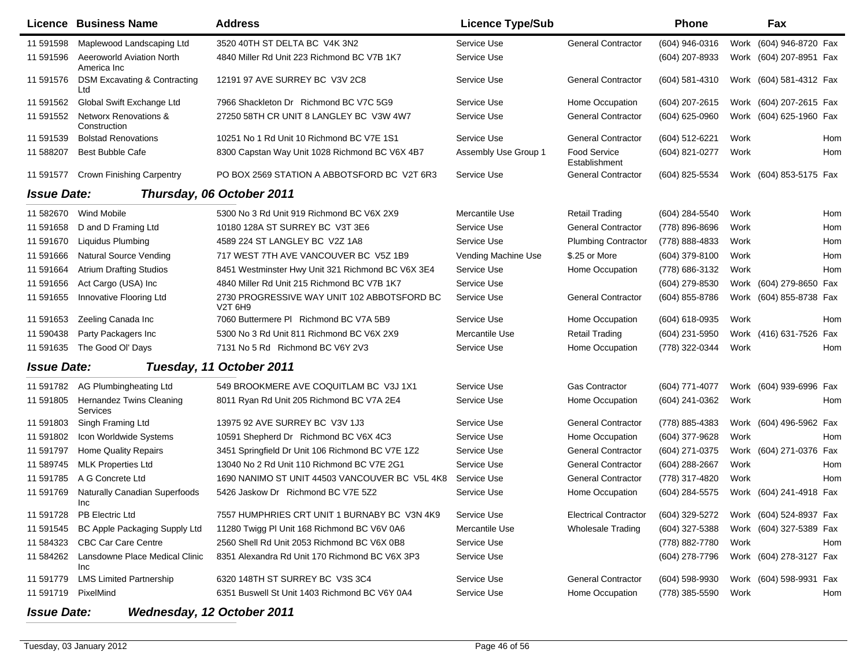|                    | Licence Business Name                            | <b>Address</b>                                         | <b>Licence Type/Sub</b> |                                      | <b>Phone</b>     |      | Fax                     |     |
|--------------------|--------------------------------------------------|--------------------------------------------------------|-------------------------|--------------------------------------|------------------|------|-------------------------|-----|
| 11 591598          | Maplewood Landscaping Ltd                        | 3520 40TH ST DELTA BC V4K 3N2                          | Service Use             | <b>General Contractor</b>            | (604) 946-0316   | Work | (604) 946-8720 Fax      |     |
| 11 591596          | <b>Aeeroworld Aviation North</b><br>America Inc  | 4840 Miller Rd Unit 223 Richmond BC V7B 1K7            | Service Use             |                                      | (604) 207-8933   | Work | (604) 207-8951 Fax      |     |
| 11 591576          | <b>DSM Excavating &amp; Contracting</b><br>Ltd   | 12191 97 AVE SURREY BC V3V 2C8                         | Service Use             | <b>General Contractor</b>            | (604) 581-4310   |      | Work (604) 581-4312 Fax |     |
| 11 591562          | Global Swift Exchange Ltd                        | 7966 Shackleton Dr Richmond BC V7C 5G9                 | Service Use             | Home Occupation                      | (604) 207-2615   |      | Work (604) 207-2615 Fax |     |
| 11 591552          | <b>Networx Renovations &amp;</b><br>Construction | 27250 58TH CR UNIT 8 LANGLEY BC V3W 4W7                | Service Use             | <b>General Contractor</b>            | (604) 625-0960   |      | Work (604) 625-1960 Fax |     |
| 11 591539          | <b>Bolstad Renovations</b>                       | 10251 No 1 Rd Unit 10 Richmond BC V7E 1S1              | Service Use             | <b>General Contractor</b>            | (604) 512-6221   | Work |                         | Hom |
| 11 588207          | <b>Best Bubble Cafe</b>                          | 8300 Capstan Way Unit 1028 Richmond BC V6X 4B7         | Assembly Use Group 1    | <b>Food Service</b><br>Establishment | (604) 821-0277   | Work |                         | Hom |
| 11 591577          | <b>Crown Finishing Carpentry</b>                 | PO BOX 2569 STATION A ABBOTSFORD BC V2T 6R3            | Service Use             | <b>General Contractor</b>            | (604) 825-5534   |      | Work (604) 853-5175 Fax |     |
| <b>Issue Date:</b> |                                                  | Thursday, 06 October 2011                              |                         |                                      |                  |      |                         |     |
| 11 582670          | Wind Mobile                                      | 5300 No 3 Rd Unit 919 Richmond BC V6X 2X9              | Mercantile Use          | Retail Trading                       | (604) 284-5540   | Work |                         | Hom |
| 11 591658          | D and D Framing Ltd                              | 10180 128A ST SURREY BC V3T 3E6                        | Service Use             | <b>General Contractor</b>            | (778) 896-8696   | Work |                         | Hom |
| 11 591670          | <b>Liquidus Plumbing</b>                         | 4589 224 ST LANGLEY BC V2Z 1A8                         | Service Use             | <b>Plumbing Contractor</b>           | (778) 888-4833   | Work |                         | Hom |
| 11 591666          | <b>Natural Source Vending</b>                    | 717 WEST 7TH AVE VANCOUVER BC V5Z 1B9                  | Vending Machine Use     | \$.25 or More                        | (604) 379-8100   | Work |                         | Hom |
| 11 591664          | <b>Atrium Drafting Studios</b>                   | 8451 Westminster Hwy Unit 321 Richmond BC V6X 3E4      | Service Use             | Home Occupation                      | (778) 686-3132   | Work |                         | Hom |
| 11 591656          | Act Cargo (USA) Inc                              | 4840 Miller Rd Unit 215 Richmond BC V7B 1K7            | Service Use             |                                      | (604) 279-8530   |      | Work (604) 279-8650 Fax |     |
| 11 591655          | Innovative Flooring Ltd                          | 2730 PROGRESSIVE WAY UNIT 102 ABBOTSFORD BC<br>V2T 6H9 | Service Use             | <b>General Contractor</b>            | (604) 855-8786   |      | Work (604) 855-8738 Fax |     |
| 11 591653          | Zeeling Canada Inc                               | 7060 Buttermere PI Richmond BC V7A 5B9                 | Service Use             | Home Occupation                      | $(604)$ 618-0935 | Work |                         | Hom |
| 11 590438          | Party Packagers Inc                              | 5300 No 3 Rd Unit 811 Richmond BC V6X 2X9              | Mercantile Use          | <b>Retail Trading</b>                | (604) 231-5950   |      | Work (416) 631-7526 Fax |     |
| 11 591635          | The Good OI' Days                                | 7131 No 5 Rd Richmond BC V6Y 2V3                       | Service Use             | Home Occupation                      | (778) 322-0344   | Work |                         | Hom |
| <b>Issue Date:</b> |                                                  | Tuesday, 11 October 2011                               |                         |                                      |                  |      |                         |     |
| 11 591782          | <b>AG Plumbingheating Ltd</b>                    | 549 BROOKMERE AVE COQUITLAM BC V3J 1X1                 | Service Use             | <b>Gas Contractor</b>                | (604) 771-4077   |      | Work (604) 939-6996 Fax |     |
| 11 591805          | <b>Hernandez Twins Cleaning</b><br>Services      | 8011 Ryan Rd Unit 205 Richmond BC V7A 2E4              | Service Use             | Home Occupation                      | (604) 241-0362   | Work |                         | Hom |
| 11 591803          | Singh Framing Ltd                                | 13975 92 AVE SURREY BC V3V 1J3                         | Service Use             | <b>General Contractor</b>            | (778) 885-4383   | Work | (604) 496-5962 Fax      |     |
| 11 591802          | Icon Worldwide Systems                           | 10591 Shepherd Dr Richmond BC V6X 4C3                  | Service Use             | Home Occupation                      | (604) 377-9628   | Work |                         | Hom |
| 11 591797          | <b>Home Quality Repairs</b>                      | 3451 Springfield Dr Unit 106 Richmond BC V7E 1Z2       | Service Use             | <b>General Contractor</b>            | (604) 271-0375   |      | Work (604) 271-0376 Fax |     |
| 11 589745          | <b>MLK Properties Ltd</b>                        | 13040 No 2 Rd Unit 110 Richmond BC V7E 2G1             | Service Use             | <b>General Contractor</b>            | (604) 288-2667   | Work |                         | Hom |
| 11 591785          | A G Concrete Ltd                                 | 1690 NANIMO ST UNIT 44503 VANCOUVER BC V5L 4K8         | Service Use             | <b>General Contractor</b>            | (778) 317-4820   | Work |                         | Hom |
| 11 591769          | <b>Naturally Canadian Superfoods</b><br>Inc      | 5426 Jaskow Dr Richmond BC V7E 5Z2                     | Service Use             | Home Occupation                      | (604) 284-5575   |      | Work (604) 241-4918 Fax |     |
| 11 591728          | PB Electric Ltd                                  | 7557 HUMPHRIES CRT UNIT 1 BURNABY BC V3N 4K9           | Service Use             | <b>Electrical Contractor</b>         | (604) 329-5272   |      | Work (604) 524-8937 Fax |     |
| 11 591545          | BC Apple Packaging Supply Ltd                    | 11280 Twigg PI Unit 168 Richmond BC V6V 0A6            | Mercantile Use          | <b>Wholesale Trading</b>             | (604) 327-5388   |      | Work (604) 327-5389 Fax |     |
| 11 584323          | <b>CBC Car Care Centre</b>                       | 2560 Shell Rd Unit 2053 Richmond BC V6X 0B8            | Service Use             |                                      | (778) 882-7780   | Work |                         | Hom |
| 11 584262          | Lansdowne Place Medical Clinic<br>Inc            | 8351 Alexandra Rd Unit 170 Richmond BC V6X 3P3         | Service Use             |                                      | (604) 278-7796   |      | Work (604) 278-3127 Fax |     |
| 11 591779          | <b>LMS Limited Partnership</b>                   | 6320 148TH ST SURREY BC V3S 3C4                        | Service Use             | <b>General Contractor</b>            | (604) 598-9930   |      | Work (604) 598-9931 Fax |     |
| 11 591719          | PixelMind                                        | 6351 Buswell St Unit 1403 Richmond BC V6Y 0A4          | Service Use             | Home Occupation                      | (778) 385-5590   | Work |                         | Hom |

## *Issue Date:Wednesday, 12 October 2011*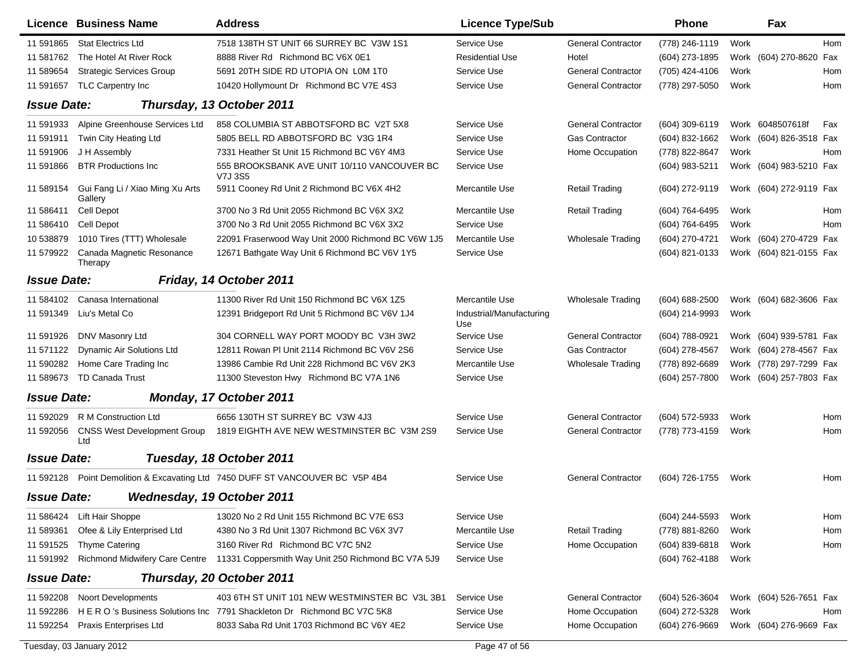|                    | Licence Business Name                      | <b>Address</b>                                                                    | <b>Licence Type/Sub</b>         |                           | <b>Phone</b>     |      | Fax                     |     |
|--------------------|--------------------------------------------|-----------------------------------------------------------------------------------|---------------------------------|---------------------------|------------------|------|-------------------------|-----|
| 11 591865          | <b>Stat Electrics Ltd</b>                  | 7518 138TH ST UNIT 66 SURREY BC V3W 1S1                                           | Service Use                     | <b>General Contractor</b> | (778) 246-1119   | Work |                         | Hom |
| 11 581762          | The Hotel At River Rock                    | 8888 River Rd Richmond BC V6X 0E1                                                 | <b>Residential Use</b>          | Hotel                     | (604) 273-1895   |      | Work (604) 270-8620 Fax |     |
| 11 589654          | <b>Strategic Services Group</b>            | 5691 20TH SIDE RD UTOPIA ON L0M 1T0                                               | Service Use                     | <b>General Contractor</b> | (705) 424-4106   | Work |                         | Hom |
| 11 591657          | TLC Carpentry Inc                          | 10420 Hollymount Dr Richmond BC V7E 4S3                                           | Service Use                     | <b>General Contractor</b> | (778) 297-5050   | Work |                         | Hom |
| <b>Issue Date:</b> |                                            | Thursday, 13 October 2011                                                         |                                 |                           |                  |      |                         |     |
| 11 591933          | Alpine Greenhouse Services Ltd             | 858 COLUMBIA ST ABBOTSFORD BC V2T 5X8                                             | Service Use                     | <b>General Contractor</b> | (604) 309-6119   |      | Work 6048507618f        | Fax |
| 11 591911          | Twin City Heating Ltd                      | 5805 BELL RD ABBOTSFORD BC V3G 1R4                                                | Service Use                     | Gas Contractor            | (604) 832-1662   |      | Work (604) 826-3518 Fax |     |
| 11 591906          | J H Assembly                               | 7331 Heather St Unit 15 Richmond BC V6Y 4M3                                       | Service Use                     | Home Occupation           | (778) 822-8647   | Work |                         | Hom |
| 11 591866          | <b>BTR Productions Inc.</b>                | 555 BROOKSBANK AVE UNIT 10/110 VANCOUVER BC<br>V7J 3S5                            | Service Use                     |                           | (604) 983-5211   |      | Work (604) 983-5210 Fax |     |
| 11 589154          | Gui Fang Li / Xiao Ming Xu Arts<br>Gallery | 5911 Cooney Rd Unit 2 Richmond BC V6X 4H2                                         | Mercantile Use                  | <b>Retail Trading</b>     | (604) 272-9119   |      | Work (604) 272-9119 Fax |     |
| 11 586411          | Cell Depot                                 | 3700 No 3 Rd Unit 2055 Richmond BC V6X 3X2                                        | Mercantile Use                  | <b>Retail Trading</b>     | (604) 764-6495   | Work |                         | Hom |
| 11 586410          | Cell Depot                                 | 3700 No 3 Rd Unit 2055 Richmond BC V6X 3X2                                        | Service Use                     |                           | (604) 764-6495   | Work |                         | Hom |
| 10 538879          | 1010 Tires (TTT) Wholesale                 | 22091 Fraserwood Way Unit 2000 Richmond BC V6W 1J5                                | Mercantile Use                  | <b>Wholesale Trading</b>  | (604) 270-4721   |      | Work (604) 270-4729 Fax |     |
| 11 579922          | Canada Magnetic Resonance<br>Therapy       | 12671 Bathgate Way Unit 6 Richmond BC V6V 1Y5                                     | Service Use                     |                           | (604) 821-0133   |      | Work (604) 821-0155 Fax |     |
| <b>Issue Date:</b> |                                            | Friday, 14 October 2011                                                           |                                 |                           |                  |      |                         |     |
| 11 584102          | Canasa International                       | 11300 River Rd Unit 150 Richmond BC V6X 1Z5                                       | Mercantile Use                  | <b>Wholesale Trading</b>  | (604) 688-2500   |      | Work (604) 682-3606 Fax |     |
| 11 591349          | Liu's Metal Co                             | 12391 Bridgeport Rd Unit 5 Richmond BC V6V 1J4                                    | Industrial/Manufacturing<br>Use |                           | (604) 214-9993   | Work |                         |     |
| 11 591926          | DNV Masonry Ltd                            | 304 CORNELL WAY PORT MOODY BC V3H 3W2                                             | Service Use                     | <b>General Contractor</b> | (604) 788-0921   |      | Work (604) 939-5781 Fax |     |
| 11 571122          | Dynamic Air Solutions Ltd                  | 12811 Rowan PI Unit 2114 Richmond BC V6V 2S6                                      | Service Use                     | <b>Gas Contractor</b>     | (604) 278-4567   |      | Work (604) 278-4567 Fax |     |
| 11 590282          | Home Care Trading Inc                      | 13986 Cambie Rd Unit 228 Richmond BC V6V 2K3                                      | Mercantile Use                  | <b>Wholesale Trading</b>  | (778) 892-6689   |      | Work (778) 297-7299 Fax |     |
| 11 589673          | TD Canada Trust                            | 11300 Steveston Hwy Richmond BC V7A 1N6                                           | Service Use                     |                           | (604) 257-7800   |      | Work (604) 257-7803 Fax |     |
| <b>Issue Date:</b> |                                            | <b>Monday, 17 October 2011</b>                                                    |                                 |                           |                  |      |                         |     |
| 11 592029          | R M Construction Ltd                       | 6656 130TH ST SURREY BC V3W 4J3                                                   | Service Use                     | <b>General Contractor</b> | (604) 572-5933   | Work |                         | Hom |
| 11 592056          | <b>CNSS West Development Group</b><br>Ltd  | 1819 EIGHTH AVE NEW WESTMINSTER BC V3M 2S9                                        | Service Use                     | <b>General Contractor</b> | (778) 773-4159   | Work |                         | Hom |
| <b>Issue Date:</b> |                                            | Tuesday, 18 October 2011                                                          |                                 |                           |                  |      |                         |     |
| 11 592128          |                                            | Point Demolition & Excavating Ltd 7450 DUFF ST VANCOUVER BC V5P 4B4               | Service Use                     | <b>General Contractor</b> | (604) 726-1755   | Work |                         | Hom |
| <b>Issue Date:</b> |                                            | Wednesday, 19 October 2011                                                        |                                 |                           |                  |      |                         |     |
| 11 586424          | Lift Hair Shoppe                           | 13020 No 2 Rd Unit 155 Richmond BC V7E 6S3                                        | Service Use                     |                           | (604) 244-5593   | Work |                         | Hom |
| 11 589361          | Ofee & Lily Enterprised Ltd                | 4380 No 3 Rd Unit 1307 Richmond BC V6X 3V7                                        | Mercantile Use                  | <b>Retail Trading</b>     | (778) 881-8260   | Work |                         | Hom |
| 11 591525          | <b>Thyme Catering</b>                      | 3160 River Rd Richmond BC V7C 5N2                                                 | Service Use                     | Home Occupation           | $(604)$ 839-6818 | Work |                         | Hom |
| 11 591992          |                                            | Richmond Midwifery Care Centre 11331 Coppersmith Way Unit 250 Richmond BC V7A 5J9 | Service Use                     |                           | (604) 762-4188   | Work |                         |     |
| <b>Issue Date:</b> |                                            | Thursday, 20 October 2011                                                         |                                 |                           |                  |      |                         |     |
| 11 592208          | <b>Noort Developments</b>                  | 403 6TH ST UNIT 101 NEW WESTMINSTER BC V3L 3B1                                    | Service Use                     | <b>General Contractor</b> | (604) 526-3604   |      | Work (604) 526-7651 Fax |     |
| 11 592286          |                                            | HERO's Business Solutions Inc 7791 Shackleton Dr Richmond BC V7C 5K8              | Service Use                     | Home Occupation           | (604) 272-5328   | Work |                         | Hom |
| 11 592254          | Praxis Enterprises Ltd                     | 8033 Saba Rd Unit 1703 Richmond BC V6Y 4E2                                        | Service Use                     | Home Occupation           | (604) 276-9669   |      | Work (604) 276-9669 Fax |     |
|                    | Tuesday, 03 January 2012                   |                                                                                   | Page 47 of 56                   |                           |                  |      |                         |     |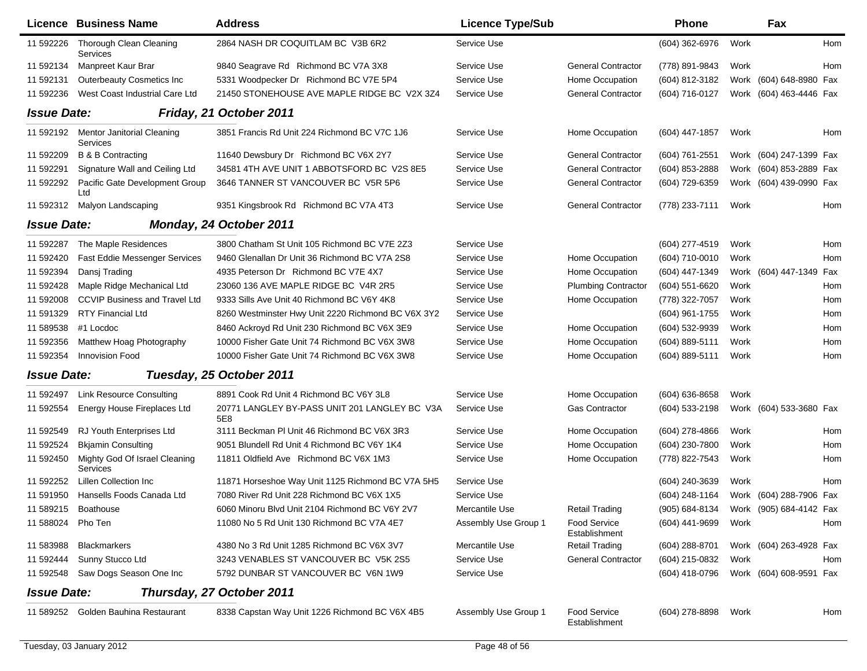|                    | Licence Business Name                     | <b>Address</b>                                       | <b>Licence Type/Sub</b> |                                      | <b>Phone</b>     |      | Fax                                    |     |
|--------------------|-------------------------------------------|------------------------------------------------------|-------------------------|--------------------------------------|------------------|------|----------------------------------------|-----|
| 11 592226          | Thorough Clean Cleaning<br>Services       | 2864 NASH DR COQUITLAM BC V3B 6R2                    | Service Use             |                                      | (604) 362-6976   | Work |                                        | Hom |
| 11 592134          | Manpreet Kaur Brar                        | 9840 Seagrave Rd Richmond BC V7A 3X8                 | Service Use             | <b>General Contractor</b>            | (778) 891-9843   | Work |                                        | Hom |
| 11 592131          | Outerbeauty Cosmetics Inc                 | 5331 Woodpecker Dr Richmond BC V7E 5P4               | Service Use             | Home Occupation                      | (604) 812-3182   |      | Work (604) 648-8980 Fax                |     |
| 11 592236          | West Coast Industrial Care Ltd            | 21450 STONEHOUSE AVE MAPLE RIDGE BC V2X 3Z4          | Service Use             | <b>General Contractor</b>            | (604) 716-0127   |      | Work (604) 463-4446 Fax                |     |
| <b>Issue Date:</b> |                                           | Friday, 21 October 2011                              |                         |                                      |                  |      |                                        |     |
| 11 592192          | Mentor Janitorial Cleaning<br>Services    | 3851 Francis Rd Unit 224 Richmond BC V7C 1J6         | Service Use             | Home Occupation                      | (604) 447-1857   | Work |                                        | Hom |
| 11 592209          | <b>B &amp; B Contracting</b>              | 11640 Dewsbury Dr Richmond BC V6X 2Y7                | Service Use             | <b>General Contractor</b>            | $(604)$ 761-2551 |      | Work (604) 247-1399 Fax                |     |
| 11 592291          | Signature Wall and Ceiling Ltd            | 34581 4TH AVE UNIT 1 ABBOTSFORD BC V2S 8E5           | Service Use             | <b>General Contractor</b>            | (604) 853-2888   |      | Work (604) 853-2889 Fax                |     |
| 11 592292          | Pacific Gate Development Group<br>Ltd     | 3646 TANNER ST VANCOUVER BC V5R 5P6                  | Service Use             | <b>General Contractor</b>            | (604) 729-6359   |      | Work (604) 439-0990 Fax                |     |
| 11 592312          | Malyon Landscaping                        | 9351 Kingsbrook Rd Richmond BC V7A 4T3               | Service Use             | <b>General Contractor</b>            | (778) 233-7111   | Work |                                        | Hom |
| <b>Issue Date:</b> |                                           | <b>Monday, 24 October 2011</b>                       |                         |                                      |                  |      |                                        |     |
| 11 592287          | The Maple Residences                      | 3800 Chatham St Unit 105 Richmond BC V7E 2Z3         | Service Use             |                                      | (604) 277-4519   | Work |                                        | Hom |
| 11 592420          | <b>Fast Eddie Messenger Services</b>      | 9460 Glenallan Dr Unit 36 Richmond BC V7A 2S8        | Service Use             | Home Occupation                      | (604) 710-0010   | Work |                                        | Hom |
| 11 592394          | Dansj Trading                             | 4935 Peterson Dr Richmond BC V7E 4X7                 | Service Use             | Home Occupation                      | (604) 447-1349   |      | Work (604) 447-1349 Fax                |     |
| 11 592428          | Maple Ridge Mechanical Ltd                | 23060 136 AVE MAPLE RIDGE BC V4R 2R5                 | Service Use             | <b>Plumbing Contractor</b>           | (604) 551-6620   | Work |                                        | Hom |
| 11 592008          | <b>CCVIP Business and Travel Ltd</b>      | 9333 Sills Ave Unit 40 Richmond BC V6Y 4K8           | Service Use             | Home Occupation                      | (778) 322-7057   | Work |                                        | Hom |
| 11 591329          | <b>RTY Financial Ltd</b>                  | 8260 Westminster Hwy Unit 2220 Richmond BC V6X 3Y2   | Service Use             |                                      | (604) 961-1755   | Work |                                        | Hom |
| 11 589538          | #1 Locdoc                                 | 8460 Ackroyd Rd Unit 230 Richmond BC V6X 3E9         | Service Use             | Home Occupation                      | (604) 532-9939   | Work |                                        | Hom |
| 11 592356          | Matthew Hoag Photography                  | 10000 Fisher Gate Unit 74 Richmond BC V6X 3W8        | Service Use             | Home Occupation                      | (604) 889-5111   | Work |                                        | Hom |
| 11 592354          | <b>Innovision Food</b>                    | 10000 Fisher Gate Unit 74 Richmond BC V6X 3W8        | Service Use             | Home Occupation                      | (604) 889-5111   | Work |                                        | Hom |
| <b>Issue Date:</b> |                                           | Tuesday, 25 October 2011                             |                         |                                      |                  |      |                                        |     |
| 11 592497          | <b>Link Resource Consulting</b>           | 8891 Cook Rd Unit 4 Richmond BC V6Y 3L8              | Service Use             | Home Occupation                      | (604) 636-8658   | Work |                                        |     |
| 11 592554          | Energy House Fireplaces Ltd               | 20771 LANGLEY BY-PASS UNIT 201 LANGLEY BC V3A<br>5E8 | Service Use             | <b>Gas Contractor</b>                | (604) 533-2198   |      | Work (604) 533-3680 Fax                |     |
| 11 592549          | RJ Youth Enterprises Ltd                  | 3111 Beckman PI Unit 46 Richmond BC V6X 3R3          | Service Use             | Home Occupation                      | (604) 278-4866   | Work |                                        | Hom |
| 11 592524          | <b>Bkjamin Consulting</b>                 | 9051 Blundell Rd Unit 4 Richmond BC V6Y 1K4          | Service Use             | Home Occupation                      | (604) 230-7800   | Work |                                        | Hom |
| 11 592450          | Mighty God Of Israel Cleaning<br>Services | 11811 Oldfield Ave Richmond BC V6X 1M3               | Service Use             | Home Occupation                      | (778) 822-7543   | Work |                                        | Hom |
| 11 592252          | Lillen Collection Inc                     | 11871 Horseshoe Way Unit 1125 Richmond BC V7A 5H5    | Service Use             |                                      | (604) 240-3639   | Work |                                        | Hom |
| 11 591950          | Hansells Foods Canada Ltd                 | 7080 River Rd Unit 228 Richmond BC V6X 1X5           | Service Use             |                                      | (604) 248-1164   |      | Work (604) 288-7906 Fax                |     |
|                    | 11 589215 Boathouse                       | 6060 Minoru Blvd Unit 2104 Richmond BC V6Y 2V7       | Mercantile Use          | <b>Retail Trading</b>                |                  |      | (905) 684-8134 Work (905) 684-4142 Fax |     |
| 11 588024 Pho Ten  |                                           | 11080 No 5 Rd Unit 130 Richmond BC V7A 4E7           | Assembly Use Group 1    | <b>Food Service</b><br>Establishment | (604) 441-9699   | Work |                                        | Hom |
| 11 583988          | <b>Blackmarkers</b>                       | 4380 No 3 Rd Unit 1285 Richmond BC V6X 3V7           | Mercantile Use          | <b>Retail Trading</b>                | (604) 288-8701   |      | Work (604) 263-4928 Fax                |     |
| 11 592444          | Sunny Stucco Ltd                          | 3243 VENABLES ST VANCOUVER BC V5K 2S5                | Service Use             | <b>General Contractor</b>            | (604) 215-0832   | Work |                                        | Hom |
| 11 592548          | Saw Dogs Season One Inc                   | 5792 DUNBAR ST VANCOUVER BC V6N 1W9                  | Service Use             |                                      | (604) 418-0796   |      | Work (604) 608-9591 Fax                |     |
| <b>Issue Date:</b> |                                           | Thursday, 27 October 2011                            |                         |                                      |                  |      |                                        |     |
|                    | 11 589252 Golden Bauhina Restaurant       | 8338 Capstan Way Unit 1226 Richmond BC V6X 4B5       | Assembly Use Group 1    | Food Service<br>Establishment        | (604) 278-8898   | Work |                                        | Hom |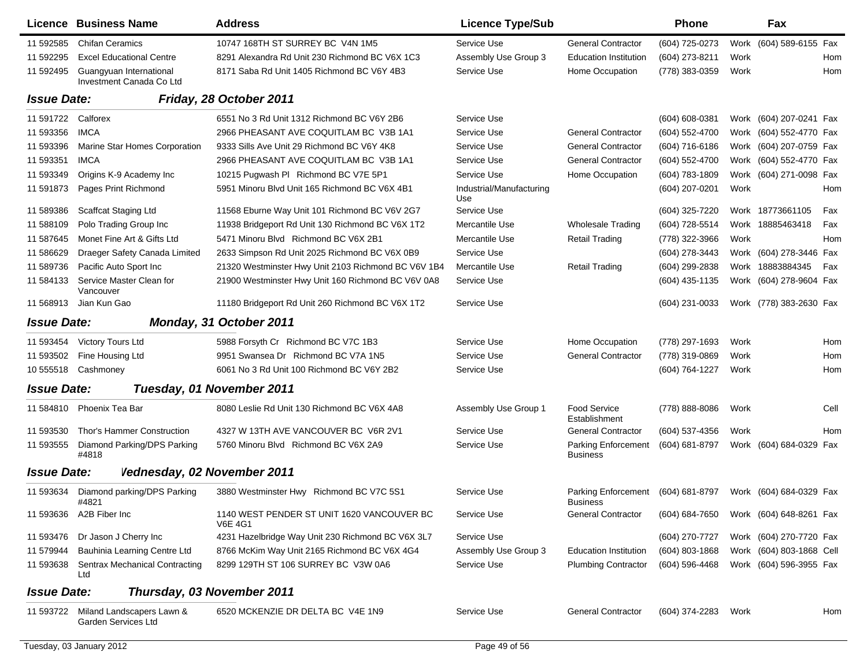|                    | Licence Business Name                               | <b>Address</b>                                               | <b>Licence Type/Sub</b>         |                                               | <b>Phone</b>     |      | Fax                      |      |
|--------------------|-----------------------------------------------------|--------------------------------------------------------------|---------------------------------|-----------------------------------------------|------------------|------|--------------------------|------|
| 11 592585          | <b>Chifan Ceramics</b>                              | 10747 168TH ST SURREY BC V4N 1M5                             | Service Use                     | <b>General Contractor</b>                     | (604) 725-0273   |      | Work (604) 589-6155 Fax  |      |
| 11 592295          | <b>Excel Educational Centre</b>                     | 8291 Alexandra Rd Unit 230 Richmond BC V6X 1C3               | Assembly Use Group 3            | <b>Education Institution</b>                  | (604) 273-8211   | Work |                          | Hom  |
| 11 592495          | Guangyuan International<br>Investment Canada Co Ltd | 8171 Saba Rd Unit 1405 Richmond BC V6Y 4B3                   | Service Use                     | Home Occupation                               | (778) 383-0359   | Work |                          | Hom  |
| <b>Issue Date:</b> |                                                     | Friday, 28 October 2011                                      |                                 |                                               |                  |      |                          |      |
| 11 591722          | Calforex                                            | 6551 No 3 Rd Unit 1312 Richmond BC V6Y 2B6                   | Service Use                     |                                               | (604) 608-0381   |      | Work (604) 207-0241 Fax  |      |
| 11 593356          | <b>IMCA</b>                                         | 2966 PHEASANT AVE COQUITLAM BC V3B 1A1                       | Service Use                     | <b>General Contractor</b>                     | (604) 552-4700   |      | Work (604) 552-4770 Fax  |      |
| 11 593396          | Marine Star Homes Corporation                       | 9333 Sills Ave Unit 29 Richmond BC V6Y 4K8                   | Service Use                     | <b>General Contractor</b>                     | (604) 716-6186   |      | Work (604) 207-0759 Fax  |      |
| 11 593351          | <b>IMCA</b>                                         | 2966 PHEASANT AVE COQUITLAM BC V3B 1A1                       | Service Use                     | <b>General Contractor</b>                     | (604) 552-4700   |      | Work (604) 552-4770 Fax  |      |
| 11 593349          | Origins K-9 Academy Inc                             | 10215 Pugwash PI Richmond BC V7E 5P1                         | Service Use                     | Home Occupation                               | (604) 783-1809   |      | Work (604) 271-0098 Fax  |      |
| 11 591873          | Pages Print Richmond                                | 5951 Minoru Blvd Unit 165 Richmond BC V6X 4B1                | Industrial/Manufacturing<br>Use |                                               | (604) 207-0201   | Work |                          | Hom  |
| 11 589386          | <b>Scaffcat Staging Ltd</b>                         | 11568 Eburne Way Unit 101 Richmond BC V6V 2G7                | Service Use                     |                                               | (604) 325-7220   |      | Work 18773661105         | Fax  |
| 11 588109          | Polo Trading Group Inc.                             | 11938 Bridgeport Rd Unit 130 Richmond BC V6X 1T2             | Mercantile Use                  | <b>Wholesale Trading</b>                      | (604) 728-5514   |      | Work 18885463418         | Fax  |
| 11 587645          | Monet Fine Art & Gifts Ltd                          | 5471 Minoru Blvd Richmond BC V6X 2B1                         | Mercantile Use                  | <b>Retail Trading</b>                         | (778) 322-3966   | Work |                          | Hom  |
| 11 586629          | Draeger Safety Canada Limited                       | 2633 Simpson Rd Unit 2025 Richmond BC V6X 0B9                | Service Use                     |                                               | (604) 278-3443   |      | Work (604) 278-3446 Fax  |      |
| 11 589736          | Pacific Auto Sport Inc                              | 21320 Westminster Hwy Unit 2103 Richmond BC V6V 1B4          | Mercantile Use                  | <b>Retail Trading</b>                         | (604) 299-2838   |      | Work 18883884345         | Fax  |
| 11 584133          | Service Master Clean for<br>Vancouver               | 21900 Westminster Hwy Unit 160 Richmond BC V6V 0A8           | Service Use                     |                                               | (604) 435-1135   |      | Work (604) 278-9604 Fax  |      |
| 11 568913          | Jian Kun Gao                                        | 11180 Bridgeport Rd Unit 260 Richmond BC V6X 1T2             | Service Use                     |                                               | (604) 231-0033   |      | Work (778) 383-2630 Fax  |      |
| <b>Issue Date:</b> |                                                     | Monday, 31 October 2011                                      |                                 |                                               |                  |      |                          |      |
| 11 593454          | Victory Tours Ltd                                   | 5988 Forsyth Cr Richmond BC V7C 1B3                          | Service Use                     | Home Occupation                               | (778) 297-1693   | Work |                          | Hom  |
| 11 593502          | Fine Housing Ltd                                    | 9951 Swansea Dr Richmond BC V7A 1N5                          | Service Use                     | <b>General Contractor</b>                     | (778) 319-0869   | Work |                          | Hom  |
| 10 555518          | Cashmoney                                           | 6061 No 3 Rd Unit 100 Richmond BC V6Y 2B2                    | Service Use                     |                                               | (604) 764-1227   | Work |                          | Hom  |
| <b>Issue Date:</b> |                                                     | Tuesday, 01 November 2011                                    |                                 |                                               |                  |      |                          |      |
| 11 584810          | Phoenix Tea Bar                                     | 8080 Leslie Rd Unit 130 Richmond BC V6X 4A8                  | Assembly Use Group 1            | <b>Food Service</b><br>Establishment          | (778) 888-8086   | Work |                          | Cell |
| 11 593530          | Thor's Hammer Construction                          | 4327 W 13TH AVE VANCOUVER BC V6R 2V1                         | Service Use                     | <b>General Contractor</b>                     | (604) 537-4356   | Work |                          | Hom  |
| 11 593555          | Diamond Parking/DPS Parking<br>#4818                | 5760 Minoru Blvd Richmond BC V6X 2A9                         | Service Use                     | <b>Parking Enforcement</b><br><b>Business</b> | (604) 681-8797   |      | Work (604) 684-0329 Fax  |      |
| <b>Issue Date:</b> | Vednesday, 02 November 2011                         |                                                              |                                 |                                               |                  |      |                          |      |
| 11 593634          | Diamond parking/DPS Parking<br>#4821                | 3880 Westminster Hwy Richmond BC V7C 5S1                     | Service Use                     | Parking Enforcement<br><b>Business</b>        | (604) 681-8797   |      | Work (604) 684-0329 Fax  |      |
|                    | 11 593636 A2B Fiber Inc                             | 1140 WEST PENDER ST UNIT 1620 VANCOUVER BC<br><b>V6E 4G1</b> | Service Use                     | <b>General Contractor</b>                     | (604) 684-7650   |      | Work (604) 648-8261 Fax  |      |
| 11 593476          | Dr Jason J Cherry Inc                               | 4231 Hazelbridge Way Unit 230 Richmond BC V6X 3L7            | Service Use                     |                                               | (604) 270-7727   |      | Work (604) 270-7720 Fax  |      |
| 11 579944          | Bauhinia Learning Centre Ltd                        | 8766 McKim Way Unit 2165 Richmond BC V6X 4G4                 | Assembly Use Group 3            | <b>Education Institution</b>                  | $(604)$ 803-1868 |      | Work (604) 803-1868 Cell |      |
| 11 593638          | Sentrax Mechanical Contracting<br>Ltd               | 8299 129TH ST 106 SURREY BC V3W 0A6                          | Service Use                     | <b>Plumbing Contractor</b>                    | (604) 596-4468   |      | Work (604) 596-3955 Fax  |      |
| <b>Issue Date:</b> |                                                     | Thursday, 03 November 2011                                   |                                 |                                               |                  |      |                          |      |
| 11 593722          | Miland Landscapers Lawn &<br>Garden Services Ltd    | 6520 MCKENZIE DR DELTA BC V4E 1N9                            | Service Use                     | <b>General Contractor</b>                     | (604) 374-2283   | Work |                          | Hom  |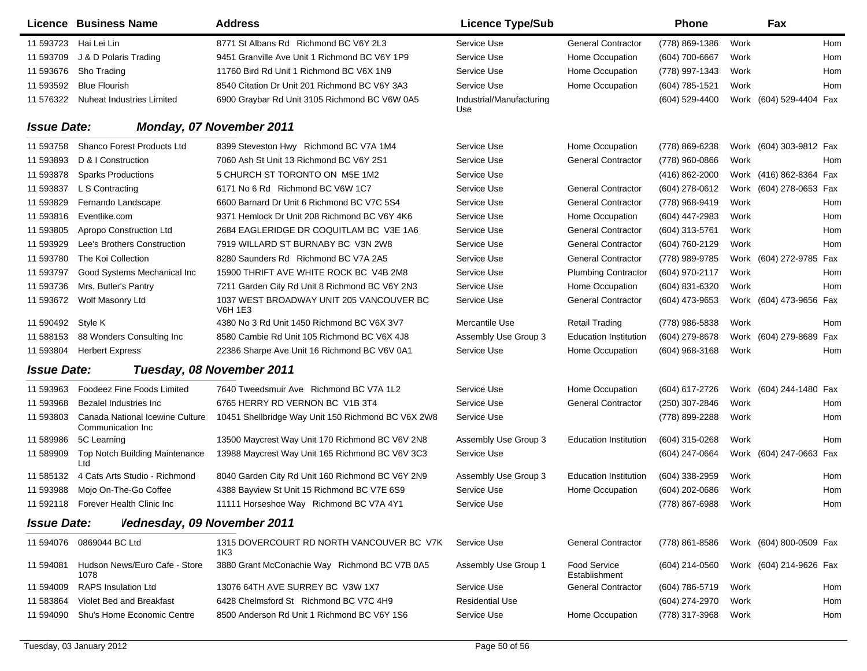|                    | <b>Licence Business Name</b>                         | <b>Address</b>                                      | <b>Licence Type/Sub</b>         |                                      | <b>Phone</b>     |      | Fax                     |     |
|--------------------|------------------------------------------------------|-----------------------------------------------------|---------------------------------|--------------------------------------|------------------|------|-------------------------|-----|
| 11 593723          | Hai Lei Lin                                          | 8771 St Albans Rd Richmond BC V6Y 2L3               | Service Use                     | <b>General Contractor</b>            | (778) 869-1386   | Work |                         | Hom |
| 11 593709          | J & D Polaris Trading                                | 9451 Granville Ave Unit 1 Richmond BC V6Y 1P9       | Service Use                     | Home Occupation                      | (604) 700-6667   | Work |                         | Hom |
| 11 593676          | Sho Trading                                          | 11760 Bird Rd Unit 1 Richmond BC V6X 1N9            | Service Use                     | Home Occupation                      | (778) 997-1343   | Work |                         | Hom |
| 11 593592          | <b>Blue Flourish</b>                                 | 8540 Citation Dr Unit 201 Richmond BC V6Y 3A3       | Service Use                     | Home Occupation                      | $(604)$ 785-1521 | Work |                         | Hom |
| 11 576322          | Nuheat Industries Limited                            | 6900 Graybar Rd Unit 3105 Richmond BC V6W 0A5       | Industrial/Manufacturing<br>Use |                                      | (604) 529-4400   |      | Work (604) 529-4404 Fax |     |
| <b>Issue Date:</b> |                                                      | Monday, 07 November 2011                            |                                 |                                      |                  |      |                         |     |
| 11 593758          | Shanco Forest Products Ltd                           | 8399 Steveston Hwy Richmond BC V7A 1M4              | Service Use                     | Home Occupation                      | (778) 869-6238   |      | Work (604) 303-9812 Fax |     |
| 11 593893          | D & I Construction                                   | 7060 Ash St Unit 13 Richmond BC V6Y 2S1             | Service Use                     | <b>General Contractor</b>            | (778) 960-0866   | Work |                         | Hom |
| 11 593878          | <b>Sparks Productions</b>                            | 5 CHURCH ST TORONTO ON M5E 1M2                      | Service Use                     |                                      | (416) 862-2000   |      | Work (416) 862-8364 Fax |     |
| 11 593837          | L S Contracting                                      | 6171 No 6 Rd Richmond BC V6W 1C7                    | Service Use                     | <b>General Contractor</b>            | (604) 278-0612   |      | Work (604) 278-0653 Fax |     |
| 11 593829          | Fernando Landscape                                   | 6600 Barnard Dr Unit 6 Richmond BC V7C 5S4          | Service Use                     | <b>General Contractor</b>            | (778) 968-9419   | Work |                         | Hom |
| 11 593816          | Eventlike.com                                        | 9371 Hemlock Dr Unit 208 Richmond BC V6Y 4K6        | Service Use                     | Home Occupation                      | (604) 447-2983   | Work |                         | Hom |
| 11 593805          | Apropo Construction Ltd                              | 2684 EAGLERIDGE DR COQUITLAM BC V3E 1A6             | Service Use                     | <b>General Contractor</b>            | (604) 313-5761   | Work |                         | Hom |
| 11 593929          | Lee's Brothers Construction                          | 7919 WILLARD ST BURNABY BC V3N 2W8                  | Service Use                     | <b>General Contractor</b>            | (604) 760-2129   | Work |                         | Hom |
| 11 593780          | The Koi Collection                                   | 8280 Saunders Rd Richmond BC V7A 2A5                | Service Use                     | <b>General Contractor</b>            | (778) 989-9785   |      | Work (604) 272-9785 Fax |     |
| 11 593797          | Good Systems Mechanical Inc                          | 15900 THRIFT AVE WHITE ROCK BC V4B 2M8              | Service Use                     | <b>Plumbing Contractor</b>           | (604) 970-2117   | Work |                         | Hom |
| 11 593736          | Mrs. Butler's Pantry                                 | 7211 Garden City Rd Unit 8 Richmond BC V6Y 2N3      | Service Use                     | Home Occupation                      | (604) 831-6320   | Work |                         | Hom |
| 11 593672          | Wolf Masonry Ltd                                     | 1037 WEST BROADWAY UNIT 205 VANCOUVER BC<br>V6H 1E3 | Service Use                     | <b>General Contractor</b>            | (604) 473-9653   |      | Work (604) 473-9656 Fax |     |
| 11 590492 Style K  |                                                      | 4380 No 3 Rd Unit 1450 Richmond BC V6X 3V7          | Mercantile Use                  | <b>Retail Trading</b>                | (778) 986-5838   | Work |                         | Hom |
| 11 588153          | 88 Wonders Consulting Inc                            | 8580 Cambie Rd Unit 105 Richmond BC V6X 4J8         | Assembly Use Group 3            | <b>Education Institution</b>         | (604) 279-8678   |      | Work (604) 279-8689 Fax |     |
| 11 593804          | <b>Herbert Express</b>                               | 22386 Sharpe Ave Unit 16 Richmond BC V6V 0A1        | Service Use                     | Home Occupation                      | (604) 968-3168   | Work |                         | Hom |
| <b>Issue Date:</b> |                                                      | Tuesday, 08 November 2011                           |                                 |                                      |                  |      |                         |     |
| 11 593963          | <b>Foodeez Fine Foods Limited</b>                    | 7640 Tweedsmuir Ave Richmond BC V7A 1L2             | Service Use                     | Home Occupation                      | (604) 617-2726   |      | Work (604) 244-1480 Fax |     |
| 11 593968          | Bezalel Industries Inc                               | 6765 HERRY RD VERNON BC V1B 3T4                     | Service Use                     | <b>General Contractor</b>            | (250) 307-2846   | Work |                         | Hom |
| 11 593803          | Canada National Icewine Culture<br>Communication Inc | 10451 Shellbridge Way Unit 150 Richmond BC V6X 2W8  | Service Use                     |                                      | (778) 899-2288   | Work |                         | Hom |
| 11 589986          | 5C Learning                                          | 13500 Maycrest Way Unit 170 Richmond BC V6V 2N8     | Assembly Use Group 3            | <b>Education Institution</b>         | (604) 315-0268   | Work |                         | Hom |
| 11 589909          | Top Notch Building Maintenance<br>Ltd                | 13988 Maycrest Way Unit 165 Richmond BC V6V 3C3     | Service Use                     |                                      | (604) 247-0664   |      | Work (604) 247-0663 Fax |     |
| 11 585132          | 4 Cats Arts Studio - Richmond                        | 8040 Garden City Rd Unit 160 Richmond BC V6Y 2N9    | Assembly Use Group 3            | <b>Education Institution</b>         | $(604)$ 338-2959 | Work |                         | Hom |
| 11 593988          | Mojo On-The-Go Coffee                                | 4388 Bayview St Unit 15 Richmond BC V7E 6S9         | Service Use                     | Home Occupation                      | (604) 202-0686   | Work |                         | Hom |
|                    | 11 592118 Forever Health Clinic Inc                  | 11111 Horseshoe Way Richmond BC V7A 4Y1             | Service Use                     |                                      | (778) 867-6988   | Work |                         | Hom |
| <b>Issue Date:</b> | Vednesday, 09 November 2011                          |                                                     |                                 |                                      |                  |      |                         |     |
|                    | 11 594076 0869044 BC Ltd                             | 1315 DOVERCOURT RD NORTH VANCOUVER BC V7K<br>1K3    | Service Use                     | <b>General Contractor</b>            | (778) 861-8586   |      | Work (604) 800-0509 Fax |     |
| 11 594081          | Hudson News/Euro Cafe - Store<br>1078                | 3880 Grant McConachie Way Richmond BC V7B 0A5       | Assembly Use Group 1            | <b>Food Service</b><br>Establishment | (604) 214-0560   |      | Work (604) 214-9626 Fax |     |
| 11 594009          | <b>RAPS Insulation Ltd</b>                           | 13076 64TH AVE SURREY BC V3W 1X7                    | Service Use                     | <b>General Contractor</b>            | (604) 786-5719   | Work |                         | Hom |
| 11 583864          | Violet Bed and Breakfast                             | 6428 Chelmsford St Richmond BC V7C 4H9              | <b>Residential Use</b>          |                                      | (604) 274-2970   | Work |                         | Hom |
| 11 594090          | Shu's Home Economic Centre                           | 8500 Anderson Rd Unit 1 Richmond BC V6Y 1S6         | Service Use                     | Home Occupation                      | (778) 317-3968   | Work |                         | Hom |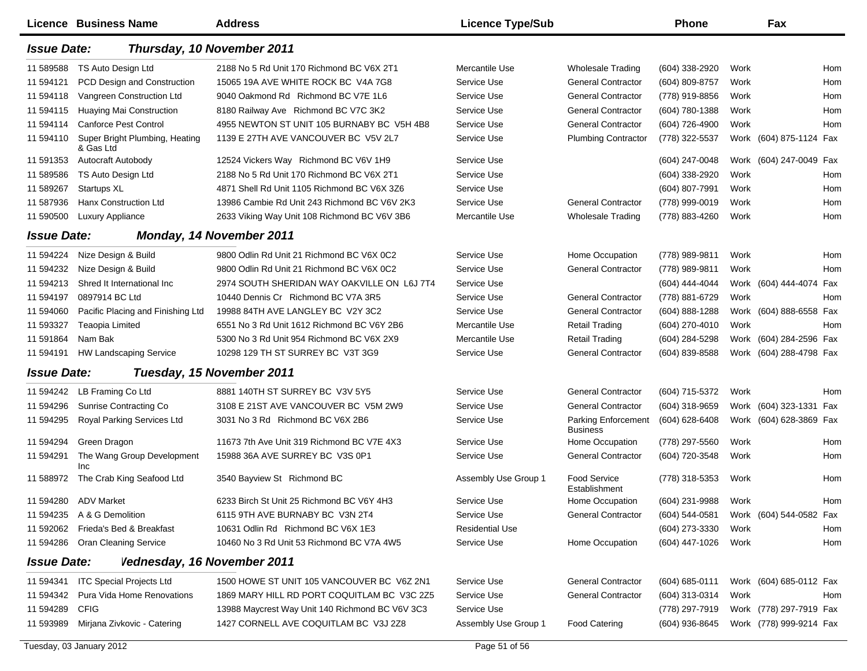|                    | <b>Licence Business Name</b>                | <b>Address</b>                                  | <b>Licence Type/Sub</b> |                                               | <b>Phone</b>     |      | Fax                     |     |
|--------------------|---------------------------------------------|-------------------------------------------------|-------------------------|-----------------------------------------------|------------------|------|-------------------------|-----|
| <b>Issue Date:</b> |                                             | Thursday, 10 November 2011                      |                         |                                               |                  |      |                         |     |
| 11 589588          | TS Auto Design Ltd                          | 2188 No 5 Rd Unit 170 Richmond BC V6X 2T1       | Mercantile Use          | <b>Wholesale Trading</b>                      | (604) 338-2920   | Work |                         | Hom |
| 11 594121          | <b>PCD Design and Construction</b>          | 15065 19A AVE WHITE ROCK BC V4A 7G8             | Service Use             | <b>General Contractor</b>                     | (604) 809-8757   | Work |                         | Hom |
| 11 594118          | Vangreen Construction Ltd                   | 9040 Oakmond Rd Richmond BC V7E 1L6             | Service Use             | <b>General Contractor</b>                     | (778) 919-8856   | Work |                         | Hom |
| 11 594115          | Huaying Mai Construction                    | 8180 Railway Ave Richmond BC V7C 3K2            | Service Use             | <b>General Contractor</b>                     | (604) 780-1388   | Work |                         | Hom |
| 11 594114          | <b>Canforce Pest Control</b>                | 4955 NEWTON ST UNIT 105 BURNABY BC V5H 4B8      | Service Use             | <b>General Contractor</b>                     | (604) 726-4900   | Work |                         | Hom |
| 11 594110          | Super Bright Plumbing, Heating<br>& Gas Ltd | 1139 E 27TH AVE VANCOUVER BC V5V 2L7            | Service Use             | <b>Plumbing Contractor</b>                    | (778) 322-5537   |      | Work (604) 875-1124 Fax |     |
| 11 591353          | <b>Autocraft Autobody</b>                   | 12524 Vickers Way Richmond BC V6V 1H9           | Service Use             |                                               | (604) 247-0048   |      | Work (604) 247-0049 Fax |     |
| 11 589586          | TS Auto Design Ltd                          | 2188 No 5 Rd Unit 170 Richmond BC V6X 2T1       | Service Use             |                                               | (604) 338-2920   | Work |                         | Hom |
| 11 589267          | Startups XL                                 | 4871 Shell Rd Unit 1105 Richmond BC V6X 3Z6     | Service Use             |                                               | (604) 807-7991   | Work |                         | Hom |
| 11 587936          | Hanx Construction Ltd                       | 13986 Cambie Rd Unit 243 Richmond BC V6V 2K3    | Service Use             | <b>General Contractor</b>                     | (778) 999-0019   | Work |                         | Hom |
| 11 590500          | Luxury Appliance                            | 2633 Viking Way Unit 108 Richmond BC V6V 3B6    | Mercantile Use          | <b>Wholesale Trading</b>                      | (778) 883-4260   | Work |                         | Hom |
| <b>Issue Date:</b> |                                             | Monday, 14 November 2011                        |                         |                                               |                  |      |                         |     |
| 11 594224          | Nize Design & Build                         | 9800 Odlin Rd Unit 21 Richmond BC V6X 0C2       | Service Use             | Home Occupation                               | (778) 989-9811   | Work |                         | Hom |
| 11 594232          | Nize Design & Build                         | 9800 Odlin Rd Unit 21 Richmond BC V6X 0C2       | Service Use             | <b>General Contractor</b>                     | (778) 989-9811   | Work |                         | Hom |
| 11 594213          | Shred It International Inc                  | 2974 SOUTH SHERIDAN WAY OAKVILLE ON L6J 7T4     | Service Use             |                                               | (604) 444-4044   |      | Work (604) 444-4074     | Fax |
| 11 594197          | 0897914 BC Ltd                              | 10440 Dennis Cr Richmond BC V7A 3R5             | Service Use             | <b>General Contractor</b>                     | (778) 881-6729   | Work |                         | Hom |
| 11 594060          | Pacific Placing and Finishing Ltd           | 19988 84TH AVE LANGLEY BC V2Y 3C2               | Service Use             | <b>General Contractor</b>                     | (604) 888-1288   |      | Work (604) 888-6558 Fax |     |
| 11 593327          | Teaopia Limited                             | 6551 No 3 Rd Unit 1612 Richmond BC V6Y 2B6      | Mercantile Use          | <b>Retail Trading</b>                         | (604) 270-4010   | Work |                         | Hom |
| 11 591864          | Nam Bak                                     | 5300 No 3 Rd Unit 954 Richmond BC V6X 2X9       | Mercantile Use          | <b>Retail Trading</b>                         | (604) 284-5298   |      | Work (604) 284-2596 Fax |     |
| 11 594191          | <b>HW Landscaping Service</b>               | 10298 129 TH ST SURREY BC V3T 3G9               | Service Use             | <b>General Contractor</b>                     | (604) 839-8588   |      | Work (604) 288-4798 Fax |     |
| <b>Issue Date:</b> |                                             | Tuesday, 15 November 2011                       |                         |                                               |                  |      |                         |     |
| 11 594242          | LB Framing Co Ltd                           | 8881 140TH ST SURREY BC V3V 5Y5                 | Service Use             | <b>General Contractor</b>                     | (604) 715-5372   | Work |                         | Hom |
| 11 594296          | <b>Sunrise Contracting Co</b>               | 3108 E 21ST AVE VANCOUVER BC V5M 2W9            | Service Use             | <b>General Contractor</b>                     | (604) 318-9659   |      | Work (604) 323-1331 Fax |     |
| 11 594295          | Royal Parking Services Ltd                  | 3031 No 3 Rd Richmond BC V6X 2B6                | Service Use             | <b>Parking Enforcement</b><br><b>Business</b> | (604) 628-6408   |      | Work (604) 628-3869 Fax |     |
| 11 594294          | Green Dragon                                | 11673 7th Ave Unit 319 Richmond BC V7E 4X3      | Service Use             | Home Occupation                               | (778) 297-5560   | Work |                         | Hom |
| 11 594291          | The Wang Group Development<br>Inc           | 15988 36A AVE SURREY BC V3S 0P1                 | Service Use             | <b>General Contractor</b>                     | (604) 720-3548   | Work |                         | Hom |
| 11 588972          | The Crab King Seafood Ltd                   | 3540 Bayview St Richmond BC                     | Assembly Use Group 1    | Food Service<br>Establishment                 | (778) 318-5353   | Work |                         | Hom |
|                    | 11 594280 ADV Market                        | 6233 Birch St Unit 25 Richmond BC V6Y 4H3       | Service Use             | Home Occupation                               | (604) 231-9988   | Work |                         | Hom |
|                    | 11 594235 A & G Demolition                  | 6115 9TH AVE BURNABY BC V3N 2T4                 | Service Use             | <b>General Contractor</b>                     | (604) 544-0581   |      | Work (604) 544-0582 Fax |     |
| 11 592062          | Frieda's Bed & Breakfast                    | 10631 Odlin Rd Richmond BC V6X 1E3              | <b>Residential Use</b>  |                                               | (604) 273-3330   | Work |                         | Hom |
| 11 594286          | <b>Oran Cleaning Service</b>                | 10460 No 3 Rd Unit 53 Richmond BC V7A 4W5       | Service Use             | Home Occupation                               | (604) 447-1026   | Work |                         | Hom |
| <b>Issue Date:</b> | Vednesday, 16 November 2011                 |                                                 |                         |                                               |                  |      |                         |     |
| 11 594341          | <b>ITC Special Projects Ltd</b>             | 1500 HOWE ST UNIT 105 VANCOUVER BC V6Z 2N1      | Service Use             | <b>General Contractor</b>                     | $(604)$ 685-0111 |      | Work (604) 685-0112 Fax |     |
| 11 594342          | Pura Vida Home Renovations                  | 1869 MARY HILL RD PORT COQUITLAM BC V3C 2Z5     | Service Use             | <b>General Contractor</b>                     | (604) 313-0314   | Work |                         | Hom |
| 11 594289          | <b>CFIG</b>                                 | 13988 Maycrest Way Unit 140 Richmond BC V6V 3C3 | Service Use             |                                               | (778) 297-7919   |      | Work (778) 297-7919 Fax |     |
| 11 593989          | Mirjana Zivkovic - Catering                 | 1427 CORNELL AVE COQUITLAM BC V3J 2Z8           | Assembly Use Group 1    | <b>Food Catering</b>                          | (604) 936-8645   |      | Work (778) 999-9214 Fax |     |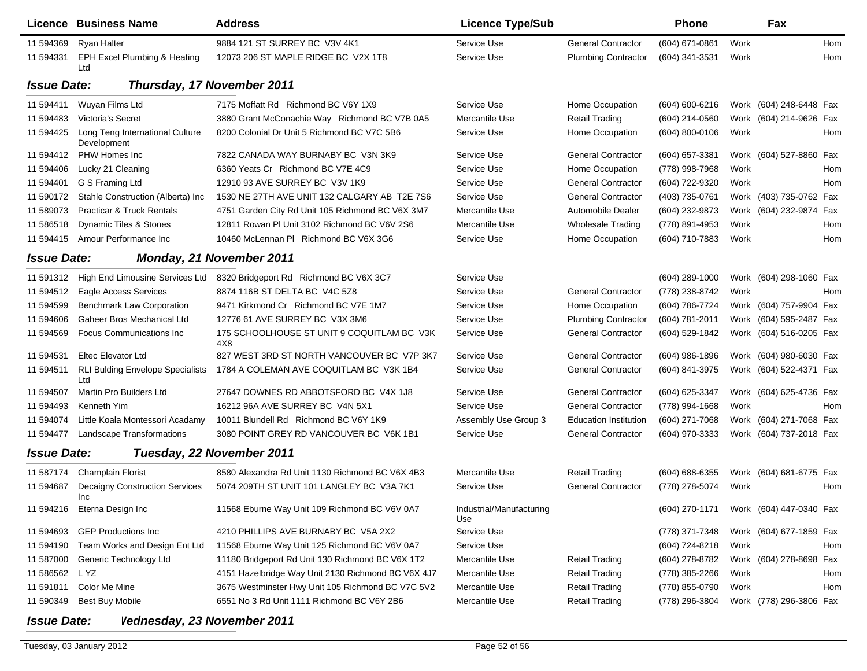|                    | Licence Business Name                          | <b>Address</b>                                     | <b>Licence Type/Sub</b>         |                              | <b>Phone</b>   |      | Fax                     |            |
|--------------------|------------------------------------------------|----------------------------------------------------|---------------------------------|------------------------------|----------------|------|-------------------------|------------|
| 11 594369          | <b>Ryan Halter</b>                             | 9884 121 ST SURREY BC V3V 4K1                      | Service Use                     | <b>General Contractor</b>    | (604) 671-0861 | Work |                         | <b>Hom</b> |
| 11 594331          | EPH Excel Plumbing & Heating<br>Ltd            | 12073 206 ST MAPLE RIDGE BC V2X 1T8                | Service Use                     | <b>Plumbing Contractor</b>   | (604) 341-3531 | Work |                         | Hom        |
| <b>Issue Date:</b> |                                                | Thursday, 17 November 2011                         |                                 |                              |                |      |                         |            |
| 11 594411          | Wuyan Films Ltd                                | 7175 Moffatt Rd Richmond BC V6Y 1X9                | Service Use                     | Home Occupation              | (604) 600-6216 |      | Work (604) 248-6448 Fax |            |
| 11 594483          | <b>Victoria's Secret</b>                       | 3880 Grant McConachie Way Richmond BC V7B 0A5      | Mercantile Use                  | <b>Retail Trading</b>        | (604) 214-0560 |      | Work (604) 214-9626 Fax |            |
| 11 594425          | Long Teng International Culture<br>Development | 8200 Colonial Dr Unit 5 Richmond BC V7C 5B6        | Service Use                     | Home Occupation              | (604) 800-0106 | Work |                         | Hom        |
| 11 594412          | PHW Homes Inc                                  | 7822 CANADA WAY BURNABY BC V3N 3K9                 | Service Use                     | <b>General Contractor</b>    | (604) 657-3381 |      | Work (604) 527-8860 Fax |            |
| 11 594406          | Lucky 21 Cleaning                              | 6360 Yeats Cr Richmond BC V7E 4C9                  | Service Use                     | Home Occupation              | (778) 998-7968 | Work |                         | Hom        |
| 11 594401          | G S Framing Ltd                                | 12910 93 AVE SURREY BC V3V 1K9                     | Service Use                     | <b>General Contractor</b>    | (604) 722-9320 | Work |                         | Hom        |
| 11 590172          | Stahle Construction (Alberta) Inc              | 1530 NE 27TH AVE UNIT 132 CALGARY AB T2E 7S6       | Service Use                     | <b>General Contractor</b>    | (403) 735-0761 |      | Work (403) 735-0762 Fax |            |
| 11 589073          | <b>Practicar &amp; Truck Rentals</b>           | 4751 Garden City Rd Unit 105 Richmond BC V6X 3M7   | Mercantile Use                  | Automobile Dealer            | (604) 232-9873 |      | Work (604) 232-9874 Fax |            |
| 11 586518          | Dynamic Tiles & Stones                         | 12811 Rowan PI Unit 3102 Richmond BC V6V 2S6       | Mercantile Use                  | <b>Wholesale Trading</b>     | (778) 891-4953 | Work |                         | Hom        |
| 11 594415          | Amour Performance Inc                          | 10460 McLennan PI Richmond BC V6X 3G6              | Service Use                     | Home Occupation              | (604) 710-7883 | Work |                         | Hom        |
| <b>Issue Date:</b> |                                                | <b>Monday, 21 November 2011</b>                    |                                 |                              |                |      |                         |            |
| 11 591312          | High End Limousine Services Ltd                | 8320 Bridgeport Rd Richmond BC V6X 3C7             | Service Use                     |                              | (604) 289-1000 |      | Work (604) 298-1060 Fax |            |
| 11 594512          | Eagle Access Services                          | 8874 116B ST DELTA BC V4C 5Z8                      | Service Use                     | <b>General Contractor</b>    | (778) 238-8742 | Work |                         | Hom        |
| 11 594599          | <b>Benchmark Law Corporation</b>               | 9471 Kirkmond Cr Richmond BC V7E 1M7               | Service Use                     | Home Occupation              | (604) 786-7724 |      | Work (604) 757-9904 Fax |            |
| 11 594606          | <b>Gaheer Bros Mechanical Ltd</b>              | 12776 61 AVE SURREY BC V3X 3M6                     | Service Use                     | <b>Plumbing Contractor</b>   | (604) 781-2011 |      | Work (604) 595-2487 Fax |            |
| 11 594569          | <b>Focus Communications Inc.</b>               | 175 SCHOOLHOUSE ST UNIT 9 COQUITLAM BC V3K<br>4X8  | Service Use                     | <b>General Contractor</b>    | (604) 529-1842 |      | Work (604) 516-0205 Fax |            |
| 11 594531          | <b>Eltec Elevator Ltd</b>                      | 827 WEST 3RD ST NORTH VANCOUVER BC V7P 3K7         | Service Use                     | <b>General Contractor</b>    | (604) 986-1896 |      | Work (604) 980-6030 Fax |            |
| 11 594511          | <b>RLI Bulding Envelope Specialists</b><br>Ltd | 1784 A COLEMAN AVE COQUITLAM BC V3K 1B4            | Service Use                     | <b>General Contractor</b>    | (604) 841-3975 |      | Work (604) 522-4371 Fax |            |
| 11 594507          | Martin Pro Builders Ltd                        | 27647 DOWNES RD ABBOTSFORD BC V4X 1J8              | Service Use                     | <b>General Contractor</b>    | (604) 625-3347 |      | Work (604) 625-4736 Fax |            |
| 11 594493          | Kenneth Yim                                    | 16212 96A AVE SURREY BC V4N 5X1                    | Service Use                     | <b>General Contractor</b>    | (778) 994-1668 | Work |                         | Hom        |
| 11 594074          | Little Koala Montessori Acadamy                | 10011 Blundell Rd Richmond BC V6Y 1K9              | Assembly Use Group 3            | <b>Education Institution</b> | (604) 271-7068 |      | Work (604) 271-7068 Fax |            |
| 11 594477          | <b>Landscape Transformations</b>               | 3080 POINT GREY RD VANCOUVER BC V6K 1B1            | Service Use                     | <b>General Contractor</b>    | (604) 970-3333 |      | Work (604) 737-2018 Fax |            |
| <b>Issue Date:</b> |                                                | Tuesday, 22 November 2011                          |                                 |                              |                |      |                         |            |
| 11 587174          | <b>Champlain Florist</b>                       | 8580 Alexandra Rd Unit 1130 Richmond BC V6X 4B3    | Mercantile Use                  | <b>Retail Trading</b>        | (604) 688-6355 |      | Work (604) 681-6775 Fax |            |
| 11 594687          | <b>Decaigny Construction Services</b><br>Inc   | 5074 209TH ST UNIT 101 LANGLEY BC V3A 7K1          | Service Use                     | <b>General Contractor</b>    | (778) 278-5074 | Work |                         | Hom        |
|                    | 11 594216 Eterna Design Inc                    | 11568 Eburne Way Unit 109 Richmond BC V6V 0A7      | Industrial/Manufacturing<br>Use |                              | (604) 270-1171 |      | Work (604) 447-0340 Fax |            |
| 11 594693          | <b>GEP Productions Inc.</b>                    | 4210 PHILLIPS AVE BURNABY BC V5A 2X2               | Service Use                     |                              | (778) 371-7348 |      | Work (604) 677-1859 Fax |            |
| 11 594190          | Team Works and Design Ent Ltd                  | 11568 Eburne Way Unit 125 Richmond BC V6V 0A7      | Service Use                     |                              | (604) 724-8218 | Work |                         | Hom        |
| 11 587000          | Generic Technology Ltd                         | 11180 Bridgeport Rd Unit 130 Richmond BC V6X 1T2   | Mercantile Use                  | <b>Retail Trading</b>        | (604) 278-8782 |      | Work (604) 278-8698 Fax |            |
| 11 586562          | L YZ                                           | 4151 Hazelbridge Way Unit 2130 Richmond BC V6X 4J7 | Mercantile Use                  | <b>Retail Trading</b>        | (778) 385-2266 | Work |                         | Hom        |
| 11 591811          | Color Me Mine                                  | 3675 Westminster Hwy Unit 105 Richmond BC V7C 5V2  | Mercantile Use                  | <b>Retail Trading</b>        | (778) 855-0790 | Work |                         | Hom        |
| 11 590349          | <b>Best Buy Mobile</b>                         | 6551 No 3 Rd Unit 1111 Richmond BC V6Y 2B6         | Mercantile Use                  | <b>Retail Trading</b>        | (778) 296-3804 |      | Work (778) 296-3806 Fax |            |
| <b>Issue Date:</b> | Vednesday, 23 November 2011                    |                                                    |                                 |                              |                |      |                         |            |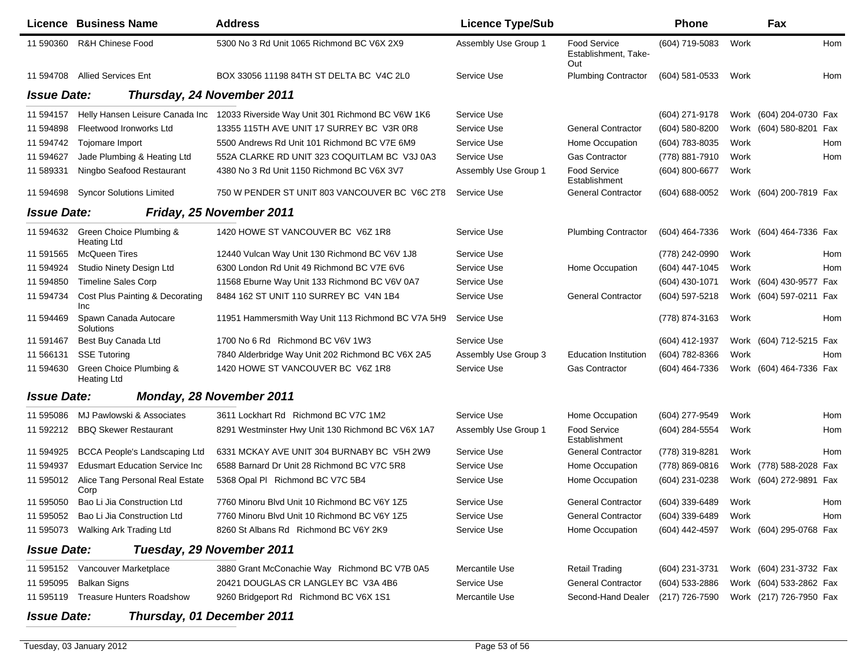|                    | <b>Licence Business Name</b>                  | <b>Address</b>                                     | <b>Licence Type/Sub</b> |                                             | <b>Phone</b>       |      | Fax                     |     |
|--------------------|-----------------------------------------------|----------------------------------------------------|-------------------------|---------------------------------------------|--------------------|------|-------------------------|-----|
| 11 590360          | <b>R&amp;H Chinese Food</b>                   | 5300 No 3 Rd Unit 1065 Richmond BC V6X 2X9         | Assembly Use Group 1    | Food Service<br>Establishment, Take-<br>Out | (604) 719-5083     | Work |                         | Hom |
| 11 594708          | <b>Allied Services Ent</b>                    | BOX 33056 11198 84TH ST DELTA BC V4C 2L0           | Service Use             | <b>Plumbing Contractor</b>                  | $(604)$ 581-0533   | Work |                         | Hom |
| <b>Issue Date:</b> |                                               | Thursday, 24 November 2011                         |                         |                                             |                    |      |                         |     |
| 11 594157          | Helly Hansen Leisure Canada Inc               | 12033 Riverside Way Unit 301 Richmond BC V6W 1K6   | Service Use             |                                             | (604) 271-9178     |      | Work (604) 204-0730 Fax |     |
| 11 594898          | Fleetwood Ironworks Ltd                       | 13355 115TH AVE UNIT 17 SURREY BC V3R 0R8          | Service Use             | <b>General Contractor</b>                   | (604) 580-8200     |      | Work (604) 580-8201 Fax |     |
| 11 594742          | Tojomare Import                               | 5500 Andrews Rd Unit 101 Richmond BC V7E 6M9       | Service Use             | Home Occupation                             | (604) 783-8035     | Work |                         | Hom |
| 11 594627          | Jade Plumbing & Heating Ltd                   | 552A CLARKE RD UNIT 323 COQUITLAM BC V3J 0A3       | Service Use             | <b>Gas Contractor</b>                       | (778) 881-7910     | Work |                         | Hom |
| 11 589331          | Ningbo Seafood Restaurant                     | 4380 No 3 Rd Unit 1150 Richmond BC V6X 3V7         | Assembly Use Group 1    | Food Service<br>Establishment               | (604) 800-6677     | Work |                         |     |
| 11 594698          | <b>Syncor Solutions Limited</b>               | 750 W PENDER ST UNIT 803 VANCOUVER BC V6C 2T8      | Service Use             | <b>General Contractor</b>                   | $(604) 688 - 0052$ |      | Work (604) 200-7819 Fax |     |
| <b>Issue Date:</b> |                                               | Friday, 25 November 2011                           |                         |                                             |                    |      |                         |     |
| 11 594632          | Green Choice Plumbing &<br><b>Heating Ltd</b> | 1420 HOWE ST VANCOUVER BC V6Z 1R8                  | Service Use             | <b>Plumbing Contractor</b>                  | (604) 464-7336     |      | Work (604) 464-7336 Fax |     |
| 11 591565          | <b>McQueen Tires</b>                          | 12440 Vulcan Way Unit 130 Richmond BC V6V 1J8      | Service Use             |                                             | (778) 242-0990     | Work |                         | Hom |
| 11 594924          | Studio Ninety Design Ltd                      | 6300 London Rd Unit 49 Richmond BC V7E 6V6         | Service Use             | Home Occupation                             | (604) 447-1045     | Work |                         | Hom |
| 11 594850          | <b>Timeline Sales Corp</b>                    | 11568 Eburne Way Unit 133 Richmond BC V6V 0A7      | Service Use             |                                             | (604) 430-1071     |      | Work (604) 430-9577 Fax |     |
| 11 594734          | Cost Plus Painting & Decorating<br>Inc        | 8484 162 ST UNIT 110 SURREY BC V4N 1B4             | Service Use             | <b>General Contractor</b>                   | (604) 597-5218     |      | Work (604) 597-0211 Fax |     |
| 11 594469          | Spawn Canada Autocare<br>Solutions            | 11951 Hammersmith Way Unit 113 Richmond BC V7A 5H9 | Service Use             |                                             | (778) 874-3163     | Work |                         | Hom |
| 11 591467          | Best Buy Canada Ltd                           | 1700 No 6 Rd Richmond BC V6V 1W3                   | Service Use             |                                             | (604) 412-1937     |      | Work (604) 712-5215 Fax |     |
| 11 566131          | <b>SSE Tutoring</b>                           | 7840 Alderbridge Way Unit 202 Richmond BC V6X 2A5  | Assembly Use Group 3    | Education Institution                       | (604) 782-8366     | Work |                         | Hom |
| 11 594630          | Green Choice Plumbing &<br><b>Heating Ltd</b> | 1420 HOWE ST VANCOUVER BC V6Z 1R8                  | Service Use             | <b>Gas Contractor</b>                       | (604) 464-7336     |      | Work (604) 464-7336 Fax |     |
| <b>Issue Date:</b> |                                               | <b>Monday, 28 November 2011</b>                    |                         |                                             |                    |      |                         |     |
| 11 595086          | MJ Pawlowski & Associates                     | 3611 Lockhart Rd Richmond BC V7C 1M2               | Service Use             | Home Occupation                             | (604) 277-9549     | Work |                         | Hom |
| 11 592212          | <b>BBQ Skewer Restaurant</b>                  | 8291 Westminster Hwy Unit 130 Richmond BC V6X 1A7  | Assembly Use Group 1    | <b>Food Service</b><br>Establishment        | (604) 284-5554     | Work |                         | Hom |
| 11 594925          | <b>BCCA People's Landscaping Ltd</b>          | 6331 MCKAY AVE UNIT 304 BURNABY BC V5H 2W9         | Service Use             | <b>General Contractor</b>                   | (778) 319-8281     | Work |                         | Hom |
| 11 594937          | <b>Edusmart Education Service Inc</b>         | 6588 Barnard Dr Unit 28 Richmond BC V7C 5R8        | Service Use             | Home Occupation                             | (778) 869-0816     | Work | (778) 588-2028 Fax      |     |
| 11 595012          | Alice Tang Personal Real Estate<br>Corp       | 5368 Opal PI Richmond BC V7C 5B4                   | Service Use             | Home Occupation                             | (604) 231-0238     |      | Work (604) 272-9891 Fax |     |
| 11 595050          | Bao Li Jia Construction Ltd                   | 7760 Minoru Blvd Unit 10 Richmond BC V6Y 1Z5       | Service Use             | <b>General Contractor</b>                   | (604) 339-6489     | Work |                         | Hom |
| 11 595052          | Bao Li Jia Construction Ltd                   | 7760 Minoru Blvd Unit 10 Richmond BC V6Y 1Z5       | Service Use             | <b>General Contractor</b>                   | (604) 339-6489     | Work |                         | Hom |
|                    | 11 595073 Walking Ark Trading Ltd             | 8260 St Albans Rd Richmond BC V6Y 2K9              | Service Use             | Home Occupation                             | (604) 442-4597     |      | Work (604) 295-0768 Fax |     |
| <b>Issue Date:</b> |                                               | Tuesday, 29 November 2011                          |                         |                                             |                    |      |                         |     |
|                    | 11 595152 Vancouver Marketplace               | 3880 Grant McConachie Way Richmond BC V7B 0A5      | Mercantile Use          | <b>Retail Trading</b>                       | (604) 231-3731     |      | Work (604) 231-3732 Fax |     |
| 11 595095          | <b>Balkan Signs</b>                           | 20421 DOUGLAS CR LANGLEY BC V3A 4B6                | Service Use             | <b>General Contractor</b>                   | (604) 533-2886     |      | Work (604) 533-2862 Fax |     |
|                    | 11 595119 Treasure Hunters Roadshow           | 9260 Bridgeport Rd Richmond BC V6X 1S1             | Mercantile Use          | Second-Hand Dealer                          | (217) 726-7590     |      | Work (217) 726-7950 Fax |     |
| <b>Issue Date:</b> |                                               | Thursday, 01 December 2011                         |                         |                                             |                    |      |                         |     |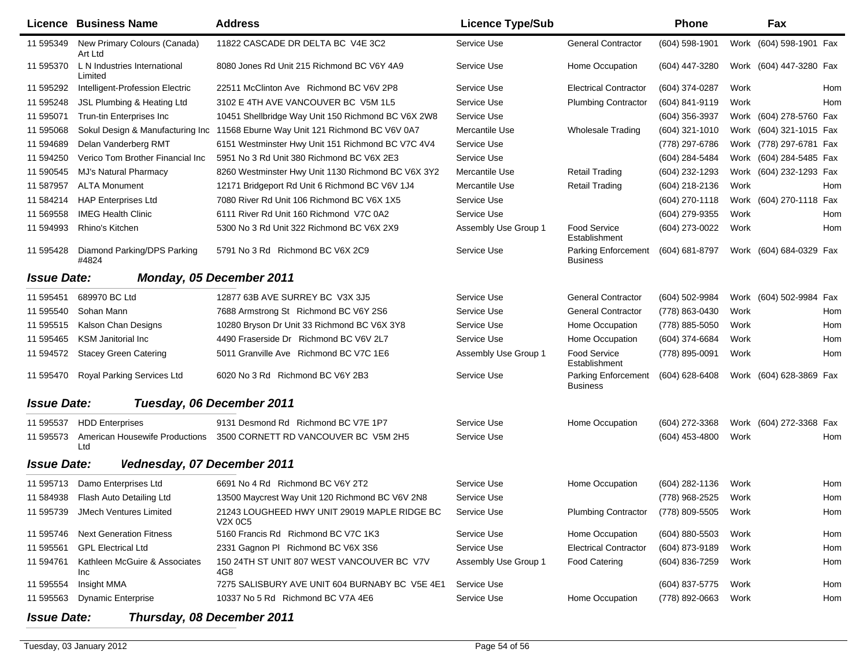|                    | Licence Business Name                   | <b>Address</b>                                          | <b>Licence Type/Sub</b> |                                        | <b>Phone</b>       |      | Fax                     |     |
|--------------------|-----------------------------------------|---------------------------------------------------------|-------------------------|----------------------------------------|--------------------|------|-------------------------|-----|
| 11 595349          | New Primary Colours (Canada)<br>Art Ltd | 11822 CASCADE DR DELTA BC V4E 3C2                       | Service Use             | <b>General Contractor</b>              | (604) 598-1901     | Work | (604) 598-1901 Fax      |     |
| 11 595370          | L N Industries International<br>Limited | 8080 Jones Rd Unit 215 Richmond BC V6Y 4A9              | Service Use             | Home Occupation                        | (604) 447-3280     |      | Work (604) 447-3280 Fax |     |
| 11 595292          | Intelligent-Profession Electric         | 22511 McClinton Ave Richmond BC V6V 2P8                 | Service Use             | <b>Electrical Contractor</b>           | (604) 374-0287     | Work |                         | Hom |
| 11 595248          | JSL Plumbing & Heating Ltd              | 3102 E 4TH AVE VANCOUVER BC V5M 1L5                     | Service Use             | <b>Plumbing Contractor</b>             | (604) 841-9119     | Work |                         | Hom |
| 11 595071          | Trun-tin Enterprises Inc                | 10451 Shellbridge Way Unit 150 Richmond BC V6X 2W8      | Service Use             |                                        | (604) 356-3937     |      | Work (604) 278-5760 Fax |     |
| 11 595068          | Sokul Design & Manufacturing Inc        | 11568 Eburne Way Unit 121 Richmond BC V6V 0A7           | Mercantile Use          | <b>Wholesale Trading</b>               | (604) 321-1010     | Work | (604) 321-1015 Fax      |     |
| 11 594689          | Delan Vanderberg RMT                    | 6151 Westminster Hwy Unit 151 Richmond BC V7C 4V4       | Service Use             |                                        | (778) 297-6786     | Work | (778) 297-6781 Fax      |     |
| 11 594250          | Verico Tom Brother Financial Inc        | 5951 No 3 Rd Unit 380 Richmond BC V6X 2E3               | Service Use             |                                        | (604) 284-5484     | Work | (604) 284-5485 Fax      |     |
| 11 590545          | MJ's Natural Pharmacy                   | 8260 Westminster Hwy Unit 1130 Richmond BC V6X 3Y2      | Mercantile Use          | <b>Retail Trading</b>                  | (604) 232-1293     | Work | (604) 232-1293 Fax      |     |
| 11 587957          | <b>ALTA Monument</b>                    | 12171 Bridgeport Rd Unit 6 Richmond BC V6V 1J4          | Mercantile Use          | <b>Retail Trading</b>                  | (604) 218-2136     | Work |                         | Hom |
| 11 584214          | <b>HAP Enterprises Ltd</b>              | 7080 River Rd Unit 106 Richmond BC V6X 1X5              | Service Use             |                                        | (604) 270-1118     |      | Work (604) 270-1118 Fax |     |
| 11 569558          | <b>IMEG Health Clinic</b>               | 6111 River Rd Unit 160 Richmond V7C 0A2                 | Service Use             |                                        | (604) 279-9355     | Work |                         | Hom |
| 11 594993          | Rhino's Kitchen                         | 5300 No 3 Rd Unit 322 Richmond BC V6X 2X9               | Assembly Use Group 1    | <b>Food Service</b><br>Establishment   | (604) 273-0022     | Work |                         | Hom |
| 11 595428          | Diamond Parking/DPS Parking<br>#4824    | 5791 No 3 Rd Richmond BC V6X 2C9                        | Service Use             | Parking Enforcement<br><b>Business</b> | (604) 681-8797     |      | Work (604) 684-0329 Fax |     |
| <b>Issue Date:</b> |                                         | Monday, 05 December 2011                                |                         |                                        |                    |      |                         |     |
| 11 595451          | 689970 BC Ltd                           | 12877 63B AVE SURREY BC V3X 3J5                         | Service Use             | <b>General Contractor</b>              | (604) 502-9984     |      | Work (604) 502-9984 Fax |     |
| 11 595540          | Sohan Mann                              | 7688 Armstrong St Richmond BC V6Y 2S6                   | Service Use             | <b>General Contractor</b>              | (778) 863-0430     | Work |                         | Hom |
| 11 595515          | Kalson Chan Designs                     | 10280 Bryson Dr Unit 33 Richmond BC V6X 3Y8             | Service Use             | Home Occupation                        | (778) 885-5050     | Work |                         | Hom |
| 11 595465          | <b>KSM Janitorial Inc</b>               | 4490 Fraserside Dr Richmond BC V6V 2L7                  | Service Use             | Home Occupation                        | (604) 374-6684     | Work |                         | Hom |
| 11 594572          | <b>Stacey Green Catering</b>            | 5011 Granville Ave Richmond BC V7C 1E6                  | Assembly Use Group 1    | <b>Food Service</b><br>Establishment   | (778) 895-0091     | Work |                         | Hom |
| 11 595470          | Royal Parking Services Ltd              | 6020 No 3 Rd Richmond BC V6Y 2B3                        | Service Use             | Parking Enforcement<br>Business        | $(604)$ 628-6408   |      | Work (604) 628-3869 Fax |     |
| <b>Issue Date:</b> |                                         | Tuesday, 06 December 2011                               |                         |                                        |                    |      |                         |     |
| 11 595537          | <b>HDD</b> Enterprises                  | 9131 Desmond Rd Richmond BC V7E 1P7                     | Service Use             | Home Occupation                        | (604) 272-3368     |      | Work (604) 272-3368 Fax |     |
| 11 595573          | American Housewife Productions<br>Ltd   | 3500 CORNETT RD VANCOUVER BC V5M 2H5                    | Service Use             |                                        | (604) 453-4800     | Work |                         | Hom |
| <b>Issue Date:</b> | Vednesday, 07 December 2011             |                                                         |                         |                                        |                    |      |                         |     |
| 11 595713          | Damo Enterprises Ltd                    | 6691 No 4 Rd Richmond BC V6Y 2T2                        | Service Use             | Home Occupation                        | (604) 282-1136     | Work |                         | Hom |
| 11 584938          | Flash Auto Detailing Ltd                | 13500 Maycrest Way Unit 120 Richmond BC V6V 2N8         | Service Use             |                                        | (778) 968-2525     | Work |                         | Hom |
| 11 595739          | JMech Ventures Limited                  | 21243 LOUGHEED HWY UNIT 29019 MAPLE RIDGE BC<br>V2X 0C5 | Service Use             | <b>Plumbing Contractor</b>             | (778) 809-5505     | Work |                         | Hom |
| 11 595746          | <b>Next Generation Fitness</b>          | 5160 Francis Rd Richmond BC V7C 1K3                     | Service Use             | Home Occupation                        | $(604) 880 - 5503$ | Work |                         | Hom |
| 11 595561          | <b>GPL Electrical Ltd</b>               | 2331 Gagnon PI Richmond BC V6X 3S6                      | Service Use             | <b>Electrical Contractor</b>           | (604) 873-9189     | Work |                         | Hom |
| 11 594761          | Kathleen McGuire & Associates<br>Inc    | 150 24TH ST UNIT 807 WEST VANCOUVER BC V7V<br>4G8       | Assembly Use Group 1    | Food Catering                          | (604) 836-7259     | Work |                         | Hom |
| 11 595554          | Insight MMA                             | 7275 SALISBURY AVE UNIT 604 BURNABY BC V5E 4E1          | Service Use             |                                        | (604) 837-5775     | Work |                         | Hom |
| 11 595563          | <b>Dynamic Enterprise</b>               | 10337 No 5 Rd Richmond BC V7A 4E6                       | Service Use             | Home Occupation                        | (778) 892-0663     | Work |                         | Hom |
| <b>Issue Date:</b> |                                         | Thursday, 08 December 2011                              |                         |                                        |                    |      |                         |     |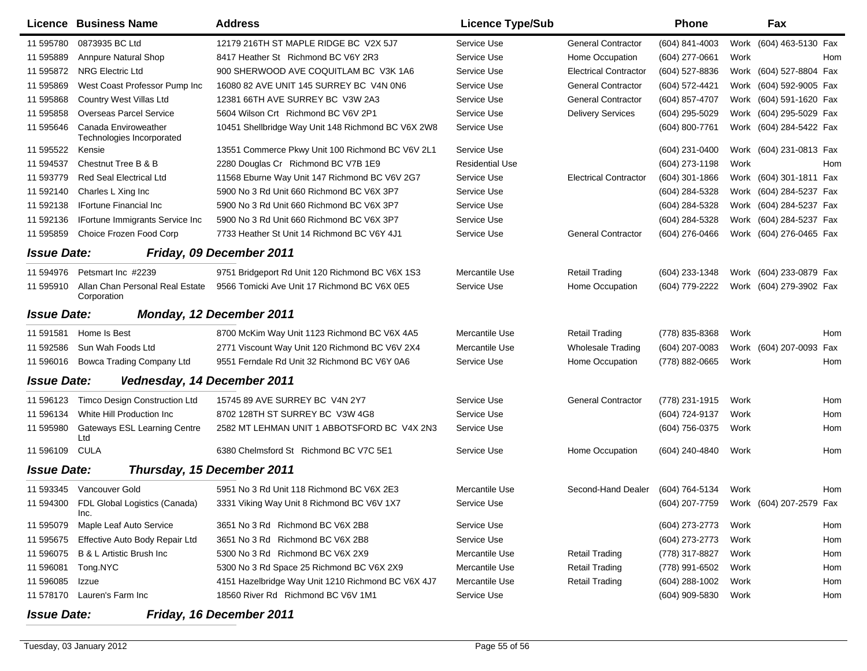|                                                | Licence Business Name                             | <b>Address</b>                                     | <b>Licence Type/Sub</b> |                              | <b>Phone</b>     |      | Fax                     |     |  |  |
|------------------------------------------------|---------------------------------------------------|----------------------------------------------------|-------------------------|------------------------------|------------------|------|-------------------------|-----|--|--|
| 11 595780                                      | 0873935 BC Ltd                                    | 12179 216TH ST MAPLE RIDGE BC V2X 5J7              | Service Use             | <b>General Contractor</b>    | (604) 841-4003   |      | Work (604) 463-5130 Fax |     |  |  |
| 11 595889                                      | <b>Annpure Natural Shop</b>                       | 8417 Heather St Richmond BC V6Y 2R3                | Service Use             | Home Occupation              | (604) 277-0661   | Work |                         | Hom |  |  |
| 11 595872                                      | <b>NRG Electric Ltd</b>                           | 900 SHERWOOD AVE COQUITLAM BC V3K 1A6              | Service Use             | <b>Electrical Contractor</b> | (604) 527-8836   | Work | (604) 527-8804 Fax      |     |  |  |
| 11 595869                                      | West Coast Professor Pump Inc                     | 16080 82 AVE UNIT 145 SURREY BC V4N 0N6            | Service Use             | <b>General Contractor</b>    | (604) 572-4421   |      | Work (604) 592-9005 Fax |     |  |  |
| 11 595868                                      | Country West Villas Ltd                           | 12381 66TH AVE SURREY BC V3W 2A3                   | Service Use             | <b>General Contractor</b>    | (604) 857-4707   |      | Work (604) 591-1620 Fax |     |  |  |
| 11 595858                                      | <b>Overseas Parcel Service</b>                    | 5604 Wilson Crt Richmond BC V6V 2P1                | Service Use             | <b>Delivery Services</b>     | (604) 295-5029   |      | Work (604) 295-5029 Fax |     |  |  |
| 11 595646                                      | Canada Enviroweather<br>Technologies Incorporated | 10451 Shellbridge Way Unit 148 Richmond BC V6X 2W8 | Service Use             |                              | (604) 800-7761   |      | Work (604) 284-5422 Fax |     |  |  |
| 11 595522                                      | Kensie                                            | 13551 Commerce Pkwy Unit 100 Richmond BC V6V 2L1   | Service Use             |                              | (604) 231-0400   |      | Work (604) 231-0813 Fax |     |  |  |
| 11 594537                                      | Chestnut Tree B & B                               | 2280 Douglas Cr Richmond BC V7B 1E9                | <b>Residential Use</b>  |                              | (604) 273-1198   | Work |                         | Hom |  |  |
| 11 593779                                      | Red Seal Electrical Ltd                           | 11568 Eburne Way Unit 147 Richmond BC V6V 2G7      | Service Use             | <b>Electrical Contractor</b> | $(604)$ 301-1866 |      | Work (604) 301-1811 Fax |     |  |  |
| 11 592140                                      | Charles L Xing Inc                                | 5900 No 3 Rd Unit 660 Richmond BC V6X 3P7          | Service Use             |                              | (604) 284-5328   |      | Work (604) 284-5237 Fax |     |  |  |
| 11 592138                                      | <b>IFortune Financial Inc</b>                     | 5900 No 3 Rd Unit 660 Richmond BC V6X 3P7          | Service Use             |                              | (604) 284-5328   |      | Work (604) 284-5237 Fax |     |  |  |
| 11 592136                                      | <b>IFortune Immigrants Service Inc.</b>           | 5900 No 3 Rd Unit 660 Richmond BC V6X 3P7          | Service Use             |                              | (604) 284-5328   |      | Work (604) 284-5237 Fax |     |  |  |
| 11 595859                                      | Choice Frozen Food Corp                           | 7733 Heather St Unit 14 Richmond BC V6Y 4J1        | Service Use             | <b>General Contractor</b>    | (604) 276-0466   |      | Work (604) 276-0465 Fax |     |  |  |
| <b>Issue Date:</b>                             |                                                   | Friday, 09 December 2011                           |                         |                              |                  |      |                         |     |  |  |
| 11 594976                                      | Petsmart Inc #2239                                | 9751 Bridgeport Rd Unit 120 Richmond BC V6X 1S3    | Mercantile Use          | Retail Trading               | (604) 233-1348   |      | Work (604) 233-0879 Fax |     |  |  |
| 11 595910                                      | Allan Chan Personal Real Estate<br>Corporation    | 9566 Tomicki Ave Unit 17 Richmond BC V6X 0E5       | Service Use             | Home Occupation              | (604) 779-2222   |      | Work (604) 279-3902 Fax |     |  |  |
| Monday, 12 December 2011<br><b>Issue Date:</b> |                                                   |                                                    |                         |                              |                  |      |                         |     |  |  |
| 11 591581                                      | Home Is Best                                      | 8700 McKim Way Unit 1123 Richmond BC V6X 4A5       | Mercantile Use          | <b>Retail Trading</b>        | (778) 835-8368   | Work |                         | Hom |  |  |
| 11 592586                                      | Sun Wah Foods Ltd                                 | 2771 Viscount Way Unit 120 Richmond BC V6V 2X4     | Mercantile Use          | <b>Wholesale Trading</b>     | (604) 207-0083   | Work | (604) 207-0093 Fax      |     |  |  |
| 11 596016                                      | Bowca Trading Company Ltd                         | 9551 Ferndale Rd Unit 32 Richmond BC V6Y 0A6       | Service Use             | Home Occupation              | (778) 882-0665   | Work |                         | Hom |  |  |
| <b>Issue Date:</b>                             | Vednesday, 14 December 2011                       |                                                    |                         |                              |                  |      |                         |     |  |  |
|                                                |                                                   |                                                    |                         |                              |                  |      |                         |     |  |  |
| 11 596123                                      | <b>Timco Design Construction Ltd</b>              | 15745 89 AVE SURREY BC V4N 2Y7                     | Service Use             | <b>General Contractor</b>    | (778) 231-1915   | Work |                         | Hom |  |  |
| 11 596134                                      | White Hill Production Inc                         | 8702 128TH ST SURREY BC V3W 4G8                    | Service Use             |                              | (604) 724-9137   | Work |                         | Hom |  |  |
| 11 595980                                      | <b>Gateways ESL Learning Centre</b><br>Ltd        | 2582 MT LEHMAN UNIT 1 ABBOTSFORD BC V4X 2N3        | Service Use             |                              | (604) 756-0375   | Work |                         | Hom |  |  |
| 11 596109                                      | <b>CULA</b>                                       | 6380 Chelmsford St Richmond BC V7C 5E1             | Service Use             | Home Occupation              | (604) 240-4840   | Work |                         | Hom |  |  |
| <b>Issue Date:</b>                             |                                                   | Thursday, 15 December 2011                         |                         |                              |                  |      |                         |     |  |  |
| 11 593345                                      | Vancouver Gold                                    | 5951 No 3 Rd Unit 118 Richmond BC V6X 2E3          | Mercantile Use          | Second-Hand Dealer           | (604) 764-5134   | Work |                         | Hom |  |  |
|                                                | 11 594300 FDL Global Logistics (Canada)<br>Inc.   | 3331 Viking Way Unit 8 Richmond BC V6V 1X7         | Service Use             |                              | (604) 207-7759   |      | Work (604) 207-2579 Fax |     |  |  |
| 11 595079                                      | Maple Leaf Auto Service                           | 3651 No 3 Rd Richmond BC V6X 2B8                   | Service Use             |                              | (604) 273-2773   | Work |                         | Hom |  |  |
| 11 595675                                      | Effective Auto Body Repair Ltd                    | 3651 No 3 Rd Richmond BC V6X 2B8                   | Service Use             |                              | (604) 273-2773   | Work |                         | Hom |  |  |
| 11 596075                                      | B & L Artistic Brush Inc                          | 5300 No 3 Rd Richmond BC V6X 2X9                   | Mercantile Use          | <b>Retail Trading</b>        | (778) 317-8827   | Work |                         | Hom |  |  |
| 11 596081                                      | Tong.NYC                                          | 5300 No 3 Rd Space 25 Richmond BC V6X 2X9          | Mercantile Use          | <b>Retail Trading</b>        | (778) 991-6502   | Work |                         | Hom |  |  |
| 11 596085                                      | Izzue                                             | 4151 Hazelbridge Way Unit 1210 Richmond BC V6X 4J7 | Mercantile Use          | <b>Retail Trading</b>        | (604) 288-1002   | Work |                         | Hom |  |  |
| 11 578170                                      | Lauren's Farm Inc                                 | 18560 River Rd Richmond BC V6V 1M1                 | Service Use             |                              | (604) 909-5830   | Work |                         | Hom |  |  |

## *Issue Date:Friday, 16 December 2011*